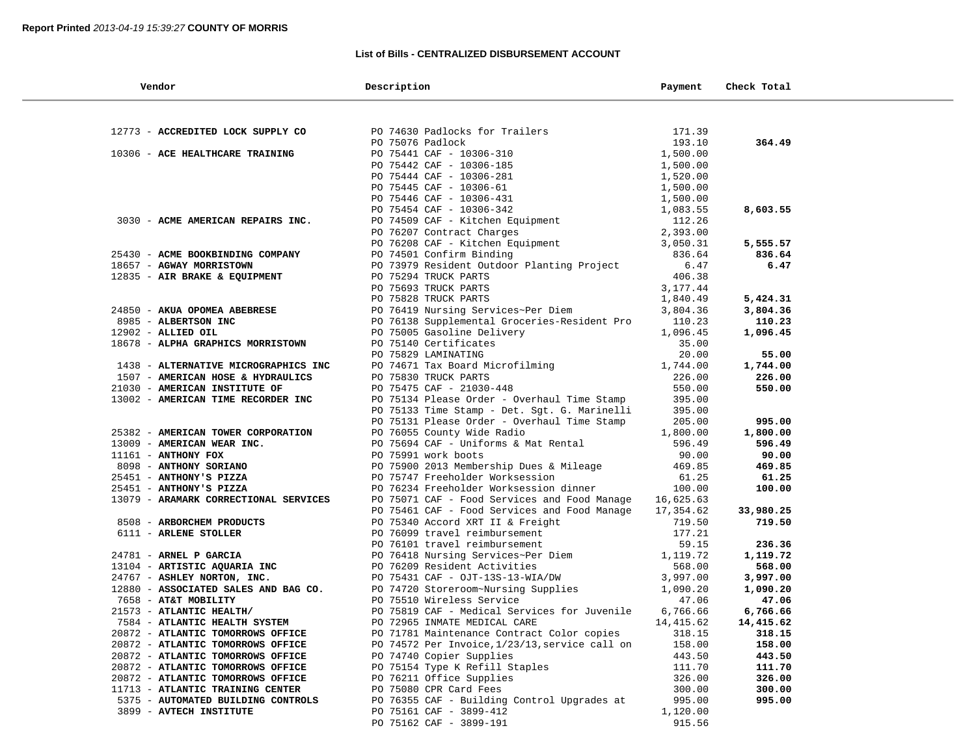### **List of Bills - CENTRALIZED DISBURSEMENT ACCOUNT**

| Vendor                                             | Description                                                       | Payment              | Check Total        |  |
|----------------------------------------------------|-------------------------------------------------------------------|----------------------|--------------------|--|
|                                                    |                                                                   |                      |                    |  |
| 12773 - ACCREDITED LOCK SUPPLY CO                  | PO 74630 Padlocks for Trailers                                    | 171.39               |                    |  |
|                                                    | PO 75076 Padlock                                                  | 193.10               | 364.49             |  |
| 10306 - ACE HEALTHCARE TRAINING                    | PO 75441 CAF - 10306-310                                          | 1,500.00             |                    |  |
|                                                    | PO 75442 CAF - 10306-185                                          | 1,500.00             |                    |  |
|                                                    | PO 75444 CAF - 10306-281                                          | 1,520.00             |                    |  |
|                                                    | PO 75445 CAF - 10306-61                                           | 1,500.00             |                    |  |
|                                                    | PO 75446 CAF - 10306-431                                          | 1,500.00             |                    |  |
|                                                    | PO 75454 CAF - 10306-342                                          | 1,083.55             | 8,603.55           |  |
| 3030 - ACME AMERICAN REPAIRS INC.                  | PO 74509 CAF - Kitchen Equipment                                  | 112.26               |                    |  |
|                                                    | PO 76207 Contract Charges<br>PO 76208 CAF - Kitchen Equipment     | 2,393.00<br>3,050.31 |                    |  |
| 25430 - ACME BOOKBINDING COMPANY                   | PO 74501 Confirm Binding                                          | 836.64               | 5,555.57<br>836.64 |  |
| 18657 - AGWAY MORRISTOWN                           | PO 73979 Resident Outdoor Planting Project                        | 6.47                 | 6.47               |  |
| 12835 - AIR BRAKE & EQUIPMENT                      | PO 75294 TRUCK PARTS                                              | 406.38               |                    |  |
|                                                    | PO 75693 TRUCK PARTS                                              | 3,177.44             |                    |  |
|                                                    | PO 75828 TRUCK PARTS                                              | 1,840.49             | 5,424.31           |  |
| 24850 - AKUA OPOMEA ABEBRESE                       | PO 76419 Nursing Services~Per Diem                                | 3,804.36             | 3,804.36           |  |
| 8985 - ALBERTSON INC                               | PO 76138 Supplemental Groceries-Resident Pro                      | 110.23               | 110.23             |  |
| $12902$ - ALLIED OIL                               | PO 75005 Gasoline Delivery                                        | 1,096.45             | 1,096.45           |  |
| 18678 - ALPHA GRAPHICS MORRISTOWN                  | PO 75140 Certificates                                             | 35.00                |                    |  |
|                                                    | PO 75829 LAMINATING                                               | 20.00                | 55.00              |  |
| 1438 - ALTERNATIVE MICROGRAPHICS INC               | PO 74671 Tax Board Microfilming                                   | 1,744.00             | 1,744.00           |  |
| 1507 - AMERICAN HOSE & HYDRAULICS                  | PO 75830 TRUCK PARTS                                              | 226.00               | 226.00             |  |
| 21030 - AMERICAN INSTITUTE OF                      | PO 75475 CAF - 21030-448                                          | 550.00               | 550.00             |  |
| 13002 - AMERICAN TIME RECORDER INC                 | PO 75134 Please Order - Overhaul Time Stamp                       | 395.00               |                    |  |
|                                                    | PO 75133 Time Stamp - Det. Sgt. G. Marinelli                      | 395.00               |                    |  |
|                                                    | PO 75131 Please Order - Overhaul Time Stamp                       | 205.00               | 995.00             |  |
| 25382 - AMERICAN TOWER CORPORATION                 | PO 76055 County Wide Radio                                        | 1,800.00             | 1,800.00           |  |
| 13009 - AMERICAN WEAR INC.                         | PO 75694 CAF - Uniforms & Mat Rental                              | 596.49               | 596.49             |  |
| $11161$ - ANTHONY FOX                              | PO 75991 work boots                                               | 90.00                | 90.00              |  |
| 8098 - ANTHONY SORIANO                             | PO 75900 2013 Membership Dues & Mileage                           | 469.85               | 469.85             |  |
| 25451 - ANTHONY'S PIZZA                            | PO 75747 Freeholder Worksession                                   | 61.25                | 61.25              |  |
| 25451 - ANTHONY'S PIZZA                            | PO 76234 Freeholder Worksession dinner                            | 100.00               | 100.00             |  |
| 13079 - ARAMARK CORRECTIONAL SERVICES              | PO 75071 CAF - Food Services and Food Manage                      | 16,625.63            |                    |  |
|                                                    | PO 75461 CAF - Food Services and Food Manage                      | 17,354.62            | 33,980.25          |  |
| 8508 - ARBORCHEM PRODUCTS<br>6111 - ARLENE STOLLER | PO 75340 Accord XRT II & Freight<br>PO 76099 travel reimbursement | 719.50<br>177.21     | 719.50             |  |
|                                                    | PO 76101 travel reimbursement                                     | 59.15                | 236.36             |  |
| 24781 - ARNEL P GARCIA                             | PO 76418 Nursing Services~Per Diem                                | 1,119.72             | 1,119.72           |  |
| 13104 - ARTISTIC AQUARIA INC                       | PO 76209 Resident Activities                                      | 568.00               | 568.00             |  |
| 24767 - ASHLEY NORTON, INC.                        | PO 75431 CAF - OJT-13S-13-WIA/DW                                  | 3,997.00             | 3,997.00           |  |
| 12880 - ASSOCIATED SALES AND BAG CO.               | PO 74720 Storeroom~Nursing Supplies                               | 1,090.20             | 1,090.20           |  |
| 7658 - AT&T MOBILITY                               | PO 75510 Wireless Service                                         | 47.06                | 47.06              |  |
| 21573 - ATLANTIC HEALTH/                           | PO 75819 CAF - Medical Services for Juvenile                      | 6,766.66             | 6,766.66           |  |
| 7584 - ATLANTIC HEALTH SYSTEM                      | PO 72965 INMATE MEDICAL CARE                                      | 14,415.62            | 14,415.62          |  |
| 20872 - ATLANTIC TOMORROWS OFFICE                  | PO 71781 Maintenance Contract Color copies                        | 318.15               | 318.15             |  |
| 20872 - ATLANTIC TOMORROWS OFFICE                  | PO 74572 Per Invoice, 1/23/13, service call on                    | 158.00               | 158.00             |  |
| 20872 - ATLANTIC TOMORROWS OFFICE                  | PO 74740 Copier Supplies                                          | 443.50               | 443.50             |  |
| 20872 - ATLANTIC TOMORROWS OFFICE                  | PO 75154 Type K Refill Staples                                    | 111.70               | 111.70             |  |
| 20872 - ATLANTIC TOMORROWS OFFICE                  | PO 76211 Office Supplies                                          | 326.00               | 326.00             |  |
| 11713 - ATLANTIC TRAINING CENTER                   | PO 75080 CPR Card Fees                                            | 300.00               | 300.00             |  |
| 5375 - AUTOMATED BUILDING CONTROLS                 | PO 76355 CAF - Building Control Upgrades at                       | 995.00               | 995.00             |  |
| 3899 - AVTECH INSTITUTE                            | PO 75161 CAF - 3899-412                                           | 1,120.00             |                    |  |
|                                                    | PO 75162 CAF - 3899-191                                           | 915.56               |                    |  |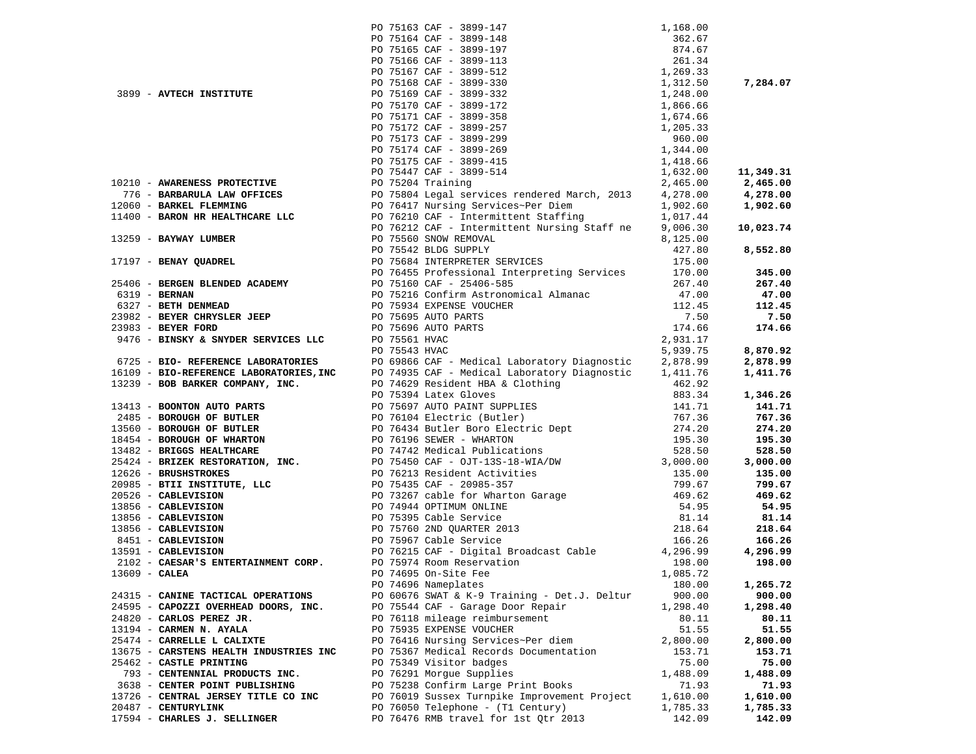|                 |                                                                               |               | 1, 168.00<br>362.67<br>874.67<br>261.34<br>1, 269.33<br>1, 312.50<br>1, 248.00<br>1, 866.66<br>1, 674.66<br>1, 674.66<br>1, 205.33<br>960.00<br>1, 344.00<br>1, 418.66<br>2, 465.00<br>2, 465.00<br>2, 425.00<br>2, 425.00<br>2, 425.00<br>2, 425.00<br>2, 425.00<br>PO 75163 CAF - 3899-147 |          |           |
|-----------------|-------------------------------------------------------------------------------|---------------|----------------------------------------------------------------------------------------------------------------------------------------------------------------------------------------------------------------------------------------------------------------------------------------------|----------|-----------|
|                 |                                                                               |               | PO 75164 CAF - 3899-148                                                                                                                                                                                                                                                                      |          |           |
|                 |                                                                               |               | PO 75165 CAF - 3899-197                                                                                                                                                                                                                                                                      |          |           |
|                 |                                                                               |               | PO 75166 CAF - 3899-113                                                                                                                                                                                                                                                                      |          |           |
|                 |                                                                               |               | PO 75167 CAF - 3899-512                                                                                                                                                                                                                                                                      |          |           |
|                 |                                                                               |               | PO 75168 CAF - 3899-330                                                                                                                                                                                                                                                                      |          | 7,284.07  |
|                 | 3899 - AVTECH INSTITUTE<br>PO 75169 CAF - 3899-332<br>PO 75170 CAF - 3899-172 |               |                                                                                                                                                                                                                                                                                              |          |           |
|                 |                                                                               |               |                                                                                                                                                                                                                                                                                              |          |           |
|                 |                                                                               |               | PO 75171 CAF - 3899-358                                                                                                                                                                                                                                                                      |          |           |
|                 |                                                                               |               | PO 75172 CAF - 3899-257                                                                                                                                                                                                                                                                      |          |           |
|                 |                                                                               |               | PO 75173 CAF - 3899-299                                                                                                                                                                                                                                                                      |          |           |
|                 |                                                                               |               |                                                                                                                                                                                                                                                                                              |          |           |
|                 |                                                                               |               | PO 75174 CAF - 3899-269                                                                                                                                                                                                                                                                      |          |           |
|                 |                                                                               |               | PO 75175 CAF - 3899-415                                                                                                                                                                                                                                                                      |          |           |
|                 |                                                                               |               | PO 75447 CAF - 3899-514                                                                                                                                                                                                                                                                      |          | 11,349.31 |
|                 |                                                                               |               |                                                                                                                                                                                                                                                                                              |          | 2,465.00  |
|                 |                                                                               |               |                                                                                                                                                                                                                                                                                              |          | 4,278.00  |
|                 |                                                                               |               |                                                                                                                                                                                                                                                                                              |          | 1,902.60  |
|                 |                                                                               |               |                                                                                                                                                                                                                                                                                              |          |           |
|                 |                                                                               |               |                                                                                                                                                                                                                                                                                              |          | 10,023.74 |
|                 |                                                                               |               |                                                                                                                                                                                                                                                                                              |          |           |
|                 |                                                                               |               |                                                                                                                                                                                                                                                                                              |          |           |
|                 |                                                                               |               |                                                                                                                                                                                                                                                                                              |          | 8,552.80  |
|                 |                                                                               |               |                                                                                                                                                                                                                                                                                              |          |           |
|                 |                                                                               |               |                                                                                                                                                                                                                                                                                              |          | 345.00    |
|                 |                                                                               |               |                                                                                                                                                                                                                                                                                              |          | 267.40    |
|                 |                                                                               |               |                                                                                                                                                                                                                                                                                              |          | 47.00     |
|                 |                                                                               |               |                                                                                                                                                                                                                                                                                              |          | 112.45    |
|                 |                                                                               |               |                                                                                                                                                                                                                                                                                              |          | 7.50      |
|                 |                                                                               |               |                                                                                                                                                                                                                                                                                              |          | 174.66    |
|                 |                                                                               |               |                                                                                                                                                                                                                                                                                              |          |           |
|                 |                                                                               | PO 75543 HVAC |                                                                                                                                                                                                                                                                                              | 5,939.75 | 8,870.92  |
|                 |                                                                               |               |                                                                                                                                                                                                                                                                                              |          |           |
|                 |                                                                               |               |                                                                                                                                                                                                                                                                                              |          | 2,878.99  |
|                 |                                                                               |               | 9476 - BIRSAT & SNUEK SERVICES LEG UP 75541 NWC<br>673541 NWC<br>6725 - <b>BIO-REFERENCE LABORATORIES</b> , PO 69866 CAP - Medical Laboratory Diagnostic 2,978.75<br>16109 - <b>BIO-REFERENCE LABORATORIES, INC</b><br>17413 - <b>PO 74935 CAP - M</b>                                       |          | 1,411.76  |
|                 |                                                                               |               |                                                                                                                                                                                                                                                                                              |          |           |
|                 |                                                                               |               |                                                                                                                                                                                                                                                                                              |          | 1,346.26  |
|                 |                                                                               |               |                                                                                                                                                                                                                                                                                              |          | 141.71    |
|                 |                                                                               |               |                                                                                                                                                                                                                                                                                              |          | 767.36    |
|                 |                                                                               |               |                                                                                                                                                                                                                                                                                              |          | 274.20    |
|                 |                                                                               |               |                                                                                                                                                                                                                                                                                              |          | 195.30    |
|                 |                                                                               |               |                                                                                                                                                                                                                                                                                              |          | 528.50    |
|                 |                                                                               |               |                                                                                                                                                                                                                                                                                              |          | 3,000.00  |
|                 |                                                                               |               |                                                                                                                                                                                                                                                                                              |          | 135.00    |
|                 |                                                                               |               |                                                                                                                                                                                                                                                                                              |          |           |
|                 |                                                                               |               |                                                                                                                                                                                                                                                                                              |          | 799.67    |
|                 |                                                                               |               |                                                                                                                                                                                                                                                                                              |          | 469.62    |
|                 |                                                                               |               |                                                                                                                                                                                                                                                                                              |          | 54.95     |
|                 |                                                                               |               |                                                                                                                                                                                                                                                                                              |          | 81.14     |
|                 |                                                                               |               |                                                                                                                                                                                                                                                                                              |          | 218.64    |
|                 |                                                                               |               |                                                                                                                                                                                                                                                                                              |          | 166.26    |
|                 |                                                                               |               |                                                                                                                                                                                                                                                                                              |          | 4,296.99  |
|                 |                                                                               |               |                                                                                                                                                                                                                                                                                              |          | 198.00    |
| $13609$ - CALEA |                                                                               |               | PO 74695 On-Site Fee                                                                                                                                                                                                                                                                         | 1,085.72 |           |
|                 |                                                                               |               | PO 74696 Nameplates                                                                                                                                                                                                                                                                          | 180.00   | 1,265.72  |
|                 | 24315 - CANINE TACTICAL OPERATIONS                                            |               | PO 60676 SWAT & K-9 Training - Det.J. Deltur                                                                                                                                                                                                                                                 | 900.00   | 900.00    |
|                 | 24595 - CAPOZZI OVERHEAD DOORS, INC.                                          |               | PO 75544 CAF - Garage Door Repair                                                                                                                                                                                                                                                            | 1,298.40 | 1,298.40  |
|                 | 24820 - CARLOS PEREZ JR.                                                      |               | PO 76118 mileage reimbursement                                                                                                                                                                                                                                                               | 80.11    | 80.11     |
|                 |                                                                               |               |                                                                                                                                                                                                                                                                                              |          |           |
|                 | 13194 - CARMEN N. AYALA                                                       |               | PO 75935 EXPENSE VOUCHER                                                                                                                                                                                                                                                                     | 51.55    | 51.55     |
|                 | 25474 - CARRELLE L CALIXTE                                                    |               | PO 76416 Nursing Services~Per diem                                                                                                                                                                                                                                                           | 2,800.00 | 2,800.00  |
|                 | 13675 - CARSTENS HEALTH INDUSTRIES INC                                        |               | PO 75367 Medical Records Documentation                                                                                                                                                                                                                                                       | 153.71   | 153.71    |
|                 | 25462 - CASTLE PRINTING                                                       |               | PO 75349 Visitor badges                                                                                                                                                                                                                                                                      | 75.00    | 75.00     |
|                 | 793 - CENTENNIAL PRODUCTS INC.                                                |               | PO 76291 Morgue Supplies                                                                                                                                                                                                                                                                     | 1,488.09 | 1,488.09  |
|                 | 3638 - CENTER POINT PUBLISHING                                                |               | PO 75238 Confirm Large Print Books                                                                                                                                                                                                                                                           | 71.93    | 71.93     |
|                 | 13726 - CENTRAL JERSEY TITLE CO INC                                           |               | PO 76019 Sussex Turnpike Improvement Project                                                                                                                                                                                                                                                 | 1,610.00 | 1,610.00  |
|                 | 20487 - CENTURYLINK                                                           |               | PO 76050 Telephone - (T1 Century)                                                                                                                                                                                                                                                            | 1,785.33 | 1,785.33  |
|                 | 17594 - CHARLES J. SELLINGER                                                  |               | PO 76476 RMB travel for 1st Otr 2013                                                                                                                                                                                                                                                         | 142.09   | 142.09    |
|                 |                                                                               |               |                                                                                                                                                                                                                                                                                              |          |           |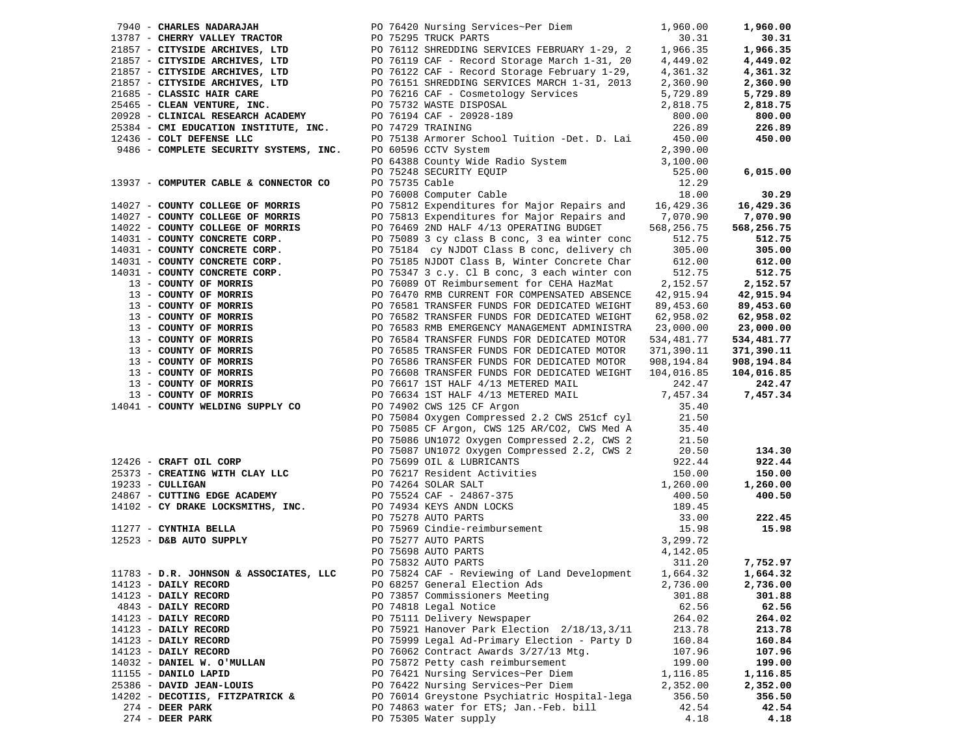|                                        |                                                                                                                                                                                                                                                |          | 1,960.00   |
|----------------------------------------|------------------------------------------------------------------------------------------------------------------------------------------------------------------------------------------------------------------------------------------------|----------|------------|
|                                        | 7940 - CHARLES NADARAJAH $P0 76420$ Nursing Services-Per Diem $1,960.00$<br>19787 - CHERRY VALLEY TRACTOR $P0 75295$ TRUCK PARTS<br>21857 - CITYSIDE ARCHIVES, LTD $P0 76112$ CAF - Record Storage March 1-31, 20 4,449.02<br>21857            |          | 30.31      |
|                                        |                                                                                                                                                                                                                                                |          | 1,966.35   |
|                                        |                                                                                                                                                                                                                                                |          | 4,449.02   |
|                                        |                                                                                                                                                                                                                                                |          | 4,361.32   |
|                                        |                                                                                                                                                                                                                                                |          | 2,360.90   |
|                                        |                                                                                                                                                                                                                                                |          | 5,729.89   |
|                                        |                                                                                                                                                                                                                                                |          | 2,818.75   |
|                                        |                                                                                                                                                                                                                                                |          | 800.00     |
|                                        |                                                                                                                                                                                                                                                |          | 226.89     |
|                                        |                                                                                                                                                                                                                                                |          | 450.00     |
|                                        | 2,390.00<br>PO 64388 County Wide Radio System<br>PO 75248 SECURITY EQUIP<br>PO 75735 Cable<br>PO 76008 Computer Cable<br>PO 75812 Expenditures for Mini-10 18.00<br>PO 75812 Expenditures for Mini-10 18.00                                    |          |            |
|                                        |                                                                                                                                                                                                                                                |          |            |
|                                        |                                                                                                                                                                                                                                                |          |            |
|                                        |                                                                                                                                                                                                                                                |          | 6,015.00   |
| 13937 - COMPUTER CABLE & CONNECTOR CO  |                                                                                                                                                                                                                                                |          |            |
|                                        |                                                                                                                                                                                                                                                |          | 30.29      |
|                                        | 14027 - COUNTY COLLEGE OF MORRIS PO 75812 Expenditures for Major Repairs and 16,429.36                                                                                                                                                         |          | 16,429.36  |
|                                        |                                                                                                                                                                                                                                                |          | 7,070.90   |
|                                        |                                                                                                                                                                                                                                                |          | 568,256.75 |
|                                        |                                                                                                                                                                                                                                                |          | 512.75     |
|                                        |                                                                                                                                                                                                                                                |          | 305.00     |
|                                        |                                                                                                                                                                                                                                                |          | 612.00     |
|                                        |                                                                                                                                                                                                                                                |          | 512.75     |
|                                        |                                                                                                                                                                                                                                                |          | 2,152.57   |
|                                        |                                                                                                                                                                                                                                                |          | 42,915.94  |
|                                        |                                                                                                                                                                                                                                                |          | 89,453.60  |
|                                        |                                                                                                                                                                                                                                                |          |            |
|                                        |                                                                                                                                                                                                                                                |          | 62,958.02  |
|                                        |                                                                                                                                                                                                                                                |          | 23,000.00  |
|                                        |                                                                                                                                                                                                                                                |          | 534,481.77 |
|                                        |                                                                                                                                                                                                                                                |          | 371,390.11 |
|                                        |                                                                                                                                                                                                                                                |          | 908,194.84 |
|                                        |                                                                                                                                                                                                                                                |          | 104,016.85 |
|                                        |                                                                                                                                                                                                                                                |          | 242.47     |
|                                        |                                                                                                                                                                                                                                                |          | 7,457.34   |
|                                        |                                                                                                                                                                                                                                                |          |            |
|                                        | 14027 <b>COURTY COLLEGE OF MORRIS</b> PO 75812 Expenditures for Major Repairs and 16,429.36 COURTY COLLEGE OF MORRIS PO 75813 Expenditures for Major Repairs and 7,070.90<br>14022 <b>COURTY COLLEGE OF MORRIS</b> PO 75813 Expenditures f     |          |            |
|                                        |                                                                                                                                                                                                                                                |          |            |
|                                        |                                                                                                                                                                                                                                                |          |            |
|                                        |                                                                                                                                                                                                                                                |          | 134.30     |
|                                        |                                                                                                                                                                                                                                                |          | 922.44     |
|                                        |                                                                                                                                                                                                                                                |          | 150.00     |
|                                        |                                                                                                                                                                                                                                                |          | 1,260.00   |
|                                        |                                                                                                                                                                                                                                                |          | 400.50     |
|                                        |                                                                                                                                                                                                                                                |          |            |
|                                        | 14041 - <b>COUNTY WELDING SUPPLY CO</b><br>PO 74902 CWS 125 CF Argon<br>PO 75084 Oxygen Compressed 2.2 CWS 251cf cyl<br>PO 75088 CF Argon, CWS 125 AR/CO2, CWS Med A<br>21.50<br>PO 75086 UNIO72 Oxygen Compressed 2.2, CWS 2<br>PO 75080 UNIO |          | 222.45     |
|                                        |                                                                                                                                                                                                                                                |          |            |
|                                        |                                                                                                                                                                                                                                                |          | 15.98      |
|                                        |                                                                                                                                                                                                                                                |          |            |
|                                        |                                                                                                                                                                                                                                                |          |            |
|                                        |                                                                                                                                                                                                                                                |          | 7,752.97   |
| 11783 - D.R. JOHNSON & ASSOCIATES, LLC | PO 75824 CAF - Reviewing of Land Development 1,664.32                                                                                                                                                                                          |          | 1,664.32   |
| 14123 - DAILY RECORD                   | PO 68257 General Election Ads                                                                                                                                                                                                                  | 2,736.00 | 2,736.00   |
| 14123 - DAILY RECORD                   | PO 73857 Commissioners Meeting                                                                                                                                                                                                                 | 301.88   | 301.88     |
| 4843 - DAILY RECORD                    | PO 74818 Legal Notice                                                                                                                                                                                                                          | 62.56    | 62.56      |
| 14123 - DAILY RECORD                   | PO 75111 Delivery Newspaper                                                                                                                                                                                                                    | 264.02   | 264.02     |
| 14123 - DAILY RECORD                   | PO 75921 Hanover Park Election 2/18/13,3/11                                                                                                                                                                                                    | 213.78   | 213.78     |
| 14123 - DAILY RECORD                   | PO 75999 Legal Ad-Primary Election - Party D                                                                                                                                                                                                   | 160.84   | 160.84     |
| 14123 - DAILY RECORD                   | PO 76062 Contract Awards 3/27/13 Mtg.                                                                                                                                                                                                          | 107.96   | 107.96     |
| 14032 - DANIEL W. O'MULLAN             | PO 75872 Petty cash reimbursement                                                                                                                                                                                                              | 199.00   | 199.00     |
| 11155 - DANILO LAPID                   | PO 76421 Nursing Services~Per Diem                                                                                                                                                                                                             | 1,116.85 | 1,116.85   |
| 25386 - DAVID JEAN-LOUIS               | PO 76422 Nursing Services~Per Diem                                                                                                                                                                                                             | 2,352.00 | 2,352.00   |
| 14202 - DECOTIIS, FITZPATRICK &        | PO 76014 Greystone Psychiatric Hospital-lega                                                                                                                                                                                                   | 356.50   | 356.50     |
| $274$ - DEER PARK                      | PO 74863 water for ETS; Jan.-Feb. bill                                                                                                                                                                                                         | 42.54    | 42.54      |
|                                        |                                                                                                                                                                                                                                                |          |            |
| $274$ - DEER PARK                      | PO 75305 Water supply                                                                                                                                                                                                                          | 4.18     | 4.18       |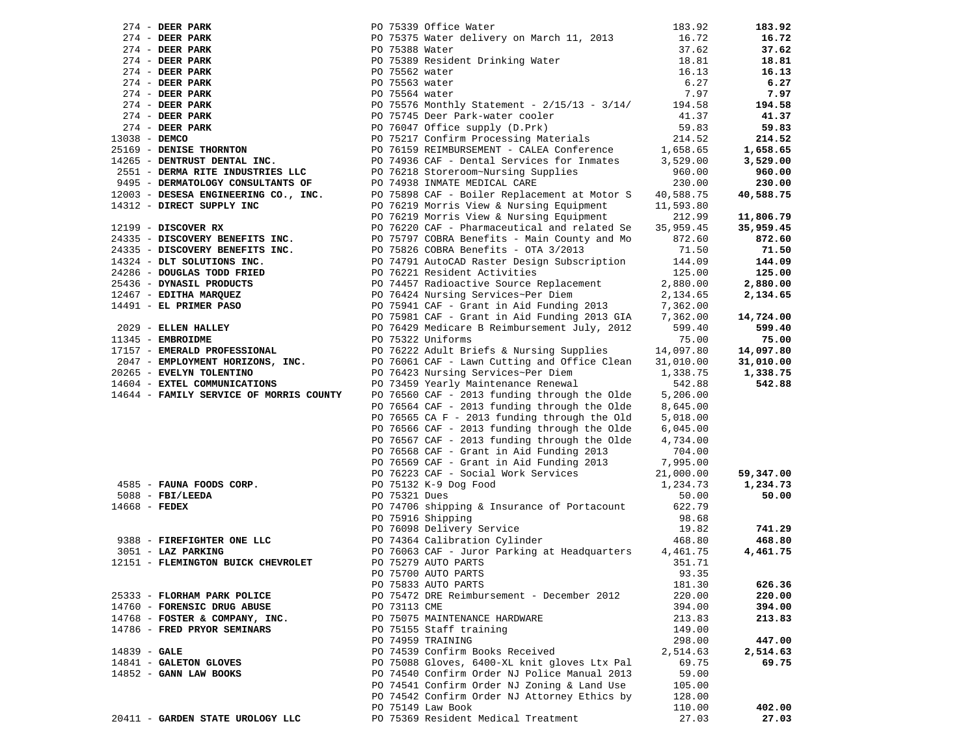| $274$ - DEER PARK                       |                                        | PO 75339 Office Water                                                    | 183.92          | 183.92          |
|-----------------------------------------|----------------------------------------|--------------------------------------------------------------------------|-----------------|-----------------|
| $274$ - DEER PARK                       |                                        | PO 75375 Water delivery on March 11, 2013                                | 16.72           | 16.72           |
| $274$ - DEER PARK                       | PO 75388 Water                         |                                                                          | 37.62           | 37.62           |
| $274$ - DEER PARK                       |                                        | PO 75389 Resident Drinking Water                                         | 18.81           | 18.81           |
| $274$ - DEER PARK                       | PO 75562 water                         |                                                                          | 16.13           | 16.13           |
| 274 - DEER PARK                         | PO 75563 water                         |                                                                          | 6.27            | 6.27            |
| $274$ - DEER PARK                       | PO 75564 water                         |                                                                          | 7.97            | 7.97            |
| $274$ - DEER PARK                       |                                        | PO 75576 Monthly Statement - 2/15/13 - 3/14/                             | 194.58          | 194.58          |
| $274$ - DEER PARK                       |                                        | PO 75745 Deer Park-water cooler                                          | 41.37           | 41.37           |
| $274$ - DEER PARK                       |                                        | PO 76047 Office supply (D.Prk)                                           | 59.83           | 59.83           |
| 13038 - DEMCO                           |                                        | PO 75217 Confirm Processing Materials                                    | 214.52          | 214.52          |
| 25169 - DENISE THORNTON                 |                                        | PO 76159 REIMBURSEMENT - CALEA Conference                                | 1,658.65        | 1,658.65        |
| 14265 - DENTRUST DENTAL INC.            |                                        | PO 74936 CAF - Dental Services for Inmates                               | 3,529.00        | 3,529.00        |
| 2551 - DERMA RITE INDUSTRIES LLC        |                                        | PO 76218 Storeroom~Nursing Supplies                                      | 960.00          | 960.00          |
| 9495 - DERMATOLOGY CONSULTANTS OF       |                                        | PO 74938 INMATE MEDICAL CARE                                             | 230.00          | 230.00          |
| 12003 - DESESA ENGINEERING CO., INC.    |                                        | PO 75898 CAF - Boiler Replacement at Motor S                             | 40,588.75       | 40,588.75       |
|                                         |                                        |                                                                          | 11,593.80       |                 |
|                                         |                                        |                                                                          | 212.99          | 11,806.79       |
|                                         |                                        | PO 76220 CAF - Pharmaceutical and related Se                             | 35,959.45       | 35,959.45       |
|                                         |                                        | PO 75797 COBRA Benefits - Main County and Mo                             | 872.60<br>71.50 | 872.60<br>71.50 |
|                                         |                                        |                                                                          | 144.09          | 144.09          |
|                                         |                                        | PO 74791 AutoCAD Raster Design Subscription                              | 125.00          | 125.00          |
|                                         |                                        |                                                                          | 2,880.00        | 2,880.00        |
|                                         |                                        |                                                                          | 2,134.65        | 2,134.65        |
|                                         |                                        | PO 75941 CAF - Grant in Aid Funding 2013                                 | 7,362.00        |                 |
|                                         |                                        | PO 75981 CAF - Grant in Aid Funding 2013 GIA                             | 7,362.00        | 14,724.00       |
|                                         |                                        | PO 76429 Medicare B Reimbursement July, 2012                             | 599.40          | 599.40          |
|                                         |                                        |                                                                          | 75.00           | 75.00           |
|                                         |                                        |                                                                          | 14,097.80       | 14,097.80       |
| 2047 - EMPLOYMENT HORIZONS, INC.        |                                        | PO 76061 CAF - Lawn Cutting and Office Clean                             | 31,010.00       | 31,010.00       |
| 20265 - EVELYN TOLENTINO                |                                        | PO 76423 Nursing Services~Per Diem                                       | 1,338.75        | 1,338.75        |
| 14604 - EXTEL COMMUNICATIONS            |                                        | PO 73459 Yearly Maintenance Renewal                                      | 542.88          | 542.88          |
| 14644 - FAMILY SERVICE OF MORRIS COUNTY |                                        | PO 76560 CAF - 2013 funding through the Olde                             | 5,206.00        |                 |
|                                         |                                        | PO 76564 CAF - 2013 funding through the Olde                             | 8,645.00        |                 |
|                                         |                                        | PO 76565 CA $F - 2013$ funding through the Old                           | 5,018.00        |                 |
|                                         |                                        | PO 76566 CAF - 2013 funding through the Olde                             | 6,045.00        |                 |
|                                         |                                        | PO 76567 CAF - 2013 funding through the Olde                             | 4,734.00        |                 |
|                                         |                                        | PO 76568 CAF - Grant in Aid Funding 2013                                 | 704.00          |                 |
|                                         |                                        | PO 76569 CAF - Grant in Aid Funding 2013                                 | 7,995.00        |                 |
|                                         |                                        | PO 76223 CAF - Social Work Services                                      | 21,000.00       | 59,347.00       |
| 4585 - FAUNA FOODS CORP.                | PO 75132 K-9 Dog Food<br>PO 75321 Dues |                                                                          | 1,234.73        | 1,234.73        |
| $5088$ - FBI/LEEDA                      |                                        |                                                                          | 50.00           | 50.00           |
| $14668$ - FEDEX                         |                                        | PO 74706 shipping & Insurance of Portacount                              | 622.79          |                 |
|                                         |                                        | PO 75916 Shipping                                                        | 98.68           | 741.29          |
| 9388 - FIREFIGHTER ONE LLC              |                                        | PO 76098 Delivery Service<br>PO 74364 Calibration Cylinder<br>DO 76060 5 | 19.82<br>468.80 | 468.80          |
| 3051 - LAZ PARKING                      |                                        | PO 76063 CAF - Juror Parking at Headquarters                             | 4,461.75        | 4,461.75        |
| 12151 - FLEMINGTON BUICK CHEVROLET      |                                        | PO 75279 AUTO PARTS                                                      | 351.71          |                 |
|                                         |                                        | PO 75700 AUTO PARTS                                                      | 93.35           |                 |
|                                         |                                        | PO 75833 AUTO PARTS                                                      | 181.30          | 626.36          |
| 25333 - FLORHAM PARK POLICE             |                                        | PO 75472 DRE Reimbursement - December 2012                               | 220.00          | 220.00          |
| 14760 - FORENSIC DRUG ABUSE             | PO 73113 CME                           |                                                                          | 394.00          | 394.00          |
| 14768 - FOSTER & COMPANY, INC.          |                                        | PO 75075 MAINTENANCE HARDWARE                                            | 213.83          | 213.83          |
| 14786 - FRED PRYOR SEMINARS             |                                        | PO 75155 Staff training                                                  | 149.00          |                 |
|                                         |                                        | PO 74959 TRAINING                                                        | 298.00          | 447.00          |
| $14839 - GALE$                          |                                        | PO 74539 Confirm Books Received                                          | 2,514.63        | 2,514.63        |
| 14841 - GALETON GLOVES                  |                                        | PO 75088 Gloves, 6400-XL knit gloves Ltx Pal                             | 69.75           | 69.75           |
| $14852$ - GANN LAW BOOKS                |                                        | PO 74540 Confirm Order NJ Police Manual 2013                             | 59.00           |                 |
|                                         |                                        | PO 74541 Confirm Order NJ Zoning & Land Use                              | 105.00          |                 |
|                                         |                                        | PO 74542 Confirm Order NJ Attorney Ethics by                             | 128.00          |                 |
|                                         |                                        | PO 75149 Law Book                                                        | 110.00          | 402.00          |
| 20411 - GARDEN STATE UROLOGY LLC        |                                        | PO 75369 Resident Medical Treatment                                      | 27.03           | 27.03           |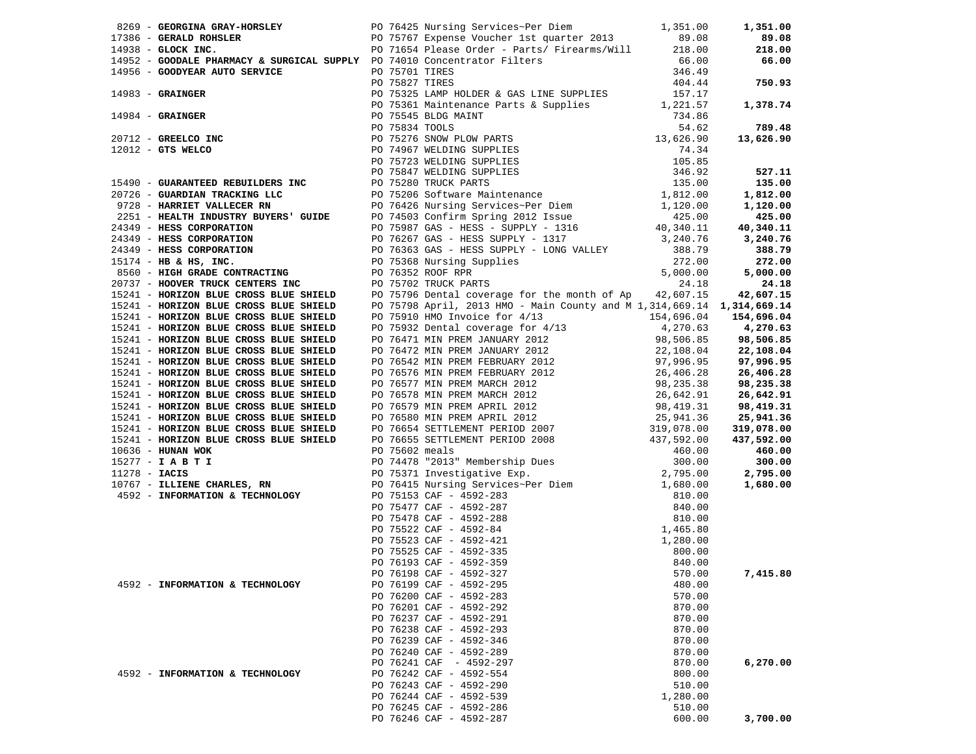|                                 | 1991 - Geology Southern Property (1992 - 2002)<br>1991 - Southern Property (1992 - 2003)<br>1991 - Southern Property (1992 - 2003)<br>1991 - Concern Property (1992 - 2003)<br>1992 - Concern Property (1992 - 2003)<br>1992 - Concern |          |                      |
|---------------------------------|----------------------------------------------------------------------------------------------------------------------------------------------------------------------------------------------------------------------------------------|----------|----------------------|
|                                 |                                                                                                                                                                                                                                        |          |                      |
|                                 |                                                                                                                                                                                                                                        |          |                      |
|                                 |                                                                                                                                                                                                                                        |          |                      |
|                                 |                                                                                                                                                                                                                                        |          |                      |
|                                 |                                                                                                                                                                                                                                        |          |                      |
|                                 |                                                                                                                                                                                                                                        |          |                      |
|                                 |                                                                                                                                                                                                                                        |          |                      |
|                                 |                                                                                                                                                                                                                                        |          |                      |
|                                 |                                                                                                                                                                                                                                        |          |                      |
|                                 |                                                                                                                                                                                                                                        |          |                      |
|                                 |                                                                                                                                                                                                                                        |          |                      |
|                                 |                                                                                                                                                                                                                                        |          |                      |
|                                 |                                                                                                                                                                                                                                        |          |                      |
|                                 |                                                                                                                                                                                                                                        |          |                      |
|                                 |                                                                                                                                                                                                                                        |          |                      |
|                                 |                                                                                                                                                                                                                                        |          |                      |
|                                 |                                                                                                                                                                                                                                        |          |                      |
|                                 |                                                                                                                                                                                                                                        |          |                      |
|                                 |                                                                                                                                                                                                                                        |          |                      |
|                                 |                                                                                                                                                                                                                                        |          |                      |
|                                 |                                                                                                                                                                                                                                        |          |                      |
|                                 |                                                                                                                                                                                                                                        |          |                      |
|                                 |                                                                                                                                                                                                                                        |          |                      |
|                                 |                                                                                                                                                                                                                                        |          |                      |
|                                 |                                                                                                                                                                                                                                        |          |                      |
|                                 |                                                                                                                                                                                                                                        |          |                      |
|                                 |                                                                                                                                                                                                                                        |          |                      |
|                                 |                                                                                                                                                                                                                                        |          |                      |
|                                 |                                                                                                                                                                                                                                        |          |                      |
|                                 |                                                                                                                                                                                                                                        |          |                      |
|                                 |                                                                                                                                                                                                                                        |          |                      |
|                                 |                                                                                                                                                                                                                                        |          |                      |
|                                 |                                                                                                                                                                                                                                        |          |                      |
|                                 |                                                                                                                                                                                                                                        |          |                      |
|                                 |                                                                                                                                                                                                                                        |          |                      |
|                                 |                                                                                                                                                                                                                                        |          |                      |
|                                 |                                                                                                                                                                                                                                        |          |                      |
|                                 |                                                                                                                                                                                                                                        |          |                      |
|                                 |                                                                                                                                                                                                                                        |          |                      |
|                                 |                                                                                                                                                                                                                                        |          | 2,795.00<br>1,680.00 |
|                                 |                                                                                                                                                                                                                                        |          |                      |
|                                 |                                                                                                                                                                                                                                        |          |                      |
|                                 |                                                                                                                                                                                                                                        |          |                      |
|                                 |                                                                                                                                                                                                                                        |          |                      |
|                                 |                                                                                                                                                                                                                                        |          |                      |
|                                 |                                                                                                                                                                                                                                        |          |                      |
|                                 |                                                                                                                                                                                                                                        |          |                      |
|                                 |                                                                                                                                                                                                                                        |          |                      |
|                                 |                                                                                                                                                                                                                                        |          |                      |
| 4592 - INFORMATION & TECHNOLOGY | PO 76199 CAF - 4592-295                                                                                                                                                                                                                | 480.00   |                      |
|                                 | PO 76200 CAF - 4592-283                                                                                                                                                                                                                | 570.00   |                      |
|                                 | PO 76201 CAF - 4592-292                                                                                                                                                                                                                | 870.00   |                      |
|                                 | PO 76237 CAF - 4592-291                                                                                                                                                                                                                | 870.00   |                      |
|                                 | PO 76238 CAF - 4592-293                                                                                                                                                                                                                | 870.00   |                      |
|                                 | PO 76239 CAF - 4592-346                                                                                                                                                                                                                | 870.00   |                      |
|                                 | PO 76240 CAF - 4592-289                                                                                                                                                                                                                | 870.00   |                      |
|                                 | PO 76241 CAF - 4592-297                                                                                                                                                                                                                | 870.00   | 6,270.00             |
| 4592 - INFORMATION & TECHNOLOGY | PO 76242 CAF - 4592-554                                                                                                                                                                                                                | 800.00   |                      |
|                                 | PO 76243 CAF - 4592-290                                                                                                                                                                                                                | 510.00   |                      |
|                                 | PO 76244 CAF - 4592-539                                                                                                                                                                                                                | 1,280.00 |                      |
|                                 | PO 76245 CAF - 4592-286                                                                                                                                                                                                                | 510.00   |                      |
|                                 | PO 76246 CAF - 4592-287                                                                                                                                                                                                                | 600.00   | 3,700.00             |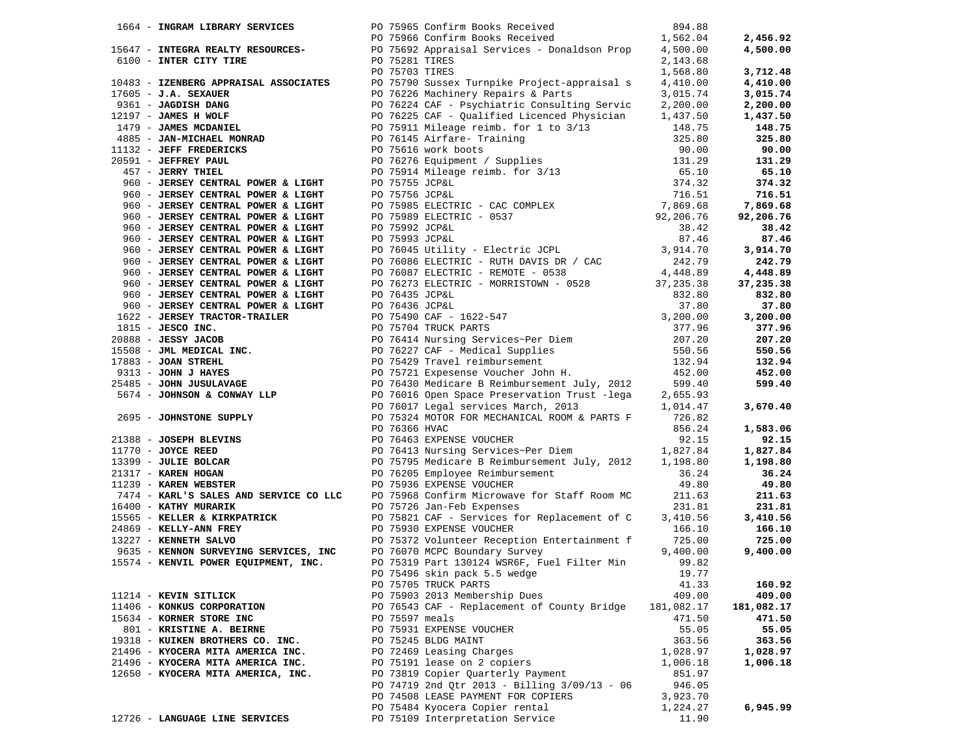| 1664 - INGRAM LIBRARY SERVICES     |  |                                                                                                                                                                                                                                          |            |            |
|------------------------------------|--|------------------------------------------------------------------------------------------------------------------------------------------------------------------------------------------------------------------------------------------|------------|------------|
|                                    |  |                                                                                                                                                                                                                                          |            | 2,456.92   |
|                                    |  | 15647 - INTEGRA REALTY RESOURCES-<br>PO 75692 Appraisal Services - Donaldson Prop 4,500.00                                                                                                                                               |            | 4,500.00   |
|                                    |  |                                                                                                                                                                                                                                          |            |            |
|                                    |  |                                                                                                                                                                                                                                          |            | 3,712.48   |
|                                    |  |                                                                                                                                                                                                                                          |            |            |
|                                    |  |                                                                                                                                                                                                                                          |            | 4,410.00   |
|                                    |  |                                                                                                                                                                                                                                          |            | 3,015.74   |
|                                    |  |                                                                                                                                                                                                                                          |            | 2,200.00   |
|                                    |  |                                                                                                                                                                                                                                          |            | 1,437.50   |
|                                    |  |                                                                                                                                                                                                                                          |            | 148.75     |
|                                    |  |                                                                                                                                                                                                                                          |            | 325.80     |
|                                    |  |                                                                                                                                                                                                                                          |            | 90.00      |
|                                    |  |                                                                                                                                                                                                                                          |            | 131.29     |
|                                    |  |                                                                                                                                                                                                                                          |            | 65.10      |
|                                    |  |                                                                                                                                                                                                                                          |            | 374.32     |
|                                    |  |                                                                                                                                                                                                                                          |            | 716.51     |
|                                    |  |                                                                                                                                                                                                                                          |            | 7,869.68   |
|                                    |  |                                                                                                                                                                                                                                          |            | 92,206.76  |
|                                    |  |                                                                                                                                                                                                                                          |            | 38.42      |
|                                    |  |                                                                                                                                                                                                                                          |            |            |
|                                    |  |                                                                                                                                                                                                                                          |            | 87.46      |
|                                    |  |                                                                                                                                                                                                                                          |            | 3,914.70   |
|                                    |  |                                                                                                                                                                                                                                          |            | 242.79     |
|                                    |  |                                                                                                                                                                                                                                          |            | 4,448.89   |
| 960 - JERSEY CENTRAL POWER & LIGHT |  | PO 76273 ELECTRIC - MORRISTOWN - 0528 37, 235.38                                                                                                                                                                                         |            | 37,235.38  |
|                                    |  |                                                                                                                                                                                                                                          |            | 832.80     |
|                                    |  |                                                                                                                                                                                                                                          |            | 37.80      |
|                                    |  |                                                                                                                                                                                                                                          |            | 3,200.00   |
|                                    |  |                                                                                                                                                                                                                                          |            | 377.96     |
|                                    |  |                                                                                                                                                                                                                                          |            | 207.20     |
|                                    |  |                                                                                                                                                                                                                                          |            | 550.56     |
|                                    |  |                                                                                                                                                                                                                                          |            | 132.94     |
|                                    |  |                                                                                                                                                                                                                                          |            | 452.00     |
|                                    |  |                                                                                                                                                                                                                                          |            | 599.40     |
|                                    |  |                                                                                                                                                                                                                                          |            |            |
|                                    |  |                                                                                                                                                                                                                                          |            | 3,670.40   |
|                                    |  |                                                                                                                                                                                                                                          |            |            |
|                                    |  |                                                                                                                                                                                                                                          |            | 1,583.06   |
|                                    |  |                                                                                                                                                                                                                                          |            |            |
|                                    |  |                                                                                                                                                                                                                                          |            | 92.15      |
|                                    |  |                                                                                                                                                                                                                                          |            | 1,827.84   |
|                                    |  |                                                                                                                                                                                                                                          |            | 1,198.80   |
|                                    |  |                                                                                                                                                                                                                                          |            | 36.24      |
|                                    |  |                                                                                                                                                                                                                                          |            | 49.80      |
|                                    |  |                                                                                                                                                                                                                                          |            | 211.63     |
|                                    |  |                                                                                                                                                                                                                                          |            | 231.81     |
|                                    |  |                                                                                                                                                                                                                                          |            | 3,410.56   |
|                                    |  | 916) - JAMEST CRIPTAL POWER & LEGHT<br>9616 - JERSEY CRIPTAL POWER & LEGHT<br>9616 - JERSEY CRIPTAL POWER & LEGHT<br>962 - JERSEY CRIPTAL POWER & LEGHT<br>1979 - JAMEST CRIPTAL INC.<br>1979 - JAMEST CRIPTAL INC.<br>1979 - JAMEST CRI |            | 166.10     |
|                                    |  |                                                                                                                                                                                                                                          |            | 725.00     |
|                                    |  |                                                                                                                                                                                                                                          |            | 9,400.00   |
|                                    |  |                                                                                                                                                                                                                                          |            |            |
|                                    |  | PO 75496 skin pack 5.5 wedge                                                                                                                                                                                                             | 19.77      |            |
|                                    |  | PO 75705 TRUCK PARTS                                                                                                                                                                                                                     | 41.33      | 160.92     |
| 11214 - KEVIN SITLICK              |  | PO 75903 2013 Membership Dues                                                                                                                                                                                                            | 409.00     | 409.00     |
| 11406 - KONKUS CORPORATION         |  | PO 76543 CAF - Replacement of County Bridge                                                                                                                                                                                              | 181,082.17 | 181,082.17 |
| 15634 - KORNER STORE INC           |  | PO 75597 meals                                                                                                                                                                                                                           | 471.50     | 471.50     |
| 801 - KRISTINE A. BEIRNE           |  | PO 75931 EXPENSE VOUCHER                                                                                                                                                                                                                 | 55.05      | 55.05      |
| 19318 - KUIKEN BROTHERS CO. INC.   |  | PO 75245 BLDG MAINT                                                                                                                                                                                                                      | 363.56     | 363.56     |
|                                    |  |                                                                                                                                                                                                                                          |            |            |
| 21496 - KYOCERA MITA AMERICA INC.  |  | PO 72469 Leasing Charges                                                                                                                                                                                                                 | 1,028.97   | 1,028.97   |
| 21496 - KYOCERA MITA AMERICA INC.  |  | PO 75191 lease on 2 copiers                                                                                                                                                                                                              | 1,006.18   | 1,006.18   |
| 12650 - KYOCERA MITA AMERICA, INC. |  | PO 73819 Copier Quarterly Payment                                                                                                                                                                                                        | 851.97     |            |
|                                    |  | PO 74719 2nd Qtr 2013 - Billing 3/09/13 - 06                                                                                                                                                                                             | 946.05     |            |
|                                    |  | PO 74508 LEASE PAYMENT FOR COPIERS                                                                                                                                                                                                       | 3,923.70   |            |
|                                    |  | PO 75484 Kyocera Copier rental                                                                                                                                                                                                           | 1,224.27   | 6,945.99   |
| 12726 - LANGUAGE LINE SERVICES     |  | PO 75109 Interpretation Service                                                                                                                                                                                                          | 11.90      |            |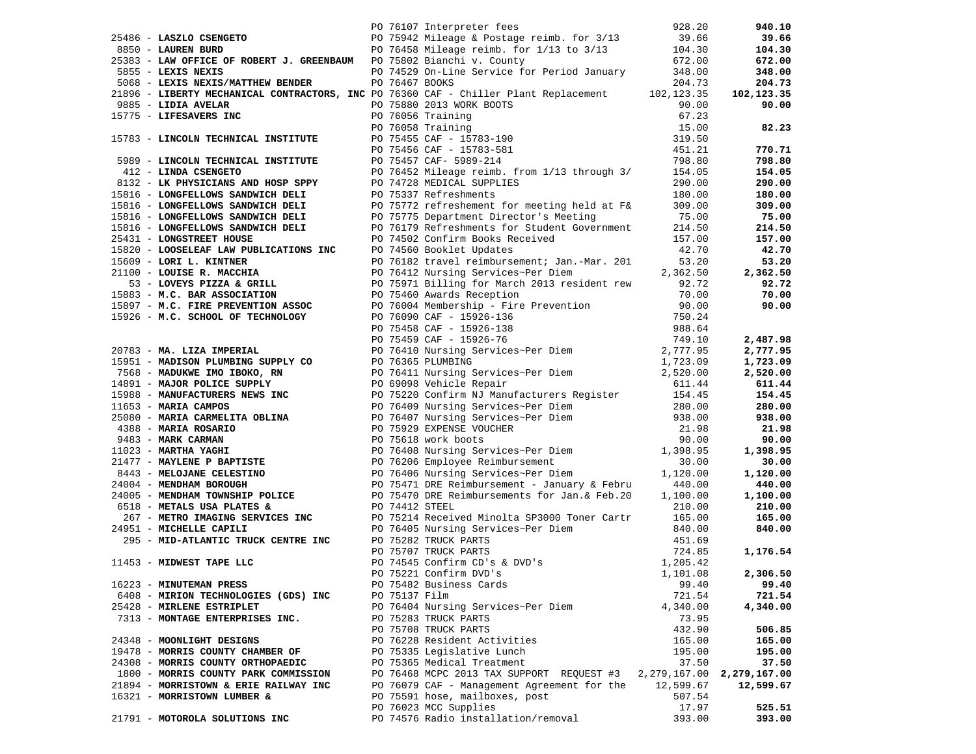|                                                                                                                                                                                                                                        |               | PO 75942 Mileage & Postage reimb. for 3/13 39.66<br>PO 75942 Mileage & Postage reimb. for 3/13 39.66<br>PO 76458 Mileage reimb. for 1/13 to 3/13 104.30<br>PO 76458 Mileage reimb. for 1/13 to 3/13 104.30<br>Financial is County 672.00 |                               | 940.10     |
|----------------------------------------------------------------------------------------------------------------------------------------------------------------------------------------------------------------------------------------|---------------|------------------------------------------------------------------------------------------------------------------------------------------------------------------------------------------------------------------------------------------|-------------------------------|------------|
|                                                                                                                                                                                                                                        |               |                                                                                                                                                                                                                                          |                               | 39.66      |
|                                                                                                                                                                                                                                        |               |                                                                                                                                                                                                                                          |                               | 104.30     |
|                                                                                                                                                                                                                                        |               |                                                                                                                                                                                                                                          |                               | 672.00     |
| 5855 - LEXIS NEXIS                                                                                                                                                                                                                     |               | PO 74529 On-Line Service for Period January 348.00                                                                                                                                                                                       |                               | 348.00     |
| 5068 - LEXIS NEXIS/MATTHEW BENDER PO 76467 BOOKS                                                                                                                                                                                       |               |                                                                                                                                                                                                                                          | 204.73                        | 204.73     |
|                                                                                                                                                                                                                                        |               | 21896 - LIBERTY MECHANICAL CONTRACTORS, INC PO 76360 CAF - Chiller Plant Replacement 102,123.35                                                                                                                                          |                               | 102,123.35 |
|                                                                                                                                                                                                                                        |               |                                                                                                                                                                                                                                          | 90.00                         | 90.00      |
|                                                                                                                                                                                                                                        |               |                                                                                                                                                                                                                                          | 67.23                         |            |
|                                                                                                                                                                                                                                        |               |                                                                                                                                                                                                                                          | 15.00                         | 82.23      |
|                                                                                                                                                                                                                                        |               |                                                                                                                                                                                                                                          | 319.50                        |            |
|                                                                                                                                                                                                                                        |               |                                                                                                                                                                                                                                          | 451.21                        | 770.71     |
| 9885 - LIDIA AVELAR PO 75880 2013 WORK BOOTS<br>15775 - LIFESAVERS INC PO 76056 Training<br>15783 - LINCOLN TECHNICAL INSTITUTE PO 75455 CAF - 15783-190<br>5989 - LINCOLN TECHNICAL INSTITUTE PO 75456 CAF - 15783-581<br>5989 - LINC |               |                                                                                                                                                                                                                                          | 798.80                        | 798.80     |
| 5989 - LINCOLN TECHNICAL INSTITUTE PO 75457 CAF-5989-214<br>412 - LINDA CSENGETO PO 76452 Mileage reimb.                                                                                                                               |               | PO 76452 Mileage reimb. from 1/13 through 3/ 154.05                                                                                                                                                                                      |                               | 154.05     |
|                                                                                                                                                                                                                                        |               | PO 74728 MEDICAL SUPPLIES                                                                                                                                                                                                                | 290.00                        | 290.00     |
| 8132 - LK PHYSICIANS AND HOSP SPPY<br>5816 - LONGFELLOWS SANDWICH DELI<br>15816 - LONGFELLOWS SANDWICH DELI                                                                                                                            |               | PO 75337 Refreshments                                                                                                                                                                                                                    | 180.00                        | 180.00     |
| 15816 - LONGFELLOWS SANDWICH DELI                                                                                                                                                                                                      |               |                                                                                                                                                                                                                                          |                               | 309.00     |
| 15816 - LONGFELLOWS SANDWICH DELI                                                                                                                                                                                                      |               | PO 75772 refreshement for meeting held at F& 309.00<br>PO 75775 Department Director's Meeting 75.00                                                                                                                                      |                               | 75.00      |
|                                                                                                                                                                                                                                        |               | 15816 - LONGFELLOWS SANDWICH DELI<br>214.50<br>22.15816 - Contract Covernment<br>214.50                                                                                                                                                  |                               | 214.50     |
| 25431 - LONGSTREET HOUSE                                                                                                                                                                                                               |               |                                                                                                                                                                                                                                          | 157.00                        | 157.00     |
|                                                                                                                                                                                                                                        |               | PO 74502 Confirm Books Received<br>DO 74560 Booklet Undates                                                                                                                                                                              |                               | 42.70      |
|                                                                                                                                                                                                                                        |               |                                                                                                                                                                                                                                          |                               | 53.20      |
|                                                                                                                                                                                                                                        |               |                                                                                                                                                                                                                                          |                               | 2,362.50   |
|                                                                                                                                                                                                                                        |               |                                                                                                                                                                                                                                          |                               | 92.72      |
|                                                                                                                                                                                                                                        |               |                                                                                                                                                                                                                                          |                               | 70.00      |
|                                                                                                                                                                                                                                        |               |                                                                                                                                                                                                                                          |                               | 90.00      |
|                                                                                                                                                                                                                                        |               |                                                                                                                                                                                                                                          |                               |            |
|                                                                                                                                                                                                                                        |               |                                                                                                                                                                                                                                          |                               |            |
|                                                                                                                                                                                                                                        |               | 19416 - LONGETING SARDALCA PRODUCE SUPERV<br>195320 CONTENTRATIONS TROP (P1502 CONTENTRATIONS Received 157.00<br>195320 - LONGETING TROP (P1502 CONTENTRATIONS TROP (P1502 CONTENTRATIONS TROP (P1502 CONTENTRATIONS TROP (P1502         |                               | 2,487.98   |
|                                                                                                                                                                                                                                        |               |                                                                                                                                                                                                                                          |                               | 2,777.95   |
|                                                                                                                                                                                                                                        |               |                                                                                                                                                                                                                                          |                               | 1,723.09   |
|                                                                                                                                                                                                                                        |               |                                                                                                                                                                                                                                          |                               | 2,520.00   |
|                                                                                                                                                                                                                                        |               |                                                                                                                                                                                                                                          |                               | 611.44     |
|                                                                                                                                                                                                                                        |               |                                                                                                                                                                                                                                          |                               | 154.45     |
|                                                                                                                                                                                                                                        |               |                                                                                                                                                                                                                                          |                               | 280.00     |
|                                                                                                                                                                                                                                        |               |                                                                                                                                                                                                                                          |                               | 938.00     |
|                                                                                                                                                                                                                                        |               |                                                                                                                                                                                                                                          |                               | 21.98      |
|                                                                                                                                                                                                                                        |               |                                                                                                                                                                                                                                          |                               | 90.00      |
|                                                                                                                                                                                                                                        |               |                                                                                                                                                                                                                                          |                               | 1,398.95   |
|                                                                                                                                                                                                                                        |               |                                                                                                                                                                                                                                          |                               | 30.00      |
|                                                                                                                                                                                                                                        |               |                                                                                                                                                                                                                                          |                               | 1,120.00   |
|                                                                                                                                                                                                                                        |               |                                                                                                                                                                                                                                          |                               | 440.00     |
|                                                                                                                                                                                                                                        |               |                                                                                                                                                                                                                                          |                               | 1,100.00   |
|                                                                                                                                                                                                                                        |               |                                                                                                                                                                                                                                          |                               | 210.00     |
|                                                                                                                                                                                                                                        |               |                                                                                                                                                                                                                                          |                               | 165.00     |
| 24951 - MICHELLE CAPILI                                                                                                                                                                                                                |               |                                                                                                                                                                                                                                          |                               | 840.00     |
| 295 - MID-ATLANTIC TRUCK CENTRE INC PO 75282 TRUCK PARTS                                                                                                                                                                               |               | PO 76405 Nursing Services~Per Diem<br>PO 75282 TRUCK PARTS<br>PO 75282 TRUCK PARTS<br>PO 75707 TRUCK PARTS<br>PO 74545 Confirm CD's & DVD's                                                                                              | 451.69                        |            |
|                                                                                                                                                                                                                                        |               |                                                                                                                                                                                                                                          | 724.85                        | 1,176.54   |
| 11453 - MIDWEST TAPE LLC                                                                                                                                                                                                               |               |                                                                                                                                                                                                                                          | 1,205.42                      |            |
|                                                                                                                                                                                                                                        |               | PO 75221 Confirm DVD's                                                                                                                                                                                                                   | 1,101.08                      | 2,306.50   |
| 16223 - MINUTEMAN PRESS                                                                                                                                                                                                                |               | PO 75482 Business Cards                                                                                                                                                                                                                  | 99.40                         | 99.40      |
| 6408 - MIRION TECHNOLOGIES (GDS) INC                                                                                                                                                                                                   | PO 75137 Film |                                                                                                                                                                                                                                          | 721.54                        | 721.54     |
| 25428 - MIRLENE ESTRIPLET                                                                                                                                                                                                              |               | PO 76404 Nursing Services~Per Diem                                                                                                                                                                                                       | 4,340.00                      | 4,340.00   |
| 7313 - MONTAGE ENTERPRISES INC.                                                                                                                                                                                                        |               | PO 75283 TRUCK PARTS                                                                                                                                                                                                                     | 73.95                         |            |
|                                                                                                                                                                                                                                        |               | PO 75708 TRUCK PARTS                                                                                                                                                                                                                     | 432.90                        | 506.85     |
| 24348 - MOONLIGHT DESIGNS                                                                                                                                                                                                              |               | PO 76228 Resident Activities                                                                                                                                                                                                             | 165.00                        | 165.00     |
| 19478 - MORRIS COUNTY CHAMBER OF                                                                                                                                                                                                       |               | PO 75335 Legislative Lunch                                                                                                                                                                                                               | 195.00                        | 195.00     |
| 24308 - MORRIS COUNTY ORTHOPAEDIC                                                                                                                                                                                                      |               | PO 75365 Medical Treatment                                                                                                                                                                                                               | 37.50                         | 37.50      |
| 1800 - MORRIS COUNTY PARK COMMISSION                                                                                                                                                                                                   |               | PO 76468 MCPC 2013 TAX SUPPORT REQUEST #3                                                                                                                                                                                                | 2, 279, 167.00 2, 279, 167.00 |            |
| 21894 - MORRISTOWN & ERIE RAILWAY INC                                                                                                                                                                                                  |               | PO 76079 CAF - Management Agreement for the                                                                                                                                                                                              | 12,599.67                     | 12,599.67  |
| 16321 - MORRISTOWN LUMBER &                                                                                                                                                                                                            |               | PO 75591 hose, mailboxes, post                                                                                                                                                                                                           | 507.54                        |            |
|                                                                                                                                                                                                                                        |               | PO 76023 MCC Supplies                                                                                                                                                                                                                    | 17.97                         | 525.51     |
| 21791 - MOTOROLA SOLUTIONS INC                                                                                                                                                                                                         |               | PO 74576 Radio installation/removal                                                                                                                                                                                                      | 393.00                        | 393.00     |
|                                                                                                                                                                                                                                        |               |                                                                                                                                                                                                                                          |                               |            |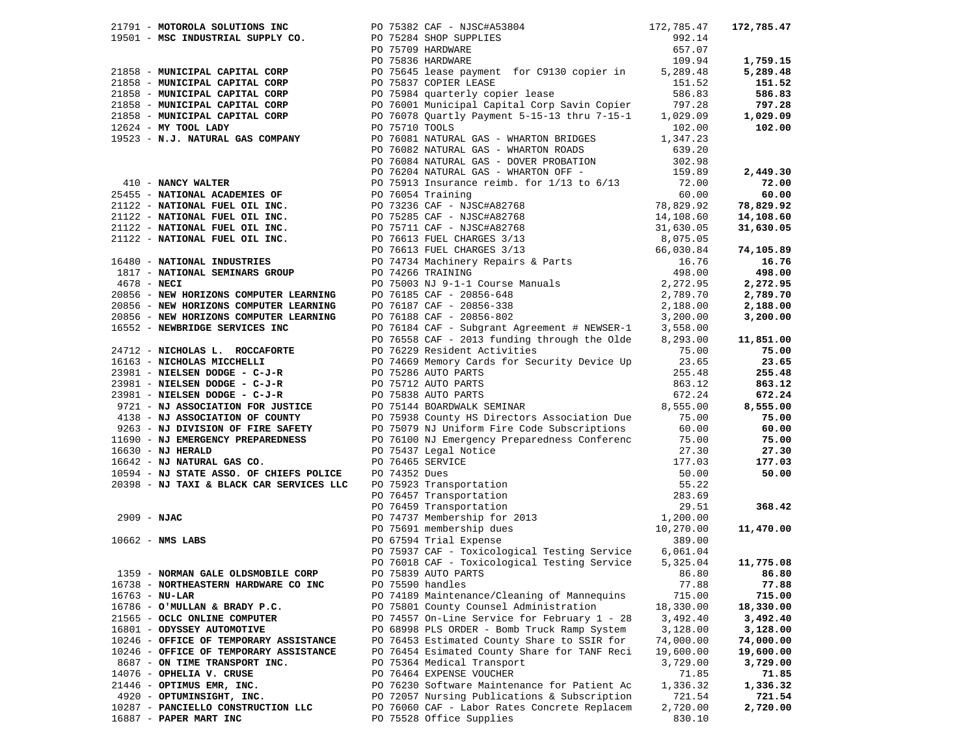|  |                                                                                                                                                                                                                                                  |                | 21791 - MOTOROLA SOLUTIONS INC<br>19501 - MSC INDUSTRIAL SUPPLY CO.<br>292.14<br>292.14<br>29.075709 HARDWARE<br>2075836 HARDWARE<br>2075836 HARDWARE<br>2075836 HARDWARE<br>2075836 HARDWARE<br>2075836 HARDWARE<br>2075836 HARDWARE            |                    | 172,785.47 |
|--|--------------------------------------------------------------------------------------------------------------------------------------------------------------------------------------------------------------------------------------------------|----------------|--------------------------------------------------------------------------------------------------------------------------------------------------------------------------------------------------------------------------------------------------|--------------------|------------|
|  |                                                                                                                                                                                                                                                  |                |                                                                                                                                                                                                                                                  |                    |            |
|  |                                                                                                                                                                                                                                                  |                |                                                                                                                                                                                                                                                  |                    |            |
|  |                                                                                                                                                                                                                                                  |                | PO 75836 HARDWARE                                                                                                                                                                                                                                | 109.94             | 1,759.15   |
|  | 21858 - MUNICIPAL CAPITAL CORP                                                                                                                                                                                                                   |                | 109.94<br>PO 75645 lease payment for C9130 copier in 5,289.48                                                                                                                                                                                    |                    | 5,289.48   |
|  | 21858 - MUNICIPAL CAPITAL CORP                                                                                                                                                                                                                   |                | PO 75837 COPIER LEASE                                                                                                                                                                                                                            | 151.52             | 151.52     |
|  | 21858 - MUNICIPAL CAPITAL CORP                                                                                                                                                                                                                   |                | PO 75984 quarterly copier lease                                                                                                                                                                                                                  | 586.83             | 586.83     |
|  | 21858 - MUNICIPAL CAPITAL CORP                                                                                                                                                                                                                   |                |                                                                                                                                                                                                                                                  |                    | 797.28     |
|  | 21858 - MUNICIPAL CAPITAL CORP                                                                                                                                                                                                                   |                | PO 76001 Municipal Capital Corp Savin Copier 797.28<br>PO 76078 Quartly Payment 5-15-13 thru 7-15-1 1,029.09                                                                                                                                     |                    | 1,029.09   |
|  | $12624$ - MY TOOL LADY                                                                                                                                                                                                                           | PO 75710 TOOLS |                                                                                                                                                                                                                                                  |                    | 102.00     |
|  |                                                                                                                                                                                                                                                  |                |                                                                                                                                                                                                                                                  | 102.00<br>1,347.23 |            |
|  | 19523 - N.J. NATURAL GAS COMPANY                                                                                                                                                                                                                 |                | PO 76081 NATURAL GAS - WHARTON BRIDGES                                                                                                                                                                                                           |                    |            |
|  |                                                                                                                                                                                                                                                  |                | PO 76082 NATURAL GAS - WHARTON ROADS                                                                                                                                                                                                             | 639.20             |            |
|  |                                                                                                                                                                                                                                                  |                | PO 76084 NATURAL GAS - DOVER PROBATION                                                                                                                                                                                                           | 302.98             |            |
|  |                                                                                                                                                                                                                                                  |                |                                                                                                                                                                                                                                                  |                    | 2,449.30   |
|  |                                                                                                                                                                                                                                                  |                |                                                                                                                                                                                                                                                  |                    | 72.00      |
|  |                                                                                                                                                                                                                                                  |                |                                                                                                                                                                                                                                                  |                    | 60.00      |
|  |                                                                                                                                                                                                                                                  |                |                                                                                                                                                                                                                                                  |                    | 78,829.92  |
|  |                                                                                                                                                                                                                                                  |                |                                                                                                                                                                                                                                                  |                    | 14,108.60  |
|  |                                                                                                                                                                                                                                                  |                |                                                                                                                                                                                                                                                  |                    | 31,630.05  |
|  |                                                                                                                                                                                                                                                  |                |                                                                                                                                                                                                                                                  |                    |            |
|  |                                                                                                                                                                                                                                                  |                |                                                                                                                                                                                                                                                  |                    | 74,105.89  |
|  |                                                                                                                                                                                                                                                  |                |                                                                                                                                                                                                                                                  |                    | 16.76      |
|  |                                                                                                                                                                                                                                                  |                |                                                                                                                                                                                                                                                  |                    | 498.00     |
|  |                                                                                                                                                                                                                                                  |                |                                                                                                                                                                                                                                                  |                    | 2,272.95   |
|  |                                                                                                                                                                                                                                                  |                |                                                                                                                                                                                                                                                  |                    | 2,789.70   |
|  |                                                                                                                                                                                                                                                  |                |                                                                                                                                                                                                                                                  |                    | 2,188.00   |
|  |                                                                                                                                                                                                                                                  |                |                                                                                                                                                                                                                                                  |                    | 3,200.00   |
|  |                                                                                                                                                                                                                                                  |                | PO 76184 CAF - Subgrant Agreement # NEWSER-1 3,558.00                                                                                                                                                                                            |                    |            |
|  | 20856 - NEW HORIZONS COMPUTER LEARNING<br>20856 - NEW HORIZONS COMPUTER LEARNING<br>20856 - NEW HORIZONS COMPUTER LEARNING<br>20856 - NEW HORIZONS COMPUTER LEARNING<br>20856 - NEW HORIZONS COMPUTER LEARNING<br>20076188 CAF - 2013 fundi<br>2 |                | PO 76558 CAF - 2013 funding through the Olde                                                                                                                                                                                                     | 8,293.00           | 11,851.00  |
|  |                                                                                                                                                                                                                                                  |                | 24712 - NICHOLAS L. ROCCAFORTE<br>16163 - NICHOLAS MICCHELLI PO 7629 Resident Activities<br>23981 - NIELSEN DODGE - C-J-R<br>23981 - NIELSEN DODGE - C-J-R<br>23981 - NIELSEN DODGE - C-J-R<br>23981 - NIELSEN DODGE - C-J-R<br>23981 - N        |                    | 75.00      |
|  |                                                                                                                                                                                                                                                  |                |                                                                                                                                                                                                                                                  |                    | 23.65      |
|  |                                                                                                                                                                                                                                                  |                |                                                                                                                                                                                                                                                  |                    | 255.48     |
|  |                                                                                                                                                                                                                                                  |                |                                                                                                                                                                                                                                                  |                    |            |
|  |                                                                                                                                                                                                                                                  |                |                                                                                                                                                                                                                                                  |                    | 863.12     |
|  |                                                                                                                                                                                                                                                  |                |                                                                                                                                                                                                                                                  |                    | 672.24     |
|  |                                                                                                                                                                                                                                                  |                |                                                                                                                                                                                                                                                  |                    | 8,555.00   |
|  |                                                                                                                                                                                                                                                  |                |                                                                                                                                                                                                                                                  |                    | 75.00      |
|  |                                                                                                                                                                                                                                                  |                |                                                                                                                                                                                                                                                  |                    | 60.00      |
|  |                                                                                                                                                                                                                                                  |                |                                                                                                                                                                                                                                                  |                    | 75.00      |
|  |                                                                                                                                                                                                                                                  |                |                                                                                                                                                                                                                                                  |                    | 27.30      |
|  | 16642 - NJ NATURAL GAS CO.                                                                                                                                                                                                                       |                |                                                                                                                                                                                                                                                  |                    | 177.03     |
|  | 10594 - NJ STATE ASSO. OF CHIEFS POLICE                                                                                                                                                                                                          |                |                                                                                                                                                                                                                                                  |                    | 50.00      |
|  | 20398 - NJ TAXI & BLACK CAR SERVICES LLC                                                                                                                                                                                                         |                |                                                                                                                                                                                                                                                  |                    |            |
|  |                                                                                                                                                                                                                                                  |                |                                                                                                                                                                                                                                                  |                    |            |
|  |                                                                                                                                                                                                                                                  |                |                                                                                                                                                                                                                                                  |                    | 368.42     |
|  | 2909 - <b>NJAC</b><br>10662 - <b>NMS LABS</b>                                                                                                                                                                                                    |                | PO 75437 Legal Notice<br>PO 75437 Legal Notice<br>PO 75435 SERVICE<br>PO 76465 SERVICE<br>PO 75923 Transportation<br>PO 76457 Transportation<br>PO 76457 Transportation<br>PO 76459 Transportation<br>PO 76459 Transportation<br>PO 76459 Transp |                    |            |
|  |                                                                                                                                                                                                                                                  |                |                                                                                                                                                                                                                                                  |                    | 11,470.00  |
|  |                                                                                                                                                                                                                                                  |                |                                                                                                                                                                                                                                                  |                    |            |
|  |                                                                                                                                                                                                                                                  |                | PO 75937 CAF - Toxicological Testing Service                                                                                                                                                                                                     | 6,061.04           |            |
|  |                                                                                                                                                                                                                                                  |                | PO 76018 CAF - Toxicological Testing Service                                                                                                                                                                                                     | 5,325.04           | 11,775.08  |
|  | 1359 - NORMAN GALE OLDSMOBILE CORP                                                                                                                                                                                                               |                | PO 75839 AUTO PARTS 66.80 66.80                                                                                                                                                                                                                  |                    |            |
|  | 16738 - NORTHEASTERN HARDWARE CO INC                                                                                                                                                                                                             |                | PO 75590 handles                                                                                                                                                                                                                                 | 77.88              | 77.88      |
|  | $16763 - NU-LAR$                                                                                                                                                                                                                                 |                | PO 74189 Maintenance/Cleaning of Mannequins                                                                                                                                                                                                      | 715.00             | 715.00     |
|  | 16786 - O'MULLAN & BRADY P.C.                                                                                                                                                                                                                    |                | PO 75801 County Counsel Administration                                                                                                                                                                                                           | 18,330.00          | 18,330.00  |
|  | 21565 - OCLC ONLINE COMPUTER                                                                                                                                                                                                                     |                | PO 74557 On-Line Service for February 1 - 28                                                                                                                                                                                                     | 3,492.40           | 3,492.40   |
|  | 16801 - ODYSSEY AUTOMOTIVE                                                                                                                                                                                                                       |                | PO 68998 PLS ORDER - Bomb Truck Ramp System                                                                                                                                                                                                      | 3,128.00           | 3,128.00   |
|  | 10246 - OFFICE OF TEMPORARY ASSISTANCE                                                                                                                                                                                                           |                | PO 76453 Estimated County Share to SSIR for                                                                                                                                                                                                      | 74,000.00          | 74,000.00  |
|  | 10246 - OFFICE OF TEMPORARY ASSISTANCE                                                                                                                                                                                                           |                | PO 76454 Esimated County Share for TANF Reci                                                                                                                                                                                                     | 19,600.00          | 19,600.00  |
|  | 8687 - ON TIME TRANSPORT INC.                                                                                                                                                                                                                    |                | PO 75364 Medical Transport                                                                                                                                                                                                                       | 3,729.00           | 3,729.00   |
|  | 14076 - OPHELIA V. CRUSE                                                                                                                                                                                                                         |                | PO 76464 EXPENSE VOUCHER                                                                                                                                                                                                                         | 71.85              | 71.85      |
|  | 21446 - OPTIMUS EMR, INC.                                                                                                                                                                                                                        |                | PO 76230 Software Maintenance for Patient Ac                                                                                                                                                                                                     | 1,336.32           | 1,336.32   |
|  | 4920 - OPTUMINSIGHT, INC.                                                                                                                                                                                                                        |                | PO 72057 Nursing Publications & Subscription                                                                                                                                                                                                     | 721.54             | 721.54     |
|  |                                                                                                                                                                                                                                                  |                | PO 76060 CAF - Labor Rates Concrete Replacem                                                                                                                                                                                                     |                    |            |
|  | 10287 - PANCIELLO CONSTRUCTION LLC                                                                                                                                                                                                               |                |                                                                                                                                                                                                                                                  | 2,720.00           | 2,720.00   |
|  | 16887 - PAPER MART INC                                                                                                                                                                                                                           |                | PO 75528 Office Supplies                                                                                                                                                                                                                         | 830.10             |            |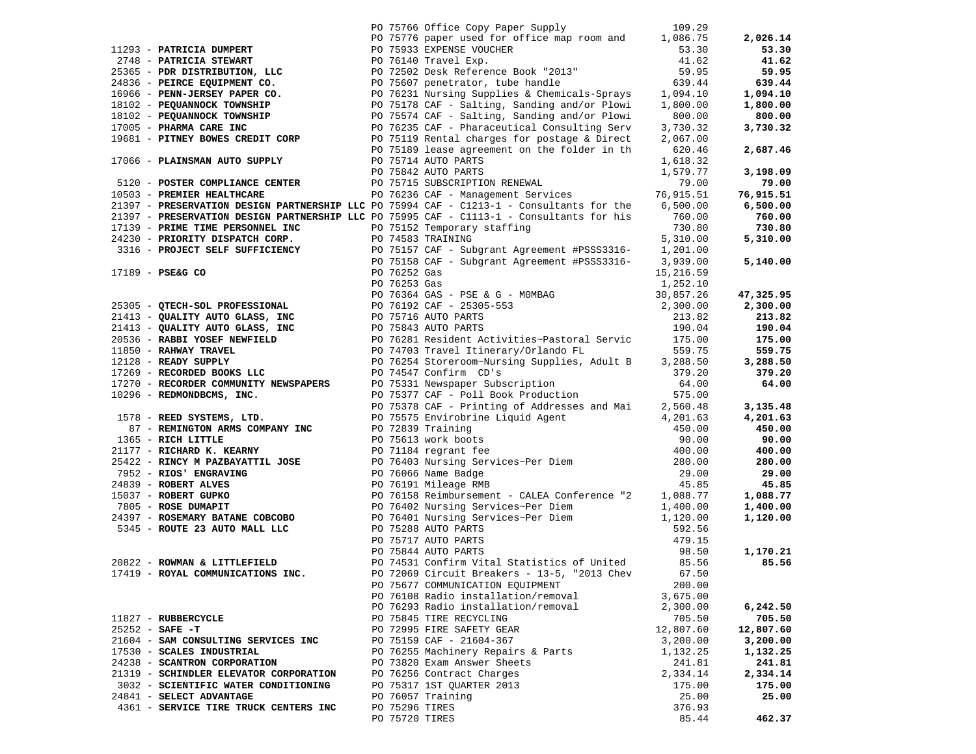|                                        | PO 75766 Office Copy Paper Supply 109.29                                                                                                                                                                                                                                                                                                                                                            |           |                  |
|----------------------------------------|-----------------------------------------------------------------------------------------------------------------------------------------------------------------------------------------------------------------------------------------------------------------------------------------------------------------------------------------------------------------------------------------------------|-----------|------------------|
|                                        | PO 75776 paper used for office map room and 1,086.75                                                                                                                                                                                                                                                                                                                                                |           | 2,026.14         |
|                                        |                                                                                                                                                                                                                                                                                                                                                                                                     |           | 53.30            |
|                                        |                                                                                                                                                                                                                                                                                                                                                                                                     |           | 41.62            |
|                                        |                                                                                                                                                                                                                                                                                                                                                                                                     |           | 59.95            |
|                                        |                                                                                                                                                                                                                                                                                                                                                                                                     |           | 639.44           |
|                                        |                                                                                                                                                                                                                                                                                                                                                                                                     |           | 1,094.10         |
|                                        |                                                                                                                                                                                                                                                                                                                                                                                                     |           | 1,800.00         |
|                                        |                                                                                                                                                                                                                                                                                                                                                                                                     |           | 800.00           |
|                                        |                                                                                                                                                                                                                                                                                                                                                                                                     |           | 3,730.32         |
|                                        |                                                                                                                                                                                                                                                                                                                                                                                                     |           |                  |
|                                        |                                                                                                                                                                                                                                                                                                                                                                                                     |           | 2,687.46         |
|                                        |                                                                                                                                                                                                                                                                                                                                                                                                     |           |                  |
|                                        | 17066 – PLAINSMAN AUTO SUPPLY PO 75714 AUTO PARTS 1,618.32<br>PO 75842 AUTO PARTS 1,579.77<br>5120 – POSTER COMPLIANCE CENTER PO 75715 SUBSCRIPTION RENEWAL<br>19.00<br>PO 76236 CAF – Management Services 76,915.51                                                                                                                                                                                |           | 3,198.09         |
|                                        |                                                                                                                                                                                                                                                                                                                                                                                                     |           | 79.00            |
|                                        |                                                                                                                                                                                                                                                                                                                                                                                                     |           | 76,915.51        |
|                                        | 21397 - PRESERVATION DESIGN PARTNERSHIP LLC PO 75994 CAF - C1213-1 - Consultants for the 6,500.00                                                                                                                                                                                                                                                                                                   |           | 6,500.00         |
|                                        | 21397 - PRESERVATION DESIGN PARTNERSHIP LLC PO 75995 CAF - C1113-1 - Consultants for his 760.00                                                                                                                                                                                                                                                                                                     |           | 760.00           |
|                                        |                                                                                                                                                                                                                                                                                                                                                                                                     |           | 730.80           |
|                                        |                                                                                                                                                                                                                                                                                                                                                                                                     |           | 5,310.00         |
|                                        |                                                                                                                                                                                                                                                                                                                                                                                                     |           |                  |
|                                        |                                                                                                                                                                                                                                                                                                                                                                                                     |           | 5,140.00         |
|                                        |                                                                                                                                                                                                                                                                                                                                                                                                     |           |                  |
|                                        |                                                                                                                                                                                                                                                                                                                                                                                                     |           |                  |
|                                        |                                                                                                                                                                                                                                                                                                                                                                                                     |           | 47,325.95        |
|                                        |                                                                                                                                                                                                                                                                                                                                                                                                     |           | 2,300.00         |
|                                        |                                                                                                                                                                                                                                                                                                                                                                                                     |           |                  |
|                                        |                                                                                                                                                                                                                                                                                                                                                                                                     |           | 213.82<br>190.04 |
|                                        |                                                                                                                                                                                                                                                                                                                                                                                                     |           | 175.00           |
|                                        |                                                                                                                                                                                                                                                                                                                                                                                                     |           | 559.75           |
|                                        |                                                                                                                                                                                                                                                                                                                                                                                                     |           |                  |
|                                        |                                                                                                                                                                                                                                                                                                                                                                                                     |           | 3,288.50         |
|                                        | 21397 - PRESERVATION DESIGN PARTNERSHIP LLC PO 7595 CAF - C1113-1 - Consultants for his 760.00<br>24230 - PRIME TIME PERSONNEL INC PO 75152 Temporary staffing<br>2730.80<br>24230 - PROJECT SELF SUFFICIENCY PO 75157 CAF - Subgra                                                                                                                                                                 |           | 379.20           |
|                                        |                                                                                                                                                                                                                                                                                                                                                                                                     |           | 64.00            |
|                                        |                                                                                                                                                                                                                                                                                                                                                                                                     |           |                  |
|                                        |                                                                                                                                                                                                                                                                                                                                                                                                     |           | 3,135.48         |
|                                        |                                                                                                                                                                                                                                                                                                                                                                                                     |           | 4,201.63         |
|                                        |                                                                                                                                                                                                                                                                                                                                                                                                     |           | 450.00           |
|                                        |                                                                                                                                                                                                                                                                                                                                                                                                     |           | 90.00            |
|                                        |                                                                                                                                                                                                                                                                                                                                                                                                     |           | 400.00           |
|                                        |                                                                                                                                                                                                                                                                                                                                                                                                     |           | 280.00           |
|                                        |                                                                                                                                                                                                                                                                                                                                                                                                     |           | 29.00            |
|                                        |                                                                                                                                                                                                                                                                                                                                                                                                     |           | 45.85            |
|                                        |                                                                                                                                                                                                                                                                                                                                                                                                     |           | 1,088.77         |
|                                        |                                                                                                                                                                                                                                                                                                                                                                                                     |           | 1,400.00         |
|                                        |                                                                                                                                                                                                                                                                                                                                                                                                     |           | 1,120.00         |
|                                        | $\begin{tabular}{l ll} \texttt{12128} & \texttt{READY SUPPLY} & \texttt{PO 76254 } \texttt{Scor2D0ID B OOS DUC} & \texttt{PO 76254 } \texttt{Scor2D0ID} & \texttt{379.286.50} \\ \texttt{17269} & \texttt{RECONODBID NONDBICMS, INCC} & \texttt{PO 75317 } \texttt{OST9 75311 } \texttt{NewspapeF S} & \texttt{SDO-1517 } \texttt{CIDNODBICMS, INCC} \\ \texttt{10296} & \texttt{REDMONDBCKS, INCC$ |           |                  |
|                                        |                                                                                                                                                                                                                                                                                                                                                                                                     |           |                  |
|                                        |                                                                                                                                                                                                                                                                                                                                                                                                     | 98.50     | 1,170.21         |
|                                        |                                                                                                                                                                                                                                                                                                                                                                                                     |           | 85.56            |
| 17419 - ROYAL COMMUNICATIONS INC.      | PO 72069 Circuit Breakers - 13-5, "2013 Chev 67.50                                                                                                                                                                                                                                                                                                                                                  |           |                  |
|                                        | PO 75677 COMMUNICATION EQUIPMENT                                                                                                                                                                                                                                                                                                                                                                    | 200.00    |                  |
|                                        | PO 76108 Radio installation/removal                                                                                                                                                                                                                                                                                                                                                                 | 3,675.00  |                  |
|                                        | PO 76293 Radio installation/removal                                                                                                                                                                                                                                                                                                                                                                 | 2,300.00  | 6,242.50         |
| 11827 - RUBBERCYCLE                    | PO 75845 TIRE RECYCLING                                                                                                                                                                                                                                                                                                                                                                             | 705.50    | 705.50           |
| $25252 - SAFE - T$                     | PO 72995 FIRE SAFETY GEAR                                                                                                                                                                                                                                                                                                                                                                           | 12,807.60 | 12,807.60        |
| 21604 - SAM CONSULTING SERVICES INC    | PO 75159 CAF - 21604-367                                                                                                                                                                                                                                                                                                                                                                            | 3,200.00  | 3,200.00         |
| 17530 - SCALES INDUSTRIAL              | PO 76255 Machinery Repairs & Parts                                                                                                                                                                                                                                                                                                                                                                  | 1,132.25  | 1,132.25         |
| 24238 - SCANTRON CORPORATION           | PO 73820 Exam Answer Sheets                                                                                                                                                                                                                                                                                                                                                                         | 241.81    | 241.81           |
| 21319 - SCHINDLER ELEVATOR CORPORATION | PO 76256 Contract Charges                                                                                                                                                                                                                                                                                                                                                                           | 2,334.14  | 2,334.14         |
| 3032 - SCIENTIFIC WATER CONDITIONING   | PO 75317 1ST OUARTER 2013                                                                                                                                                                                                                                                                                                                                                                           | 175.00    | 175.00           |
| 24841 - SELECT ADVANTAGE               | PO 76057 Training                                                                                                                                                                                                                                                                                                                                                                                   | 25.00     | 25.00            |
| 4361 - SERVICE TIRE TRUCK CENTERS INC  | PO 75296 TIRES                                                                                                                                                                                                                                                                                                                                                                                      | 376.93    |                  |
|                                        | PO 75720 TIRES                                                                                                                                                                                                                                                                                                                                                                                      | 85.44     | 462.37           |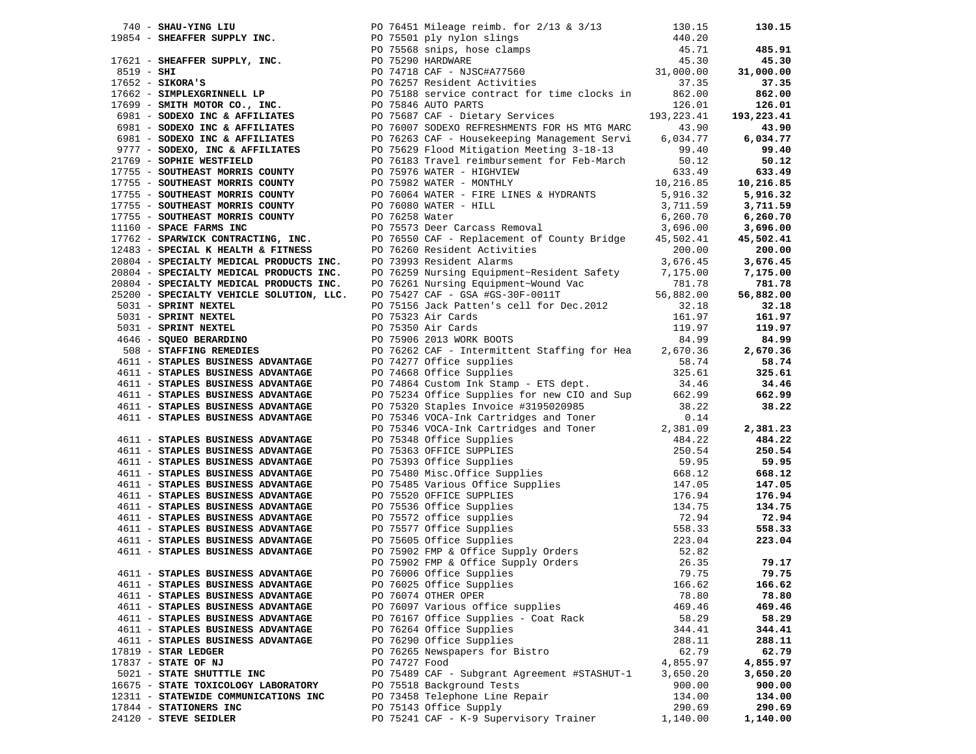|                                      | 1983 - SHEMITRING IN The Context of the State Height (1982, 2013)<br>1983 - SHEMITRING IN The Context of the State State State State State State State State State State State State State State State State State State State |          |          |
|--------------------------------------|--------------------------------------------------------------------------------------------------------------------------------------------------------------------------------------------------------------------------------|----------|----------|
|                                      |                                                                                                                                                                                                                                |          |          |
|                                      |                                                                                                                                                                                                                                |          |          |
|                                      |                                                                                                                                                                                                                                |          |          |
|                                      |                                                                                                                                                                                                                                |          |          |
|                                      |                                                                                                                                                                                                                                |          |          |
|                                      |                                                                                                                                                                                                                                |          |          |
| 4611 - STAPLES BUSINESS ADVANTAGE    | PO 76025 Office Supplies                                                                                                                                                                                                       | 166.62   | 166.62   |
| 4611 - STAPLES BUSINESS ADVANTAGE    | PO 76074 OTHER OPER                                                                                                                                                                                                            | 78.80    | 78.80    |
| 4611 - STAPLES BUSINESS ADVANTAGE    | PO 76097 Various office supplies                                                                                                                                                                                               | 469.46   | 469.46   |
| 4611 - STAPLES BUSINESS ADVANTAGE    | PO 76167 Office Supplies - Coat Rack                                                                                                                                                                                           | 58.29    | 58.29    |
| 4611 - STAPLES BUSINESS ADVANTAGE    | PO 76264 Office Supplies                                                                                                                                                                                                       | 344.41   | 344.41   |
| 4611 - STAPLES BUSINESS ADVANTAGE    | PO 76290 Office Supplies                                                                                                                                                                                                       | 288.11   | 288.11   |
|                                      |                                                                                                                                                                                                                                |          |          |
| $17819$ - STAR LEDGER                | PO 76265 Newspapers for Bistro                                                                                                                                                                                                 | 62.79    | 62.79    |
| 17837 - STATE OF NJ                  | PO 74727 Food                                                                                                                                                                                                                  | 4,855.97 | 4,855.97 |
| 5021 - STATE SHUTTTLE INC            | PO 75489 CAF - Subgrant Agreement #STASHUT-1                                                                                                                                                                                   | 3,650.20 | 3,650.20 |
| 16675 - STATE TOXICOLOGY LABORATORY  | PO 75518 Background Tests                                                                                                                                                                                                      | 900.00   | 900.00   |
| 12311 - STATEWIDE COMMUNICATIONS INC | PO 73458 Telephone Line Repair                                                                                                                                                                                                 | 134.00   | 134.00   |
| 17844 - STATIONERS INC               | PO 75143 Office Supply                                                                                                                                                                                                         | 290.69   | 290.69   |
| 24120 - STEVE SEIDLER                | PO 75241 CAF - K-9 Supervisory Trainer                                                                                                                                                                                         | 1,140.00 | 1,140.00 |
|                                      |                                                                                                                                                                                                                                |          |          |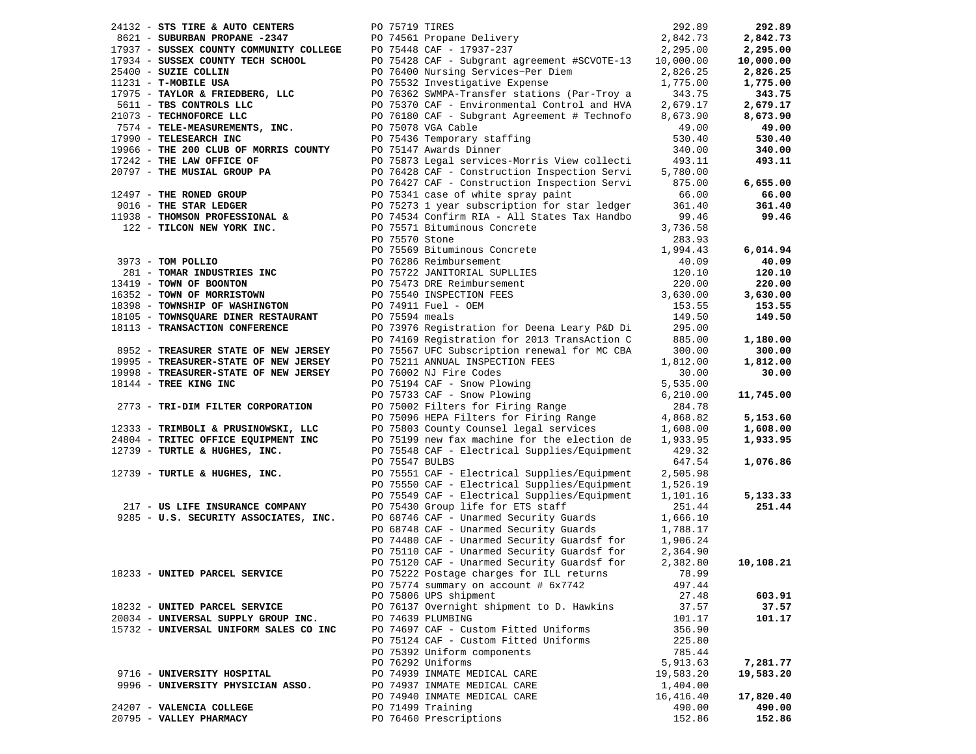| 24132 - STS TIRE & AUTO CENTERS                                               | PO 75719 TIRES |                                                                                 | 292.89    | 292.89    |
|-------------------------------------------------------------------------------|----------------|---------------------------------------------------------------------------------|-----------|-----------|
| 8621 - SUBURBAN PROPANE -2347                                                 |                | PO 74561 Propane Delivery                                                       | 2,842.73  | 2,842.73  |
| 17937 - SUSSEX COUNTY COMMUNITY COLLEGE                                       |                | PO 75448 CAF - 17937-237                                                        | 2,295.00  | 2,295.00  |
| 17934 - SUSSEX COUNTY TECH SCHOOL                                             |                | PO 75428 CAF - Subgrant agreement #SCVOTE-13                                    | 10,000.00 | 10,000.00 |
| 25400 - SUZIE COLLIN                                                          |                | PO 76400 Nursing Services~Per Diem                                              | 2,826.25  | 2,826.25  |
| 11231 - T-MOBILE USA                                                          |                | PO 75532 Investigative Expense                                                  | 1,775.00  | 1,775.00  |
| 17975 - TAYLOR & FRIEDBERG, LLC                                               |                | PO 76362 SWMPA-Transfer stations (Par-Troy a                                    | 343.75    | 343.75    |
| 5611 - TBS CONTROLS LLC                                                       |                | PO 75370 CAF - Environmental Control and HVA                                    | 2,679.17  | 2,679.17  |
| 21073 - TECHNOFORCE LLC                                                       |                | PO 76180 CAF - Subgrant Agreement # Technofo                                    | 8,673.90  | 8,673.90  |
| 7574 - TELE-MEASUREMENTS, INC.                                                |                | PO 75078 VGA Cable                                                              | 49.00     | 49.00     |
| 17990 - TELESEARCH INC                                                        |                | PO 75436 Temporary staffing                                                     | 530.40    | 530.40    |
| 19966 - THE 200 CLUB OF MORRIS COUNTY                                         |                | PO 75147 Awards Dinner                                                          | 340.00    | 340.00    |
| 17242 - THE LAW OFFICE OF                                                     |                | PO 75873 Legal services-Morris View collecti                                    | 493.11    | 493.11    |
| 20797 - THE MUSIAL GROUP PA                                                   |                | PO 76428 CAF - Construction Inspection Servi                                    | 5,780.00  |           |
|                                                                               |                | PO 76427 CAF - Construction Inspection Servi                                    | 875.00    | 6,655.00  |
| 12497 - THE RONED GROUP                                                       |                | PO 75341 case of white spray paint                                              | 66.00     | 66.00     |
| 9016 - THE STAR LEDGER                                                        |                | PO 75273 1 year subscription for star ledger                                    | 361.40    | 361.40    |
| 11938 - THOMSON PROFESSIONAL &                                                |                | PO 74534 Confirm RIA - All States Tax Handbo                                    | 99.46     | 99.46     |
| 122 - TILCON NEW YORK INC.                                                    |                | PO 75571 Bituminous Concrete                                                    | 3,736.58  |           |
|                                                                               | PO 75570 Stone |                                                                                 | 283.93    |           |
|                                                                               |                | PO 75569 Bituminous Concrete                                                    | 1,994.43  | 6,014.94  |
| 3973 - TOM POLLIO                                                             |                | PO 76286 Reimbursement                                                          | 40.09     | 40.09     |
| 281 - TOMAR INDUSTRIES INC                                                    |                | PO 75722 JANITORIAL SUPLLIES                                                    | 120.10    | 120.10    |
| 13419 - TOWN OF BOONTON                                                       |                | PO 75473 DRE Reimbursement                                                      | 220.00    | 220.00    |
| 16352 - TOWN OF MORRISTOWN                                                    |                | PO 75540 INSPECTION FEES                                                        | 3,630.00  | 3,630.00  |
| 18398 - TOWNSHIP OF WASHINGTON                                                |                | PO 74911 Fuel - OEM                                                             | 153.55    | 153.55    |
| 18105 - TOWNSQUARE DINER RESTAURANT                                           | PO 75594 meals |                                                                                 | 149.50    | 149.50    |
| 18113 - TRANSACTION CONFERENCE                                                |                | PO 73976 Registration for Deena Leary P&D Di                                    | 295.00    |           |
|                                                                               |                | PO 74169 Registration for 2013 TransAction C                                    | 885.00    | 1,180.00  |
|                                                                               |                |                                                                                 | 300.00    | 300.00    |
| 8952 - TREASURER STATE OF NEW JERSEY<br>19995 - TREASURER-STATE OF NEW JERSEY |                | PO 75567 UFC Subscription renewal for MC CBA<br>PO 75211 ANNUAL INSPECTION FEES |           |           |
|                                                                               |                |                                                                                 | 1,812.00  | 1,812.00  |
| 19998 - TREASURER-STATE OF NEW JERSEY                                         |                | PO 76002 NJ Fire Codes                                                          | 30.00     | 30.00     |
| 18144 - TREE KING INC                                                         |                | PO 75194 CAF - Snow Plowing<br>PO 75733 CAF - Snow Plowing                      | 5,535.00  |           |
|                                                                               |                |                                                                                 | 6,210.00  | 11,745.00 |
| 2773 - TRI-DIM FILTER CORPORATION                                             |                | PO 75002 Filters for Firing Range                                               | 284.78    |           |
|                                                                               |                | PO 75096 HEPA Filters for Firing Range                                          | 4,868.82  | 5,153.60  |
| 12333 - TRIMBOLI & PRUSINOWSKI, LLC                                           |                | PO 75803 County Counsel legal services                                          | 1,608.00  | 1,608.00  |
| 24804 - TRITEC OFFICE EQUIPMENT INC                                           |                | PO 75199 new fax machine for the election de                                    | 1,933.95  | 1,933.95  |
| 12739 - TURTLE & HUGHES, INC.                                                 |                | PO 75548 CAF - Electrical Supplies/Equipment                                    | 429.32    |           |
|                                                                               | PO 75547 BULBS |                                                                                 | 647.54    | 1,076.86  |
| 12739 - TURTLE & HUGHES, INC.                                                 |                | PO 75551 CAF - Electrical Supplies/Equipment                                    | 2,505.98  |           |
|                                                                               |                | PO 75550 CAF - Electrical Supplies/Equipment                                    | 1,526.19  |           |
|                                                                               |                | PO 75549 CAF - Electrical Supplies/Equipment                                    | 1,101.16  | 5,133.33  |
| 217 - US LIFE INSURANCE COMPANY                                               |                | PO 75430 Group life for ETS staff                                               | 251.44    | 251.44    |
| 9285 - U.S. SECURITY ASSOCIATES, INC.                                         |                | PO 68746 CAF - Unarmed Security Guards                                          | 1,666.10  |           |
|                                                                               |                | PO 68748 CAF - Unarmed Security Guards                                          | 1,788.17  |           |
|                                                                               |                | PO 74480 CAF - Unarmed Security Guardsf for                                     | 1,906.24  |           |
|                                                                               |                | PO 75110 CAF - Unarmed Security Guardsf for                                     | 2,364.90  |           |
|                                                                               |                | PO 75120 CAF - Unarmed Security Guardsf for                                     | 2,382.80  | 10,108.21 |
| 18233 - UNITED PARCEL SERVICE                                                 |                | PO 75222 Postage charges for ILL returns                                        | 78.99     |           |
|                                                                               |                | PO 75774 summary on account # 6x7742                                            | 497.44    |           |
|                                                                               |                | PO 75806 UPS shipment                                                           | 27.48     | 603.91    |
| 18232 - UNITED PARCEL SERVICE                                                 |                | PO 76137 Overnight shipment to D. Hawkins                                       | 37.57     | 37.57     |
| 20034 - UNIVERSAL SUPPLY GROUP INC.                                           |                | PO 74639 PLUMBING                                                               | 101.17    | 101.17    |
| 15732 - UNIVERSAL UNIFORM SALES CO INC                                        |                | PO 74697 CAF - Custom Fitted Uniforms                                           | 356.90    |           |
|                                                                               |                | PO 75124 CAF - Custom Fitted Uniforms                                           | 225.80    |           |
|                                                                               |                | PO 75392 Uniform components                                                     | 785.44    |           |
|                                                                               |                | PO 76292 Uniforms                                                               | 5,913.63  | 7,281.77  |
| 9716 - UNIVERSITY HOSPITAL                                                    |                | PO 74939 INMATE MEDICAL CARE                                                    | 19,583.20 | 19,583.20 |
| 9996 - UNIVERSITY PHYSICIAN ASSO.                                             |                | PO 74937 INMATE MEDICAL CARE                                                    | 1,404.00  |           |
|                                                                               |                | PO 74940 INMATE MEDICAL CARE                                                    | 16,416.40 | 17,820.40 |
| 24207 - VALENCIA COLLEGE                                                      |                | PO 71499 Training                                                               | 490.00    | 490.00    |
| 20795 - VALLEY PHARMACY                                                       |                | PO 76460 Prescriptions                                                          | 152.86    | 152.86    |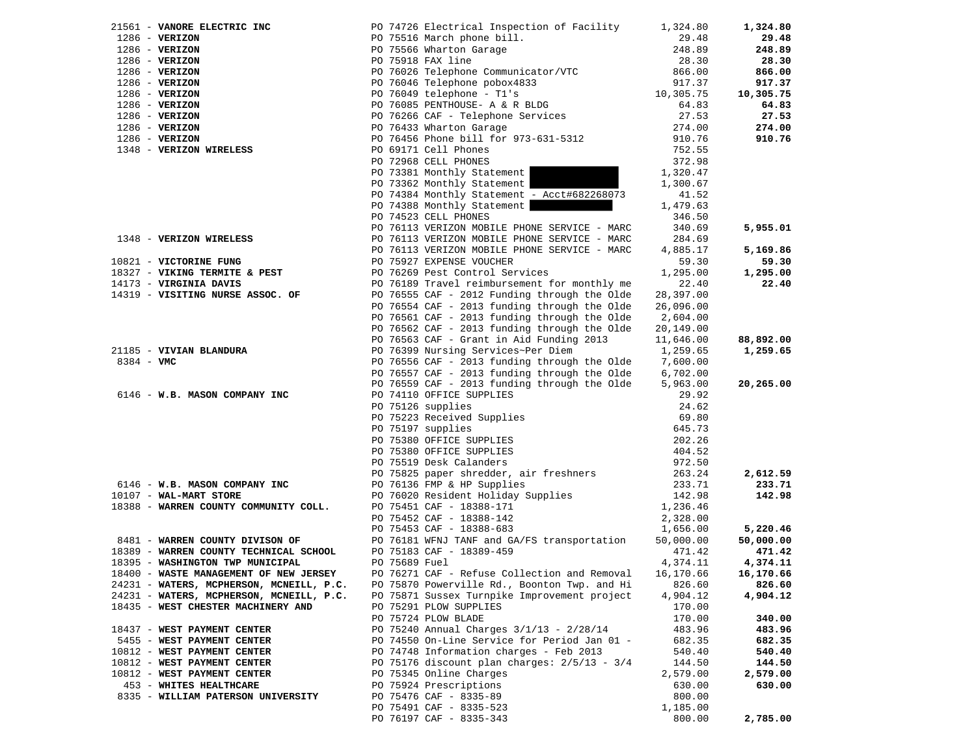|                                          |               | 1286 - <b>VERIZON</b><br>1286 - <b>VERIZON</b><br>1286 - <b>VERIZON</b><br>1286 - <b>VERIZON</b><br>1286 - <b>VERIZON</b><br>1286 - <b>VERIZON</b><br>1286 - <b>VERIZON</b><br>1286 - <b>VERIZON</b><br>1286 - <b>VERIZON</b><br>1286 - <b>VERIZON</b><br>1286 - <b>VERIZON</b><br>1286 - <b>VERIZON</b><br>1286 - | 1,324.80             | 1,324.80              |
|------------------------------------------|---------------|--------------------------------------------------------------------------------------------------------------------------------------------------------------------------------------------------------------------------------------------------------------------------------------------------------------------|----------------------|-----------------------|
|                                          |               |                                                                                                                                                                                                                                                                                                                    | 29.48                | 29.48                 |
|                                          |               |                                                                                                                                                                                                                                                                                                                    | 248.89               | 248.89                |
|                                          |               |                                                                                                                                                                                                                                                                                                                    | 28.30                | 28.30                 |
|                                          |               |                                                                                                                                                                                                                                                                                                                    | 866.00               | 866.00                |
|                                          |               |                                                                                                                                                                                                                                                                                                                    | 917.37               | 917.37                |
|                                          |               |                                                                                                                                                                                                                                                                                                                    | 10,305.75            | 10,305.75             |
|                                          |               |                                                                                                                                                                                                                                                                                                                    | 64.83                | 64.83                 |
|                                          |               |                                                                                                                                                                                                                                                                                                                    | 27.53                | 27.53                 |
|                                          |               |                                                                                                                                                                                                                                                                                                                    | 274.00               | 274.00                |
|                                          |               |                                                                                                                                                                                                                                                                                                                    | 910.76               | 910.76                |
|                                          |               |                                                                                                                                                                                                                                                                                                                    | 752.55               |                       |
|                                          |               |                                                                                                                                                                                                                                                                                                                    | 372.98               |                       |
|                                          |               | PO 73381 Monthly Statement                                                                                                                                                                                                                                                                                         | 1,320.47             |                       |
|                                          |               | PO 73362 Monthly Statement                                                                                                                                                                                                                                                                                         | 1,300.67             |                       |
|                                          |               | PO 74384 Monthly Statement - Acct#682268073                                                                                                                                                                                                                                                                        | 41.52                |                       |
|                                          |               | PO 74388 Monthly Statement                                                                                                                                                                                                                                                                                         | 1,479.63             |                       |
|                                          |               | PO 74523 CELL PHONES                                                                                                                                                                                                                                                                                               | 346.50               |                       |
| 1348 - VERIZON WIRELESS                  |               | PO 76113 VERIZON MOBILE PHONE SERVICE - MARC                                                                                                                                                                                                                                                                       | 340.69               | 5,955.01              |
|                                          |               | PO 76113 VERIZON MOBILE PHONE SERVICE - MARC                                                                                                                                                                                                                                                                       | 284.69               |                       |
|                                          |               | PO 76113 VERIZON MOBILE PHONE SERVICE - MARC                                                                                                                                                                                                                                                                       | 4,885.17             | 5,169.86              |
| 10821 - VICTORINE FUNG                   |               | PO 75927 EXPENSE VOUCHER                                                                                                                                                                                                                                                                                           | 59.30                | 59.30                 |
| 18327 - VIKING TERMITE & PEST            |               | PO 76269 Pest Control Services                                                                                                                                                                                                                                                                                     | 1,295.00             | 1,295.00              |
| 14173 - VIRGINIA DAVIS                   |               | PO 76189 Travel reimbursement for monthly me                                                                                                                                                                                                                                                                       | 22.40                | 22.40                 |
| 14319 - VISITING NURSE ASSOC. OF         |               | PO 76555 CAF - 2012 Funding through the Olde                                                                                                                                                                                                                                                                       | 28,397.00            |                       |
|                                          |               | PO 76554 CAF - 2013 funding through the Olde                                                                                                                                                                                                                                                                       | 26,096.00            |                       |
|                                          |               | PO 76561 CAF - 2013 funding through the Olde                                                                                                                                                                                                                                                                       | 2,604.00             |                       |
|                                          |               | PO 76562 CAF - 2013 funding through the Olde                                                                                                                                                                                                                                                                       | 20,149.00            |                       |
|                                          |               | PO 76563 CAF - Grant in Aid Funding 2013                                                                                                                                                                                                                                                                           | 11,646.00            | 88,892.00<br>1,259.65 |
|                                          |               | 21185 - <b>VIVIAN BLANDURA</b> PO 76399 Nursing Services~Per Diem<br>8384 - <b>VMC</b> 8384 - <b>VMC</b>                                                                                                                                                                                                           | 1,259.65             |                       |
|                                          |               |                                                                                                                                                                                                                                                                                                                    | 7,600.00             |                       |
|                                          |               | PO 76557 CAF - 2013 funding through the Olde                                                                                                                                                                                                                                                                       | 6,702.00<br>5,963.00 | 20,265.00             |
| 6146 - W.B. MASON COMPANY INC            |               | PO 76559 CAF - 2013 funding through the Olde                                                                                                                                                                                                                                                                       | 29.92                |                       |
|                                          |               | PO 74110 OFFICE SUPPLIES<br>PO 75126 supplies<br>PO 75223 Received Supplies<br>PO 75197 supplies<br>PO 75380 OFFICE SUPPLIES<br>PO 75380 OFFICE SUPPLIES<br>CO 75519 Desk Calanders                                                                                                                                | 24.62                |                       |
|                                          |               |                                                                                                                                                                                                                                                                                                                    | 69.80                |                       |
|                                          |               |                                                                                                                                                                                                                                                                                                                    | 645.73               |                       |
|                                          |               |                                                                                                                                                                                                                                                                                                                    | 202.26               |                       |
|                                          |               |                                                                                                                                                                                                                                                                                                                    | 404.52               |                       |
|                                          |               |                                                                                                                                                                                                                                                                                                                    | 972.50               |                       |
|                                          |               |                                                                                                                                                                                                                                                                                                                    | 263.24               | 2,612.59              |
| 6146 - W.B. MASON COMPANY INC            |               | PO 75825 paper shredder, air freshners<br>PO 76136 FMP & HP Supplies                                                                                                                                                                                                                                               | 233.71               | 233.71                |
| 10107 - WAL-MART STORE                   |               | PO 76020 Resident Holiday Supplies                                                                                                                                                                                                                                                                                 | 142.98               | 142.98                |
| 18388 - WARREN COUNTY COMMUNITY COLL.    |               | PO 75451 CAF - 18388-171                                                                                                                                                                                                                                                                                           | 1,236.46             |                       |
|                                          |               | PO 75452 CAF - 18388-142                                                                                                                                                                                                                                                                                           | 2,328.00             |                       |
|                                          |               | PO 75453 CAF - 18388-683                                                                                                                                                                                                                                                                                           | 1,656.00             | 5,220.46              |
| 8481 - WARREN COUNTY DIVISON OF          |               | PO 76181 WFNJ TANF and GA/FS transportation                                                                                                                                                                                                                                                                        | 50,000.00            | 50,000.00             |
| 18389 - WARREN COUNTY TECHNICAL SCHOOL   |               | PO 75183 CAF - 18389-459                                                                                                                                                                                                                                                                                           | 471.42               | 471.42                |
| 18395 - WASHINGTON TWP MUNICIPAL         | PO 75689 Fuel |                                                                                                                                                                                                                                                                                                                    | 4,374.11             | 4,374.11              |
| 18400 - WASTE MANAGEMENT OF NEW JERSEY   |               | PO 76271 CAF - Refuse Collection and Removal                                                                                                                                                                                                                                                                       | 16,170.66            | 16,170.66             |
| 24231 - WATERS, MCPHERSON, MCNEILL, P.C. |               | PO 75870 Powerville Rd., Boonton Twp. and Hi                                                                                                                                                                                                                                                                       | 826.60               | 826.60                |
| 24231 - WATERS, MCPHERSON, MCNEILL, P.C. |               | PO 75871 Sussex Turnpike Improvement project                                                                                                                                                                                                                                                                       | 4,904.12             | 4,904.12              |
| 18435 - WEST CHESTER MACHINERY AND       |               | PO 75291 PLOW SUPPLIES                                                                                                                                                                                                                                                                                             | 170.00               |                       |
|                                          |               | PO 75724 PLOW BLADE                                                                                                                                                                                                                                                                                                | 170.00               | 340.00                |
| 18437 - WEST PAYMENT CENTER              |               | PO 75240 Annual Charges 3/1/13 - 2/28/14                                                                                                                                                                                                                                                                           | 483.96               | 483.96                |
| 5455 - WEST PAYMENT CENTER               |               | PO 74550 On-Line Service for Period Jan 01 -                                                                                                                                                                                                                                                                       | 682.35               | 682.35                |
| 10812 - WEST PAYMENT CENTER              |               | PO 74748 Information charges - Feb 2013                                                                                                                                                                                                                                                                            | 540.40               | 540.40                |
| 10812 - WEST PAYMENT CENTER              |               | PO 75176 discount plan charges: $2/5/13 - 3/4$                                                                                                                                                                                                                                                                     | 144.50               | 144.50                |
| 10812 - WEST PAYMENT CENTER              |               | PO 75345 Online Charges                                                                                                                                                                                                                                                                                            | 2,579.00             | 2,579.00              |
| 453 - WHITES HEALTHCARE                  |               | PO 75924 Prescriptions                                                                                                                                                                                                                                                                                             | 630.00               | 630.00                |
| 8335 - WILLIAM PATERSON UNIVERSITY       |               | PO 75476 CAF - 8335-89                                                                                                                                                                                                                                                                                             | 800.00               |                       |
|                                          |               | PO 75491 CAF - 8335-523                                                                                                                                                                                                                                                                                            | 1,185.00             |                       |
|                                          |               | PO 76197 CAF - 8335-343                                                                                                                                                                                                                                                                                            | 800.00               | 2,785.00              |
|                                          |               |                                                                                                                                                                                                                                                                                                                    |                      |                       |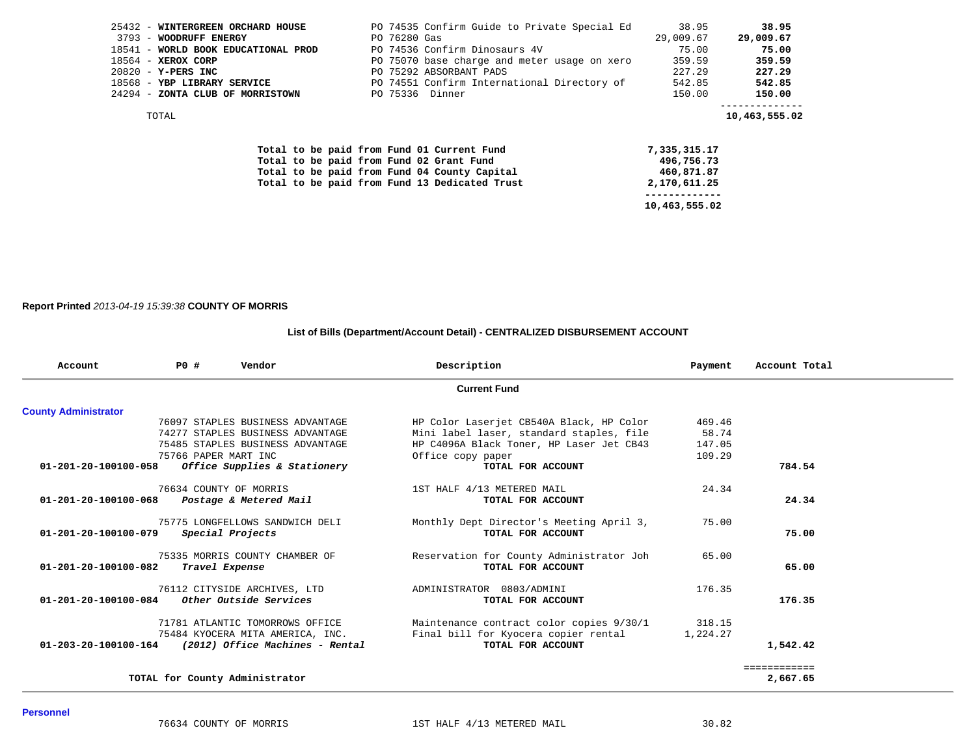| 25432 - WINTERGREEN ORCHARD HOUSE                             |              | PO 74535 Confirm Guide to Private Special Ed | 38.95              | 38.95              |
|---------------------------------------------------------------|--------------|----------------------------------------------|--------------------|--------------------|
| 3793 - WOODRUFF ENERGY<br>18541 - WORLD BOOK EDUCATIONAL PROD | PO 76280 Gas | PO 74536 Confirm Dinosaurs 4V                | 29,009.67<br>75.00 | 29,009.67<br>75.00 |
|                                                               |              |                                              |                    |                    |
| 18564 - XEROX CORP                                            |              | PO 75070 base charge and meter usage on xero | 359.59             | 359.59             |
| $20820 - Y - PERS$ INC                                        |              | PO 75292 ABSORBANT PADS                      | 227.29             | 227.29             |
| 18568 - YBP LIBRARY SERVICE                                   |              | PO 74551 Confirm International Directory of  | 542.85             | 542.85             |
| 24294 - ZONTA CLUB OF MORRISTOWN                              |              | PO 75336 Dinner                              | 150.00             | 150.00             |
| TOTAL                                                         |              |                                              |                    | 10,463,555.02      |
| Total to be paid from Fund 01 Current Fund                    |              |                                              | 7,335,315.17       |                    |
| Total to be paid from Fund 02 Grant Fund                      |              |                                              | 496,756.73         |                    |
| Total to be paid from Fund 04 County Capital                  |              |                                              | 460,871.87         |                    |
| Total to be paid from Fund 13 Dedicated Trust                 |              |                                              | 2,170,611.25       |                    |
|                                                               |              |                                              |                    |                    |
|                                                               |              |                                              | 10,463,555.02      |                    |

**Report Printed** *2013-04-19 15:39:38* **COUNTY OF MORRIS**

## **List of Bills (Department/Account Detail) - CENTRALIZED DISBURSEMENT ACCOUNT**

| Account                                     | <b>PO #</b> | Vendor                           | Description                              | Payment  | Account Total |  |
|---------------------------------------------|-------------|----------------------------------|------------------------------------------|----------|---------------|--|
|                                             |             |                                  | <b>Current Fund</b>                      |          |               |  |
| <b>County Administrator</b>                 |             |                                  |                                          |          |               |  |
|                                             |             | 76097 STAPLES BUSINESS ADVANTAGE | HP Color Laserjet CB540A Black, HP Color | 469.46   |               |  |
|                                             |             | 74277 STAPLES BUSINESS ADVANTAGE | Mini label laser, standard staples, file | 58.74    |               |  |
|                                             |             | 75485 STAPLES BUSINESS ADVANTAGE | HP C4096A Black Toner, HP Laser Jet CB43 | 147.05   |               |  |
|                                             |             | 75766 PAPER MART INC             | Office copy paper                        | 109.29   |               |  |
| 01-201-20-100100-058                        |             | Office Supplies & Stationery     | TOTAL FOR ACCOUNT                        |          | 784.54        |  |
|                                             |             | 76634 COUNTY OF MORRIS           | 1ST HALF 4/13 METERED MAIL               | 24.34    |               |  |
| 01-201-20-100100-068 Postage & Metered Mail |             |                                  | TOTAL FOR ACCOUNT                        |          | 24.34         |  |
|                                             |             | 75775 LONGFELLOWS SANDWICH DELI  | Monthly Dept Director's Meeting April 3, | 75.00    |               |  |
| 01-201-20-100100-079                        |             | Special Projects                 | TOTAL FOR ACCOUNT                        |          | 75.00         |  |
|                                             |             | 75335 MORRIS COUNTY CHAMBER OF   | Reservation for County Administrator Joh | 65.00    |               |  |
| 01-201-20-100100-082                        |             | Travel Expense                   | TOTAL FOR ACCOUNT                        |          | 65.00         |  |
|                                             |             | 76112 CITYSIDE ARCHIVES, LTD     | ADMINISTRATOR 0803/ADMINI                | 176.35   |               |  |
| 01-201-20-100100-084                        |             | Other Outside Services           | TOTAL FOR ACCOUNT                        |          | 176.35        |  |
|                                             |             | 71781 ATLANTIC TOMORROWS OFFICE  | Maintenance contract color copies 9/30/1 | 318.15   |               |  |
|                                             |             | 75484 KYOCERA MITA AMERICA, INC. | Final bill for Kyocera copier rental     | 1,224.27 |               |  |
| 01-203-20-100100-164                        |             | (2012) Office Machines - Rental  | TOTAL FOR ACCOUNT                        |          | 1,542.42      |  |
|                                             |             |                                  |                                          |          | ============  |  |
|                                             |             | TOTAL for County Administrator   |                                          |          | 2,667.65      |  |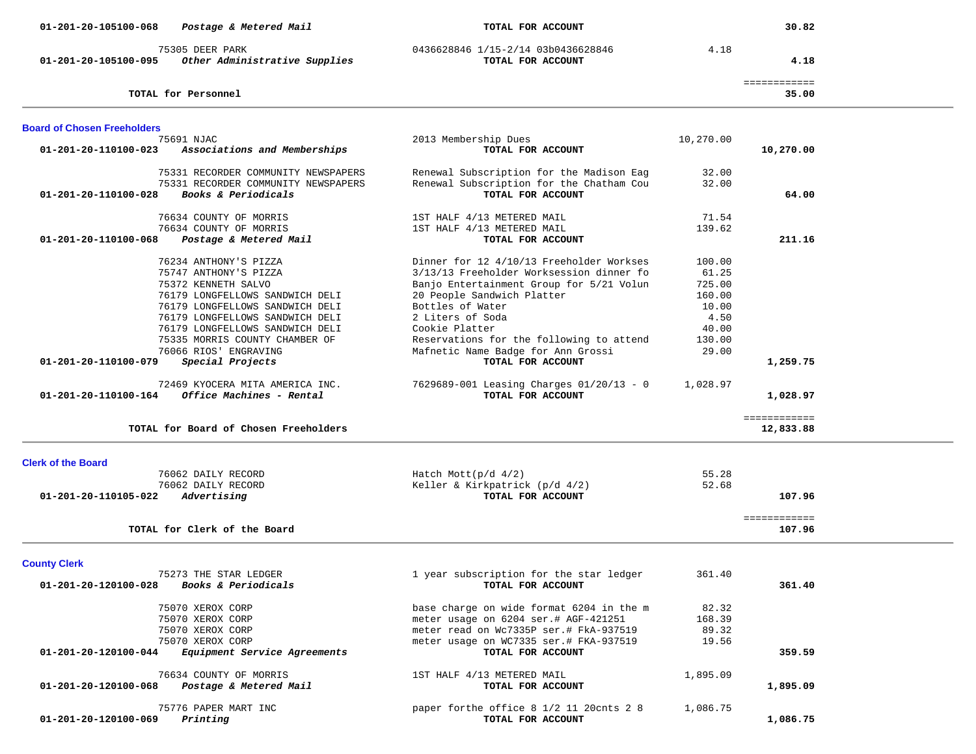| 01-201-20-105100-068               | Postage & Metered Mail                                      | TOTAL FOR ACCOUNT                                             |           | 30.82                     |  |
|------------------------------------|-------------------------------------------------------------|---------------------------------------------------------------|-----------|---------------------------|--|
| 01-201-20-105100-095               | 75305 DEER PARK<br>Other Administrative Supplies            | 0436628846 1/15-2/14 03b0436628846<br>TOTAL FOR ACCOUNT       | 4.18      | 4.18                      |  |
|                                    | TOTAL for Personnel                                         |                                                               |           | ============<br>35.00     |  |
|                                    |                                                             |                                                               |           |                           |  |
| <b>Board of Chosen Freeholders</b> |                                                             |                                                               |           |                           |  |
|                                    | 75691 NJAC                                                  | 2013 Membership Dues                                          | 10,270.00 |                           |  |
| 01-201-20-110100-023               | Associations and Memberships                                | TOTAL FOR ACCOUNT                                             |           | 10,270.00                 |  |
|                                    | 75331 RECORDER COMMUNITY NEWSPAPERS                         | Renewal Subscription for the Madison Eag                      | 32.00     |                           |  |
|                                    | 75331 RECORDER COMMUNITY NEWSPAPERS                         | Renewal Subscription for the Chatham Cou                      | 32.00     |                           |  |
| 01-201-20-110100-028               | Books & Periodicals                                         | TOTAL FOR ACCOUNT                                             |           | 64.00                     |  |
|                                    | 76634 COUNTY OF MORRIS                                      | 1ST HALF 4/13 METERED MAIL                                    | 71.54     |                           |  |
|                                    | 76634 COUNTY OF MORRIS                                      | 1ST HALF 4/13 METERED MAIL                                    | 139.62    |                           |  |
| 01-201-20-110100-068               | Postage & Metered Mail                                      | TOTAL FOR ACCOUNT                                             |           | 211.16                    |  |
|                                    | 76234 ANTHONY'S PIZZA                                       | Dinner for 12 4/10/13 Freeholder Workses                      | 100.00    |                           |  |
|                                    | 75747 ANTHONY'S PIZZA                                       | 3/13/13 Freeholder Worksession dinner fo                      | 61.25     |                           |  |
|                                    | 75372 KENNETH SALVO                                         | Banjo Entertainment Group for 5/21 Volun                      | 725.00    |                           |  |
|                                    | 76179 LONGFELLOWS SANDWICH DELI                             | 20 People Sandwich Platter                                    | 160.00    |                           |  |
|                                    | 76179 LONGFELLOWS SANDWICH DELI                             | Bottles of Water                                              | 10.00     |                           |  |
|                                    | 76179 LONGFELLOWS SANDWICH DELI                             | 2 Liters of Soda                                              | 4.50      |                           |  |
|                                    | 76179 LONGFELLOWS SANDWICH DELI                             | Cookie Platter                                                | 40.00     |                           |  |
|                                    | 75335 MORRIS COUNTY CHAMBER OF                              | Reservations for the following to attend                      | 130.00    |                           |  |
|                                    | 76066 RIOS' ENGRAVING                                       | Mafnetic Name Badge for Ann Grossi                            | 29.00     |                           |  |
| 01-201-20-110100-079               | Special Projects                                            | TOTAL FOR ACCOUNT                                             |           | 1,259.75                  |  |
|                                    |                                                             |                                                               |           |                           |  |
| 01-201-20-110100-164               | 72469 KYOCERA MITA AMERICA INC.<br>Office Machines - Rental | 7629689-001 Leasing Charges 01/20/13 - 0<br>TOTAL FOR ACCOUNT | 1,028.97  | 1,028.97                  |  |
|                                    |                                                             |                                                               |           |                           |  |
|                                    | TOTAL for Board of Chosen Freeholders                       |                                                               |           | ============<br>12,833.88 |  |
|                                    |                                                             |                                                               |           |                           |  |
| <b>Clerk of the Board</b>          |                                                             |                                                               |           |                           |  |
|                                    | 76062 DAILY RECORD                                          | Hatch Mott $(p/d \t 4/2)$                                     | 55.28     |                           |  |
|                                    | 76062 DAILY RECORD                                          | Keller & Kirkpatrick (p/d 4/2)                                | 52.68     |                           |  |
| 01-201-20-110105-022               | Advertising                                                 | TOTAL FOR ACCOUNT                                             |           | 107.96                    |  |
|                                    |                                                             |                                                               |           | ============              |  |
|                                    | TOTAL for Clerk of the Board                                |                                                               |           | 107.96                    |  |
|                                    |                                                             |                                                               |           |                           |  |
| <b>County Clerk</b>                |                                                             |                                                               |           |                           |  |
|                                    | 75273 THE STAR LEDGER                                       | 1 year subscription for the star ledger                       | 361.40    |                           |  |
|                                    | 01-201-20-120100-028 Books & Periodicals                    | TOTAL FOR ACCOUNT                                             |           | 361.40                    |  |
|                                    | 75070 XEROX CORP                                            | base charge on wide format 6204 in the m                      | 82.32     |                           |  |
|                                    | 75070 XEROX CORP                                            | meter usage on 6204 ser.# AGF-421251                          | 168.39    |                           |  |
|                                    | 75070 XEROX CORP                                            | meter read on Wc7335P ser.# FkA-937519                        | 89.32     |                           |  |
|                                    | 75070 XEROX CORP                                            | meter usage on WC7335 ser.# FKA-937519                        | 19.56     |                           |  |
| 01-201-20-120100-044               | Equipment Service Agreements                                | TOTAL FOR ACCOUNT                                             |           | 359.59                    |  |
|                                    | 76634 COUNTY OF MORRIS                                      | 1ST HALF 4/13 METERED MAIL                                    | 1,895.09  |                           |  |
|                                    | 01-201-20-120100-068 Postage & Metered Mail                 | TOTAL FOR ACCOUNT                                             |           | 1,895.09                  |  |
|                                    |                                                             |                                                               |           |                           |  |
|                                    | 75776 PAPER MART INC                                        | paper forthe office 8 1/2 11 20cnts 2 8                       | 1,086.75  |                           |  |
| 01-201-20-120100-069               | Printing                                                    | TOTAL FOR ACCOUNT                                             |           | 1,086.75                  |  |
|                                    |                                                             |                                                               |           |                           |  |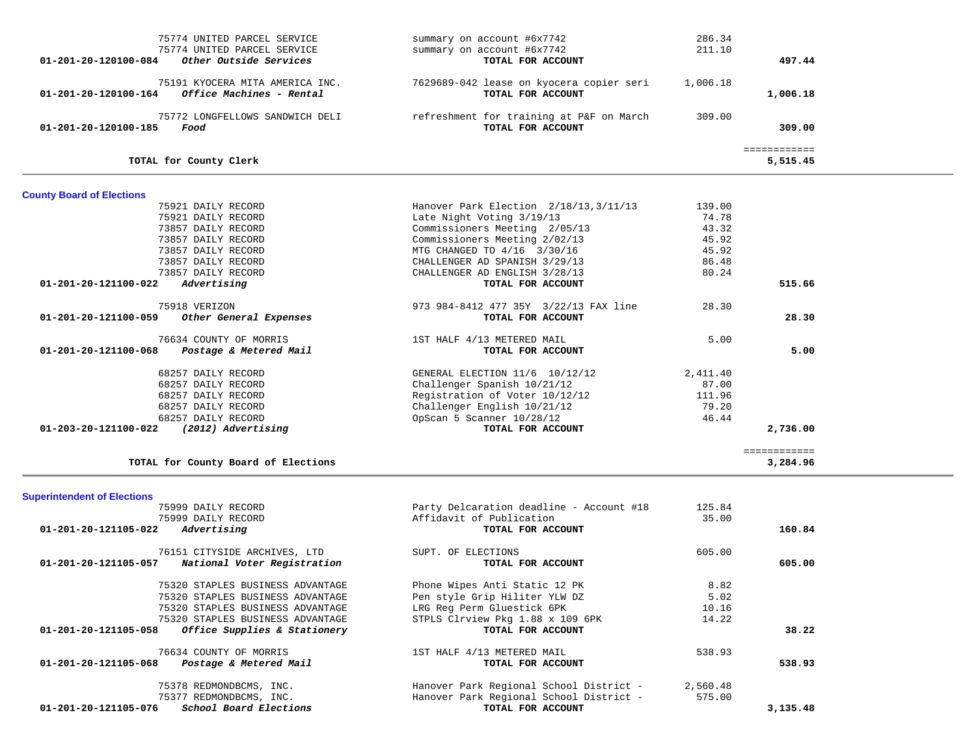| 75774 UNITED PARCEL SERVICE<br>75774 UNITED PARCEL SERVICE<br>Other Outside Services<br>01-201-20-120100-084 | summary on account #6x7742<br>summary on account #6x7742<br>TOTAL FOR ACCOUNT | 286.34<br>211.10 | 497.44                   |  |
|--------------------------------------------------------------------------------------------------------------|-------------------------------------------------------------------------------|------------------|--------------------------|--|
| 75191 KYOCERA MITA AMERICA INC.<br>Office Machines - Rental<br>01-201-20-120100-164                          | 7629689-042 lease on kyocera copier seri<br>TOTAL FOR ACCOUNT                 | 1,006.18         | 1,006.18                 |  |
| 75772 LONGFELLOWS SANDWICH DELI<br>01-201-20-120100-185<br>Food                                              | refreshment for training at P&F on March<br>TOTAL FOR ACCOUNT                 | 309.00           | 309.00                   |  |
| TOTAL for County Clerk                                                                                       |                                                                               |                  | ============<br>5,515.45 |  |
| <b>County Board of Elections</b>                                                                             |                                                                               |                  |                          |  |
| 75921 DAILY RECORD                                                                                           | Hanover Park Election 2/18/13, 3/11/13                                        | 139.00           |                          |  |
| 75921 DAILY RECORD                                                                                           | Late Night Voting 3/19/13                                                     | 74.78            |                          |  |
| 73857 DAILY RECORD                                                                                           | Commissioners Meeting 2/05/13                                                 | 43.32            |                          |  |
| 73857 DAILY RECORD                                                                                           | Commissioners Meeting 2/02/13                                                 | 45.92            |                          |  |
| 73857 DAILY RECORD                                                                                           | MTG CHANGED TO 4/16 3/30/16                                                   | 45.92            |                          |  |
| 73857 DAILY RECORD                                                                                           | CHALLENGER AD SPANISH 3/29/13                                                 | 86.48            |                          |  |
|                                                                                                              |                                                                               | 80.24            |                          |  |
| 73857 DAILY RECORD                                                                                           | CHALLENGER AD ENGLISH 3/28/13                                                 |                  |                          |  |
| Advertising<br>01-201-20-121100-022                                                                          | TOTAL FOR ACCOUNT                                                             |                  | 515.66                   |  |
|                                                                                                              |                                                                               |                  |                          |  |
| 75918 VERIZON                                                                                                | 973 984-8412 477 35Y 3/22/13 FAX line                                         | 28.30            |                          |  |
| 01-201-20-121100-059<br>Other General Expenses                                                               | TOTAL FOR ACCOUNT                                                             |                  | 28.30                    |  |
|                                                                                                              |                                                                               |                  |                          |  |
| 76634 COUNTY OF MORRIS                                                                                       | 1ST HALF 4/13 METERED MAIL                                                    | 5.00             |                          |  |
| 01-201-20-121100-068<br>Postage & Metered Mail                                                               | TOTAL FOR ACCOUNT                                                             |                  | 5.00                     |  |
|                                                                                                              |                                                                               |                  |                          |  |
| 68257 DAILY RECORD                                                                                           | GENERAL ELECTION 11/6 10/12/12                                                | 2,411.40         |                          |  |
| 68257 DAILY RECORD                                                                                           | Challenger Spanish 10/21/12                                                   | 87.00            |                          |  |
| 68257 DAILY RECORD                                                                                           | Registration of Voter 10/12/12                                                | 111.96           |                          |  |
| 68257 DAILY RECORD                                                                                           | Challenger English 10/21/12                                                   | 79.20            |                          |  |
| 68257 DAILY RECORD                                                                                           | OpScan 5 Scanner 10/28/12                                                     | 46.44            |                          |  |
| (2012) Advertising<br>01-203-20-121100-022                                                                   | TOTAL FOR ACCOUNT                                                             |                  | 2,736.00                 |  |
|                                                                                                              |                                                                               |                  |                          |  |
|                                                                                                              |                                                                               |                  | ============             |  |
| TOTAL for County Board of Elections                                                                          |                                                                               |                  | 3,284.96                 |  |
|                                                                                                              |                                                                               |                  |                          |  |
| <b>Superintendent of Elections</b>                                                                           |                                                                               |                  |                          |  |
| 75999 DAILY RECORD                                                                                           | Party Delcaration deadline - Account #18                                      | 125.84           |                          |  |
| 75999 DAILY RECORD                                                                                           | Affidavit of Publication                                                      | 35.00            |                          |  |
| 01-201-20-121105-022<br>Advertising                                                                          | TOTAL FOR ACCOUNT                                                             |                  | 160.84                   |  |
|                                                                                                              |                                                                               |                  |                          |  |
| 76151 CITYSIDE ARCHIVES, LTD                                                                                 | SUPT. OF ELECTIONS                                                            | 605.00           |                          |  |
| National Voter Registration<br>01-201-20-121105-057                                                          | TOTAL FOR ACCOUNT                                                             |                  | 605.00                   |  |
|                                                                                                              |                                                                               |                  |                          |  |
| 75320 STAPLES BUSINESS ADVANTAGE                                                                             | Phone Wipes Anti Static 12 PK                                                 | 8.82             |                          |  |
| 75320 STAPLES BUSINESS ADVANTAGE                                                                             | Pen style Grip Hiliter YLW DZ                                                 | 5.02             |                          |  |
| 75320 STAPLES BUSINESS ADVANTAGE                                                                             | LRG Reg Perm Gluestick 6PK                                                    | 10.16            |                          |  |
| 75320 STAPLES BUSINESS ADVANTAGE                                                                             | STPLS Clrview Pkg 1.88 x 109 6PK                                              | 14.22            |                          |  |
| 01-201-20-121105-058<br>Office Supplies & Stationery                                                         | TOTAL FOR ACCOUNT                                                             |                  | 38.22                    |  |
|                                                                                                              |                                                                               |                  |                          |  |
| 76634 COUNTY OF MORRIS                                                                                       | 1ST HALF 4/13 METERED MAIL                                                    | 538.93           |                          |  |
| Postage & Metered Mail<br>01-201-20-121105-068                                                               | TOTAL FOR ACCOUNT                                                             |                  | 538.93                   |  |
|                                                                                                              |                                                                               |                  |                          |  |
| 75378 REDMONDBCMS, INC.                                                                                      | Hanover Park Regional School District -                                       | 2,560.48         |                          |  |
| 75377 REDMONDBCMS, INC.                                                                                      | Hanover Park Regional School District -                                       | 575.00           |                          |  |
| School Board Elections<br>01-201-20-121105-076                                                               | TOTAL FOR ACCOUNT                                                             |                  | 3,135.48                 |  |
|                                                                                                              |                                                                               |                  |                          |  |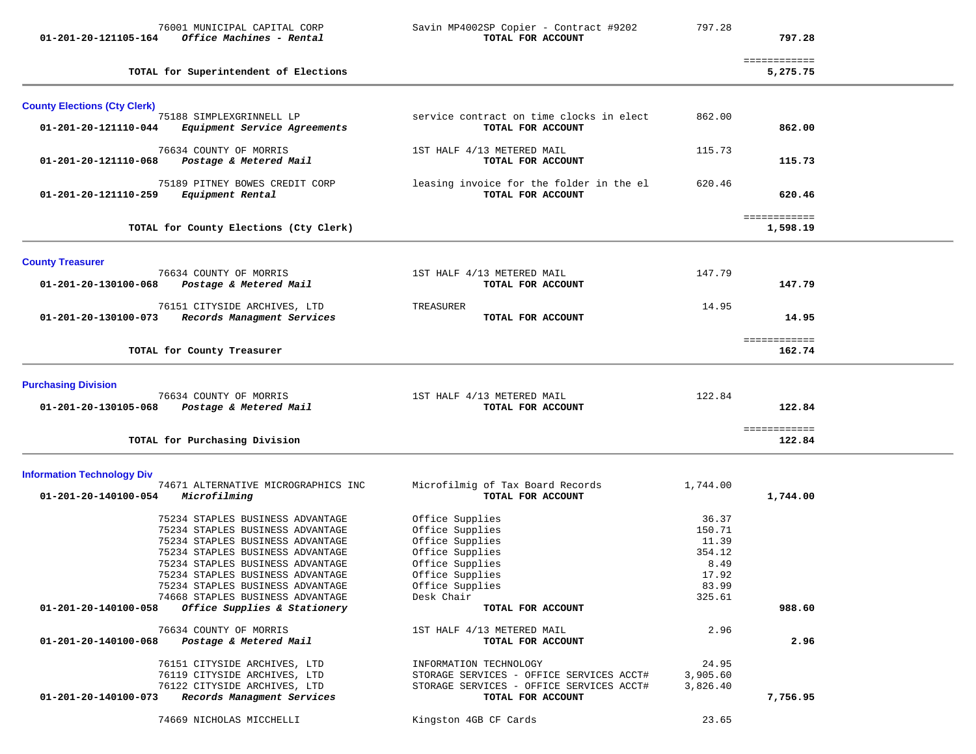| 01-201-20-121105-164                | 76001 MUNICIPAL CAPITAL CORP<br>Office Machines - Rental                                                                                                                                                                                                                                     | Savin MP4002SP Copier - Contract #9202<br>TOTAL FOR ACCOUNT                                                                                     | 797.28                                                                 | 797.28                   |  |
|-------------------------------------|----------------------------------------------------------------------------------------------------------------------------------------------------------------------------------------------------------------------------------------------------------------------------------------------|-------------------------------------------------------------------------------------------------------------------------------------------------|------------------------------------------------------------------------|--------------------------|--|
|                                     | TOTAL for Superintendent of Elections                                                                                                                                                                                                                                                        |                                                                                                                                                 |                                                                        | ============<br>5,275.75 |  |
| <b>County Elections (Cty Clerk)</b> |                                                                                                                                                                                                                                                                                              |                                                                                                                                                 |                                                                        |                          |  |
| 01-201-20-121110-044                | 75188 SIMPLEXGRINNELL LP<br>Equipment Service Agreements                                                                                                                                                                                                                                     | service contract on time clocks in elect<br>TOTAL FOR ACCOUNT                                                                                   | 862.00                                                                 | 862.00                   |  |
| 01-201-20-121110-068                | 76634 COUNTY OF MORRIS<br>Postage & Metered Mail                                                                                                                                                                                                                                             | 1ST HALF 4/13 METERED MAIL<br>TOTAL FOR ACCOUNT                                                                                                 | 115.73                                                                 | 115.73                   |  |
| 01-201-20-121110-259                | 75189 PITNEY BOWES CREDIT CORP<br>Equipment Rental                                                                                                                                                                                                                                           | leasing invoice for the folder in the el<br>TOTAL FOR ACCOUNT                                                                                   | 620.46                                                                 | 620.46                   |  |
|                                     | TOTAL for County Elections (Cty Clerk)                                                                                                                                                                                                                                                       |                                                                                                                                                 |                                                                        | ============<br>1,598.19 |  |
| <b>County Treasurer</b>             |                                                                                                                                                                                                                                                                                              |                                                                                                                                                 |                                                                        |                          |  |
| 01-201-20-130100-068                | 76634 COUNTY OF MORRIS<br>Postage & Metered Mail                                                                                                                                                                                                                                             | 1ST HALF 4/13 METERED MAIL<br>TOTAL FOR ACCOUNT                                                                                                 | 147.79                                                                 | 147.79                   |  |
| 01-201-20-130100-073                | 76151 CITYSIDE ARCHIVES, LTD<br>Records Managment Services                                                                                                                                                                                                                                   | TREASURER<br>TOTAL FOR ACCOUNT                                                                                                                  | 14.95                                                                  | 14.95                    |  |
|                                     | TOTAL for County Treasurer                                                                                                                                                                                                                                                                   |                                                                                                                                                 |                                                                        | ============<br>162.74   |  |
| <b>Purchasing Division</b>          |                                                                                                                                                                                                                                                                                              |                                                                                                                                                 |                                                                        |                          |  |
| 01-201-20-130105-068                | 76634 COUNTY OF MORRIS<br>Postage & Metered Mail                                                                                                                                                                                                                                             | 1ST HALF 4/13 METERED MAIL<br>TOTAL FOR ACCOUNT                                                                                                 | 122.84                                                                 | 122.84                   |  |
|                                     | TOTAL for Purchasing Division                                                                                                                                                                                                                                                                |                                                                                                                                                 |                                                                        | ============<br>122.84   |  |
| <b>Information Technology Div</b>   |                                                                                                                                                                                                                                                                                              |                                                                                                                                                 |                                                                        |                          |  |
| 01-201-20-140100-054                | 74671 ALTERNATIVE MICROGRAPHICS INC<br>Microfilming                                                                                                                                                                                                                                          | Microfilmig of Tax Board Records<br>TOTAL FOR ACCOUNT                                                                                           | 1,744.00                                                               | 1,744.00                 |  |
|                                     | 75234 STAPLES BUSINESS ADVANTAGE<br>75234 STAPLES BUSINESS ADVANTAGE<br>75234 STAPLES BUSINESS ADVANTAGE<br>75234 STAPLES BUSINESS ADVANTAGE<br>75234 STAPLES BUSINESS ADVANTAGE<br>75234 STAPLES BUSINESS ADVANTAGE<br>75234 STAPLES BUSINESS ADVANTAGE<br>74668 STAPLES BUSINESS ADVANTAGE | Office Supplies<br>Office Supplies<br>Office Supplies<br>Office Supplies<br>Office Supplies<br>Office Supplies<br>Office Supplies<br>Desk Chair | 36.37<br>150.71<br>11.39<br>354.12<br>8.49<br>17.92<br>83.99<br>325.61 |                          |  |
| 01-201-20-140100-058                | Office Supplies & Stationery                                                                                                                                                                                                                                                                 | TOTAL FOR ACCOUNT                                                                                                                               |                                                                        | 988.60                   |  |
| 01-201-20-140100-068                | 76634 COUNTY OF MORRIS<br>Postage & Metered Mail                                                                                                                                                                                                                                             | 1ST HALF 4/13 METERED MAIL<br>TOTAL FOR ACCOUNT                                                                                                 | 2.96                                                                   | 2.96                     |  |
| 01-201-20-140100-073                | 76151 CITYSIDE ARCHIVES, LTD<br>76119 CITYSIDE ARCHIVES, LTD<br>76122 CITYSIDE ARCHIVES, LTD<br>Records Managment Services                                                                                                                                                                   | INFORMATION TECHNOLOGY<br>STORAGE SERVICES - OFFICE SERVICES ACCT#<br>STORAGE SERVICES - OFFICE SERVICES ACCT#<br>TOTAL FOR ACCOUNT             | 24.95<br>3,905.60<br>3,826.40                                          | 7,756.95                 |  |
|                                     | 74669 NICHOLAS MICCHELLI                                                                                                                                                                                                                                                                     | Kingston 4GB CF Cards                                                                                                                           | 23.65                                                                  |                          |  |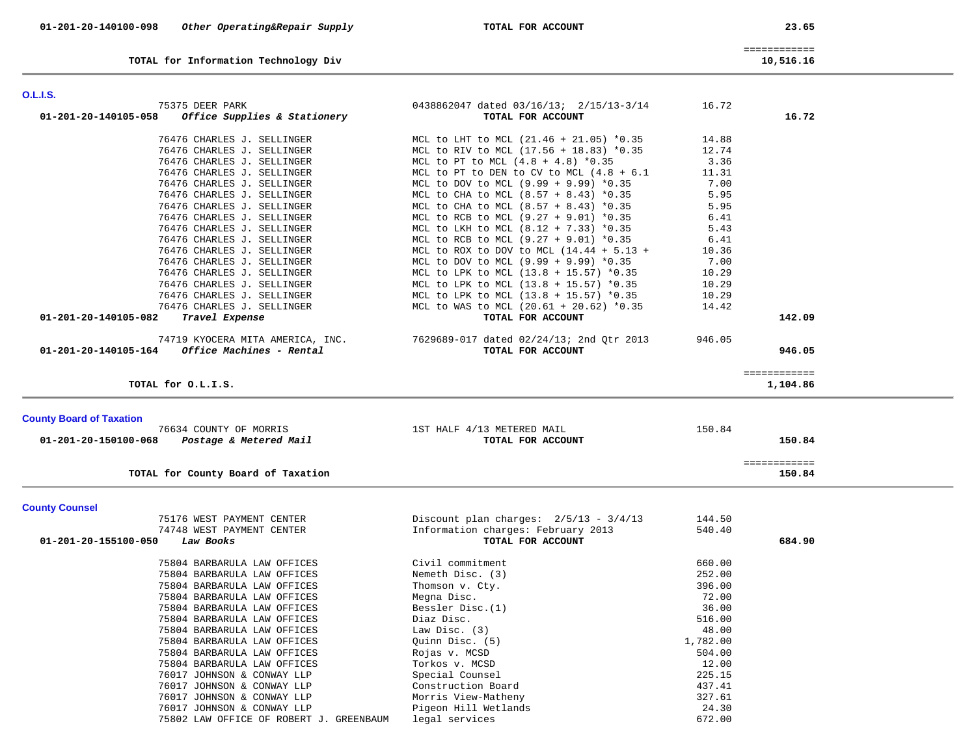| 01-201-20-140100-098 | Other Operating&Repair Supply | TOTAL FOR ACCOUNT | 23.65 |
|----------------------|-------------------------------|-------------------|-------|

| ×<br>۰. |  |
|---------|--|
|---------|--|

|                                              | ______________<br>_____________ |
|----------------------------------------------|---------------------------------|
|                                              | <b>10 516 16</b>                |
| <b>TOTAL for Information Toghnology Dive</b> | 516                             |

**TOTAL for Information Technology Div 10,516.16**

| 75375 DEER PARK                                      | 0438862047 dated 03/16/13; 2/15/13-3/14                 | 16.72    |              |
|------------------------------------------------------|---------------------------------------------------------|----------|--------------|
| 01-201-20-140105-058<br>Office Supplies & Stationery | TOTAL FOR ACCOUNT                                       |          | 16.72        |
| 76476 CHARLES J. SELLINGER                           | MCL to LHT to MCL (21.46 + 21.05) *0.35                 | 14.88    |              |
| 76476 CHARLES J. SELLINGER                           | MCL to RIV to MCL (17.56 + 18.83) *0.35                 | 12.74    |              |
|                                                      |                                                         |          |              |
| 76476 CHARLES J. SELLINGER                           | MCL to PT to MCL $(4.8 + 4.8)$ *0.35                    | 3.36     |              |
| 76476 CHARLES J. SELLINGER                           | MCL to PT to DEN to CV to MCL $(4.8 + 6.1$              | 11.31    |              |
| 76476 CHARLES J. SELLINGER                           | MCL to DOV to MCL (9.99 + 9.99) *0.35                   | 7.00     |              |
| 76476 CHARLES J. SELLINGER                           | MCL to CHA to MCL (8.57 + 8.43) *0.35                   | 5.95     |              |
| 76476 CHARLES J. SELLINGER                           | MCL to CHA to MCL $(8.57 + 8.43)$ *0.35                 | 5.95     |              |
| 76476 CHARLES J. SELLINGER                           | MCL to RCB to MCL (9.27 + 9.01) *0.35                   | 6.41     |              |
| 76476 CHARLES J. SELLINGER                           | MCL to LKH to MCL (8.12 + 7.33) *0.35                   | 5.43     |              |
| 76476 CHARLES J. SELLINGER                           | MCL to RCB to MCL (9.27 + 9.01) *0.35                   | 6.41     |              |
| 76476 CHARLES J. SELLINGER                           | MCL to ROX to DOV to MCL $(14.44 + 5.13 +$              | 10.36    |              |
| 76476 CHARLES J. SELLINGER                           | MCL to DOV to MCL (9.99 + 9.99) *0.35                   | 7.00     |              |
| 76476 CHARLES J. SELLINGER                           | MCL to LPK to MCL (13.8 + 15.57) *0.35                  | 10.29    |              |
| 76476 CHARLES J. SELLINGER                           | MCL to LPK to MCL (13.8 + 15.57) *0.35                  | 10.29    |              |
| 76476 CHARLES J. SELLINGER                           | MCL to LPK to MCL (13.8 + 15.57) *0.35                  | 10.29    |              |
| 76476 CHARLES J. SELLINGER                           | MCL to WAS to MCL (20.61 + 20.62) *0.35                 | 14.42    |              |
| 01-201-20-140105-082<br>Travel Expense               | TOTAL FOR ACCOUNT                                       |          | 142.09       |
| 74719 KYOCERA MITA AMERICA, INC.                     | 7629689-017 dated 02/24/13; 2nd Qtr 2013                | 946.05   |              |
| Office Machines - Rental<br>01-201-20-140105-164     | TOTAL FOR ACCOUNT                                       |          | 946.05       |
|                                                      |                                                         |          |              |
|                                                      |                                                         |          | ============ |
| TOTAL for O.L.I.S.                                   |                                                         |          | 1,104.86     |
|                                                      |                                                         |          |              |
| <b>County Board of Taxation</b>                      |                                                         |          |              |
| 76634 COUNTY OF MORRIS                               | 1ST HALF 4/13 METERED MAIL                              | 150.84   |              |
| 01-201-20-150100-068<br>Postage & Metered Mail       | TOTAL FOR ACCOUNT                                       |          | 150.84       |
|                                                      |                                                         |          |              |
|                                                      |                                                         |          | ============ |
| TOTAL for County Board of Taxation                   |                                                         |          | 150.84       |
|                                                      |                                                         |          |              |
| 75176 WEST PAYMENT CENTER                            |                                                         | 144.50   |              |
| 74748 WEST PAYMENT CENTER                            | Discount plan charges: $2/5/13 - 3/4/13$                | 540.40   |              |
| 01-201-20-155100-050<br>Law Books                    | Information charges: February 2013<br>TOTAL FOR ACCOUNT |          | 684.90       |
|                                                      |                                                         |          |              |
| 75804 BARBARULA LAW OFFICES                          | Civil commitment                                        | 660.00   |              |
| 75804 BARBARULA LAW OFFICES                          | Nemeth Disc. (3)                                        | 252.00   |              |
| 75804 BARBARULA LAW OFFICES                          | Thomson v. Cty.                                         | 396.00   |              |
| 75804 BARBARULA LAW OFFICES                          | Megna Disc.                                             | 72.00    |              |
| 75804 BARBARULA LAW OFFICES                          | Bessler Disc. (1)                                       | 36.00    |              |
| 75804 BARBARULA LAW OFFICES                          | Diaz Disc.                                              | 516.00   |              |
| 75804 BARBARULA LAW OFFICES                          | Law Disc. (3)                                           | 48.00    |              |
| 75804 BARBARULA LAW OFFICES                          | Quinn Disc. (5)                                         | 1,782.00 |              |
| 75804 BARBARULA LAW OFFICES                          | Rojas v. MCSD                                           | 504.00   |              |
| 75804 BARBARULA LAW OFFICES                          | Torkos v. MCSD                                          | 12.00    |              |
| 76017 JOHNSON & CONWAY LLP                           | Special Counsel                                         | 225.15   |              |
| 76017 JOHNSON & CONWAY LLP                           | Construction Board                                      | 437.41   |              |
| 76017 JOHNSON & CONWAY LLP                           | Morris View-Matheny                                     | 327.61   |              |
| <b>County Counsel</b><br>76017 JOHNSON & CONWAY LLP  | Pigeon Hill Wetlands                                    | 24.30    |              |

75802 LAW OFFICE OF ROBERT J. GREENBAUM legal services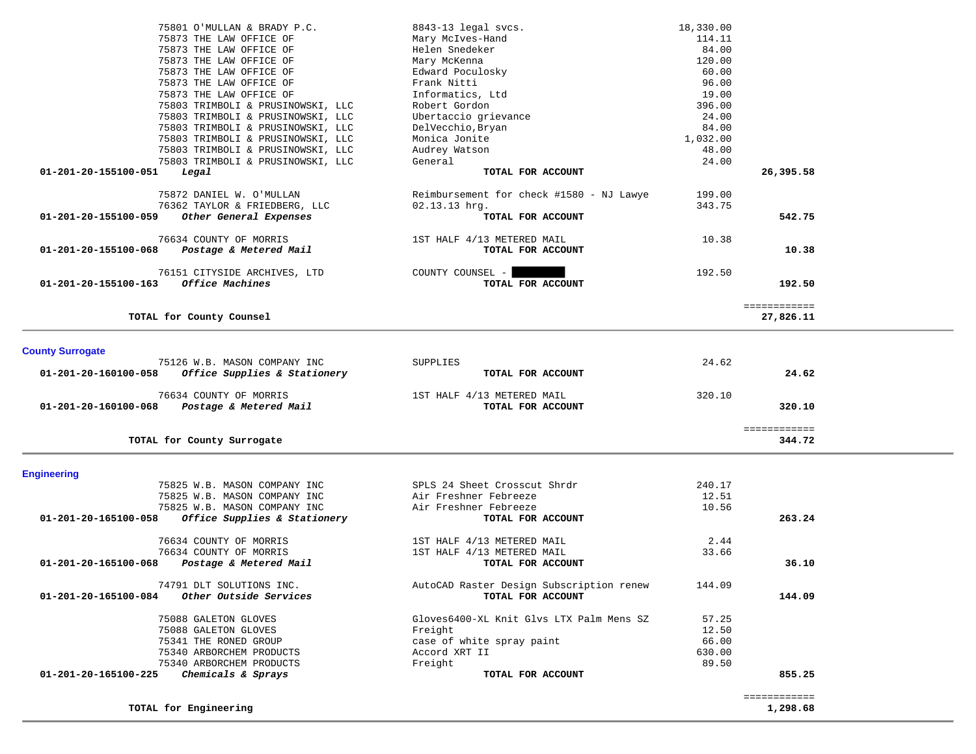| 75801 O'MULLAN & BRADY P.C.                                                          | 8843-13 legal svcs.                        | 18,330.00      |              |  |
|--------------------------------------------------------------------------------------|--------------------------------------------|----------------|--------------|--|
| 75873 THE LAW OFFICE OF                                                              | Mary McIves-Hand                           | 114.11         |              |  |
| 75873 THE LAW OFFICE OF                                                              | Helen Snedeker                             | 84.00          |              |  |
| 75873 THE LAW OFFICE OF                                                              | Mary McKenna                               | 120.00         |              |  |
| 75873 THE LAW OFFICE OF                                                              | Edward Poculosky                           | 60.00          |              |  |
| 75873 THE LAW OFFICE OF                                                              | Frank Nitti                                | 96.00          |              |  |
| 75873 THE LAW OFFICE OF                                                              | Informatics, Ltd                           | 19.00          |              |  |
| 75803 TRIMBOLI & PRUSINOWSKI, LLC                                                    | Robert Gordon                              | 396.00         |              |  |
| 75803 TRIMBOLI & PRUSINOWSKI, LLC                                                    | Ubertaccio grievance                       | 24.00          |              |  |
| 75803 TRIMBOLI & PRUSINOWSKI, LLC                                                    | DelVecchio, Bryan                          | 84.00          |              |  |
| 75803 TRIMBOLI & PRUSINOWSKI, LLC                                                    | Monica Jonite                              | 1,032.00       |              |  |
| 75803 TRIMBOLI & PRUSINOWSKI, LLC<br>75803 TRIMBOLI & PRUSINOWSKI, LLC               | Audrey Watson<br>General                   | 48.00<br>24.00 |              |  |
| 01-201-20-155100-051<br>Legal                                                        | TOTAL FOR ACCOUNT                          |                | 26,395.58    |  |
|                                                                                      |                                            |                |              |  |
| 75872 DANIEL W. O'MULLAN                                                             | Reimbursement for check #1580 - NJ Lawye   | 199.00         |              |  |
| 76362 TAYLOR & FRIEDBERG, LLC                                                        | $02.13.13$ hrg.                            | 343.75         |              |  |
| 01-201-20-155100-059<br>Other General Expenses                                       | TOTAL FOR ACCOUNT                          |                | 542.75       |  |
| 76634 COUNTY OF MORRIS                                                               | 1ST HALF 4/13 METERED MAIL                 | 10.38          |              |  |
| 01-201-20-155100-068<br>Postage & Metered Mail                                       | TOTAL FOR ACCOUNT                          |                | 10.38        |  |
|                                                                                      |                                            |                |              |  |
| 76151 CITYSIDE ARCHIVES, LTD                                                         | COUNTY COUNSEL -                           | 192.50         |              |  |
| 01-201-20-155100-163 Office Machines                                                 | TOTAL FOR ACCOUNT                          |                | 192.50       |  |
|                                                                                      |                                            |                |              |  |
|                                                                                      |                                            |                | ============ |  |
| TOTAL for County Counsel                                                             |                                            |                | 27,826.11    |  |
|                                                                                      |                                            |                |              |  |
| <b>County Surrogate</b>                                                              |                                            |                |              |  |
|                                                                                      |                                            | 24.62          |              |  |
| 75126 W.B. MASON COMPANY INC                                                         | SUPPLIES                                   |                |              |  |
| 01-201-20-160100-058<br>Office Supplies & Stationery                                 | TOTAL FOR ACCOUNT                          |                | 24.62        |  |
| 76634 COUNTY OF MORRIS                                                               | 1ST HALF 4/13 METERED MAIL                 | 320.10         |              |  |
| 01-201-20-160100-068<br>Postage & Metered Mail                                       | TOTAL FOR ACCOUNT                          |                | 320.10       |  |
|                                                                                      |                                            |                |              |  |
|                                                                                      |                                            |                | ============ |  |
| TOTAL for County Surrogate                                                           |                                            |                | 344.72       |  |
|                                                                                      |                                            |                |              |  |
| <b>Engineering</b>                                                                   |                                            |                |              |  |
| 75825 W.B. MASON COMPANY INC                                                         | SPLS 24 Sheet Crosscut Shrdr               | 240.17         |              |  |
| 75825 W.B. MASON COMPANY INC                                                         | Air Freshner Febreeze                      | 12.51          |              |  |
| 75825 W.B. MASON COMPANY INC<br>Office Supplies & Stationery<br>01-201-20-165100-058 | Air Freshner Febreeze<br>TOTAL FOR ACCOUNT | 10.56          | 263.24       |  |
|                                                                                      |                                            |                |              |  |
| 76634 COUNTY OF MORRIS                                                               | 1ST HALF 4/13 METERED MAIL                 | 2.44           |              |  |
| 76634 COUNTY OF MORRIS                                                               | 1ST HALF 4/13 METERED MAIL                 | 33.66          |              |  |
| 01-201-20-165100-068<br>Postage & Metered Mail                                       | TOTAL FOR ACCOUNT                          |                | 36.10        |  |
| 74791 DLT SOLUTIONS INC.                                                             | AutoCAD Raster Design Subscription renew   | 144.09         |              |  |
| Other Outside Services<br>01-201-20-165100-084                                       | TOTAL FOR ACCOUNT                          |                | 144.09       |  |
|                                                                                      |                                            |                |              |  |
| 75088 GALETON GLOVES                                                                 | Gloves6400-XL Knit Glvs LTX Palm Mens SZ   | 57.25          |              |  |
| 75088 GALETON GLOVES                                                                 | Freight                                    | 12.50          |              |  |
| 75341 THE RONED GROUP                                                                | case of white spray paint                  | 66.00          |              |  |
| 75340 ARBORCHEM PRODUCTS                                                             | Accord XRT II                              | 630.00         |              |  |
| 75340 ARBORCHEM PRODUCTS                                                             | Freight                                    | 89.50          |              |  |
| Chemicals & Sprays<br>01-201-20-165100-225                                           | TOTAL FOR ACCOUNT                          |                | 855.25       |  |

 ============ ============<br>1,298.68

**TOTAL for Engineering 1,298.68**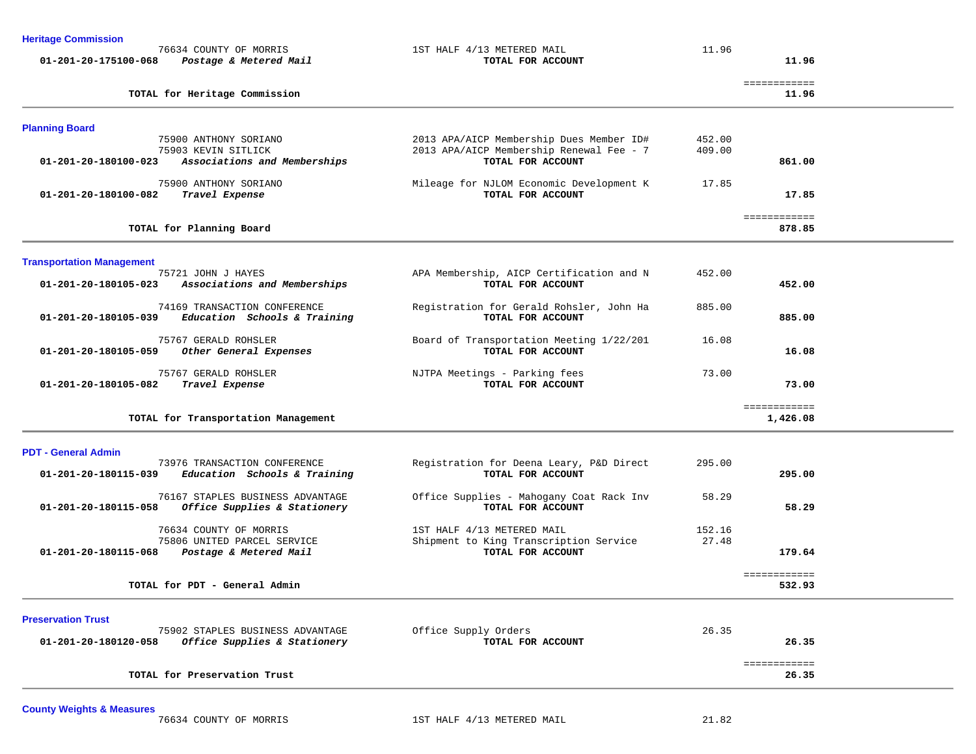| <b>Heritage Commission</b>       |                                                                  |                                                               |        |                       |  |
|----------------------------------|------------------------------------------------------------------|---------------------------------------------------------------|--------|-----------------------|--|
| 01-201-20-175100-068             | 76634 COUNTY OF MORRIS<br>Postage & Metered Mail                 | 1ST HALF 4/13 METERED MAIL<br>TOTAL FOR ACCOUNT               | 11.96  | 11.96                 |  |
|                                  |                                                                  |                                                               |        |                       |  |
|                                  | TOTAL for Heritage Commission                                    |                                                               |        | ============<br>11.96 |  |
|                                  |                                                                  |                                                               |        |                       |  |
| <b>Planning Board</b>            |                                                                  |                                                               |        |                       |  |
|                                  | 75900 ANTHONY SORIANO                                            | 2013 APA/AICP Membership Dues Member ID#                      | 452.00 |                       |  |
|                                  | 75903 KEVIN SITLICK                                              | 2013 APA/AICP Membership Renewal Fee - 7                      | 409.00 |                       |  |
| 01-201-20-180100-023             | Associations and Memberships                                     | TOTAL FOR ACCOUNT                                             |        | 861.00                |  |
|                                  | 75900 ANTHONY SORIANO                                            | Mileage for NJLOM Economic Development K                      | 17.85  |                       |  |
| 01-201-20-180100-082             | Travel Expense                                                   | TOTAL FOR ACCOUNT                                             |        | 17.85                 |  |
|                                  |                                                                  |                                                               |        | ============          |  |
|                                  | TOTAL for Planning Board                                         |                                                               |        | 878.85                |  |
|                                  |                                                                  |                                                               |        |                       |  |
| <b>Transportation Management</b> |                                                                  |                                                               |        |                       |  |
| 01-201-20-180105-023             | 75721 JOHN J HAYES<br>Associations and Memberships               | APA Membership, AICP Certification and N<br>TOTAL FOR ACCOUNT | 452.00 | 452.00                |  |
|                                  |                                                                  |                                                               |        |                       |  |
|                                  | 74169 TRANSACTION CONFERENCE                                     | Registration for Gerald Rohsler, John Ha                      | 885.00 |                       |  |
| 01-201-20-180105-039             | Education Schools & Training                                     | TOTAL FOR ACCOUNT                                             |        | 885.00                |  |
|                                  | 75767 GERALD ROHSLER                                             | Board of Transportation Meeting 1/22/201                      | 16.08  |                       |  |
| 01-201-20-180105-059             | Other General Expenses                                           | TOTAL FOR ACCOUNT                                             |        | 16.08                 |  |
|                                  | 75767 GERALD ROHSLER                                             | NJTPA Meetings - Parking fees                                 | 73.00  |                       |  |
| 01-201-20-180105-082             | Travel Expense                                                   | TOTAL FOR ACCOUNT                                             |        | 73.00                 |  |
|                                  |                                                                  |                                                               |        | ============          |  |
|                                  | TOTAL for Transportation Management                              |                                                               |        | 1,426.08              |  |
|                                  |                                                                  |                                                               |        |                       |  |
| <b>PDT - General Admin</b>       | 73976 TRANSACTION CONFERENCE                                     | Registration for Deena Leary, P&D Direct                      | 295.00 |                       |  |
| 01-201-20-180115-039             | Education Schools & Training                                     | TOTAL FOR ACCOUNT                                             |        | 295.00                |  |
|                                  |                                                                  |                                                               |        |                       |  |
| 01-201-20-180115-058             | 76167 STAPLES BUSINESS ADVANTAGE<br>Office Supplies & Stationery | Office Supplies - Mahogany Coat Rack Inv<br>TOTAL FOR ACCOUNT | 58.29  | 58.29                 |  |
|                                  |                                                                  |                                                               |        |                       |  |
|                                  | 76634 COUNTY OF MORRIS                                           | 1ST HALF 4/13 METERED MAIL                                    | 152.16 |                       |  |
|                                  | 75806 UNITED PARCEL SERVICE                                      | Shipment to King Transcription Service                        | 27.48  |                       |  |
| 01-201-20-180115-068             | Postage & Metered Mail                                           | TOTAL FOR ACCOUNT                                             |        | 179.64                |  |
|                                  |                                                                  |                                                               |        | ============          |  |
|                                  | TOTAL for PDT - General Admin                                    |                                                               |        | 532.93                |  |
| <b>Preservation Trust</b>        |                                                                  |                                                               |        |                       |  |
|                                  | 75902 STAPLES BUSINESS ADVANTAGE                                 | Office Supply Orders                                          | 26.35  |                       |  |
| 01-201-20-180120-058             | Office Supplies & Stationery                                     | TOTAL FOR ACCOUNT                                             |        | 26.35                 |  |
|                                  |                                                                  |                                                               |        | ============          |  |
|                                  | TOTAL for Preservation Trust                                     |                                                               |        | 26.35                 |  |
|                                  |                                                                  |                                                               |        |                       |  |

# **County Weights & Measures**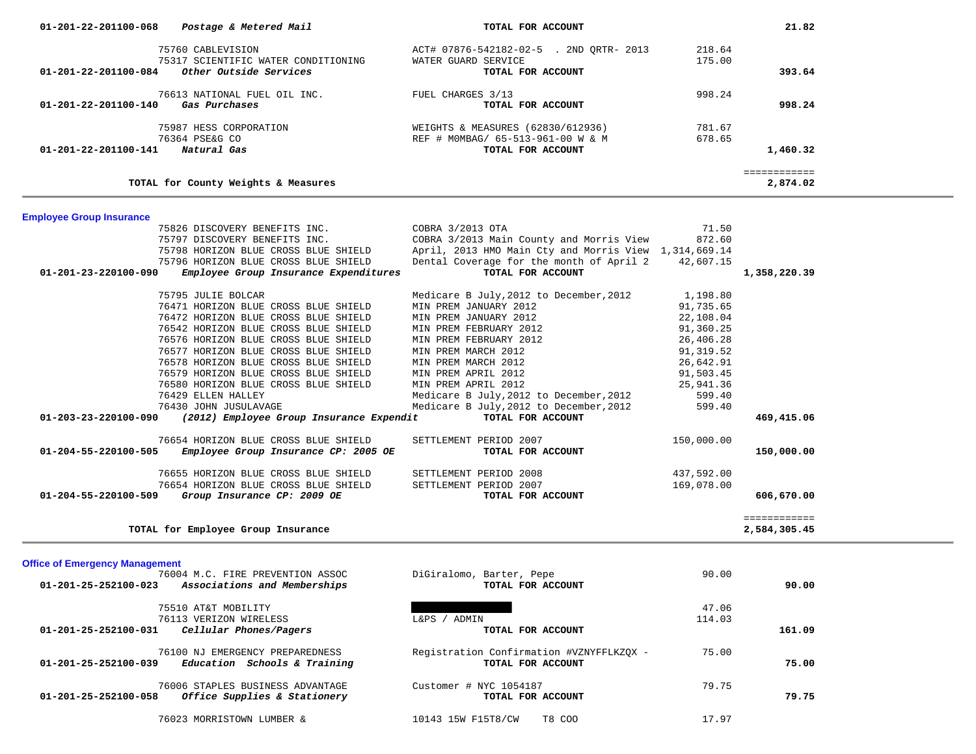| 75760 CABLEVISION                                                                         | ACT# 07876-542182-02-5 . 2ND QRTR- 2013                      | 218.64     |                          |  |
|-------------------------------------------------------------------------------------------|--------------------------------------------------------------|------------|--------------------------|--|
| 75317 SCIENTIFIC WATER CONDITIONING                                                       | WATER GUARD SERVICE                                          | 175.00     |                          |  |
| Other Outside Services<br>01-201-22-201100-084                                            | TOTAL FOR ACCOUNT                                            |            | 393.64                   |  |
| 76613 NATIONAL FUEL OIL INC.                                                              | FUEL CHARGES 3/13                                            | 998.24     |                          |  |
| 01-201-22-201100-140<br>Gas Purchases                                                     | TOTAL FOR ACCOUNT                                            |            | 998.24                   |  |
| 75987 HESS CORPORATION                                                                    | WEIGHTS & MEASURES (62830/612936)                            | 781.67     |                          |  |
| 76364 PSE&G CO                                                                            | REF # MOMBAG/ 65-513-961-00 W & M                            | 678.65     |                          |  |
| 01-201-22-201100-141<br>Natural Gas                                                       | TOTAL FOR ACCOUNT                                            |            | 1,460.32                 |  |
| TOTAL for County Weights & Measures                                                       |                                                              |            | ============<br>2,874.02 |  |
|                                                                                           |                                                              |            |                          |  |
| <b>Employee Group Insurance</b>                                                           |                                                              |            |                          |  |
| 75826 DISCOVERY BENEFITS INC.                                                             | COBRA 3/2013 OTA                                             | 71.50      |                          |  |
| 75797 DISCOVERY BENEFITS INC.                                                             | COBRA 3/2013 Main County and Morris View                     | 872.60     |                          |  |
| 75798 HORIZON BLUE CROSS BLUE SHIELD                                                      | April, 2013 HMO Main Cty and Morris View 1, 314, 669.14      |            |                          |  |
| 75796 HORIZON BLUE CROSS BLUE SHIELD                                                      | Dental Coverage for the month of April 2                     | 42,607.15  |                          |  |
| Employee Group Insurance Expenditures<br>01-201-23-220100-090                             | TOTAL FOR ACCOUNT                                            |            | 1,358,220.39             |  |
| 75795 JULIE BOLCAR                                                                        | Medicare B July, 2012 to December, 2012                      | 1,198.80   |                          |  |
| 76471 HORIZON BLUE CROSS BLUE SHIELD                                                      | MIN PREM JANUARY 2012                                        | 91,735.65  |                          |  |
| 76472 HORIZON BLUE CROSS BLUE SHIELD                                                      | MIN PREM JANUARY 2012                                        | 22,108.04  |                          |  |
| 76542 HORIZON BLUE CROSS BLUE SHIELD                                                      | MIN PREM FEBRUARY 2012                                       | 91,360.25  |                          |  |
| 76576 HORIZON BLUE CROSS BLUE SHIELD                                                      | MIN PREM FEBRUARY 2012                                       | 26,406.28  |                          |  |
| 76577 HORIZON BLUE CROSS BLUE SHIELD                                                      | MIN PREM MARCH 2012                                          | 91,319.52  |                          |  |
| 76578 HORIZON BLUE CROSS BLUE SHIELD                                                      | MIN PREM MARCH 2012                                          | 26,642.91  |                          |  |
| 76579 HORIZON BLUE CROSS BLUE SHIELD                                                      | MIN PREM APRIL 2012                                          | 91,503.45  |                          |  |
| 76580 HORIZON BLUE CROSS BLUE SHIELD                                                      | MIN PREM APRIL 2012                                          | 25,941.36  |                          |  |
| 76429 ELLEN HALLEY                                                                        |                                                              | 599.40     |                          |  |
|                                                                                           | Medicare B July, 2012 to December, 2012                      |            |                          |  |
| 76430 JOHN JUSULAVAGE<br>(2012) Employee Group Insurance Expendit<br>01-203-23-220100-090 | Medicare B July, 2012 to December, 2012<br>TOTAL FOR ACCOUNT | 599.40     | 469,415.06               |  |
|                                                                                           |                                                              |            |                          |  |
| 76654 HORIZON BLUE CROSS BLUE SHIELD                                                      | SETTLEMENT PERIOD 2007                                       | 150,000.00 |                          |  |
| 01-204-55-220100-505<br>Employee Group Insurance CP: 2005 OE                              | TOTAL FOR ACCOUNT                                            |            | 150,000.00               |  |
| 76655 HORIZON BLUE CROSS BLUE SHIELD                                                      | SETTLEMENT PERIOD 2008                                       | 437,592.00 |                          |  |
| 76654 HORIZON BLUE CROSS BLUE SHIELD                                                      | SETTLEMENT PERIOD 2007                                       | 169,078.00 |                          |  |
| Group Insurance CP: 2009 OE<br>01-204-55-220100-509                                       | TOTAL FOR ACCOUNT                                            |            | 606,670.00               |  |
|                                                                                           |                                                              |            | ============             |  |
| TOTAL for Employee Group Insurance                                                        |                                                              |            | 2,584,305.45             |  |
| <b>Office of Emergency Management</b>                                                     |                                                              |            |                          |  |
| 76004 M.C. FIRE PREVENTION ASSOC                                                          | DiGiralomo, Barter, Pepe                                     | 90.00      |                          |  |
| Associations and Memberships<br>01-201-25-252100-023                                      | TOTAL FOR ACCOUNT                                            |            | 90.00                    |  |
| 75510 AT&T MOBILITY                                                                       |                                                              | 47.06      |                          |  |
| 76113 VERIZON WIRELESS                                                                    | L&PS / ADMIN                                                 | 114.03     |                          |  |
| 01-201-25-252100-031<br>Cellular Phones/Pagers                                            | TOTAL FOR ACCOUNT                                            |            | 161.09                   |  |
| 76100 NJ EMERGENCY PREPAREDNESS                                                           | Registration Confirmation #VZNYFFLKZQX -                     | 75.00      |                          |  |
| 01-201-25-252100-039<br>Education Schools & Training                                      | TOTAL FOR ACCOUNT                                            |            | 75.00                    |  |

 **01-201-22-201100-068** *Postage & Metered Mail* **TOTAL FOR ACCOUNT 21.82**

 76006 STAPLES BUSINESS ADVANTAGE Customer # NYC 1054187 79.75  **01-201-25-252100-058** *Office Supplies & Stationery* **TOTAL FOR ACCOUNT 79.75**

76023 MORRISTOWN LUMBER & 10143 15W F15T8/CW T8 COO 17.97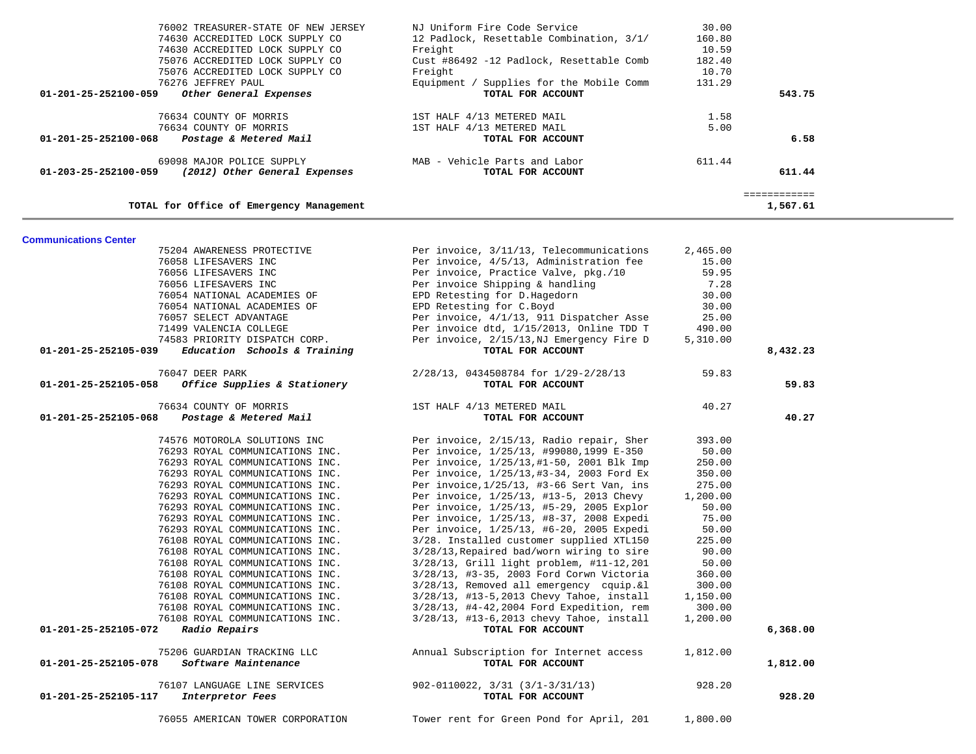| 76002 TREASURER-STATE OF NEW JERSEY                      | NJ Uniform Fire Code Service             | 30.00  |          |
|----------------------------------------------------------|------------------------------------------|--------|----------|
| 74630 ACCREDITED LOCK SUPPLY CO                          | 12 Padlock, Resettable Combination, 3/1/ | 160.80 |          |
| 74630 ACCREDITED LOCK SUPPLY CO                          | Freight                                  | 10.59  |          |
| 75076 ACCREDITED LOCK SUPPLY CO                          | Cust #86492 -12 Padlock, Resettable Comb | 182.40 |          |
| 75076 ACCREDITED LOCK SUPPLY CO                          | Freight                                  | 10.70  |          |
| 76276 JEFFREY PAUL                                       | Equipment / Supplies for the Mobile Comm | 131.29 |          |
| 01-201-25-252100-059<br>Other General Expenses           | TOTAL FOR ACCOUNT                        |        | 543.75   |
| 76634 COUNTY OF MORRIS                                   | 1ST HALF 4/13 METERED MAIL               | 1.58   |          |
| 76634 COUNTY OF MORRIS                                   | 1ST HALF 4/13 METERED MAIL               | 5.00   |          |
| $01 - 201 - 25 - 252100 - 068$<br>Postage & Metered Mail | TOTAL FOR ACCOUNT                        |        | 6.58     |
| 69098 MAJOR POLICE SUPPLY                                | MAB - Vehicle Parts and Labor            | 611.44 |          |
| 01-203-25-252100-059<br>(2012) Other General Expenses    | TOTAL FOR ACCOUNT                        |        | 611.44   |
|                                                          |                                          |        |          |
| TOTAL for Office of Emergency Management                 |                                          |        | 1,567.61 |

### **Communications Center**

| 75204 AWARENESS PROTECTIVE<br>76058 LIFESAVERS INC<br>76056 LIFESAVERS INC<br>76056 LIFESAVERS INC<br>76054 NATIONAL ACADEMIES OF<br>76054 NATIONAL ACADEMIES OF<br>76057 SELECT ADVANTAGE<br>71499 VALENCIA COLLEGE | Per invoice, 3/11/13, Telecommunications<br>Per invoice, 4/5/13, Administration fee<br>Per invoice, Practice Valve, pkg./10<br>Per invoice Shipping & handling<br>EPD Retesting for D.Hagedorn<br>EPD Retesting for C.Boyd<br>Per invoice, 4/1/13, 911 Dispatcher Asse<br>Per invoice dtd, 1/15/2013, Online TDD T | 2,465.00<br>15.00<br>59.95<br>7.28<br>30.00<br>30.00<br>25.00<br>490.00 |          |
|----------------------------------------------------------------------------------------------------------------------------------------------------------------------------------------------------------------------|--------------------------------------------------------------------------------------------------------------------------------------------------------------------------------------------------------------------------------------------------------------------------------------------------------------------|-------------------------------------------------------------------------|----------|
| 74583 PRIORITY DISPATCH CORP.<br>Education Schools & Training<br>01-201-25-252105-039                                                                                                                                | Per invoice, 2/15/13, NJ Emergency Fire D<br>TOTAL FOR ACCOUNT                                                                                                                                                                                                                                                     | 5,310.00                                                                | 8,432.23 |
| 76047 DEER PARK                                                                                                                                                                                                      | 2/28/13, 0434508784 for 1/29-2/28/13                                                                                                                                                                                                                                                                               | 59.83                                                                   |          |
| 01-201-25-252105-058<br>Office Supplies & Stationery                                                                                                                                                                 | TOTAL FOR ACCOUNT                                                                                                                                                                                                                                                                                                  |                                                                         | 59.83    |
| 76634 COUNTY OF MORRIS                                                                                                                                                                                               | 1ST HALF 4/13 METERED MAIL                                                                                                                                                                                                                                                                                         | 40.27                                                                   |          |
| 01-201-25-252105-068<br>Postage & Metered Mail                                                                                                                                                                       | TOTAL FOR ACCOUNT                                                                                                                                                                                                                                                                                                  |                                                                         | 40.27    |
| 74576 MOTOROLA SOLUTIONS INC                                                                                                                                                                                         | Per invoice, 2/15/13, Radio repair, Sher                                                                                                                                                                                                                                                                           | 393.00                                                                  |          |
| 76293 ROYAL COMMUNICATIONS INC.                                                                                                                                                                                      | Per invoice, 1/25/13, #99080,1999 E-350                                                                                                                                                                                                                                                                            | 50.00                                                                   |          |
| 76293 ROYAL COMMUNICATIONS INC.                                                                                                                                                                                      | Per invoice, 1/25/13,#1-50, 2001 Blk Imp                                                                                                                                                                                                                                                                           | 250.00                                                                  |          |
| 76293 ROYAL COMMUNICATIONS INC.                                                                                                                                                                                      | Per invoice, 1/25/13,#3-34, 2003 Ford Ex                                                                                                                                                                                                                                                                           | 350.00                                                                  |          |
| 76293 ROYAL COMMUNICATIONS INC.                                                                                                                                                                                      | Per invoice, 1/25/13, #3-66 Sert Van, ins                                                                                                                                                                                                                                                                          | 275.00                                                                  |          |
| 76293 ROYAL COMMUNICATIONS INC.                                                                                                                                                                                      | Per invoice, 1/25/13, #13-5, 2013 Chevy                                                                                                                                                                                                                                                                            | 1,200.00                                                                |          |
| 76293 ROYAL COMMUNICATIONS INC.                                                                                                                                                                                      | Per invoice, 1/25/13, #5-29, 2005 Explor                                                                                                                                                                                                                                                                           | 50.00                                                                   |          |
| 76293 ROYAL COMMUNICATIONS INC.                                                                                                                                                                                      | Per invoice, 1/25/13, #8-37, 2008 Expedi                                                                                                                                                                                                                                                                           | 75.00                                                                   |          |
| 76293 ROYAL COMMUNICATIONS INC.                                                                                                                                                                                      | Per invoice, 1/25/13, #6-20, 2005 Expedi                                                                                                                                                                                                                                                                           | 50.00                                                                   |          |
| 76108 ROYAL COMMUNICATIONS INC.                                                                                                                                                                                      | 3/28. Installed customer supplied XTL150                                                                                                                                                                                                                                                                           | 225.00                                                                  |          |
| 76108 ROYAL COMMUNICATIONS INC.                                                                                                                                                                                      | 3/28/13, Repaired bad/worn wiring to sire                                                                                                                                                                                                                                                                          | 90.00                                                                   |          |
| 76108 ROYAL COMMUNICATIONS INC.                                                                                                                                                                                      | 3/28/13, Grill light problem, #11-12,201                                                                                                                                                                                                                                                                           | 50.00                                                                   |          |
| 76108 ROYAL COMMUNICATIONS INC.                                                                                                                                                                                      | 3/28/13, #3-35, 2003 Ford Corwn Victoria                                                                                                                                                                                                                                                                           | 360.00                                                                  |          |
| 76108 ROYAL COMMUNICATIONS INC.                                                                                                                                                                                      | 3/28/13, Removed all emergency cquip. & 1                                                                                                                                                                                                                                                                          | 300.00                                                                  |          |
| 76108 ROYAL COMMUNICATIONS INC.                                                                                                                                                                                      | 3/28/13, #13-5,2013 Chevy Tahoe, install                                                                                                                                                                                                                                                                           | 1,150.00                                                                |          |
| 76108 ROYAL COMMUNICATIONS INC.                                                                                                                                                                                      | 3/28/13, #4-42,2004 Ford Expedition, rem                                                                                                                                                                                                                                                                           | 300.00                                                                  |          |
| 76108 ROYAL COMMUNICATIONS INC.                                                                                                                                                                                      | 3/28/13, #13-6,2013 chevy Tahoe, install                                                                                                                                                                                                                                                                           | 1,200.00                                                                |          |
| Radio Repairs<br>01-201-25-252105-072                                                                                                                                                                                | TOTAL FOR ACCOUNT                                                                                                                                                                                                                                                                                                  |                                                                         | 6,368.00 |
| 75206 GUARDIAN TRACKING LLC<br>Software Maintenance<br>01-201-25-252105-078                                                                                                                                          | Annual Subscription for Internet access<br>TOTAL FOR ACCOUNT                                                                                                                                                                                                                                                       | 1,812.00                                                                | 1,812.00 |
| 76107 LANGUAGE LINE SERVICES<br>01-201-25-252105-117<br>Interpretor Fees                                                                                                                                             | $902 - 0110022$ , $3/31$ $(3/1 - 3/31/13)$<br>TOTAL FOR ACCOUNT                                                                                                                                                                                                                                                    | 928.20                                                                  | 928.20   |
| 76055 AMERICAN TOWER CORPORATION                                                                                                                                                                                     | Tower rent for Green Pond for April, 201                                                                                                                                                                                                                                                                           | 1,800.00                                                                |          |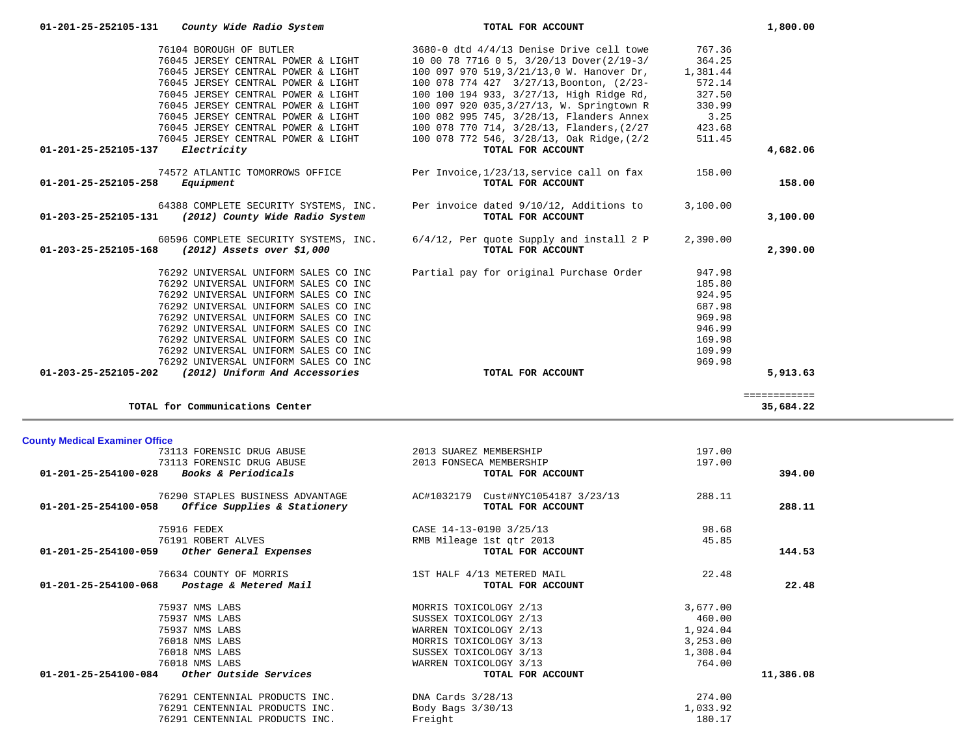| 76104 BOROUGH OF BUTLER<br>76045 JERSEY CENTRAL POWER & LIGHT<br>76045 JERSEY CENTRAL POWER & LIGHT<br>76045 JERSEY CENTRAL POWER & LIGHT<br>76045 JERSEY CENTRAL POWER & LIGHT<br>76045 JERSEY CENTRAL POWER & LIGHT<br>76045 JERSEY CENTRAL POWER & LIGHT<br>76045 JERSEY CENTRAL POWER & LIGHT                            | 3680-0 dtd 4/4/13 Denise Drive cell towe<br>10 00 78 7716 0 5, 3/20/13 Dover(2/19-3/<br>100 097 970 519, 3/21/13, 0 W. Hanover Dr,<br>100 078 774 427 3/27/13, Boonton, (2/23-<br>100 100 194 933, 3/27/13, High Ridge Rd,<br>100 097 920 035, 3/27/13, W. Springtown R<br>100 082 995 745, 3/28/13, Flanders Annex<br>100 078 770 714, 3/28/13, Flanders, (2/27 | 767.36<br>364.25<br>1,381.44<br>572.14<br>327.50<br>330.99<br>3.25<br>423.68 |                           |
|------------------------------------------------------------------------------------------------------------------------------------------------------------------------------------------------------------------------------------------------------------------------------------------------------------------------------|------------------------------------------------------------------------------------------------------------------------------------------------------------------------------------------------------------------------------------------------------------------------------------------------------------------------------------------------------------------|------------------------------------------------------------------------------|---------------------------|
| 76045 JERSEY CENTRAL POWER & LIGHT<br>Electricity<br>01-201-25-252105-137                                                                                                                                                                                                                                                    | 100 078 772 546, 3/28/13, Oak Ridge, (2/2<br>TOTAL FOR ACCOUNT                                                                                                                                                                                                                                                                                                   | 511.45                                                                       | 4,682.06                  |
| 74572 ATLANTIC TOMORROWS OFFICE<br>$01 - 201 - 25 - 252105 - 258$<br>Equipment                                                                                                                                                                                                                                               | Per Invoice, 1/23/13, service call on fax<br>TOTAL FOR ACCOUNT                                                                                                                                                                                                                                                                                                   | 158.00                                                                       | 158.00                    |
| 64388 COMPLETE SECURITY SYSTEMS, INC.<br>01-203-25-252105-131 (2012) County Wide Radio System                                                                                                                                                                                                                                | Per invoice dated 9/10/12, Additions to<br>TOTAL FOR ACCOUNT                                                                                                                                                                                                                                                                                                     | 3,100.00                                                                     | 3,100.00                  |
| 60596 COMPLETE SECURITY SYSTEMS, INC.<br>01-203-25-252105-168<br>$(2012)$ Assets over \$1,000                                                                                                                                                                                                                                | 6/4/12, Per quote Supply and install 2 P<br>TOTAL FOR ACCOUNT                                                                                                                                                                                                                                                                                                    | 2,390.00                                                                     | 2,390.00                  |
| 76292 UNIVERSAL UNIFORM SALES CO INC<br>76292 UNIVERSAL UNIFORM SALES CO INC<br>76292 UNIVERSAL UNIFORM SALES CO INC<br>76292 UNIVERSAL UNIFORM SALES CO INC<br>76292 UNIVERSAL UNIFORM SALES CO INC<br>76292 UNIVERSAL UNIFORM SALES CO INC<br>76292 UNIVERSAL UNIFORM SALES CO INC<br>76292 UNIVERSAL UNIFORM SALES CO INC | Partial pay for original Purchase Order                                                                                                                                                                                                                                                                                                                          | 947.98<br>185.80<br>924.95<br>687.98<br>969.98<br>946.99<br>169.98<br>109.99 |                           |
| 76292 UNIVERSAL UNIFORM SALES CO INC<br>01-203-25-252105-202 (2012) Uniform And Accessories                                                                                                                                                                                                                                  | TOTAL FOR ACCOUNT                                                                                                                                                                                                                                                                                                                                                | 969.98                                                                       | 5,913.63                  |
|                                                                                                                                                                                                                                                                                                                              |                                                                                                                                                                                                                                                                                                                                                                  |                                                                              |                           |
| TOTAL for Communications Center                                                                                                                                                                                                                                                                                              |                                                                                                                                                                                                                                                                                                                                                                  |                                                                              | ============<br>35,684.22 |
|                                                                                                                                                                                                                                                                                                                              |                                                                                                                                                                                                                                                                                                                                                                  |                                                                              |                           |
|                                                                                                                                                                                                                                                                                                                              |                                                                                                                                                                                                                                                                                                                                                                  |                                                                              |                           |
| 73113 FORENSIC DRUG ABUSE                                                                                                                                                                                                                                                                                                    | 2013 SUAREZ MEMBERSHIP                                                                                                                                                                                                                                                                                                                                           | 197.00                                                                       |                           |
| 73113 FORENSIC DRUG ABUSE<br>Books & Periodicals<br>01-201-25-254100-028                                                                                                                                                                                                                                                     | 2013 FONSECA MEMBERSHIP<br>TOTAL FOR ACCOUNT                                                                                                                                                                                                                                                                                                                     | 197.00                                                                       | 394.00                    |
| 76290 STAPLES BUSINESS ADVANTAGE<br>Office Supplies & Stationery<br>01-201-25-254100-058                                                                                                                                                                                                                                     | AC#1032179 Cust#NYC1054187 3/23/13<br>TOTAL FOR ACCOUNT                                                                                                                                                                                                                                                                                                          | 288.11                                                                       | 288.11                    |
| 75916 FEDEX                                                                                                                                                                                                                                                                                                                  | CASE 14-13-0190 3/25/13                                                                                                                                                                                                                                                                                                                                          | 98.68                                                                        |                           |
| <b>County Medical Examiner Office</b><br>76191 ROBERT ALVES                                                                                                                                                                                                                                                                  | RMB Mileage 1st gtr 2013                                                                                                                                                                                                                                                                                                                                         | 45.85                                                                        |                           |
| 01-201-25-254100-059<br>Other General Expenses                                                                                                                                                                                                                                                                               | TOTAL FOR ACCOUNT                                                                                                                                                                                                                                                                                                                                                |                                                                              | 144.53                    |
| 76634 COUNTY OF MORRIS<br>01-201-25-254100-068<br>Postage & Metered Mail                                                                                                                                                                                                                                                     | 1ST HALF 4/13 METERED MAIL<br>TOTAL FOR ACCOUNT                                                                                                                                                                                                                                                                                                                  | 22.48                                                                        | 22.48                     |
| 75937 NMS LABS<br>75937 NMS LABS<br>75937 NMS LABS<br>76018 NMS LABS<br>76018 NMS LABS<br>76018 NMS LABS<br>Other Outside Services<br>01-201-25-254100-084                                                                                                                                                                   | MORRIS TOXICOLOGY 2/13<br>SUSSEX TOXICOLOGY 2/13<br>WARREN TOXICOLOGY 2/13<br>MORRIS TOXICOLOGY 3/13<br>SUSSEX TOXICOLOGY 3/13<br>WARREN TOXICOLOGY 3/13<br>TOTAL FOR ACCOUNT                                                                                                                                                                                    | 3,677.00<br>460.00<br>1,924.04<br>3,253.00<br>1,308.04<br>764.00             | 11,386.08                 |

 **01-201-25-252105-131** *County Wide Radio System* **TOTAL FOR ACCOUNT 1,800.00**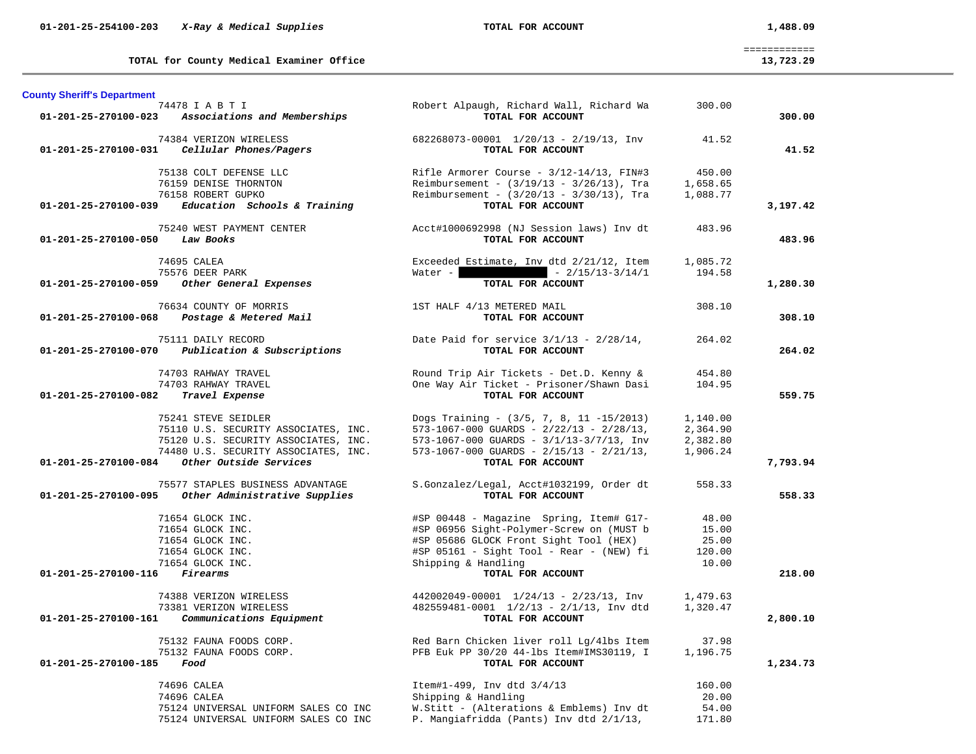**TOTAL for County Medical Examiner Office 13,723.29**

 ============ 13,723.29

| <b>County Sheriff's Department</b>      |                                                                                                                                                                       |                                                                                                                                                                                                                 |                                              |          |
|-----------------------------------------|-----------------------------------------------------------------------------------------------------------------------------------------------------------------------|-----------------------------------------------------------------------------------------------------------------------------------------------------------------------------------------------------------------|----------------------------------------------|----------|
|                                         | 74478 I A B T I<br>01-201-25-270100-023 Associations and Memberships                                                                                                  | Robert Alpaugh, Richard Wall, Richard Wa<br>TOTAL FOR ACCOUNT                                                                                                                                                   | 300.00                                       | 300.00   |
|                                         | 74384 VERIZON WIRELESS<br>01-201-25-270100-031 Cellular Phones/Pagers                                                                                                 | 682268073-00001 1/20/13 - 2/19/13, Inv<br>TOTAL FOR ACCOUNT                                                                                                                                                     | 41.52                                        | 41.52    |
|                                         | 75138 COLT DEFENSE LLC<br>76159 DENISE THORNTON<br>76158 ROBERT GUPKO                                                                                                 | Rifle Armorer Course - $3/12-14/13$ , FIN#3<br>Reimbursement - $(3/19/13 - 3/26/13)$ , Tra<br>Reimbursement - $(3/20/13 - 3/30/13)$ , Tra                                                                       | 450.00<br>1,658.65<br>1,088.77               |          |
|                                         | $01-201-25-270100-039$ Education Schools & Training                                                                                                                   | TOTAL FOR ACCOUNT                                                                                                                                                                                               |                                              | 3,197.42 |
| 01-201-25-270100-050 Law Books          | 75240 WEST PAYMENT CENTER                                                                                                                                             | Acct#1000692998 (NJ Session laws) Inv dt<br>TOTAL FOR ACCOUNT                                                                                                                                                   | 483.96                                       | 483.96   |
|                                         | 74695 CALEA<br>75576 DEER PARK                                                                                                                                        | Exceeded Estimate, Inv dtd 2/21/12, Item<br>$-2/15/13-3/14/1$<br>Water -                                                                                                                                        | 1,085.72<br>194.58                           |          |
| 01-201-25-270100-059                    | Other General Expenses                                                                                                                                                | TOTAL FOR ACCOUNT                                                                                                                                                                                               |                                              | 1,280.30 |
| 01-201-25-270100-068                    | 76634 COUNTY OF MORRIS<br>Postage & Metered Mail                                                                                                                      | 1ST HALF 4/13 METERED MAIL<br>TOTAL FOR ACCOUNT                                                                                                                                                                 | 308.10                                       | 308.10   |
|                                         | 75111 DAILY RECORD<br>01-201-25-270100-070 Publication & Subscriptions                                                                                                | Date Paid for service $3/1/13$ - $2/28/14$ ,<br>TOTAL FOR ACCOUNT                                                                                                                                               | 264.02                                       | 264.02   |
| 01-201-25-270100-082                    | 74703 RAHWAY TRAVEL<br>74703 RAHWAY TRAVEL<br>Travel Expense                                                                                                          | Round Trip Air Tickets - Det.D. Kenny &<br>One Way Air Ticket - Prisoner/Shawn Dasi<br>TOTAL FOR ACCOUNT                                                                                                        | 454.80<br>104.95                             | 559.75   |
| 01-201-25-270100-084                    | 75241 STEVE SEIDLER<br>75110 U.S. SECURITY ASSOCIATES, INC.<br>75120 U.S. SECURITY ASSOCIATES, INC.<br>74480 U.S. SECURITY ASSOCIATES, INC.<br>Other Outside Services | Dogs Training - (3/5, 7, 8, 11 -15/2013)<br>$573-1067-000$ GUARDS - $2/22/13$ - $2/28/13$ ,<br>573-1067-000 GUARDS - 3/1/13-3/7/13, Inv<br>$573-1067-000$ GUARDS - $2/15/13$ - $2/21/13$ ,<br>TOTAL FOR ACCOUNT | 1,140.00<br>2,364.90<br>2,382.80<br>1,906.24 | 7,793.94 |
| 01-201-25-270100-095                    | 75577 STAPLES BUSINESS ADVANTAGE<br>Other Administrative Supplies                                                                                                     | S.Gonzalez/Legal, Acct#1032199, Order dt<br>TOTAL FOR ACCOUNT                                                                                                                                                   | 558.33                                       | 558.33   |
|                                         | 71654 GLOCK INC.<br>71654 GLOCK INC.<br>71654 GLOCK INC.<br>71654 GLOCK INC.<br>71654 GLOCK INC.                                                                      | #SP 00448 - Magazine Spring, Item# G17-<br>#SP 06956 Sight-Polymer-Screw on (MUST b<br>#SP 05686 GLOCK Front Sight Tool (HEX)<br>#SP 05161 - Sight Tool - Rear - (NEW) fi<br>Shipping & Handling                | 48.00<br>15.00<br>25.00<br>120.00<br>10.00   |          |
| $01 - 201 - 25 - 270100 - 116$ Firearms |                                                                                                                                                                       | TOTAL FOR ACCOUNT                                                                                                                                                                                               |                                              | 218.00   |
| 01-201-25-270100-161                    | 74388 VERIZON WIRELESS<br>73381 VERIZON WIRELESS<br>Communications Equipment                                                                                          | 442002049-00001 1/24/13 - 2/23/13, Inv<br>482559481-0001 1/2/13 - 2/1/13, Inv dtd<br>TOTAL FOR ACCOUNT                                                                                                          | 1,479.63<br>1,320.47                         | 2,800.10 |
| 01-201-25-270100-185 Food               | 75132 FAUNA FOODS CORP.<br>75132 FAUNA FOODS CORP.                                                                                                                    | Red Barn Chicken liver roll Lg/4lbs Item<br>PFB Euk PP 30/20 44-lbs Item#IMS30119, I<br>TOTAL FOR ACCOUNT                                                                                                       | 37.98<br>1,196.75                            | 1,234.73 |
|                                         | 74696 CALEA<br>74696 CALEA<br>75124 UNIVERSAL UNIFORM SALES CO INC<br>75124 UNIVERSAL UNIFORM SALES CO INC                                                            | Item#1-499, Inv dtd 3/4/13<br>Shipping & Handling<br>W.Stitt - (Alterations & Emblems) Inv dt<br>P. Mangiafridda (Pants) Inv dtd 2/1/13,                                                                        | 160.00<br>20.00<br>54.00<br>171.80           |          |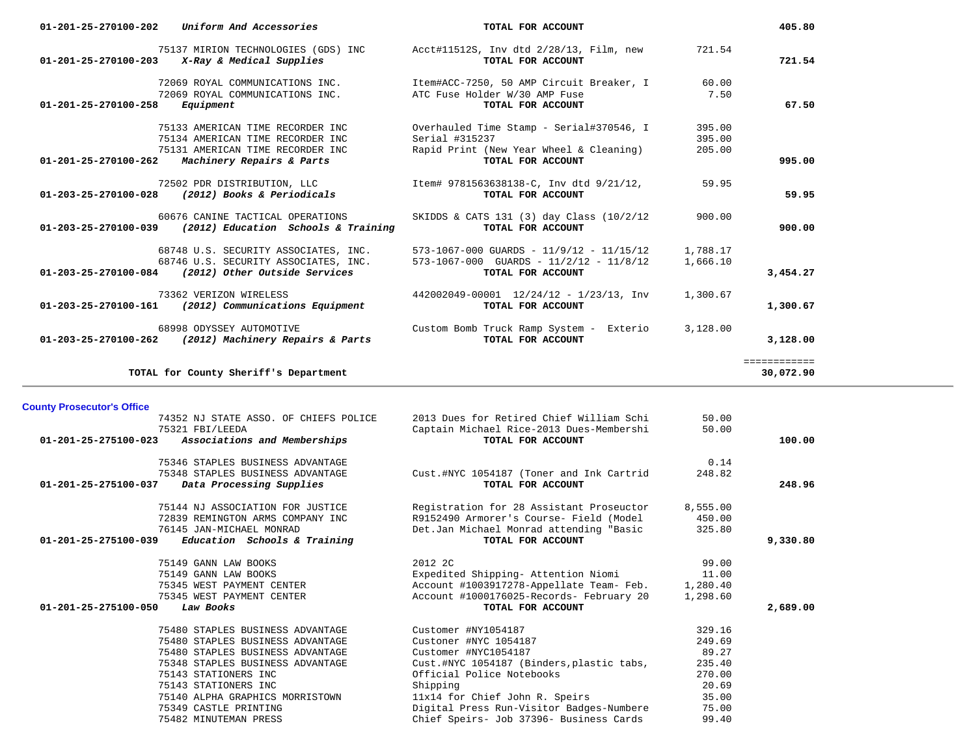| $01 - 201 - 25 - 270100 - 202$ | Uniform And Accessories                                                                                                               | TOTAL FOR ACCOUNT                                                                                                          |                            | 405.80                    |
|--------------------------------|---------------------------------------------------------------------------------------------------------------------------------------|----------------------------------------------------------------------------------------------------------------------------|----------------------------|---------------------------|
|                                | 75137 MIRION TECHNOLOGIES (GDS) INC<br>$01-201-25-270100-203$ X-Ray & Medical Supplies                                                | Acct#11512S, Inv dtd 2/28/13, Film, new<br>TOTAL FOR ACCOUNT                                                               | 721.54                     | 721.54                    |
| 01-201-25-270100-258           | 72069 ROYAL COMMUNICATIONS INC.<br>72069 ROYAL COMMUNICATIONS INC.<br>Equipment                                                       | Item#ACC-7250, 50 AMP Circuit Breaker, I<br>ATC Fuse Holder W/30 AMP Fuse<br>TOTAL FOR ACCOUNT                             | 60.00<br>7.50              | 67.50                     |
| 01-201-25-270100-262           | 75133 AMERICAN TIME RECORDER INC<br>75134 AMERICAN TIME RECORDER INC<br>75131 AMERICAN TIME RECORDER INC<br>Machinery Repairs & Parts | Overhauled Time Stamp - Serial#370546, I<br>Serial #315237<br>Rapid Print (New Year Wheel & Cleaning)<br>TOTAL FOR ACCOUNT | 395.00<br>395.00<br>205.00 | 995.00                    |
| 01-203-25-270100-028           | 72502 PDR DISTRIBUTION, LLC<br>(2012) Books & Periodicals                                                                             | Item# 9781563638138-C, Inv dtd 9/21/12,<br>TOTAL FOR ACCOUNT                                                               | 59.95                      | 59.95                     |
| 01-203-25-270100-039           | 60676 CANINE TACTICAL OPERATIONS<br>(2012) Education Schools & Training                                                               | SKIDDS & CATS 131 (3) day Class (10/2/12<br>TOTAL FOR ACCOUNT                                                              | 900.00                     | 900.00                    |
|                                | 68748 U.S. SECURITY ASSOCIATES, INC.<br>68746 U.S. SECURITY ASSOCIATES, INC.<br>01-203-25-270100-084 (2012) Other Outside Services    | 573-1067-000 GUARDS - 11/9/12 - 11/15/12<br>$573-1067-000$ GUARDS - $11/2/12$ - $11/8/12$<br>TOTAL FOR ACCOUNT             | 1,788.17<br>1,666.10       | 3,454.27                  |
| 01-203-25-270100-161           | 73362 VERIZON WIRELESS<br>(2012) Communications Equipment                                                                             | 442002049-00001 12/24/12 - 1/23/13, Inv<br>TOTAL FOR ACCOUNT                                                               | 1,300.67                   | 1,300.67                  |
|                                | 68998 ODYSSEY AUTOMOTIVE<br>01-203-25-270100-262 (2012) Machinery Repairs & Parts                                                     | Custom Bomb Truck Ramp System - Exterio<br>TOTAL FOR ACCOUNT                                                               | 3,128.00                   | 3,128.00                  |
|                                | TOTAL for County Sheriff's Department                                                                                                 |                                                                                                                            |                            | ============<br>30,072.90 |

the control of the control of the con-

### **County Prosecutor's Office**

| 74352 NJ STATE ASSO. OF CHIEFS POLICE                          | 2013 Dues for Retired Chief William Schi  | 50.00    |          |
|----------------------------------------------------------------|-------------------------------------------|----------|----------|
| 75321 FBI/LEEDA                                                | Captain Michael Rice-2013 Dues-Membershi  | 50.00    |          |
| Associations and Memberships<br>$01 - 201 - 25 - 275100 - 023$ | TOTAL FOR ACCOUNT                         |          | 100.00   |
| 75346 STAPLES BUSINESS ADVANTAGE                               |                                           | 0.14     |          |
| 75348 STAPLES BUSINESS ADVANTAGE                               | Cust.#NYC 1054187 (Toner and Ink Cartrid  | 248.82   |          |
| 01-201-25-275100-037<br>Data Processing Supplies               | TOTAL FOR ACCOUNT                         |          | 248.96   |
| 75144 NJ ASSOCIATION FOR JUSTICE                               | Registration for 28 Assistant Proseuctor  | 8,555.00 |          |
| 72839 REMINGTON ARMS COMPANY INC                               | R9152490 Armorer's Course- Field (Model   | 450.00   |          |
| 76145 JAN-MICHAEL MONRAD                                       | Det.Jan Michael Monrad attending "Basic   | 325.80   |          |
| Education Schools & Training<br>01-201-25-275100-039           | TOTAL FOR ACCOUNT                         |          | 9,330.80 |
| 75149 GANN LAW BOOKS                                           | 2012 2C                                   | 99.00    |          |
| 75149 GANN LAW BOOKS                                           | Expedited Shipping- Attention Niomi       | 11.00    |          |
| 75345 WEST PAYMENT CENTER                                      | Account #1003917278-Appellate Team- Feb.  | 1,280.40 |          |
| 75345 WEST PAYMENT CENTER                                      | Account #1000176025-Records- February 20  | 1,298.60 |          |
| 01-201-25-275100-050<br>Law Books                              | TOTAL FOR ACCOUNT                         |          | 2,689.00 |
| 75480 STAPLES BUSINESS ADVANTAGE                               | Customer #NY1054187                       | 329.16   |          |
| 75480 STAPLES BUSINESS ADVANTAGE                               | Custoner #NYC 1054187                     | 249.69   |          |
| 75480 STAPLES BUSINESS ADVANTAGE                               | Customer #NYC1054187                      | 89.27    |          |
| 75348 STAPLES BUSINESS ADVANTAGE                               | Cust.#NYC 1054187 (Binders, plastic tabs, | 235.40   |          |
| 75143 STATIONERS INC                                           | Official Police Notebooks                 | 270.00   |          |
| 75143 STATIONERS INC                                           | Shipping                                  | 20.69    |          |
| 75140 ALPHA GRAPHICS MORRISTOWN                                | 11x14 for Chief John R. Speirs            | 35.00    |          |
| 75349 CASTLE PRINTING                                          | Digital Press Run-Visitor Badges-Numbere  | 75.00    |          |
| 75482 MINUTEMAN PRESS                                          | Chief Speirs- Job 37396- Business Cards   | 99.40    |          |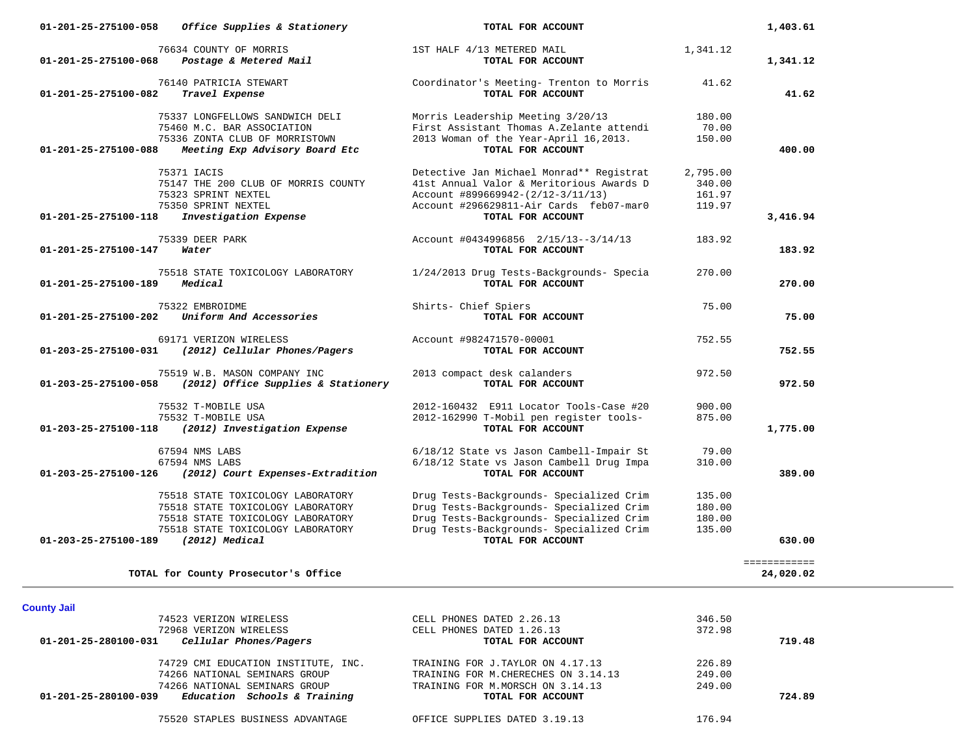| 01-201-25-275100-058<br>Office Supplies & Stationery                                                                                                                                       | TOTAL FOR ACCOUNT                                                                                                                                                                                 |                                        | 1,403.61                  |
|--------------------------------------------------------------------------------------------------------------------------------------------------------------------------------------------|---------------------------------------------------------------------------------------------------------------------------------------------------------------------------------------------------|----------------------------------------|---------------------------|
| 76634 COUNTY OF MORRIS<br>Postage & Metered Mail<br>01-201-25-275100-068                                                                                                                   | 1ST HALF 4/13 METERED MAIL<br>TOTAL FOR ACCOUNT                                                                                                                                                   | 1,341.12                               | 1,341.12                  |
| 76140 PATRICIA STEWART<br>01-201-25-275100-082<br>Travel Expense                                                                                                                           | Coordinator's Meeting- Trenton to Morris<br>TOTAL FOR ACCOUNT                                                                                                                                     | 41.62                                  | 41.62                     |
| 75337 LONGFELLOWS SANDWICH DELI<br>75460 M.C. BAR ASSOCIATION<br>75336 ZONTA CLUB OF MORRISTOWN<br>01-201-25-275100-088<br>Meeting Exp Advisory Board Etc                                  | Morris Leadership Meeting 3/20/13<br>First Assistant Thomas A.Zelante attendi<br>2013 Woman of the Year-April 16,2013.<br>TOTAL FOR ACCOUNT                                                       | 180.00<br>70.00<br>150.00              | 400.00                    |
| 75371 IACIS<br>75147 THE 200 CLUB OF MORRIS COUNTY<br>75323 SPRINT NEXTEL<br>75350 SPRINT NEXTEL                                                                                           | Detective Jan Michael Monrad** Registrat<br>41st Annual Valor & Meritorious Awards D<br>Account #899669942-(2/12-3/11/13)<br>Account #296629811-Air Cards feb07-mar0                              | 2,795.00<br>340.00<br>161.97<br>119.97 |                           |
| Investigation Expense<br>01-201-25-275100-118                                                                                                                                              | TOTAL FOR ACCOUNT                                                                                                                                                                                 |                                        | 3,416.94                  |
| 75339 DEER PARK<br>01-201-25-275100-147<br>Water                                                                                                                                           | Account #0434996856 2/15/13--3/14/13<br>TOTAL FOR ACCOUNT                                                                                                                                         | 183.92                                 | 183.92                    |
| 75518 STATE TOXICOLOGY LABORATORY<br>Medical<br>01-201-25-275100-189                                                                                                                       | 1/24/2013 Drug Tests-Backgrounds- Specia<br>TOTAL FOR ACCOUNT                                                                                                                                     | 270.00                                 | 270.00                    |
| 75322 EMBROIDME<br>Uniform And Accessories<br>01-201-25-275100-202                                                                                                                         | Shirts- Chief Spiers<br>TOTAL FOR ACCOUNT                                                                                                                                                         | 75.00                                  | 75.00                     |
| 69171 VERIZON WIRELESS<br>01-203-25-275100-031<br>(2012) Cellular Phones/Pagers                                                                                                            | Account #982471570-00001<br>TOTAL FOR ACCOUNT                                                                                                                                                     | 752.55                                 | 752.55                    |
| 75519 W.B. MASON COMPANY INC<br>(2012) Office Supplies & Stationery<br>01-203-25-275100-058                                                                                                | 2013 compact desk calanders<br>TOTAL FOR ACCOUNT                                                                                                                                                  | 972.50                                 | 972.50                    |
| 75532 T-MOBILE USA<br>75532 T-MOBILE USA<br>01-203-25-275100-118<br>(2012) Investigation Expense                                                                                           | 2012-160432 E911 Locator Tools-Case #20<br>2012-162990 T-Mobil pen register tools-<br>TOTAL FOR ACCOUNT                                                                                           | 900.00<br>875.00                       | 1,775.00                  |
| 67594 NMS LABS<br>67594 NMS LABS<br>(2012) Court Expenses-Extradition<br>01-203-25-275100-126                                                                                              | 6/18/12 State vs Jason Cambell-Impair St<br>6/18/12 State vs Jason Cambell Drug Impa<br>TOTAL FOR ACCOUNT                                                                                         | 79.00<br>310.00                        | 389.00                    |
| 75518 STATE TOXICOLOGY LABORATORY<br>75518 STATE TOXICOLOGY LABORATORY<br>75518 STATE TOXICOLOGY LABORATORY<br>75518 STATE TOXICOLOGY LABORATORY<br>(2012) Medical<br>01-203-25-275100-189 | Drug Tests-Backgrounds- Specialized Crim<br>Drug Tests-Backgrounds- Specialized Crim<br>Drug Tests-Backgrounds- Specialized Crim<br>Drug Tests-Backgrounds- Specialized Crim<br>TOTAL FOR ACCOUNT | 135.00<br>180.00<br>180.00<br>135.00   | 630.00                    |
|                                                                                                                                                                                            |                                                                                                                                                                                                   |                                        |                           |
| TOTAL for County Prosecutor's Office                                                                                                                                                       |                                                                                                                                                                                                   |                                        | ============<br>24,020.02 |
| <b>County Jail</b>                                                                                                                                                                         |                                                                                                                                                                                                   |                                        |                           |
| 74523 VERIZON WIRELESS<br>72968 VERIZON WIRELESS                                                                                                                                           | CELL PHONES DATED 2.26.13<br>CELL PHONES DATED 1.26.13                                                                                                                                            | 346.50<br>372.98                       |                           |
| Cellular Phones/Pagers<br>01-201-25-280100-031                                                                                                                                             | TOTAL FOR ACCOUNT                                                                                                                                                                                 |                                        | 719.48                    |
| 74729 CMI EDUCATION INSTITUTE, INC.<br>74266 NATIONAL SEMINARS GROUP<br>74266 NATIONAL SEMINARS GROUP                                                                                      | TRAINING FOR J.TAYLOR ON 4.17.13<br>TRAINING FOR M. CHERECHES ON 3.14.13<br>TRAINING FOR M.MORSCH ON 3.14.13                                                                                      | 226.89<br>249.00<br>249.00             |                           |
| $01-201-25-280100-039$ Education Schools & Training                                                                                                                                        | TOTAL FOR ACCOUNT                                                                                                                                                                                 |                                        | 724.89                    |

75520 STAPLES BUSINESS ADVANTAGE OFFICE SUPPLIES DATED 3.19.13 176.94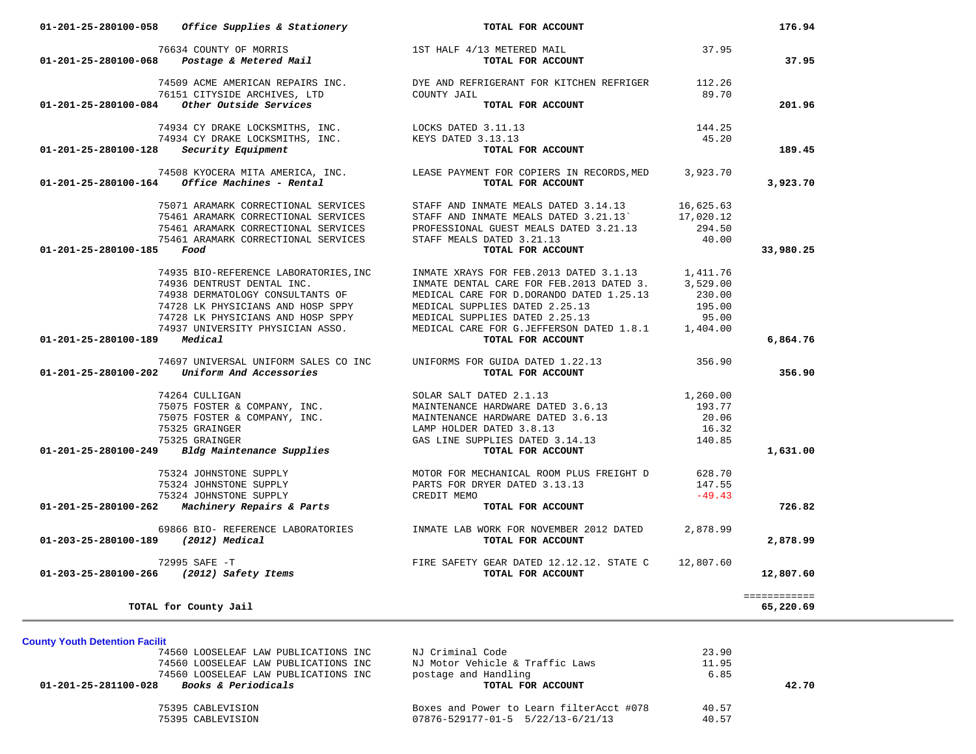| 01-201-25-280100-058                    | Office Supplies & Stationery                                                                                     | TOTAL FOR ACCOUNT                                                                                                                                                                                                                       |           | 176.94       |
|-----------------------------------------|------------------------------------------------------------------------------------------------------------------|-----------------------------------------------------------------------------------------------------------------------------------------------------------------------------------------------------------------------------------------|-----------|--------------|
| 01-201-25-280100-068                    | $76634$ COUNTY OF MORRIS $$\tt lST$ HALF $4/13$ METERED MAIL $$\tt POSAg$ as $\tt RedGOUN$                       | TOTAL FOR ACCOUNT                                                                                                                                                                                                                       | 37.95     | 37.95        |
|                                         |                                                                                                                  |                                                                                                                                                                                                                                         |           |              |
|                                         |                                                                                                                  | 74509 ACME AMERICAN REPAIRS INC.<br>76151 CITYSIDE ARCHIVES, LTD COUNTY JAIL<br>29.70<br>1 Other Outside Services                                                                                                                       |           |              |
|                                         | $01-201-25-280100-084$ Other Outside Services                                                                    | TOTAL FOR ACCOUNT                                                                                                                                                                                                                       |           | 201.96       |
|                                         |                                                                                                                  |                                                                                                                                                                                                                                         | 144.25    |              |
|                                         |                                                                                                                  |                                                                                                                                                                                                                                         | 45.20     |              |
| 01-201-25-280100-128 Security Equipment |                                                                                                                  | TOTAL FOR ACCOUNT                                                                                                                                                                                                                       |           | 189.45       |
|                                         |                                                                                                                  | 74508 KYOCERA MITA AMERICA, INC. LEASE PAYMENT FOR COPIERS IN RECORDS, MED 3,923.70                                                                                                                                                     |           |              |
|                                         | $01 - 201 - 25 - 280100 - 164$ Office Machines - Rental                                                          | TOTAL FOR ACCOUNT                                                                                                                                                                                                                       |           | 3,923.70     |
|                                         | 75071 ARAMARK CORRECTIONAL SERVICES                                                                              | STAFF AND INMATE MEALS DATED 3.14.13 16,625.63                                                                                                                                                                                          |           |              |
|                                         | 75461 ARAMARK CORRECTIONAL SERVICES                                                                              |                                                                                                                                                                                                                                         |           |              |
|                                         | 75461 ARAMARK CORRECTIONAL SERVICES                                                                              | STAFF AND INMATE MEALS DATED 3.21.13<br>PROFESSIONAL GUEST MEALS DATED 3.21.13 294.50                                                                                                                                                   |           |              |
|                                         | 75461 ARAMARK CORRECTIONAL SERVICES                                                                              | STAFF MEALS DATED 3.21.13                                                                                                                                                                                                               | 40.00     |              |
| 01-201-25-280100-185                    | Food                                                                                                             | TOTAL FOR ACCOUNT                                                                                                                                                                                                                       |           | 33,980.25    |
|                                         | 74935 BIO-REFERENCE LABORATORIES, INC                                                                            |                                                                                                                                                                                                                                         |           |              |
|                                         | 74936 DENTRUST DENTAL INC.                                                                                       | INMATE XRAYS FOR FEB. 2013 DATED 3.1.13 1,411.76<br>INMATE DENTAL CARE FOR FEB. 2013 DATED 3. 3,529.00                                                                                                                                  |           |              |
|                                         | 74938 DERMATOLOGY CONSULTANTS OF                                                                                 | MEDICAL CARE FOR D.DORANDO DATED 1.25.13                                                                                                                                                                                                | 230.00    |              |
|                                         | 74728 LK PHYSICIANS AND HOSP SPPY                                                                                |                                                                                                                                                                                                                                         | 195.00    |              |
|                                         | 74728 LK PHYSICIANS AND HOSP SPPY                                                                                | MEDICAL SUPPLIES DATED 2.25.13<br>MEDICAL SUPPLIES DATED 2.25.13                                                                                                                                                                        | 95.00     |              |
|                                         | 74937 UNIVERSITY PHYSICIAN ASSO.                                                                                 | MEDICAL CARE FOR G.JEFFERSON DATED 1.8.1 1,404.00                                                                                                                                                                                       |           |              |
| 01-201-25-280100-189 Medical            |                                                                                                                  | TOTAL FOR ACCOUNT                                                                                                                                                                                                                       |           | 6,864.76     |
|                                         | 74697 UNIVERSAL UNIFORM SALES CO INC                                                                             | UNIFORMS FOR GUIDA DATED 1.22.13                                                                                                                                                                                                        | 356.90    |              |
|                                         | $01-201-25-280100-202$ Uniform And Accessories                                                                   | TOTAL FOR ACCOUNT                                                                                                                                                                                                                       |           | 356.90       |
|                                         | 74264 CULLIGAN<br>THE FOSTER & COMPANY, INC.<br>75075 FOSTER & COMPANY, INC.<br>75325 GRAINGER<br>75325 GRAINGER | SOLAR SALT DATED 2.1.13                                                                                                                                                                                                                 | 1,260.00  |              |
|                                         |                                                                                                                  | MAINTENANCE HARDWARE DATED 3.6.13                                                                                                                                                                                                       | 193.77    |              |
|                                         |                                                                                                                  | MAINTENANCE HARDWARE DATED 3.6.13                                                                                                                                                                                                       | 20.06     |              |
|                                         |                                                                                                                  | LAMP HOLDER DATED 3.8.13                                                                                                                                                                                                                | 16.32     |              |
|                                         |                                                                                                                  | GAS LINE SUPPLIES DATED 3.14.13                                                                                                                                                                                                         | 140.85    |              |
| 01-201-25-280100-249                    | Bldg Maintenance Supplies                                                                                        | TOTAL FOR ACCOUNT                                                                                                                                                                                                                       |           | 1,631.00     |
|                                         |                                                                                                                  | 75324 JOHNSTONE SUPPLY MOTOR FOR MECHANICAL ROOM PLUS FREIGHT D<br>75324 JOHNSTONE SUPPLY PARTS FOR DRYER DATED 3.13.13 13<br>75324 JOHNSTONE SUPPLY PARTS FOR DRYER DATED 3.13.13 13<br>76324 JOHNSTONE SUPPLY CREDIT MEMO TOTAL FOR A |           |              |
|                                         |                                                                                                                  |                                                                                                                                                                                                                                         |           |              |
|                                         |                                                                                                                  |                                                                                                                                                                                                                                         |           |              |
|                                         |                                                                                                                  |                                                                                                                                                                                                                                         |           | 726.82       |
|                                         | 69866 BIO- REFERENCE LABORATORIES                                                                                | INMATE LAB WORK FOR NOVEMBER 2012 DATED                                                                                                                                                                                                 | 2,878.99  |              |
| 01-203-25-280100-189                    | (2012) Medical                                                                                                   | TOTAL FOR ACCOUNT                                                                                                                                                                                                                       |           | 2,878.99     |
|                                         |                                                                                                                  | FIRE SAFETY GEAR DATED 12.12.12. STATE C                                                                                                                                                                                                | 12,807.60 |              |
|                                         | 72995 SAFE -T<br>01-203-25-280100-266 (2012) Safety Items                                                        | TOTAL FOR ACCOUNT                                                                                                                                                                                                                       |           | 12,807.60    |
|                                         |                                                                                                                  |                                                                                                                                                                                                                                         |           | ============ |
|                                         | TOTAL for County Jail                                                                                            |                                                                                                                                                                                                                                         |           | 65,220.69    |

**County Youth Detention Facilit**

| 74560 LOOSELEAF LAW PUBLICATIONS INC                   | NJ Criminal Code                         | 23.90 |       |
|--------------------------------------------------------|------------------------------------------|-------|-------|
| 74560 LOOSELEAF LAW PUBLICATIONS INC                   | NJ Motor Vehicle & Traffic Laws          | 11.95 |       |
| 74560 LOOSELEAF LAW PUBLICATIONS INC                   | postage and Handling                     | 6.85  |       |
| <i>Books &amp; Periodicals</i><br>01-201-25-281100-028 | TOTAL FOR ACCOUNT                        |       | 42.70 |
|                                                        |                                          |       |       |
| 75395 CABLEVISION                                      | Boxes and Power to Learn filterAcct #078 | 40.57 |       |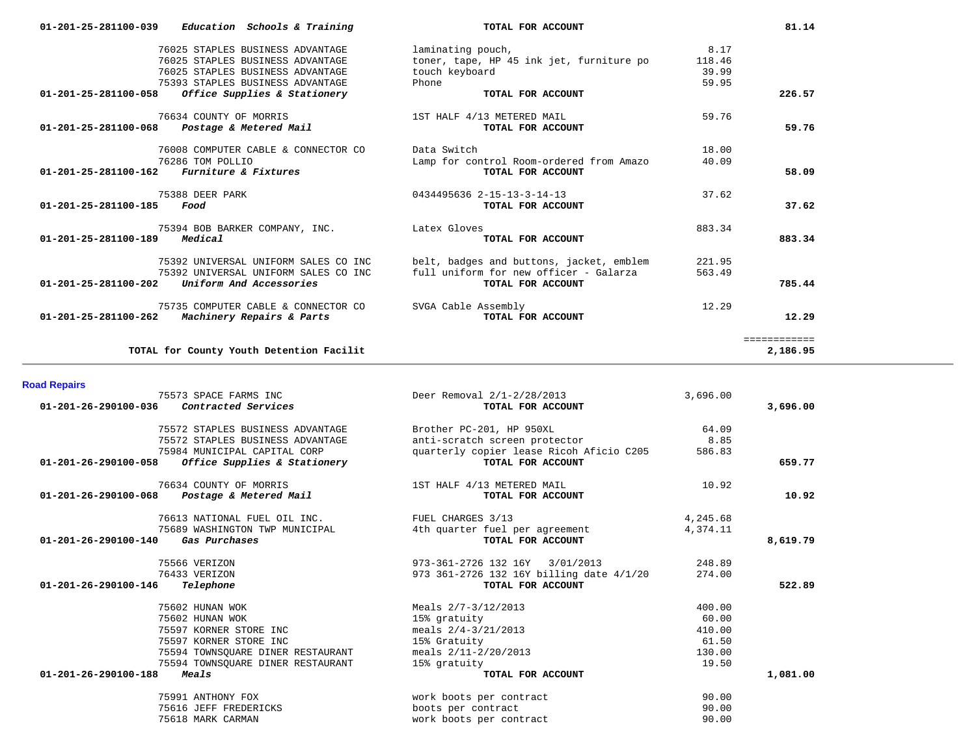| 01-201-25-281100-039                                | Education Schools & Training             | TOTAL FOR ACCOUNT                        |        | 81.14        |
|-----------------------------------------------------|------------------------------------------|------------------------------------------|--------|--------------|
|                                                     | 76025 STAPLES BUSINESS ADVANTAGE         | laminating pouch,                        | 8.17   |              |
|                                                     | 76025 STAPLES BUSINESS ADVANTAGE         | toner, tape, HP 45 ink jet, furniture po | 118.46 |              |
|                                                     | 76025 STAPLES BUSINESS ADVANTAGE         | touch keyboard                           | 39.99  |              |
|                                                     | 75393 STAPLES BUSINESS ADVANTAGE         | Phone                                    | 59.95  |              |
| 01-201-25-281100-058                                | Office Supplies & Stationery             | TOTAL FOR ACCOUNT                        |        | 226.57       |
|                                                     | 76634 COUNTY OF MORRIS                   | 1ST HALF 4/13 METERED MAIL               | 59.76  |              |
| 01-201-25-281100-068                                | Postage & Metered Mail                   | TOTAL FOR ACCOUNT                        |        | 59.76        |
|                                                     | 76008 COMPUTER CABLE & CONNECTOR CO      | Data Switch                              | 18.00  |              |
|                                                     | 76286 TOM POLLIO                         | Lamp for control Room-ordered from Amazo | 40.09  |              |
| $01 - 201 - 25 - 281100 - 162$ Furniture & Fixtures |                                          | TOTAL FOR ACCOUNT                        |        | 58.09        |
|                                                     | 75388 DEER PARK                          | 0434495636 2-15-13-3-14-13               | 37.62  |              |
| 01-201-25-281100-185                                | Food                                     | TOTAL FOR ACCOUNT                        |        | 37.62        |
|                                                     | 75394 BOB BARKER COMPANY, INC.           | Latex Gloves                             | 883.34 |              |
| 01-201-25-281100-189                                | Medical                                  | TOTAL FOR ACCOUNT                        |        | 883.34       |
|                                                     | 75392 UNIVERSAL UNIFORM SALES CO INC     | belt, badges and buttons, jacket, emblem | 221.95 |              |
|                                                     | 75392 UNIVERSAL UNIFORM SALES CO INC     | full uniform for new officer - Galarza   | 563.49 |              |
| 01-201-25-281100-202                                | Uniform And Accessories                  | TOTAL FOR ACCOUNT                        |        | 785.44       |
|                                                     | 75735 COMPUTER CABLE & CONNECTOR CO      | SVGA Cable Assembly                      | 12.29  |              |
| 01-201-25-281100-262                                | Machinery Repairs & Parts                | TOTAL FOR ACCOUNT                        |        | 12.29        |
|                                                     |                                          |                                          |        | ============ |
|                                                     | TOTAL for County Youth Detention Facilit |                                          |        | 2,186.95     |

**Road Repairs** 

 75573 SPACE FARMS INC Deer Removal 2/1-2/28/2013 3,696.00  **01-201-26-290100-036** *Contracted Services* **TOTAL FOR ACCOUNT 3,696.00** 75572 STAPLES BUSINESS ADVANTAGE Brother PC-201, HP 950XL 64.09 75572 STAPLES BUSINESS ADVANTAGE anti-scratch screen protector 8.85 75984 MUNICIPAL CAPITAL CORP quarterly copier lease Ricoh Aficio C205 586.83  **01-201-26-290100-058** *Office Supplies & Stationery* **TOTAL FOR ACCOUNT 659.77** 76634 COUNTY OF MORRIS 1ST HALF 4/13 METERED MAIL 10.92  **01-201-26-290100-068** *Postage & Metered Mail* **TOTAL FOR ACCOUNT 10.92** 76613 NATIONAL FUEL OIL INC. FUEL CHARGES 3/13 4,245.68 75689 WASHINGTON TWP MUNICIPAL 4th quarter fuel per agreement 4,374.11  **01-201-26-290100-140** *Gas Purchases* **TOTAL FOR ACCOUNT 8,619.79** 75566 VERIZON 973-361-2726 132 16Y 3/01/2013 248.89 76433 VERIZON 973 361-2726 132 16Y billing date 4/1/20 274.00  **01-201-26-290100-146** *Telephone* **TOTAL FOR ACCOUNT 522.89** 75602 HUNAN WOK Meals 2/7-3/12/2013 400.00 75602 HUNAN WOK 15% gratuity 60.00 75597 KORNER STORE INC meals 2/4-3/21/2013 410.00 75597 KORNER STORE INC 15% Gratuity 61.50 75594 TOWNSQUARE DINER RESTAURANT meals 2/11-2/20/2013 130.00 75594 TOWNSQUARE DINER RESTAURANT 15% gratuity 19.50  **01-201-26-290100-188** *Meals* **TOTAL FOR ACCOUNT 1,081.00** 75991 ANTHONY FOX work boots per contract 90.00 75616 JEFF FREDERICKS boots per contract 90.00 work boots per contract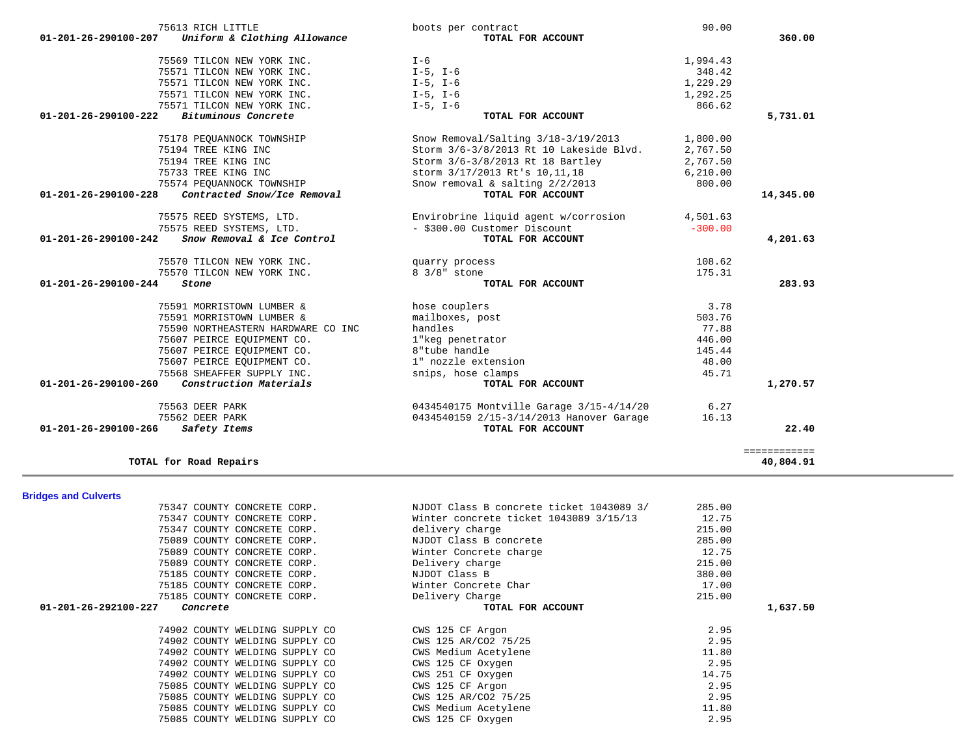| 75575 REED SYSTEMS, LTD.                                         | - \$300.00 Customer Discount                                                       | $-300.00$       |              |
|------------------------------------------------------------------|------------------------------------------------------------------------------------|-----------------|--------------|
| 01-201-26-290100-242<br>Snow Removal & Ice Control               | TOTAL FOR ACCOUNT                                                                  |                 | 4,201.63     |
| 75570 TILCON NEW YORK INC.                                       | quarry process                                                                     | 108.62          |              |
| 75570 TILCON NEW YORK INC.                                       | 8 3/8" stone                                                                       | 175.31          |              |
| 01-201-26-290100-244<br>Stone                                    | TOTAL FOR ACCOUNT                                                                  |                 | 283.93       |
|                                                                  |                                                                                    |                 |              |
| 75591 MORRISTOWN LUMBER &                                        | hose couplers                                                                      | 3.78            |              |
| 75591 MORRISTOWN LUMBER &                                        | mailboxes, post                                                                    | 503.76          |              |
| 75590 NORTHEASTERN HARDWARE CO INC                               | handles                                                                            | 77.88           |              |
| 75607 PEIRCE EQUIPMENT CO.                                       | 1"keg penetrator                                                                   | 446.00          |              |
| 75607 PEIRCE EQUIPMENT CO.                                       | 8"tube handle                                                                      | 145.44          |              |
| 75607 PEIRCE EQUIPMENT CO.                                       | 1" nozzle extension                                                                | 48.00           |              |
| 75568 SHEAFFER SUPPLY INC.                                       | snips, hose clamps                                                                 | 45.71           |              |
| Construction Materials<br>01-201-26-290100-260                   | TOTAL FOR ACCOUNT                                                                  |                 | 1,270.57     |
| 75563 DEER PARK                                                  | 0434540175 Montville Garage 3/15-4/14/20                                           | 6.27            |              |
| 75562 DEER PARK                                                  | 0434540159 2/15-3/14/2013 Hanover Garage                                           | 16.13           |              |
| 01-201-26-290100-266<br>Safety Items                             | TOTAL FOR ACCOUNT                                                                  |                 | 22.40        |
|                                                                  |                                                                                    |                 |              |
|                                                                  |                                                                                    |                 | ============ |
| TOTAL for Road Repairs                                           |                                                                                    |                 | 40,804.91    |
|                                                                  |                                                                                    |                 |              |
| <b>Bridges and Culverts</b>                                      |                                                                                    |                 |              |
| 75347 COUNTY CONCRETE CORP.<br>75347 COUNTY CONCRETE CORP.       | NJDOT Class B concrete ticket 1043089 3/<br>Winter concrete ticket 1043089 3/15/13 | 285.00<br>12.75 |              |
|                                                                  |                                                                                    |                 |              |
|                                                                  |                                                                                    |                 |              |
| 75347 COUNTY CONCRETE CORP.                                      | delivery charge                                                                    | 215.00          |              |
| 75089 COUNTY CONCRETE CORP.                                      | NJDOT Class B concrete                                                             | 285.00          |              |
| 75089 COUNTY CONCRETE CORP.                                      | Winter Concrete charge                                                             | 12.75           |              |
| 75089 COUNTY CONCRETE CORP.                                      | Delivery charge                                                                    | 215.00          |              |
| 75185 COUNTY CONCRETE CORP.                                      | NJDOT Class B                                                                      | 380.00          |              |
| 75185 COUNTY CONCRETE CORP.                                      | Winter Concrete Char                                                               | 17.00           |              |
| 75185 COUNTY CONCRETE CORP.                                      | Delivery Charge                                                                    | 215.00          |              |
| 01-201-26-292100-227<br>Concrete                                 | TOTAL FOR ACCOUNT                                                                  |                 | 1,637.50     |
| 74902 COUNTY WELDING SUPPLY CO                                   | CWS 125 CF Argon                                                                   | 2.95            |              |
| 74902 COUNTY WELDING SUPPLY CO                                   | CWS 125 AR/CO2 75/25                                                               | 2.95            |              |
| 74902 COUNTY WELDING SUPPLY CO                                   | CWS Medium Acetylene                                                               | 11.80           |              |
|                                                                  | CWS 125 CF Oxygen                                                                  | 2.95            |              |
| 74902 COUNTY WELDING SUPPLY CO<br>74902 COUNTY WELDING SUPPLY CO | CWS 251 CF Oxygen                                                                  | 14.75           |              |
| 75085 COUNTY WELDING SUPPLY CO                                   | CWS 125 CF Argon                                                                   | 2.95            |              |
| 75085 COUNTY WELDING SUPPLY CO                                   | CWS 125 AR/CO2 75/25                                                               | 2.95            |              |
| 75085 COUNTY WELDING SUPPLY CO                                   | CWS Medium Acetylene                                                               | 11.80           |              |
| 75085 COUNTY WELDING SUPPLY CO                                   | CWS 125 CF Oxygen                                                                  | 2.95            |              |

## 75613 RICH LITTLE boots per contract 90.00  **01-201-26-290100-207** *Uniform & Clothing Allowance* **TOTAL FOR ACCOUNT 360.00** 75569 TILCON NEW YORK INC. I-6 1,994.43 75571 TILCON NEW YORK INC. I-5, I-6 348.42 75571 TILCON NEW YORK INC.  $I-5$ ,  $I-6$  1,229.29 75571 TILCON NEW YORK INC. I-5, I-6 1,292.25 75571 TILCON NEW YORK INC. I-5, I-6 866.62  **01-201-26-290100-222** *Bituminous Concrete* **TOTAL FOR ACCOUNT 5,731.01** 75178 PEQUANNOCK TOWNSHIP Snow Removal/Salting 3/18-3/19/2013 1,800.00 75194 TREE KING INC<br>
75194 TREE KING INC<br>
75194 TREE KING INC<br>
2,767.50<br>
Storm 3/6-3/8/2013 Rt 18 Bartley<br>
2,767.50 Storm 3/6-3/8/2013 Rt 18 Bartley 2,767.50 75733 TREE KING INC storm 3/17/2013 Rt's 10,11,18 6,210.00 75574 PEQUANNOCK TOWNSHIP<br>3 **Contracted Snow/Ice Removal** Snow removal & salting 2/2/2013 800.00<br>**TOTAL FOR ACCOUNT 01-201-26-290100-228** *Contracted Snow/Ice Removal* **TOTAL FOR ACCOUNT 14,345.00** 75575 REED SYSTEMS, LTD. Envirobrine liquid agent w/corrosion 4,501.63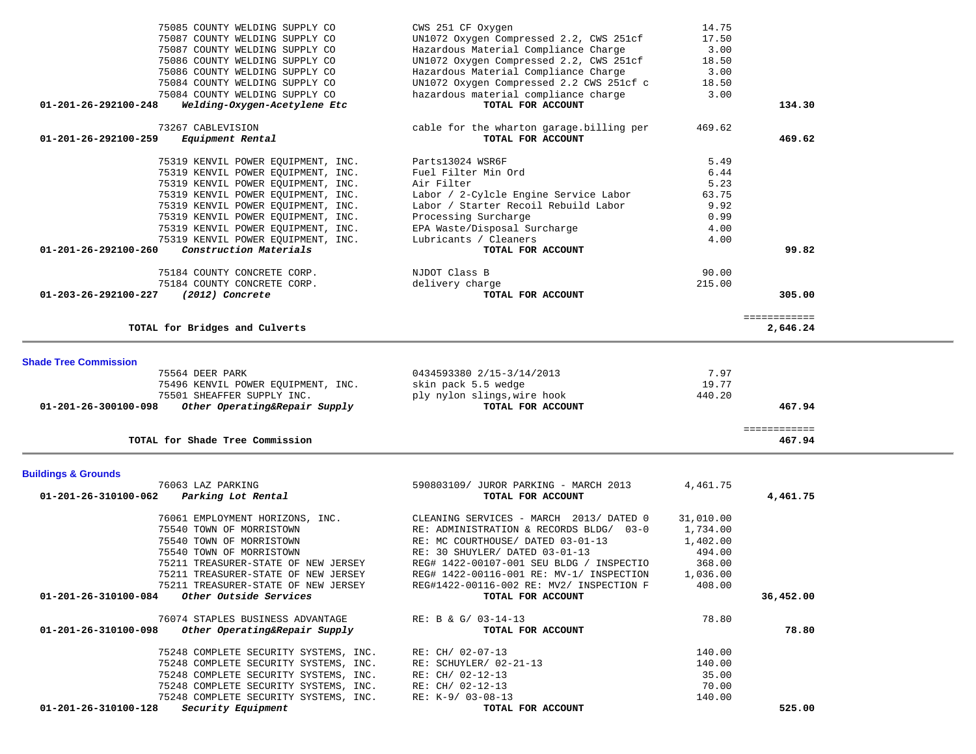| 75085 COUNTY WELDING SUPPLY CO                                                            | CWS 251 CF Oxygen                        | 14.75     |                          |  |
|-------------------------------------------------------------------------------------------|------------------------------------------|-----------|--------------------------|--|
| 75087 COUNTY WELDING SUPPLY CO                                                            | UN1072 Oxygen Compressed 2.2, CWS 251cf  | 17.50     |                          |  |
| 75087 COUNTY WELDING SUPPLY CO                                                            | Hazardous Material Compliance Charge     | 3.00      |                          |  |
| 75086 COUNTY WELDING SUPPLY CO                                                            | UN1072 Oxygen Compressed 2.2, CWS 251cf  | 18.50     |                          |  |
| 75086 COUNTY WELDING SUPPLY CO                                                            | Hazardous Material Compliance Charge     | 3.00      |                          |  |
| 75084 COUNTY WELDING SUPPLY CO                                                            | UN1072 Oxygen Compressed 2.2 CWS 251cf c | 18.50     |                          |  |
| 75084 COUNTY WELDING SUPPLY CO                                                            | hazardous material compliance charge     | 3.00      |                          |  |
|                                                                                           |                                          |           |                          |  |
| Welding-Oxygen-Acetylene Etc<br>01-201-26-292100-248                                      | TOTAL FOR ACCOUNT                        |           | 134.30                   |  |
| 73267 CABLEVISION                                                                         | cable for the wharton garage.billing per | 469.62    |                          |  |
| 01-201-26-292100-259<br>Equipment Rental                                                  | TOTAL FOR ACCOUNT                        |           | 469.62                   |  |
|                                                                                           |                                          |           |                          |  |
| 75319 KENVIL POWER EQUIPMENT, INC.                                                        | Parts13024 WSR6F                         | 5.49      |                          |  |
| 75319 KENVIL POWER EQUIPMENT, INC.                                                        | Fuel Filter Min Ord                      | 6.44      |                          |  |
| 75319 KENVIL POWER EOUIPMENT, INC.                                                        | Air Filter                               | 5.23      |                          |  |
| 75319 KENVIL POWER EQUIPMENT, INC.                                                        | Labor / 2-Cylcle Engine Service Labor    | 63.75     |                          |  |
| 75319 KENVIL POWER EQUIPMENT, INC.                                                        | Labor / Starter Recoil Rebuild Labor     | 9.92      |                          |  |
| 75319 KENVIL POWER EQUIPMENT, INC.                                                        | Processing Surcharge                     | 0.99      |                          |  |
| 75319 KENVIL POWER EQUIPMENT, INC.                                                        | EPA Waste/Disposal Surcharge             | 4.00      |                          |  |
| 75319 KENVIL POWER EQUIPMENT, INC.                                                        | Lubricants / Cleaners                    | 4.00      |                          |  |
| Construction Materials<br>01-201-26-292100-260                                            | TOTAL FOR ACCOUNT                        |           | 99.82                    |  |
|                                                                                           |                                          |           |                          |  |
| 75184 COUNTY CONCRETE CORP.                                                               | NJDOT Class B                            | 90.00     |                          |  |
| 75184 COUNTY CONCRETE CORP.                                                               | delivery charge                          | 215.00    |                          |  |
| 01-203-26-292100-227<br>(2012) Concrete                                                   | TOTAL FOR ACCOUNT                        |           | 305.00                   |  |
|                                                                                           |                                          |           |                          |  |
| TOTAL for Bridges and Culverts                                                            |                                          |           | ============<br>2,646.24 |  |
|                                                                                           |                                          |           |                          |  |
|                                                                                           |                                          |           |                          |  |
| <b>Shade Tree Commission</b>                                                              |                                          |           |                          |  |
|                                                                                           |                                          |           |                          |  |
| 75564 DEER PARK                                                                           | 0434593380 2/15-3/14/2013                | 7.97      |                          |  |
| 75496 KENVIL POWER EQUIPMENT, INC.                                                        | skin pack 5.5 wedge                      | 19.77     |                          |  |
| 75501 SHEAFFER SUPPLY INC.                                                                | ply nylon slings, wire hook              | 440.20    |                          |  |
| 01-201-26-300100-098<br>Other Operating&Repair Supply                                     | TOTAL FOR ACCOUNT                        |           | 467.94                   |  |
|                                                                                           |                                          |           |                          |  |
|                                                                                           |                                          |           | ============             |  |
| TOTAL for Shade Tree Commission                                                           |                                          |           | 467.94                   |  |
|                                                                                           |                                          |           |                          |  |
| <b>Buildings &amp; Grounds</b>                                                            |                                          |           |                          |  |
| 76063 LAZ PARKING                                                                         | 590803109/ JUROR PARKING - MARCH 2013    | 4,461.75  |                          |  |
| 01-201-26-310100-062<br>Parking Lot Rental                                                | TOTAL FOR ACCOUNT                        |           | 4,461.75                 |  |
| 76061 EMPLOYMENT HORIZONS, INC.                                                           | CLEANING SERVICES - MARCH 2013/ DATED 0  | 31,010.00 |                          |  |
|                                                                                           |                                          |           |                          |  |
| 75540 TOWN OF MORRISTOWN                                                                  | RE: ADMINISTRATION & RECORDS BLDG/ 03-0  | 1,734.00  |                          |  |
| 75540 TOWN OF MORRISTOWN                                                                  | RE: MC COURTHOUSE/ DATED 03-01-13        | 1,402.00  |                          |  |
| 75540 TOWN OF MORRISTOWN                                                                  | RE: 30 SHUYLER/ DATED 03-01-13           | 494.00    |                          |  |
| 75211 TREASURER-STATE OF NEW JERSEY                                                       | REG# 1422-00107-001 SEU BLDG / INSPECTIO | 368.00    |                          |  |
| 75211 TREASURER-STATE OF NEW JERSEY                                                       | REG# 1422-00116-001 RE: MV-1/ INSPECTION | 1,036.00  |                          |  |
| 75211 TREASURER-STATE OF NEW JERSEY                                                       | REG#1422-00116-002 RE: MV2/ INSPECTION F | 408.00    |                          |  |
| 01-201-26-310100-084 Other Outside Services                                               | TOTAL FOR ACCOUNT                        |           | 36,452.00                |  |
|                                                                                           |                                          |           |                          |  |
| 76074 STAPLES BUSINESS ADVANTAGE<br>Other Operating&Repair Supply<br>01-201-26-310100-098 | RE: B & G/ 03-14-13<br>TOTAL FOR ACCOUNT | 78.80     | 78.80                    |  |
|                                                                                           |                                          |           |                          |  |
| 75248 COMPLETE SECURITY SYSTEMS, INC.                                                     | RE: CH/ 02-07-13                         | 140.00    |                          |  |
| 75248 COMPLETE SECURITY SYSTEMS, INC.                                                     | RE: SCHUYLER/ 02-21-13                   | 140.00    |                          |  |
| 75248 COMPLETE SECURITY SYSTEMS, INC.                                                     | RE: CH/ 02-12-13                         | 35.00     |                          |  |
| 75248 COMPLETE SECURITY SYSTEMS, INC.                                                     | RE: CH/ 02-12-13                         | 70.00     |                          |  |
| 75248 COMPLETE SECURITY SYSTEMS, INC.<br>Security Equipment<br>01-201-26-310100-128       | RE: K-9/ 03-08-13<br>TOTAL FOR ACCOUNT   | 140.00    | 525.00                   |  |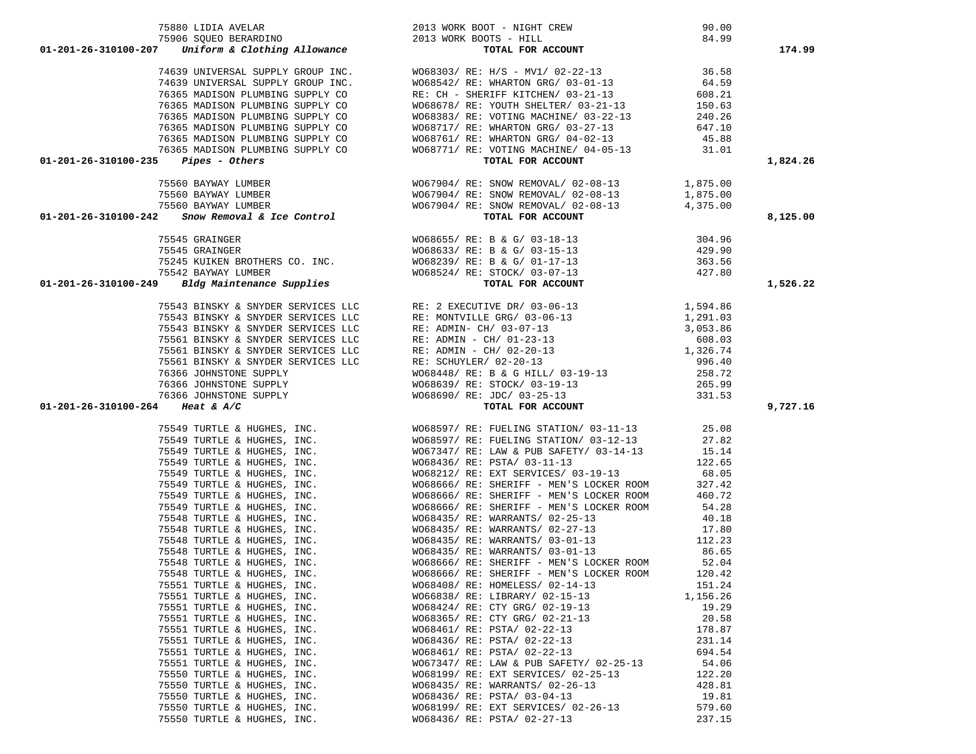| 75906 SQUEO BERARDINO 2013 WORK BOOTS - HILL 01-201-26-310100-207 <i>Uniform &amp; Clothing Allowance</i>                                                                                                                                  | POTS - HILL 84.99<br><b>TOTAL FOR ACCOUNT</b>                                                                                                                                |                   | 174.99   |
|--------------------------------------------------------------------------------------------------------------------------------------------------------------------------------------------------------------------------------------------|------------------------------------------------------------------------------------------------------------------------------------------------------------------------------|-------------------|----------|
|                                                                                                                                                                                                                                            |                                                                                                                                                                              |                   |          |
|                                                                                                                                                                                                                                            |                                                                                                                                                                              |                   |          |
|                                                                                                                                                                                                                                            |                                                                                                                                                                              |                   |          |
|                                                                                                                                                                                                                                            |                                                                                                                                                                              |                   |          |
|                                                                                                                                                                                                                                            |                                                                                                                                                                              |                   |          |
|                                                                                                                                                                                                                                            |                                                                                                                                                                              |                   |          |
|                                                                                                                                                                                                                                            |                                                                                                                                                                              |                   |          |
|                                                                                                                                                                                                                                            |                                                                                                                                                                              |                   |          |
|                                                                                                                                                                                                                                            |                                                                                                                                                                              |                   |          |
|                                                                                                                                                                                                                                            |                                                                                                                                                                              |                   | 1,824.26 |
|                                                                                                                                                                                                                                            |                                                                                                                                                                              |                   |          |
|                                                                                                                                                                                                                                            |                                                                                                                                                                              |                   |          |
|                                                                                                                                                                                                                                            |                                                                                                                                                                              |                   |          |
|                                                                                                                                                                                                                                            |                                                                                                                                                                              |                   | 8,125.00 |
| $(1-201-26-310100-242$ Fisch Barry Mour Monten Supply GROUP INC.<br>1639 UNIVERSAL SUPPLY GROUP INC.<br>164.59<br>1636 MADISON PLUMENNG SUPPLY CONNECTIBITY OF RESP. WHAT ON GROUP INC.<br>164.59<br>164.59<br>16365 MADISON PLUMENNG SUP  |                                                                                                                                                                              |                   |          |
| 75545 GRAINGER WO68655/RE: B & G/03-18-13<br>75545 GRAINGER WO68653/RE: B & G/03-15-13<br>75245 KUIKEN BROTHERS CO. INC. WO68633/RE: B & G/01-17-13<br>75542 BAYWAY LUMBER 75542 AVAINT TOTAL FOR ACCOUNT<br>01-201-26-310100-249 Bldg Mai |                                                                                                                                                                              |                   |          |
|                                                                                                                                                                                                                                            |                                                                                                                                                                              |                   |          |
|                                                                                                                                                                                                                                            |                                                                                                                                                                              |                   |          |
|                                                                                                                                                                                                                                            |                                                                                                                                                                              |                   |          |
|                                                                                                                                                                                                                                            |                                                                                                                                                                              |                   | 1,526.22 |
|                                                                                                                                                                                                                                            |                                                                                                                                                                              |                   |          |
|                                                                                                                                                                                                                                            |                                                                                                                                                                              |                   |          |
|                                                                                                                                                                                                                                            |                                                                                                                                                                              |                   |          |
|                                                                                                                                                                                                                                            |                                                                                                                                                                              |                   |          |
|                                                                                                                                                                                                                                            |                                                                                                                                                                              |                   |          |
|                                                                                                                                                                                                                                            |                                                                                                                                                                              |                   |          |
|                                                                                                                                                                                                                                            |                                                                                                                                                                              |                   |          |
|                                                                                                                                                                                                                                            |                                                                                                                                                                              |                   |          |
|                                                                                                                                                                                                                                            |                                                                                                                                                                              |                   |          |
|                                                                                                                                                                                                                                            |                                                                                                                                                                              |                   |          |
| 01-201-26-310100-264 Heat & A/C                                                                                                                                                                                                            |                                                                                                                                                                              |                   | 9,727.16 |
|                                                                                                                                                                                                                                            |                                                                                                                                                                              |                   |          |
|                                                                                                                                                                                                                                            |                                                                                                                                                                              |                   |          |
|                                                                                                                                                                                                                                            |                                                                                                                                                                              |                   |          |
|                                                                                                                                                                                                                                            |                                                                                                                                                                              |                   |          |
|                                                                                                                                                                                                                                            |                                                                                                                                                                              |                   |          |
|                                                                                                                                                                                                                                            |                                                                                                                                                                              |                   |          |
|                                                                                                                                                                                                                                            |                                                                                                                                                                              |                   |          |
|                                                                                                                                                                                                                                            |                                                                                                                                                                              |                   |          |
|                                                                                                                                                                                                                                            |                                                                                                                                                                              |                   |          |
|                                                                                                                                                                                                                                            |                                                                                                                                                                              |                   |          |
|                                                                                                                                                                                                                                            |                                                                                                                                                                              |                   |          |
|                                                                                                                                                                                                                                            |                                                                                                                                                                              |                   |          |
|                                                                                                                                                                                                                                            |                                                                                                                                                                              |                   |          |
|                                                                                                                                                                                                                                            |                                                                                                                                                                              |                   |          |
|                                                                                                                                                                                                                                            | 75551 TURTLE & HUGHES, INC. WO68408/ RE: HOMELESS/ 02-14-13                                                                                                                  | 151.24            |          |
|                                                                                                                                                                                                                                            |                                                                                                                                                                              |                   |          |
| 75551 TURTLE & HUGHES, INC.<br>75551 TURTLE & HUGHES, INC.                                                                                                                                                                                 | WO66838/ RE: LIBRARY/ 02-15-13                                                                                                                                               | 1,156.26<br>19.29 |          |
| 75551 TURTLE & HUGHES, INC.                                                                                                                                                                                                                | wo68424/ RE: CTY GRG/ 02-19-13<br>WO68365/ RE: CTY GRG/ 02-21-13                                                                                                             | 20.58             |          |
| 75551 TURTLE & HUGHES, INC.                                                                                                                                                                                                                | W068461/ RE: PSTA/ 02-22-13                                                                                                                                                  | 178.87            |          |
| 75551 TURTLE & HUGHES, INC.                                                                                                                                                                                                                | W068436/ RE: PSTA/ 02-22-13                                                                                                                                                  | 231.14            |          |
| 75551 TURTLE & HUGHES, INC.                                                                                                                                                                                                                | WO68461/ RE: PSTA/ 02-22-13                                                                                                                                                  | 694.54            |          |
| 75551 TURTLE & HUGHES, INC.                                                                                                                                                                                                                | WO67347/ RE: LAW & PUB SAFETY/ 02-25-13                                                                                                                                      | 54.06             |          |
| 75550 TURTLE & HUGHES, INC.                                                                                                                                                                                                                | WO68199/ RE: EXT SERVICES/ 02-25-13                                                                                                                                          | 122.20            |          |
| 75550 TURTLE & HUGHES, INC.                                                                                                                                                                                                                |                                                                                                                                                                              |                   |          |
| 75550 TURTLE & HUGHES, INC.                                                                                                                                                                                                                |                                                                                                                                                                              |                   |          |
| 75550 TURTLE & HUGHES, INC.                                                                                                                                                                                                                |                                                                                                                                                                              |                   |          |
| 75550 TURTLE & HUGHES, INC.                                                                                                                                                                                                                | WO68435/RE: WARRANTS/02-26-13<br>WO68436/RE: PSTA/03-04-13<br>WO68436/RE: PSTA/03-04-13<br>WO68199/RE: EXT SERVICES/02-26-13<br>T9.60<br>WO68436/RE: PSTA/02-27-13<br>237.15 |                   |          |

75880 LIDIA AVELAR 2013 WORK BOOT - NIGHT CREW 90.00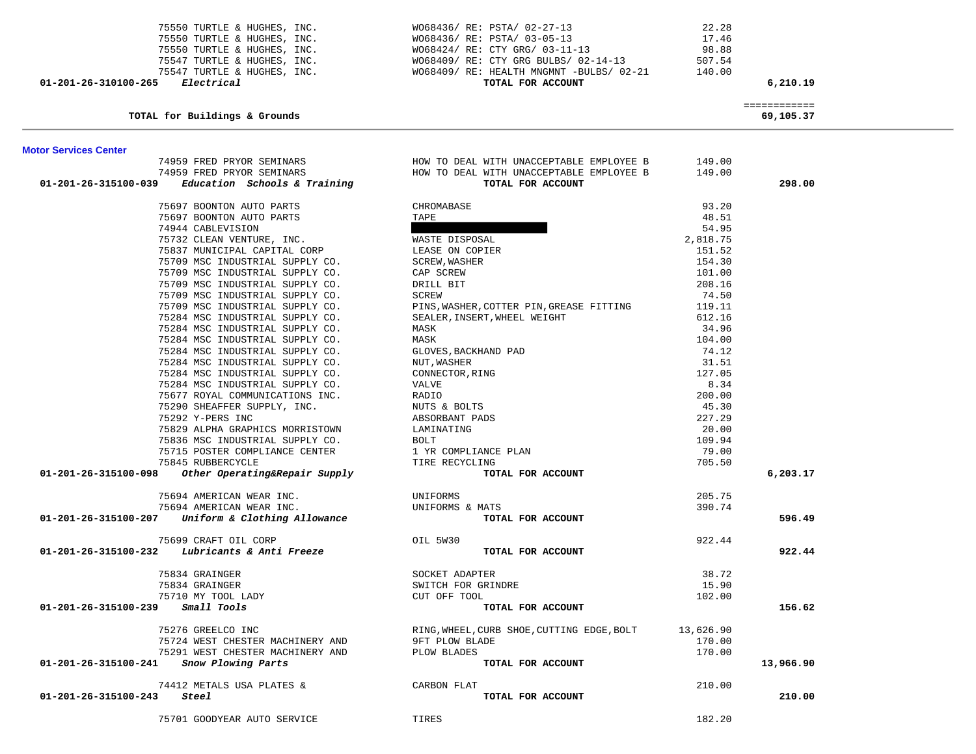| 75550 TURTLE & HUGHES, INC.<br>75550 TURTLE & HUGHES, INC.<br>75550 TURTLE & HUGHES, INC.<br>75547 TURTLE & HUGHES, INC.<br>75547 TURTLE & HUGHES, INC.<br>Electrical<br>01-201-26-310100-265 | W068436/ RE: PSTA/ 02-27-13<br>W068436/ RE: PSTA/ 03-05-13<br>W068424/ RE: CTY GRG/ 03-11-13<br>W068409/ RE: CTY GRG BULBS/ 02-14-13<br>W068409/ RE: HEALTH MNGMNT -BULBS/ 02-21<br>TOTAL FOR ACCOUNT | 22.28<br>17.46<br>98.88<br>507.54<br>140.00 | 6,210.19                  |  |
|-----------------------------------------------------------------------------------------------------------------------------------------------------------------------------------------------|-------------------------------------------------------------------------------------------------------------------------------------------------------------------------------------------------------|---------------------------------------------|---------------------------|--|
| TOTAL for Buildings & Grounds                                                                                                                                                                 |                                                                                                                                                                                                       |                                             | ============<br>69,105.37 |  |
| <b>Motor Services Center</b>                                                                                                                                                                  |                                                                                                                                                                                                       |                                             |                           |  |
|                                                                                                                                                                                               | $74959$ FRED PRYOR SEMINARS $$\tt HOW$$ TO DEAL WITH UNACCEPTABLE EMPLOYEE B $74959$ FRED PRYOR SEMINARS $$\tt HOW$$ TO DEAL WITH UNACCEPTABLE EMPLOYEE B                                             | 149.00                                      |                           |  |
|                                                                                                                                                                                               |                                                                                                                                                                                                       | 149.00                                      |                           |  |
| $01-201-26-315100-039$ Education Schools & Training                                                                                                                                           | TOTAL FOR ACCOUNT                                                                                                                                                                                     |                                             | 298.00                    |  |
| 75697 BOONTON AUTO PARTS                                                                                                                                                                      | CHROMABASE                                                                                                                                                                                            | 93.20                                       |                           |  |
| 75697 BOONTON AUTO PARTS                                                                                                                                                                      | TAPE                                                                                                                                                                                                  | 48.51                                       |                           |  |
| 74944 CABLEVISION                                                                                                                                                                             |                                                                                                                                                                                                       | 54.95                                       |                           |  |
| 75732 CLEAN VENTURE, INC.                                                                                                                                                                     | WASTE DISPOSAL                                                                                                                                                                                        | 2,818.75                                    |                           |  |
| 75837 MUNICIPAL CAPITAL CORP                                                                                                                                                                  | LEASE ON COPIER                                                                                                                                                                                       | 151.52                                      |                           |  |
| 75709 MSC INDUSTRIAL SUPPLY CO.                                                                                                                                                               | SCREW, WASHER                                                                                                                                                                                         | 154.30                                      |                           |  |
| 75709 MSC INDUSTRIAL SUPPLY CO.                                                                                                                                                               | CAP SCREW                                                                                                                                                                                             | 101.00                                      |                           |  |
| 75709 MSC INDUSTRIAL SUPPLY CO.                                                                                                                                                               | DRILL BIT                                                                                                                                                                                             | 208.16<br>74.50                             |                           |  |
| 75709 MSC INDUSTRIAL SUPPLY CO.<br>75709 MSC INDUSTRIAL SUPPLY CO.                                                                                                                            | SCREW<br>PINS, WASHER, COTTER PIN, GREASE FITTING                                                                                                                                                     | 119.11                                      |                           |  |
| 75284 MSC INDUSTRIAL SUPPLY CO.                                                                                                                                                               | SEALER, INSERT, WHEEL WEIGHT                                                                                                                                                                          | 612.16                                      |                           |  |
| 75284 MSC INDUSTRIAL SUPPLY CO.                                                                                                                                                               | MASK                                                                                                                                                                                                  | 34.96                                       |                           |  |
| 75284 MSC INDUSTRIAL SUPPLY CO.                                                                                                                                                               | MASK                                                                                                                                                                                                  | 104.00                                      |                           |  |
| 75284 MSC INDUSTRIAL SUPPLY CO.                                                                                                                                                               | GLOVES, BACKHAND PAD                                                                                                                                                                                  | 74.12                                       |                           |  |
| 75284 MSC INDUSTRIAL SUPPLY CO.                                                                                                                                                               | NUT, WASHER                                                                                                                                                                                           | 31.51                                       |                           |  |
| 75284 MSC INDUSTRIAL SUPPLY CO.                                                                                                                                                               | CONNECTOR, RING                                                                                                                                                                                       | 127.05                                      |                           |  |
| 75284 MSC INDUSTRIAL SUPPLY CO.                                                                                                                                                               | VALVE                                                                                                                                                                                                 | 8.34                                        |                           |  |
| 75677 ROYAL COMMUNICATIONS INC.                                                                                                                                                               | RADIO                                                                                                                                                                                                 | 200.00                                      |                           |  |
| 75290 SHEAFFER SUPPLY, INC.                                                                                                                                                                   | NUTS & BOLTS                                                                                                                                                                                          | 45.30                                       |                           |  |
| 75292 Y-PERS INC                                                                                                                                                                              | ABSORBANT PADS                                                                                                                                                                                        | 227.29                                      |                           |  |
| 75829 ALPHA GRAPHICS MORRISTOWN                                                                                                                                                               | LAMINATING                                                                                                                                                                                            | 20.00                                       |                           |  |
| 75836 MSC INDUSTRIAL SUPPLY CO.                                                                                                                                                               | BOLT                                                                                                                                                                                                  | 109.94                                      |                           |  |
| 75715 POSTER COMPLIANCE CENTER                                                                                                                                                                | 1 YR COMPLIANCE PLAN                                                                                                                                                                                  | 79.00                                       |                           |  |
| 75845 RUBBERCYCLE<br>$01-201-26-315100-098$ Other Operating&Repair Supply                                                                                                                     | TIRE RECYCLING<br>TOTAL FOR ACCOUNT                                                                                                                                                                   | 705.50                                      | 6,203.17                  |  |
|                                                                                                                                                                                               |                                                                                                                                                                                                       |                                             |                           |  |
| 75694 AMERICAN WEAR INC.                                                                                                                                                                      | UNIFORMS<br>UNIFORMS                                                                                                                                                                                  | 205.75                                      |                           |  |
| 75694 AMERICAN WEAR INC.                                                                                                                                                                      | UNIFORMS & MATS                                                                                                                                                                                       | 390.74                                      |                           |  |
| 01-201-26-315100-207 Uniform & Clothing Allowance                                                                                                                                             | TOTAL FOR ACCOUNT                                                                                                                                                                                     |                                             | 596.49                    |  |
| 75699 CRAFT OIL CORP                                                                                                                                                                          | OIL 5W30                                                                                                                                                                                              | 922.44                                      |                           |  |
| $01-201-26-315100-232$ Lubricants & Anti Freeze                                                                                                                                               | TOTAL FOR ACCOUNT                                                                                                                                                                                     |                                             | 922.44                    |  |
| 75834 GRAINGER                                                                                                                                                                                | SOCKET ADAPTER                                                                                                                                                                                        | 38.72                                       |                           |  |
| 75834 GRAINGER                                                                                                                                                                                | SWITCH FOR GRINDRE                                                                                                                                                                                    | 15.90                                       |                           |  |
| 75710 MY TOOL LADY                                                                                                                                                                            | CUT OFF TOOL                                                                                                                                                                                          | 102.00                                      |                           |  |
| Small Tools<br>01-201-26-315100-239                                                                                                                                                           | TOTAL FOR ACCOUNT                                                                                                                                                                                     |                                             | 156.62                    |  |
|                                                                                                                                                                                               |                                                                                                                                                                                                       |                                             |                           |  |
| 75276 GREELCO INC                                                                                                                                                                             | RING, WHEEL, CURB SHOE, CUTTING EDGE, BOLT                                                                                                                                                            | 13,626.90                                   |                           |  |
| 75724 WEST CHESTER MACHINERY AND<br>75291 WEST CHESTER MACHINERY AND                                                                                                                          | <b>9FT PLOW BLADE</b><br>PLOW BLADES                                                                                                                                                                  | 170.00<br>170.00                            |                           |  |
| Snow Plowing Parts<br>01-201-26-315100-241                                                                                                                                                    | TOTAL FOR ACCOUNT                                                                                                                                                                                     |                                             | 13,966.90                 |  |
|                                                                                                                                                                                               |                                                                                                                                                                                                       |                                             |                           |  |
| 74412 METALS USA PLATES &                                                                                                                                                                     | CARBON FLAT                                                                                                                                                                                           | 210.00                                      |                           |  |
| 01-201-26-315100-243<br>Steel                                                                                                                                                                 | TOTAL FOR ACCOUNT                                                                                                                                                                                     |                                             | 210.00                    |  |
| 75701 GOODYEAR AUTO SERVICE                                                                                                                                                                   | TIRES                                                                                                                                                                                                 | 182.20                                      |                           |  |
|                                                                                                                                                                                               |                                                                                                                                                                                                       |                                             |                           |  |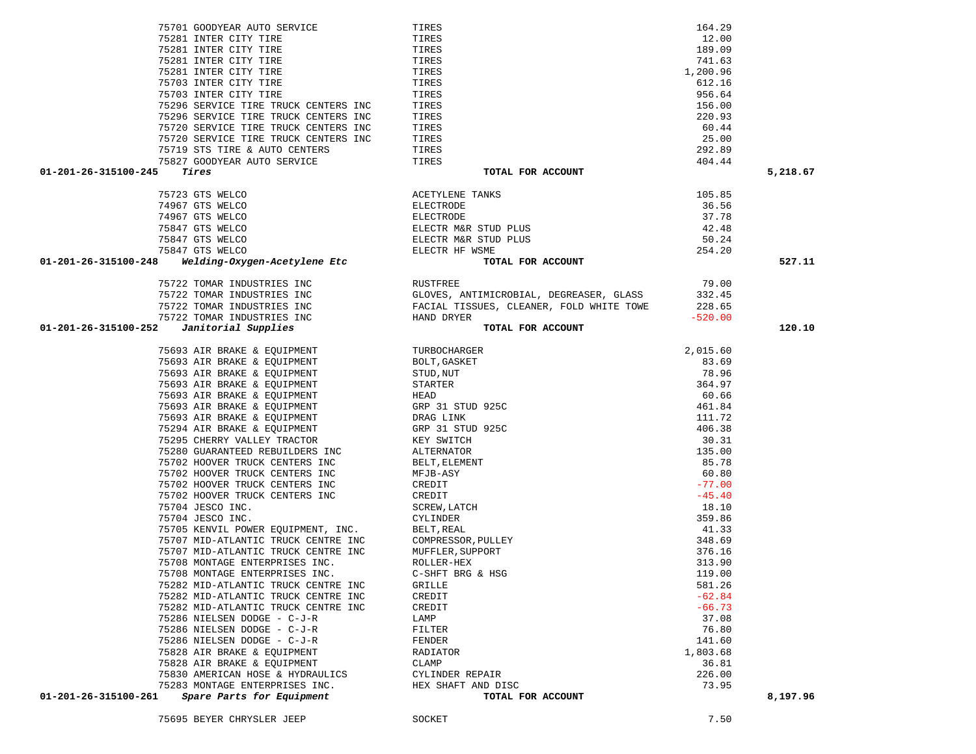|                      | 75701 GOODYEAR AUTO SERVICE          | TIRES                                                                                                                                                                                                                                                                    | 164.29    |          |
|----------------------|--------------------------------------|--------------------------------------------------------------------------------------------------------------------------------------------------------------------------------------------------------------------------------------------------------------------------|-----------|----------|
|                      | 75281 INTER CITY TIRE                | TIRES                                                                                                                                                                                                                                                                    | 12.00     |          |
|                      | 75281 INTER CITY TIRE                | TIRES                                                                                                                                                                                                                                                                    | 189.09    |          |
|                      | 75281 INTER CITY TIRE                | TIRES                                                                                                                                                                                                                                                                    | 741.63    |          |
|                      | 75281 INTER CITY TIRE                | TIRES                                                                                                                                                                                                                                                                    | 1,200.96  |          |
|                      | 75703 INTER CITY TIRE                | TIRES                                                                                                                                                                                                                                                                    | 612.16    |          |
|                      | 75703 INTER CITY TIRE                | TIRES                                                                                                                                                                                                                                                                    | 956.64    |          |
|                      | 75296 SERVICE TIRE TRUCK CENTERS INC | TIRES                                                                                                                                                                                                                                                                    | 156.00    |          |
|                      | 75296 SERVICE TIRE TRUCK CENTERS INC | TIRES                                                                                                                                                                                                                                                                    | 220.93    |          |
|                      | 75720 SERVICE TIRE TRUCK CENTERS INC | TIRES                                                                                                                                                                                                                                                                    | 60.44     |          |
|                      | 75720 SERVICE TIRE TRUCK CENTERS INC | TIRES                                                                                                                                                                                                                                                                    | 25.00     |          |
|                      | 75719 STS TIRE & AUTO CENTERS        | TIRES                                                                                                                                                                                                                                                                    | 292.89    |          |
|                      | 75827 GOODYEAR AUTO SERVICE          | TIRES                                                                                                                                                                                                                                                                    | 404.44    |          |
| 01-201-26-315100-245 | Tires                                | TOTAL FOR ACCOUNT                                                                                                                                                                                                                                                        |           | 5,218.67 |
|                      | 75723 GTS WELCO                      |                                                                                                                                                                                                                                                                          | 105.85    |          |
|                      | 74967 GTS WELCO                      |                                                                                                                                                                                                                                                                          | 36.56     |          |
|                      | 74967 GTS WELCO                      |                                                                                                                                                                                                                                                                          | 37.78     |          |
|                      | 75847 GTS WELCO                      |                                                                                                                                                                                                                                                                          | 42.48     |          |
|                      | 75847 GTS WELCO                      |                                                                                                                                                                                                                                                                          | 50.24     |          |
|                      | 75847 GTS WELCO                      |                                                                                                                                                                                                                                                                          | 254.20    |          |
| 01-201-26-315100-248 | Welding-Oxygen-Acetylene Etc         | AUDITIONS TANKS<br>ELECTRODE<br>ELECTR M&R STUD PLUS<br>ELECTR M&R STUD PLUS<br>ELECTR M&R STUD PLUS<br>ELECTR HF WSME<br>TOTAL FOR ACCOUNT                                                                                                                              |           | 527.11   |
|                      |                                      |                                                                                                                                                                                                                                                                          |           |          |
|                      | 75722 TOMAR INDUSTRIES INC           | RUSTFREE                                                                                                                                                                                                                                                                 | 79.00     |          |
|                      | 75722 TOMAR INDUSTRIES INC           | GLOVES, ANTIMICROBIAL, DEGREASER, GLASS                                                                                                                                                                                                                                  | 332.45    |          |
|                      | 75722 TOMAR INDUSTRIES INC           | FACIAL TISSUES, CLEANER, FOLD WHITE TOWE                                                                                                                                                                                                                                 | 228.65    |          |
|                      | 75722 TOMAR INDUSTRIES INC           | HAND DRYER                                                                                                                                                                                                                                                               | $-520.00$ |          |
| 01-201-26-315100-252 | Janitorial Supplies                  | TOTAL FOR ACCOUNT                                                                                                                                                                                                                                                        |           | 120.10   |
|                      | 75693 AIR BRAKE & EQUIPMENT          | TURBOCHARGER<br>BOLT, GASKET<br>STUD, NUT<br>STARTER<br>HEAD<br>HEAD<br>GRP 31 STUD 925C<br>DRAG LINK<br>GRP 31 STUD 925C<br>NET STARTER<br>ALTERNATOR<br>BELT, ELEMENT<br>CREDIT<br>CREDIT<br>CREDIT<br>CREDIT<br>CREDIT<br>CREDIT<br>CREDIT<br>CREDIT<br>CREDIT<br>CRE | 2,015.60  |          |
|                      | 75693 AIR BRAKE & EQUIPMENT          |                                                                                                                                                                                                                                                                          | 83.69     |          |
|                      | 75693 AIR BRAKE & EQUIPMENT          |                                                                                                                                                                                                                                                                          | 78.96     |          |
|                      | 75693 AIR BRAKE & EQUIPMENT          |                                                                                                                                                                                                                                                                          | 364.97    |          |
|                      | 75693 AIR BRAKE & EQUIPMENT          |                                                                                                                                                                                                                                                                          | 60.66     |          |
|                      | 75693 AIR BRAKE & EQUIPMENT          |                                                                                                                                                                                                                                                                          | 461.84    |          |
|                      | 75693 AIR BRAKE & EQUIPMENT          |                                                                                                                                                                                                                                                                          | 111.72    |          |
|                      | 75294 AIR BRAKE & EQUIPMENT          |                                                                                                                                                                                                                                                                          | 406.38    |          |
|                      | 75295 CHERRY VALLEY TRACTOR          |                                                                                                                                                                                                                                                                          | 30.31     |          |
|                      | 75280 GUARANTEED REBUILDERS INC      |                                                                                                                                                                                                                                                                          | 135.00    |          |
|                      | 75702 HOOVER TRUCK CENTERS INC       |                                                                                                                                                                                                                                                                          | 85.78     |          |
|                      | 75702 HOOVER TRUCK CENTERS INC       |                                                                                                                                                                                                                                                                          | 60.80     |          |
|                      | 75702 HOOVER TRUCK CENTERS INC       |                                                                                                                                                                                                                                                                          | $-77.00$  |          |
|                      | 75702 HOOVER TRUCK CENTERS INC       |                                                                                                                                                                                                                                                                          | $-45.40$  |          |
|                      | 75704 JESCO INC.                     |                                                                                                                                                                                                                                                                          | 18.10     |          |
|                      | 75704 JESCO INC.                     |                                                                                                                                                                                                                                                                          | 359.86    |          |
|                      | 75705 KENVIL POWER EQUIPMENT, INC.   |                                                                                                                                                                                                                                                                          | 41.33     |          |
|                      | 75707 MID-ATLANTIC TRUCK CENTRE INC  |                                                                                                                                                                                                                                                                          | 348.69    |          |
|                      | 75707 MID-ATLANTIC TRUCK CENTRE INC  |                                                                                                                                                                                                                                                                          | 376.16    |          |
|                      | 75708 MONTAGE ENTERPRISES INC.       |                                                                                                                                                                                                                                                                          | 313.90    |          |
|                      | 75708 MONTAGE ENTERPRISES INC.       | C-SHFT BRG & HSG                                                                                                                                                                                                                                                         | 119.00    |          |
|                      | 75282 MID-ATLANTIC TRUCK CENTRE INC  | GRILLE                                                                                                                                                                                                                                                                   | 581.26    |          |
|                      | 75282 MID-ATLANTIC TRUCK CENTRE INC  | CREDIT                                                                                                                                                                                                                                                                   | $-62.84$  |          |
|                      | 75282 MID-ATLANTIC TRUCK CENTRE INC  | CREDIT                                                                                                                                                                                                                                                                   | $-66.73$  |          |
|                      | 75286 NIELSEN DODGE - C-J-R          | LAMP                                                                                                                                                                                                                                                                     | 37.08     |          |
|                      | 75286 NIELSEN DODGE - C-J-R          | FILTER                                                                                                                                                                                                                                                                   | 76.80     |          |
|                      | 75286 NIELSEN DODGE - C-J-R          | FENDER                                                                                                                                                                                                                                                                   | 141.60    |          |
|                      | 75828 AIR BRAKE & EQUIPMENT          | RADIATOR                                                                                                                                                                                                                                                                 | 1,803.68  |          |
|                      | 75828 AIR BRAKE & EQUIPMENT          | CLAMP                                                                                                                                                                                                                                                                    | 36.81     |          |
|                      | 75830 AMERICAN HOSE & HYDRAULICS     | CYLINDER REPAIR                                                                                                                                                                                                                                                          | 226.00    |          |
|                      | 75283 MONTAGE ENTERPRISES INC.       | HEX SHAFT AND DISC                                                                                                                                                                                                                                                       | 73.95     |          |
| 01-201-26-315100-261 | Spare Parts for Equipment            | TOTAL FOR ACCOUNT                                                                                                                                                                                                                                                        |           | 8,197.96 |
|                      | 75695 BEYER CHRYSLER JEEP            | SOCKET                                                                                                                                                                                                                                                                   | 7.50      |          |
|                      |                                      |                                                                                                                                                                                                                                                                          |           |          |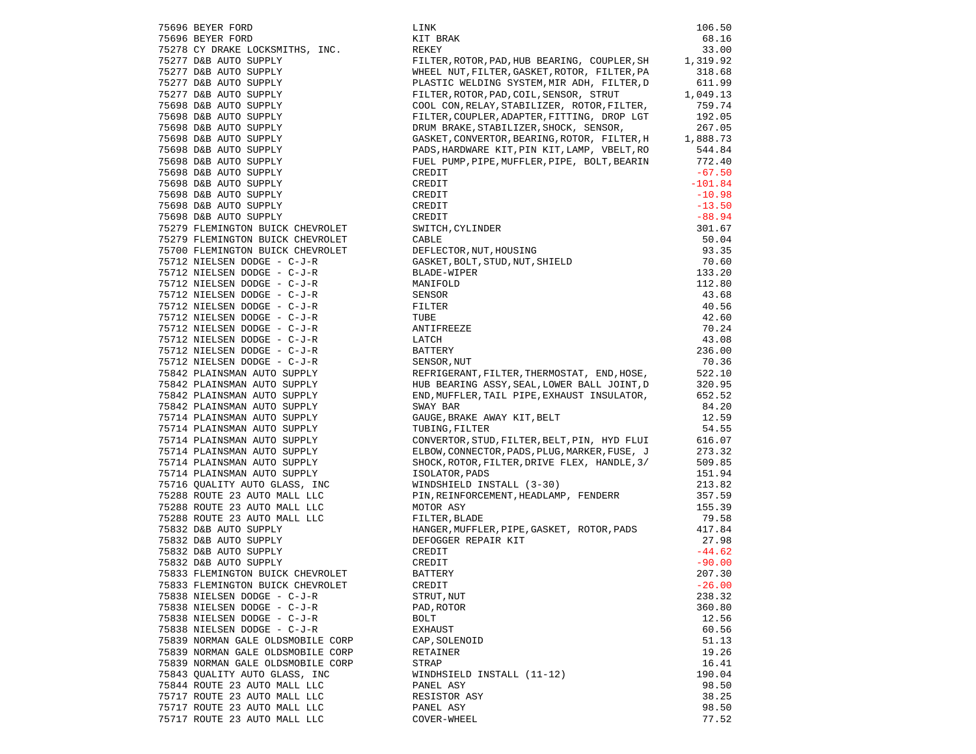|                                                                                                                                                                                                                                                              | LINK                                                                                                                                                                                                                                                             | 106.50    |
|--------------------------------------------------------------------------------------------------------------------------------------------------------------------------------------------------------------------------------------------------------------|------------------------------------------------------------------------------------------------------------------------------------------------------------------------------------------------------------------------------------------------------------------|-----------|
|                                                                                                                                                                                                                                                              | KIT BRAK                                                                                                                                                                                                                                                         | 68.16     |
| 75696 BEYER FORD<br>75696 BEYER FORD<br>75278 CY DRAKE LOCKSMITHS, INC.                                                                                                                                                                                      | REKEY                                                                                                                                                                                                                                                            | 33.00     |
|                                                                                                                                                                                                                                                              | FILTER, ROTOR, PAD, HUB BEARING, COUPLER, SH 1, 319.92                                                                                                                                                                                                           |           |
| 75277 D&B AUTO SUPPLY                                                                                                                                                                                                                                        |                                                                                                                                                                                                                                                                  |           |
|                                                                                                                                                                                                                                                              | WHEEL NUT, FILTER, GASKET, ROTOR, FILTER, PA                                                                                                                                                                                                                     | 318.68    |
| 75277 D&B AUTO SUPPLY<br>75277 D&B AUTO SUPPLY<br>75277 D&B AUTO SUPPLY<br>75277 D&B AUTO SUPPLY<br>75698 D&B AUTO SUPPLY<br>75698 D&B AUTO SUPPLY<br>75698 D&B AUTO SUPPLY<br>75698 D&B AUTO SUPPLY<br>75698 D&B AUTO SUPPLY<br>75698 D&B AUTO SUPPLY<br>75 | PLASTIC WELDING SYSTEM, MIR ADH, FILTER, D                                                                                                                                                                                                                       | 611.99    |
|                                                                                                                                                                                                                                                              | FILTER, ROTOR, PAD, COIL, SENSOR, STRUT 1, 049.13<br>COOL CON, RELAY, STABILIZER, ROTOR, FILTER, 759.74                                                                                                                                                          |           |
|                                                                                                                                                                                                                                                              |                                                                                                                                                                                                                                                                  |           |
|                                                                                                                                                                                                                                                              | FILTER, COUPLER, ADAPTER, FITTING, DROP LGT                                                                                                                                                                                                                      | 192.05    |
|                                                                                                                                                                                                                                                              |                                                                                                                                                                                                                                                                  |           |
|                                                                                                                                                                                                                                                              | DRUM BRAKE, STABILIZER, SHOCK, SENSOR,                                                                                                                                                                                                                           | 267.05    |
|                                                                                                                                                                                                                                                              | GASKET, CONVERTOR, BEARING, ROTOR, FILTER, H 1,888.73<br>PADS, HARDWARE KIT, PIN KIT, LAMP, VBELT, RO 544.84                                                                                                                                                     |           |
|                                                                                                                                                                                                                                                              |                                                                                                                                                                                                                                                                  |           |
|                                                                                                                                                                                                                                                              | FUEL PUMP, PIPE, MUFFLER, PIPE, BOLT, BEARIN 772.40                                                                                                                                                                                                              |           |
|                                                                                                                                                                                                                                                              |                                                                                                                                                                                                                                                                  |           |
|                                                                                                                                                                                                                                                              |                                                                                                                                                                                                                                                                  | $-67.50$  |
|                                                                                                                                                                                                                                                              |                                                                                                                                                                                                                                                                  | $-101.84$ |
|                                                                                                                                                                                                                                                              |                                                                                                                                                                                                                                                                  | $-10.98$  |
|                                                                                                                                                                                                                                                              |                                                                                                                                                                                                                                                                  | $-13.50$  |
|                                                                                                                                                                                                                                                              |                                                                                                                                                                                                                                                                  | $-88.94$  |
|                                                                                                                                                                                                                                                              |                                                                                                                                                                                                                                                                  |           |
| 75279 FLEMINGTON BUICK CHEVROLET                                                                                                                                                                                                                             |                                                                                                                                                                                                                                                                  | 301.67    |
| 75279 FLEMINGTON BUICK CHEVROLET                                                                                                                                                                                                                             |                                                                                                                                                                                                                                                                  | 50.04     |
| 75700 FLEMINGTON BUICK CHEVROLET<br>75712 NIELSEN DODGE - C-J-R                                                                                                                                                                                              |                                                                                                                                                                                                                                                                  | 93.35     |
|                                                                                                                                                                                                                                                              |                                                                                                                                                                                                                                                                  | 70.60     |
| 75712 NIELSEN DODGE - C-J-R                                                                                                                                                                                                                                  |                                                                                                                                                                                                                                                                  | 133.20    |
|                                                                                                                                                                                                                                                              |                                                                                                                                                                                                                                                                  |           |
|                                                                                                                                                                                                                                                              |                                                                                                                                                                                                                                                                  | 112.80    |
|                                                                                                                                                                                                                                                              |                                                                                                                                                                                                                                                                  | 43.68     |
| <sup>75712</sup> NIELSEN DODGE - C-J-R<br>75712 NIELSEN DODGE - C-J-R<br>75712 NIELSEN DODGE - C-J-R<br>75712 NIELSEN DODGE - C-J-R<br>75712 NIELSEN DODGE - C-J-R<br>75712 NIELSEN DODGE - C-J-R<br>75712 NIELSEN DODGE - C-J-R<br>75712 NIELSEN DODGE - C- |                                                                                                                                                                                                                                                                  | 40.56     |
|                                                                                                                                                                                                                                                              |                                                                                                                                                                                                                                                                  | 42.60     |
|                                                                                                                                                                                                                                                              |                                                                                                                                                                                                                                                                  | 70.24     |
|                                                                                                                                                                                                                                                              |                                                                                                                                                                                                                                                                  |           |
|                                                                                                                                                                                                                                                              |                                                                                                                                                                                                                                                                  | 43.08     |
| 75712 NIELSEN DODGE - C-J-R<br>75712 NIELSEN DODGE - C-J-R<br>75842 PLAINSMAN AUTO SUPPLY<br>75842 PLAINSMAN AUTO SUPPLY                                                                                                                                     | DS, HARDWINDER, NUFFLER, AND REDIT<br>REDIT<br>REDIT<br>REDIT<br>REDIT<br>CREDIT<br>CREDIT<br>CREDIT<br>CREDIT<br>SWITCH, CYLINDER<br>CABLE<br>DEFLECTOR, NUT, HOUSING<br>GASKET, BOLT, STUD, NUT, SHIELD<br>BLADE-WIPER<br>MANIFOLD<br>SENSOR<br>FILTER<br>MANI | 236.00    |
|                                                                                                                                                                                                                                                              |                                                                                                                                                                                                                                                                  | 70.36     |
|                                                                                                                                                                                                                                                              | REFRIGERANT, FILTER, THERMOSTAT, END, HOSE,                                                                                                                                                                                                                      | 522.10    |
|                                                                                                                                                                                                                                                              | HUB BEARING ASSY, SEAL, LOWER BALL JOINT, D 320.95                                                                                                                                                                                                               |           |
|                                                                                                                                                                                                                                                              |                                                                                                                                                                                                                                                                  |           |
| 75842 PLAINSMAN AUTO SUPPLY<br>75842 PLAINSMAN AUTO SUPPLY<br>75842 PLAINSMAN AUTO SUPPLY                                                                                                                                                                    | END, MUFFLER, TAIL PIPE, EXHAUST INSULATOR, 652.52                                                                                                                                                                                                               |           |
|                                                                                                                                                                                                                                                              | SWAY BAR                                                                                                                                                                                                                                                         | 84.20     |
|                                                                                                                                                                                                                                                              | GAUGE, BRAKE AWAY KIT, BELT                                                                                                                                                                                                                                      | 12.59     |
|                                                                                                                                                                                                                                                              | TUBING, FILTER                                                                                                                                                                                                                                                   | 54.55     |
| 75714 PLAINSMAN AUTO SUPPLY<br>75714 PLAINSMAN AUTO SUPPLY<br>75714 PLAINSMAN AUTO SUPPLY<br>75714 PLAINSMAN AUTO SUPPLY<br>75714 PLAINSMAN AUTO SUPPLY<br>75714 PLAINSMAN AUTO SUPPLY<br>75714 PLAINSMAN AUTO SUPPLY                                        |                                                                                                                                                                                                                                                                  |           |
|                                                                                                                                                                                                                                                              |                                                                                                                                                                                                                                                                  |           |
|                                                                                                                                                                                                                                                              |                                                                                                                                                                                                                                                                  |           |
|                                                                                                                                                                                                                                                              |                                                                                                                                                                                                                                                                  |           |
|                                                                                                                                                                                                                                                              |                                                                                                                                                                                                                                                                  |           |
|                                                                                                                                                                                                                                                              |                                                                                                                                                                                                                                                                  |           |
|                                                                                                                                                                                                                                                              |                                                                                                                                                                                                                                                                  |           |
|                                                                                                                                                                                                                                                              |                                                                                                                                                                                                                                                                  |           |
|                                                                                                                                                                                                                                                              |                                                                                                                                                                                                                                                                  |           |
|                                                                                                                                                                                                                                                              |                                                                                                                                                                                                                                                                  |           |
|                                                                                                                                                                                                                                                              |                                                                                                                                                                                                                                                                  |           |
|                                                                                                                                                                                                                                                              |                                                                                                                                                                                                                                                                  |           |
|                                                                                                                                                                                                                                                              |                                                                                                                                                                                                                                                                  |           |
|                                                                                                                                                                                                                                                              |                                                                                                                                                                                                                                                                  |           |
|                                                                                                                                                                                                                                                              |                                                                                                                                                                                                                                                                  |           |
|                                                                                                                                                                                                                                                              |                                                                                                                                                                                                                                                                  |           |
| 75833 FLEMINGTON BUICK CHEVROLET                                                                                                                                                                                                                             | CREDIT                                                                                                                                                                                                                                                           | $-26.00$  |
| 75838 NIELSEN DODGE - C-J-R                                                                                                                                                                                                                                  | STRUT, NUT                                                                                                                                                                                                                                                       | 238.32    |
|                                                                                                                                                                                                                                                              |                                                                                                                                                                                                                                                                  |           |
| 75838 NIELSEN DODGE - C-J-R                                                                                                                                                                                                                                  | PAD, ROTOR                                                                                                                                                                                                                                                       | 360.80    |
| 75838 NIELSEN DODGE - C-J-R                                                                                                                                                                                                                                  | BOLT                                                                                                                                                                                                                                                             | 12.56     |
| 75838 NIELSEN DODGE - C-J-R                                                                                                                                                                                                                                  | EXHAUST                                                                                                                                                                                                                                                          | 60.56     |
| 75839 NORMAN GALE OLDSMOBILE CORP                                                                                                                                                                                                                            | CAP, SOLENOID                                                                                                                                                                                                                                                    | 51.13     |
| 75839 NORMAN GALE OLDSMOBILE CORP                                                                                                                                                                                                                            | RETAINER                                                                                                                                                                                                                                                         | 19.26     |
|                                                                                                                                                                                                                                                              |                                                                                                                                                                                                                                                                  |           |
| 75839 NORMAN GALE OLDSMOBILE CORP                                                                                                                                                                                                                            | STRAP                                                                                                                                                                                                                                                            | 16.41     |
| 75843 OUALITY AUTO GLASS, INC                                                                                                                                                                                                                                | WINDHSIELD INSTALL (11-12)                                                                                                                                                                                                                                       | 190.04    |
| 75844 ROUTE 23 AUTO MALL LLC                                                                                                                                                                                                                                 | PANEL ASY                                                                                                                                                                                                                                                        | 98.50     |
| 75717 ROUTE 23 AUTO MALL LLC                                                                                                                                                                                                                                 | RESISTOR ASY                                                                                                                                                                                                                                                     | 38.25     |
| 75717 ROUTE 23 AUTO MALL LLC                                                                                                                                                                                                                                 | PANEL ASY                                                                                                                                                                                                                                                        | 98.50     |
|                                                                                                                                                                                                                                                              |                                                                                                                                                                                                                                                                  |           |
| 75717 ROUTE 23 AUTO MALL LLC                                                                                                                                                                                                                                 | COVER-WHEEL                                                                                                                                                                                                                                                      | 77.52     |

|                                                                                                                                                                                                                                                                                       | LINK                                                                                                                                                                                                                                                       | 106.50    |
|---------------------------------------------------------------------------------------------------------------------------------------------------------------------------------------------------------------------------------------------------------------------------------------|------------------------------------------------------------------------------------------------------------------------------------------------------------------------------------------------------------------------------------------------------------|-----------|
|                                                                                                                                                                                                                                                                                       | KIT BRAK                                                                                                                                                                                                                                                   | 68.16     |
| 75696 BEYER FORD<br>75696 BEYER FORD<br>75278 CY DRAKE LOCKSMITHS, INC.                                                                                                                                                                                                               | REKEY                                                                                                                                                                                                                                                      | 33.00     |
| 75277 D&B AUTO SUPPLY                                                                                                                                                                                                                                                                 | FILTER, ROTOR, PAD, HUB BEARING, COUPLER, SH                                                                                                                                                                                                               | 1,319.92  |
|                                                                                                                                                                                                                                                                                       |                                                                                                                                                                                                                                                            | 318.68    |
| 75277 D&B AUTO SUPPLY<br>75277 D&B AUTO SUPPLY<br>75277 D&B AUTO SUPPLY<br>75277 D&B AUTO SUPPLY<br>75698 D&B AUTO SUPPLY<br>75698 D&B AUTO SUPPLY<br>75698 D&B AUTO SUPPLY<br>75698 D&B AUTO SUPPLY<br>75698 D&B AUTO SUPPLY<br>75698 D&B AUTO SUPPLY<br>75698 D&B AUTO SUPPLY<br>75 | WHEEL NUT, FILTER, GASKET, ROTOR, FILTER, PA                                                                                                                                                                                                               |           |
|                                                                                                                                                                                                                                                                                       | PLASTIC WELDING SYSTEM, MIR ADH, FILIDA, 2<br>FILTER, ROTOR, PAD, COIL, SENSOR, STRUT 1,049.13<br>FILTER, 759.74                                                                                                                                           |           |
|                                                                                                                                                                                                                                                                                       |                                                                                                                                                                                                                                                            |           |
|                                                                                                                                                                                                                                                                                       |                                                                                                                                                                                                                                                            |           |
|                                                                                                                                                                                                                                                                                       | FILTER, COUPLER, ADAPTER, FITTING, DROP LGT                                                                                                                                                                                                                | 192.05    |
|                                                                                                                                                                                                                                                                                       | DRUM BRAKE, STABILIZER, SHOCK, SENSOR,                                                                                                                                                                                                                     | 267.05    |
|                                                                                                                                                                                                                                                                                       | GASKET, CONVERTOR, BEARING, ROTOR, FILTER, H 1,888.73                                                                                                                                                                                                      |           |
|                                                                                                                                                                                                                                                                                       | PADS, HARDWARE KIT, PIN KIT, LAMP, VBELT, RO                                                                                                                                                                                                               | 544.84    |
|                                                                                                                                                                                                                                                                                       |                                                                                                                                                                                                                                                            | 772.40    |
|                                                                                                                                                                                                                                                                                       |                                                                                                                                                                                                                                                            | $-67.50$  |
|                                                                                                                                                                                                                                                                                       |                                                                                                                                                                                                                                                            |           |
|                                                                                                                                                                                                                                                                                       |                                                                                                                                                                                                                                                            | $-101.84$ |
|                                                                                                                                                                                                                                                                                       |                                                                                                                                                                                                                                                            | $-10.98$  |
| T-5698 D&B AUTO SUPPLY<br>75698 D&B AUTO SUPPLY<br>75698 D&B AUTO SUPPLY                                                                                                                                                                                                              |                                                                                                                                                                                                                                                            | $-13.50$  |
|                                                                                                                                                                                                                                                                                       |                                                                                                                                                                                                                                                            | $-88.94$  |
| 75279 FLEMINGTON BUICK CHEVROLET                                                                                                                                                                                                                                                      |                                                                                                                                                                                                                                                            | 301.67    |
| 75279 FLEMINGTON BUICK CHEVROLET                                                                                                                                                                                                                                                      |                                                                                                                                                                                                                                                            | 50.04     |
|                                                                                                                                                                                                                                                                                       |                                                                                                                                                                                                                                                            | 93.35     |
|                                                                                                                                                                                                                                                                                       |                                                                                                                                                                                                                                                            | 70.60     |
|                                                                                                                                                                                                                                                                                       |                                                                                                                                                                                                                                                            | 133.20    |
|                                                                                                                                                                                                                                                                                       |                                                                                                                                                                                                                                                            |           |
|                                                                                                                                                                                                                                                                                       |                                                                                                                                                                                                                                                            | 112.80    |
|                                                                                                                                                                                                                                                                                       |                                                                                                                                                                                                                                                            | 43.68     |
|                                                                                                                                                                                                                                                                                       |                                                                                                                                                                                                                                                            | 40.56     |
|                                                                                                                                                                                                                                                                                       |                                                                                                                                                                                                                                                            | 42.60     |
|                                                                                                                                                                                                                                                                                       |                                                                                                                                                                                                                                                            | 70.24     |
|                                                                                                                                                                                                                                                                                       |                                                                                                                                                                                                                                                            | 43.08     |
|                                                                                                                                                                                                                                                                                       |                                                                                                                                                                                                                                                            | 236.00    |
|                                                                                                                                                                                                                                                                                       |                                                                                                                                                                                                                                                            | 70.36     |
|                                                                                                                                                                                                                                                                                       | REFRIGERANT, FILTER, THERMOSTAT, END, HOSE,                                                                                                                                                                                                                | 522.10    |
| 75279 FLEMINGTON BUICK CHEVROLET<br>75700 FLEMINGTON BUICK CHEVROLET<br>75712 NIELSEN DODGE - C-J-R<br>75712 NIELSEN DODGE - C-J-R<br>75712 NIELSEN DODGE - C-J-R<br>75712 NIELSEN DODGE - C-J-R<br>75712 NIELSEN DODGE - C-J-R<br>75712 NIELSEN D                                    | <br>S.HARDWARE<br>S.HARDWARE<br>EDIT<br>REDIT<br>REDIT<br>REDIT<br>REDIT<br>CREDIT<br>CREDIT<br>CREDIT<br>CREDIT<br>SENDT<br>CREDIT<br>SENDE CABLE<br>DEFLECTOR ,NUT ,HOUSING<br>GASKET, BOLT ,STUD ,NUT , SHIELD<br>BLADE-WIPER<br>MANIFOLD<br>SENSOR<br> | 320.95    |
|                                                                                                                                                                                                                                                                                       | HUB BEARING ASSY, SEAL, LOWER BALL JOINT, D                                                                                                                                                                                                                |           |
| 75842 PLAINSMAN AUTO SUPPLY<br>75842 PLAINSMAN AUTO SUPPLY                                                                                                                                                                                                                            | END, MUFFLER, TAIL PIPE, EXHAUST INSULATOR, 652.52                                                                                                                                                                                                         |           |
| 75842 PLAINSMAN AUTO SUFFIL<br>75714 PLAINSMAN AUTO SUPPLY<br>75714 PLAINSMAN AUTO SUPPLY<br>75714 PLAINSMAN AUTO SUPPLY                                                                                                                                                              | SWAY BAR                                                                                                                                                                                                                                                   | 84.20     |
|                                                                                                                                                                                                                                                                                       | GAUGE, BRAKE AWAY KIT, BELT                                                                                                                                                                                                                                | 12.59     |
|                                                                                                                                                                                                                                                                                       | TUBING, FILTER                                                                                                                                                                                                                                             | 54.55     |
|                                                                                                                                                                                                                                                                                       |                                                                                                                                                                                                                                                            |           |
|                                                                                                                                                                                                                                                                                       | CONVERTOR, STUD, FILTER, BELT, PIN, HYD FLUI 616.07<br>ELBOW, CONNECTOR, PADS, PLUG, MARKER, FUSE, J 273.32                                                                                                                                                |           |
|                                                                                                                                                                                                                                                                                       | SHOCK, ROTOR, FILTER, DRIVE FLEX, HANDLE, 3/                                                                                                                                                                                                               | 509.85    |
| 75714 PLAINSMAN AUTO SUPPLY<br>75714 PLAINSMAN AUTO SUPPLY<br>75714 PLAINSMAN AUTO SUPPLY                                                                                                                                                                                             | ISOLATOR, PADS                                                                                                                                                                                                                                             | 151.94    |
|                                                                                                                                                                                                                                                                                       | ISOLATOR,PADS<br>WINDSHIELD INSTALL (3-30)                                                                                                                                                                                                                 |           |
|                                                                                                                                                                                                                                                                                       |                                                                                                                                                                                                                                                            |           |
|                                                                                                                                                                                                                                                                                       |                                                                                                                                                                                                                                                            |           |
|                                                                                                                                                                                                                                                                                       |                                                                                                                                                                                                                                                            |           |
|                                                                                                                                                                                                                                                                                       |                                                                                                                                                                                                                                                            |           |
|                                                                                                                                                                                                                                                                                       |                                                                                                                                                                                                                                                            |           |
|                                                                                                                                                                                                                                                                                       |                                                                                                                                                                                                                                                            |           |
|                                                                                                                                                                                                                                                                                       |                                                                                                                                                                                                                                                            |           |
|                                                                                                                                                                                                                                                                                       |                                                                                                                                                                                                                                                            |           |
| 75833 FLEMINGTON BUICK CHEVROLET                                                                                                                                                                                                                                                      | BATTERY                                                                                                                                                                                                                                                    | 207.30    |
| 75833 FLEMINGTON BUICK CHEVROLET                                                                                                                                                                                                                                                      | CREDIT                                                                                                                                                                                                                                                     | $-26.00$  |
|                                                                                                                                                                                                                                                                                       |                                                                                                                                                                                                                                                            |           |
| 75838 NIELSEN DODGE - C-J-R                                                                                                                                                                                                                                                           | STRUT, NUT                                                                                                                                                                                                                                                 | 238.32    |
| 75838 NIELSEN DODGE - C-J-R                                                                                                                                                                                                                                                           | PAD, ROTOR                                                                                                                                                                                                                                                 | 360.80    |
| 75838 NIELSEN DODGE - C-J-R                                                                                                                                                                                                                                                           | BOLT                                                                                                                                                                                                                                                       | 12.56     |
| 75838 NIELSEN DODGE - C-J-R                                                                                                                                                                                                                                                           | EXHAUST                                                                                                                                                                                                                                                    | 60.56     |
| 75839 NORMAN GALE OLDSMOBILE CORP                                                                                                                                                                                                                                                     | CAP, SOLENOID                                                                                                                                                                                                                                              | 51.13     |
| 75839 NORMAN GALE OLDSMOBILE CORP                                                                                                                                                                                                                                                     | RETAINER                                                                                                                                                                                                                                                   | 19.26     |
| 75839 NORMAN GALE OLDSMOBILE CORP                                                                                                                                                                                                                                                     | STRAP                                                                                                                                                                                                                                                      | 16.41     |
| 75843 QUALITY AUTO GLASS, INC                                                                                                                                                                                                                                                         | WINDHSIELD INSTALL (11-12)                                                                                                                                                                                                                                 | 190.04    |
| 75844 ROUTE 23 AUTO MALL LLC                                                                                                                                                                                                                                                          | PANEL ASY                                                                                                                                                                                                                                                  | 98.50     |
|                                                                                                                                                                                                                                                                                       |                                                                                                                                                                                                                                                            | 38.25     |
| 75717 ROUTE 23 AUTO MALL LLC                                                                                                                                                                                                                                                          | RESISTOR ASY                                                                                                                                                                                                                                               |           |
| 75717 ROUTE 23 AUTO MALL LLC                                                                                                                                                                                                                                                          | PANEL ASY                                                                                                                                                                                                                                                  | 98.50     |
| 75717 ROUTE 23 AUTO MALL LLC                                                                                                                                                                                                                                                          | COVER-WHEEL                                                                                                                                                                                                                                                | 77.52     |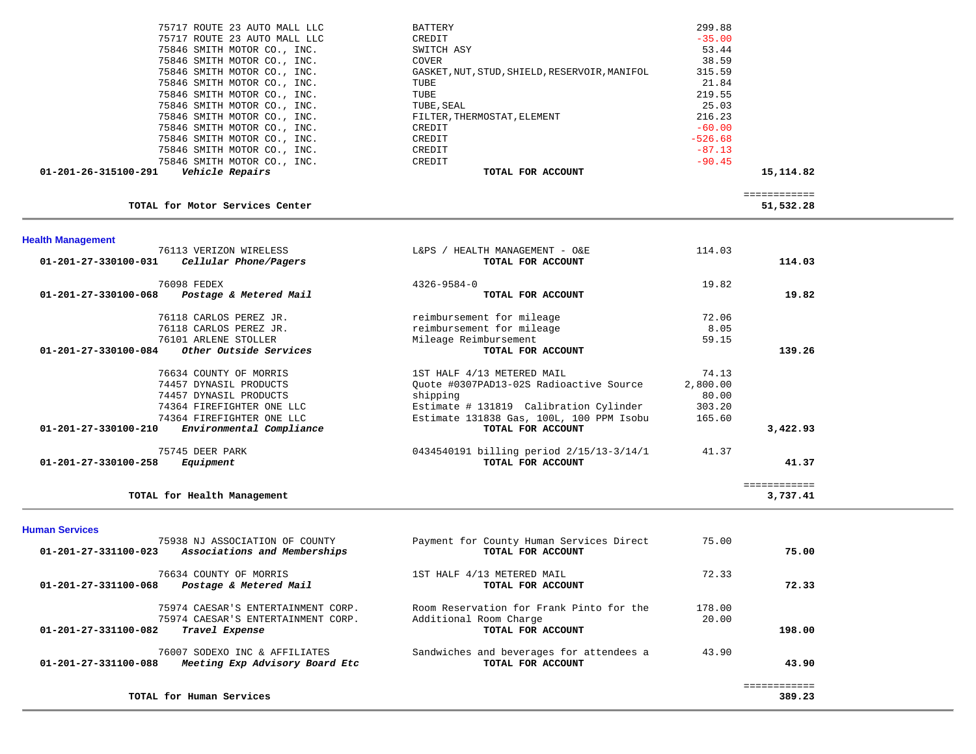| 75846 SMITH MOTOR CO., INC.             | 216.23<br>FILTER, THERMOSTAT, ELEMENT |  |
|-----------------------------------------|---------------------------------------|--|
| 75846 SMITH MOTOR CO., INC.<br>CREDIT   | $-60.00$                              |  |
| 75846 SMITH MOTOR CO., INC.<br>CREDIT   | $-526.68$                             |  |
| 75846 SMITH MOTOR CO., INC.<br>CREDIT   | $-87.13$                              |  |
| 75846 SMITH MOTOR CO., INC.<br>CREDIT   | $-90.45$                              |  |
| Vehicle Repairs<br>01-201-26-315100-291 | 15,114.82<br>TOTAL FOR ACCOUNT        |  |

### TOTAL for Motor Services Center

 ============ 51,532.28

| <b>Health Management</b>       |                             |                                          |          |              |
|--------------------------------|-----------------------------|------------------------------------------|----------|--------------|
|                                | 76113 VERIZON WIRELESS      | HEALTH MANAGEMENT - O&E<br>$L&PS$ /      | 114.03   |              |
| $01 - 201 - 27 - 330100 - 031$ | Cellular Phone/Pagers       | TOTAL FOR ACCOUNT                        |          | 114.03       |
|                                | 76098 FEDEX                 | $4326 - 9584 - 0$                        | 19.82    |              |
| $01 - 201 - 27 - 330100 - 068$ | Postage & Metered Mail      | TOTAL FOR ACCOUNT                        |          | 19.82        |
|                                | 76118 CARLOS PEREZ JR.      | reimbursement for mileage                | 72.06    |              |
|                                | 76118 CARLOS PEREZ JR.      | reimbursement for mileage                | 8.05     |              |
|                                | 76101 ARLENE STOLLER        | Mileage Reimbursement                    | 59.15    |              |
| $01 - 201 - 27 - 330100 - 084$ | Other Outside Services      | TOTAL FOR ACCOUNT                        |          | 139.26       |
|                                | 76634 COUNTY OF MORRIS      | 1ST HALF 4/13 METERED MAIL               | 74.13    |              |
|                                | 74457 DYNASIL PRODUCTS      | Ouote #0307PAD13-02S Radioactive Source  | 2,800.00 |              |
|                                | 74457 DYNASIL PRODUCTS      | shipping                                 | 80.00    |              |
|                                | 74364 FIREFIGHTER ONE LLC   | Estimate # 131819 Calibration Cylinder   | 303.20   |              |
|                                | 74364 FIREFIGHTER ONE LLC   | Estimate 131838 Gas, 100L, 100 PPM Isobu | 165.60   |              |
| $01 - 201 - 27 - 330100 - 210$ | Environmental Compliance    | TOTAL FOR ACCOUNT                        |          | 3,422.93     |
|                                | 75745 DEER PARK             | 0434540191 billing period 2/15/13-3/14/1 | 41.37    |              |
| $01 - 201 - 27 - 330100 - 258$ | Equipment                   | TOTAL FOR ACCOUNT                        |          | 41.37        |
|                                |                             |                                          |          | ------------ |
|                                | TOTAL for Health Management |                                          |          | 3,737.41     |

**Human Services** 

| 75938 NJ ASSOCIATION OF COUNTY<br>Associations and Memberships<br>01-201-27-331100-023                             | Payment for County Human Services Direct<br>TOTAL FOR ACCOUNT                           | 75.00           | 75.00  |
|--------------------------------------------------------------------------------------------------------------------|-----------------------------------------------------------------------------------------|-----------------|--------|
| 76634 COUNTY OF MORRIS<br>01-201-27-331100-068<br>Postage & Metered Mail                                           | 1ST HALF 4/13 METERED MAIL<br>TOTAL FOR ACCOUNT                                         | 72.33           | 72.33  |
| 75974 CAESAR'S ENTERTAINMENT CORP.<br>75974 CAESAR'S ENTERTAINMENT CORP.<br>01-201-27-331100-082<br>Travel Expense | Room Reservation for Frank Pinto for the<br>Additional Room Charge<br>TOTAL FOR ACCOUNT | 178.00<br>20.00 | 198.00 |
| 76007 SODEXO INC & AFFILIATES<br>Meeting Exp Advisory Board Etc<br>01-201-27-331100-088                            | Sandwiches and beverages for attendees a<br>TOTAL FOR ACCOUNT                           | 43.90           | 43.90  |
| TOTAL for Human Services                                                                                           |                                                                                         |                 | 389.23 |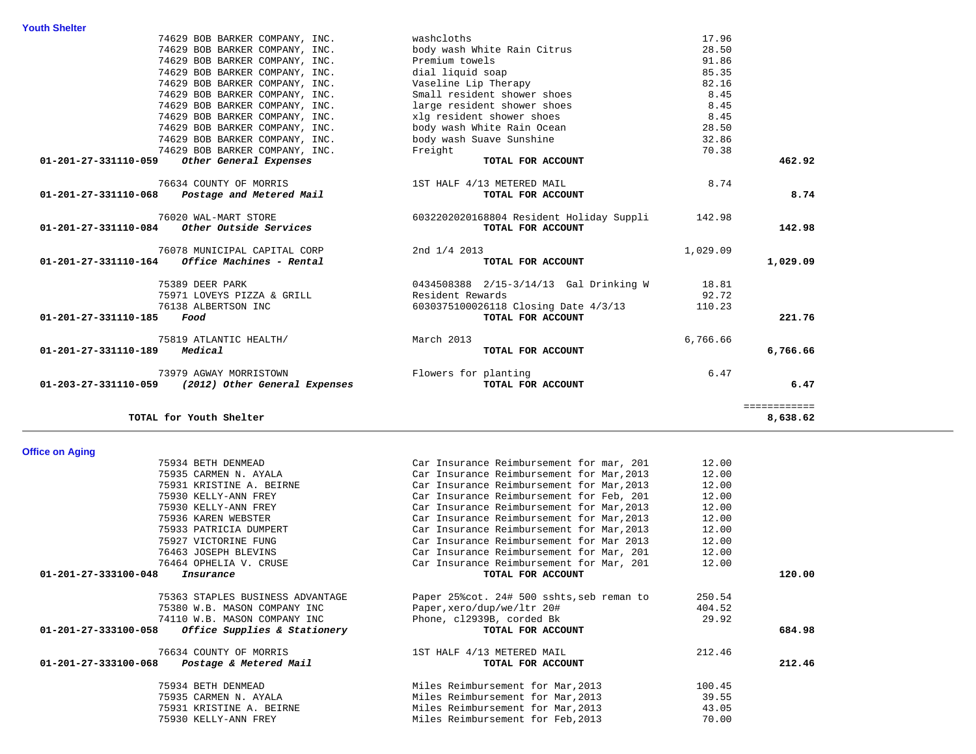| <b>Youth Shelter</b> |                                                    |                                          |          |              |
|----------------------|----------------------------------------------------|------------------------------------------|----------|--------------|
|                      | 74629 BOB BARKER COMPANY, INC.                     | washcloths                               | 17.96    |              |
|                      | 74629 BOB BARKER COMPANY, INC.                     | body wash White Rain Citrus              | 28.50    |              |
|                      | 74629 BOB BARKER COMPANY, INC.                     | Premium towels                           | 91.86    |              |
|                      | 74629 BOB BARKER COMPANY, INC.                     | dial liquid soap                         | 85.35    |              |
|                      | 74629 BOB BARKER COMPANY, INC.                     | Vaseline Lip Therapy                     | 82.16    |              |
|                      | 74629 BOB BARKER COMPANY, INC.                     | Small resident shower shoes              | 8.45     |              |
|                      | 74629 BOB BARKER COMPANY, INC.                     | large resident shower shoes              | 8.45     |              |
|                      | 74629 BOB BARKER COMPANY, INC.                     | xlg resident shower shoes                | 8.45     |              |
|                      | 74629 BOB BARKER COMPANY, INC.                     | body wash White Rain Ocean               | 28.50    |              |
|                      | 74629 BOB BARKER COMPANY, INC.                     | body wash Suave Sunshine                 | 32.86    |              |
|                      | 74629 BOB BARKER COMPANY, INC.                     | Freight                                  | 70.38    |              |
| 01-201-27-331110-059 | Other General Expenses                             | TOTAL FOR ACCOUNT                        |          | 462.92       |
|                      | 76634 COUNTY OF MORRIS                             | 1ST HALF 4/13 METERED MAIL               | 8.74     |              |
| 01-201-27-331110-068 | Postage and Metered Mail                           | TOTAL FOR ACCOUNT                        |          | 8.74         |
|                      | 76020 WAL-MART STORE                               | 6032202020168804 Resident Holiday Suppli | 142.98   |              |
| 01-201-27-331110-084 | Other Outside Services                             | TOTAL FOR ACCOUNT                        |          | 142.98       |
|                      | 76078 MUNICIPAL CAPITAL CORP                       | 2nd 1/4 2013                             | 1,029.09 |              |
| 01-201-27-331110-164 | Office Machines - Rental                           | TOTAL FOR ACCOUNT                        |          | 1,029.09     |
|                      | 75389 DEER PARK                                    | 0434508388 2/15-3/14/13 Gal Drinking W   | 18.81    |              |
|                      | 75971 LOVEYS PIZZA & GRILL                         | Resident Rewards                         | 92.72    |              |
|                      | 76138 ALBERTSON INC                                | 6030375100026118 Closing Date 4/3/13     | 110.23   |              |
| 01-201-27-331110-185 | Food                                               | TOTAL FOR ACCOUNT                        |          | 221.76       |
|                      | 75819 ATLANTIC HEALTH/                             | March 2013                               | 6,766.66 |              |
| 01-201-27-331110-189 | Medical                                            | TOTAL FOR ACCOUNT                        |          | 6,766.66     |
|                      | 73979 AGWAY MORRISTOWN                             | Flowers for planting                     | 6.47     |              |
|                      | 01-203-27-331110-059 (2012) Other General Expenses | TOTAL FOR ACCOUNT                        |          | 6.47         |
|                      |                                                    |                                          |          | ============ |
|                      | TOTAL for Youth Shelter                            |                                          |          | 8,638.62     |

### **Office on Aging**

| איייאי ייס טעוויס                                    |                                            |        |        |
|------------------------------------------------------|--------------------------------------------|--------|--------|
| 75934 BETH DENMEAD                                   | Car Insurance Reimbursement for mar, 201   | 12.00  |        |
| 75935 CARMEN N. AYALA                                | Car Insurance Reimbursement for Mar, 2013  | 12.00  |        |
| 75931 KRISTINE A. BEIRNE                             | Car Insurance Reimbursement for Mar, 2013  | 12.00  |        |
| 75930 KELLY-ANN FREY                                 | Car Insurance Reimbursement for Feb, 201   | 12.00  |        |
| 75930 KELLY-ANN FREY                                 | Car Insurance Reimbursement for Mar, 2013  | 12.00  |        |
| 75936 KAREN WEBSTER                                  | Car Insurance Reimbursement for Mar, 2013  | 12.00  |        |
| 75933 PATRICIA DUMPERT                               | Car Insurance Reimbursement for Mar, 2013  | 12.00  |        |
| 75927 VICTORINE FUNG                                 | Car Insurance Reimbursement for Mar 2013   | 12.00  |        |
| 76463 JOSEPH BLEVINS                                 | Car Insurance Reimbursement for Mar, 201   | 12.00  |        |
| 76464 OPHELIA V. CRUSE                               | Car Insurance Reimbursement for Mar, 201   | 12.00  |        |
| 01-201-27-333100-048<br>Insurance                    | TOTAL FOR ACCOUNT                          |        | 120.00 |
| 75363 STAPLES BUSINESS ADVANTAGE                     | Paper 25% cot. 24# 500 sshts, seb reman to | 250.54 |        |
| 75380 W.B. MASON COMPANY INC                         | Paper, xero/dup/we/ltr 20#                 | 404.52 |        |
| 74110 W.B. MASON COMPANY INC                         | Phone, c12939B, corded Bk                  | 29.92  |        |
| 01-201-27-333100-058<br>Office Supplies & Stationery | TOTAL FOR ACCOUNT                          |        | 684.98 |
| 76634 COUNTY OF MORRIS                               | 1ST HALF 4/13 METERED MAIL                 | 212.46 |        |
| 01-201-27-333100-068<br>Postage & Metered Mail       | TOTAL FOR ACCOUNT                          |        | 212.46 |
| 75934 BETH DENMEAD                                   | Miles Reimbursement for Mar, 2013          | 100.45 |        |
| 75935 CARMEN N. AYALA                                | Miles Reimbursement for Mar, 2013          | 39.55  |        |
| 75931 KRISTINE A. BEIRNE                             | Miles Reimbursement for Mar, 2013          | 43.05  |        |
| 75930 KELLY-ANN FREY                                 | Miles Reimbursement for Feb, 2013          | 70.00  |        |
|                                                      |                                            |        |        |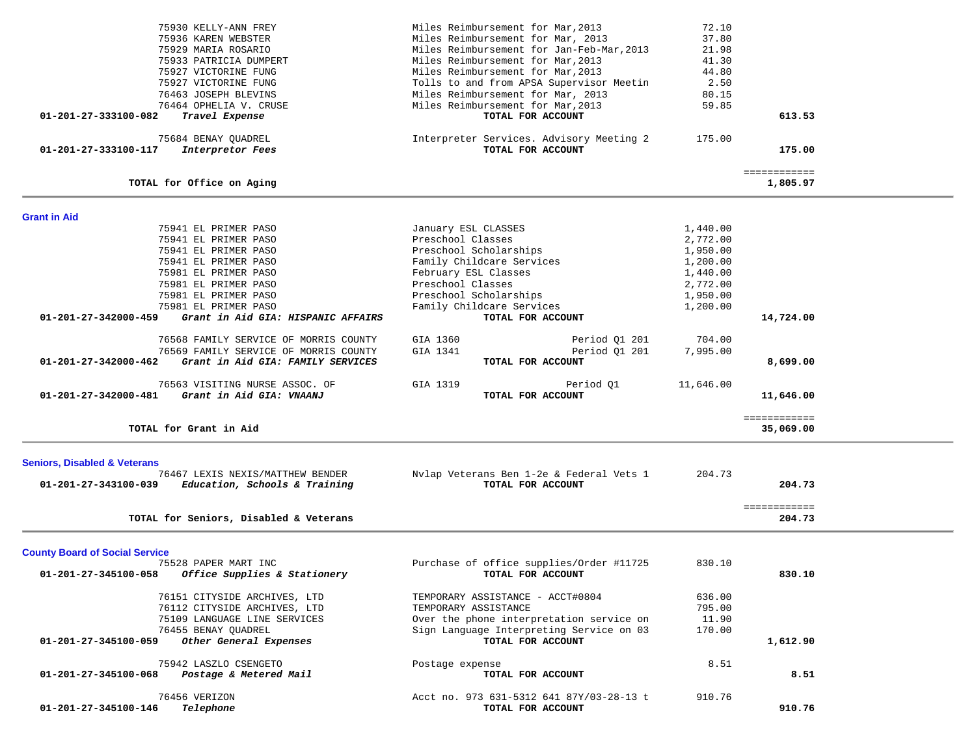|                                         |                                        | Miles Reimbursement for Mar, 2013         | 72.10     |                        |  |
|-----------------------------------------|----------------------------------------|-------------------------------------------|-----------|------------------------|--|
|                                         | 75930 KELLY-ANN FREY                   | Miles Reimbursement for Mar, 2013         |           |                        |  |
|                                         | 75936 KAREN WEBSTER                    |                                           | 37.80     |                        |  |
|                                         | 75929 MARIA ROSARIO                    | Miles Reimbursement for Jan-Feb-Mar, 2013 | 21.98     |                        |  |
|                                         | 75933 PATRICIA DUMPERT                 | Miles Reimbursement for Mar, 2013         | 41.30     |                        |  |
|                                         | 75927 VICTORINE FUNG                   | Miles Reimbursement for Mar, 2013         | 44.80     |                        |  |
|                                         | 75927 VICTORINE FUNG                   | Tolls to and from APSA Supervisor Meetin  | 2.50      |                        |  |
|                                         | 76463 JOSEPH BLEVINS                   | Miles Reimbursement for Mar, 2013         | 80.15     |                        |  |
|                                         | 76464 OPHELIA V. CRUSE                 | Miles Reimbursement for Mar, 2013         | 59.85     |                        |  |
| 01-201-27-333100-082                    | Travel Expense                         | TOTAL FOR ACCOUNT                         |           | 613.53                 |  |
|                                         | 75684 BENAY QUADREL                    | Interpreter Services. Advisory Meeting 2  | 175.00    |                        |  |
| 01-201-27-333100-117                    | Interpretor Fees                       | TOTAL FOR ACCOUNT                         |           | 175.00                 |  |
|                                         |                                        |                                           |           | ============           |  |
|                                         | TOTAL for Office on Aging              |                                           |           | 1,805.97               |  |
|                                         |                                        |                                           |           |                        |  |
| <b>Grant in Aid</b>                     | 75941 EL PRIMER PASO                   | January ESL CLASSES                       | 1,440.00  |                        |  |
|                                         | 75941 EL PRIMER PASO                   | Preschool Classes                         | 2,772.00  |                        |  |
|                                         | 75941 EL PRIMER PASO                   | Preschool Scholarships                    | 1,950.00  |                        |  |
|                                         | 75941 EL PRIMER PASO                   | Family Childcare Services                 | 1,200.00  |                        |  |
|                                         | 75981 EL PRIMER PASO                   | February ESL Classes                      | 1,440.00  |                        |  |
|                                         |                                        | Preschool Classes                         |           |                        |  |
|                                         | 75981 EL PRIMER PASO                   |                                           | 2,772.00  |                        |  |
|                                         | 75981 EL PRIMER PASO                   | Preschool Scholarships                    | 1,950.00  |                        |  |
|                                         | 75981 EL PRIMER PASO                   | Family Childcare Services                 | 1,200.00  |                        |  |
| 01-201-27-342000-459                    | Grant in Aid GIA: HISPANIC AFFAIRS     | TOTAL FOR ACCOUNT                         |           | 14,724.00              |  |
|                                         | 76568 FAMILY SERVICE OF MORRIS COUNTY  | GIA 1360<br>Period 01 201                 | 704.00    |                        |  |
|                                         | 76569 FAMILY SERVICE OF MORRIS COUNTY  | GIA 1341<br>Period 01 201                 | 7,995.00  |                        |  |
| 01-201-27-342000-462                    | Grant in Aid GIA: FAMILY SERVICES      | TOTAL FOR ACCOUNT                         |           | 8,699.00               |  |
|                                         | 76563 VISITING NURSE ASSOC. OF         | GIA 1319<br>Period Q1                     | 11,646.00 |                        |  |
| 01-201-27-342000-481                    | Grant in Aid GIA: VNAANJ               | TOTAL FOR ACCOUNT                         |           | 11,646.00              |  |
|                                         |                                        |                                           |           | ============           |  |
|                                         | TOTAL for Grant in Aid                 |                                           |           | 35,069.00              |  |
|                                         |                                        |                                           |           |                        |  |
| <b>Seniors, Disabled &amp; Veterans</b> | 76467 LEXIS NEXIS/MATTHEW BENDER       | Nylap Veterans Ben 1-2e & Federal Vets 1  | 204.73    |                        |  |
| 01-201-27-343100-039                    | Education, Schools & Training          | TOTAL FOR ACCOUNT                         |           | 204.73                 |  |
|                                         |                                        |                                           |           |                        |  |
|                                         | TOTAL for Seniors, Disabled & Veterans |                                           |           | ============<br>204.73 |  |
|                                         |                                        |                                           |           |                        |  |
| <b>County Board of Social Service</b>   |                                        |                                           |           |                        |  |
|                                         | 75528 PAPER MART INC                   | Purchase of office supplies/Order #11725  | 830.10    |                        |  |
| 01-201-27-345100-058                    | Office Supplies & Stationery           | TOTAL FOR ACCOUNT                         |           | 830.10                 |  |
|                                         | 76151 CITYSIDE ARCHIVES, LTD           | TEMPORARY ASSISTANCE - ACCT#0804          | 636.00    |                        |  |
|                                         | 76112 CITYSIDE ARCHIVES, LTD           | TEMPORARY ASSISTANCE                      | 795.00    |                        |  |
|                                         | 75109 LANGUAGE LINE SERVICES           | Over the phone interpretation service on  | 11.90     |                        |  |
|                                         | 76455 BENAY QUADREL                    | Sign Language Interpreting Service on 03  | 170.00    |                        |  |
| 01-201-27-345100-059                    | Other General Expenses                 | TOTAL FOR ACCOUNT                         |           | 1,612.90               |  |
|                                         |                                        |                                           |           |                        |  |
|                                         | 75942 LASZLO CSENGETO                  | Postage expense                           | 8.51      |                        |  |
| 01-201-27-345100-068                    | Postage & Metered Mail                 | TOTAL FOR ACCOUNT                         |           | 8.51                   |  |
|                                         | 76456 VERIZON                          | Acct no. 973 631-5312 641 87Y/03-28-13 t  | 910.76    |                        |  |
| 01-201-27-345100-146                    | Telephone                              | TOTAL FOR ACCOUNT                         |           | 910.76                 |  |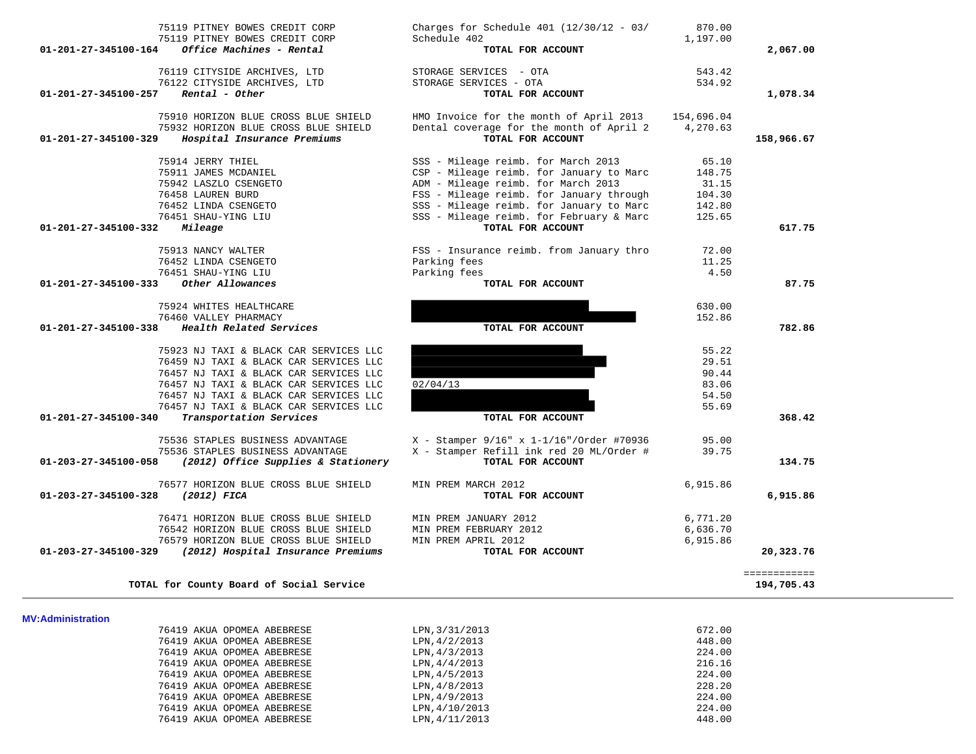| 01-201-27-345100-164           | Office Machines - Rental                 | TOTAL FOR ACCOUNT                        |            | 2,067.00                   |
|--------------------------------|------------------------------------------|------------------------------------------|------------|----------------------------|
|                                | 76119 CITYSIDE ARCHIVES, LTD             | STORAGE SERVICES - OTA                   | 543.42     |                            |
|                                | 76122 CITYSIDE ARCHIVES, LTD             | STORAGE SERVICES - OTA                   | 534.92     |                            |
| 01-201-27-345100-257           | Rental - Other                           | TOTAL FOR ACCOUNT                        |            | 1,078.34                   |
|                                | 75910 HORIZON BLUE CROSS BLUE SHIELD     | HMO Invoice for the month of April 2013  | 154,696.04 |                            |
|                                | 75932 HORIZON BLUE CROSS BLUE SHIELD     | Dental coverage for the month of April 2 | 4,270.63   |                            |
| 01-201-27-345100-329           | Hospital Insurance Premiums              | TOTAL FOR ACCOUNT                        |            | 158,966.67                 |
|                                | 75914 JERRY THIEL                        | SSS - Mileage reimb. for March 2013      | 65.10      |                            |
|                                | 75911 JAMES MCDANIEL                     | CSP - Mileage reimb. for January to Marc | 148.75     |                            |
|                                | 75942 LASZLO CSENGETO                    | ADM - Mileage reimb. for March 2013      | 31.15      |                            |
|                                | 76458 LAUREN BURD                        | FSS - Mileage reimb. for January through | 104.30     |                            |
|                                | 76452 LINDA CSENGETO                     | SSS - Mileage reimb. for January to Marc | 142.80     |                            |
|                                | 76451 SHAU-YING LIU                      | SSS - Mileage reimb. for February & Marc | 125.65     |                            |
| 01-201-27-345100-332           | Mileage                                  | TOTAL FOR ACCOUNT                        |            | 617.75                     |
|                                | 75913 NANCY WALTER                       | FSS - Insurance reimb. from January thro | 72.00      |                            |
|                                | 76452 LINDA CSENGETO                     | Parking fees                             | 11.25      |                            |
|                                | 76451 SHAU-YING LIU                      | Parking fees                             | 4.50       |                            |
| 01-201-27-345100-333           | Other Allowances                         | TOTAL FOR ACCOUNT                        |            | 87.75                      |
|                                | 75924 WHITES HEALTHCARE                  |                                          | 630.00     |                            |
|                                | 76460 VALLEY PHARMACY                    |                                          | 152.86     |                            |
| $01 - 201 - 27 - 345100 - 338$ | Health Related Services                  | TOTAL FOR ACCOUNT                        |            | 782.86                     |
|                                | 75923 NJ TAXI & BLACK CAR SERVICES LLC   |                                          | 55.22      |                            |
|                                | 76459 NJ TAXI & BLACK CAR SERVICES LLC   |                                          | 29.51      |                            |
|                                | 76457 NJ TAXI & BLACK CAR SERVICES LLC   |                                          | 90.44      |                            |
|                                | 76457 NJ TAXI & BLACK CAR SERVICES LLC   | 02/04/13                                 | 83.06      |                            |
|                                | 76457 NJ TAXI & BLACK CAR SERVICES LLC   |                                          | 54.50      |                            |
|                                | 76457 NJ TAXI & BLACK CAR SERVICES LLC   |                                          | 55.69      |                            |
| 01-201-27-345100-340           | Transportation Services                  | TOTAL FOR ACCOUNT                        |            | 368.42                     |
|                                | 75536 STAPLES BUSINESS ADVANTAGE         | X - Stamper 9/16" x 1-1/16"/Order #70936 | 95.00      |                            |
|                                | 75536 STAPLES BUSINESS ADVANTAGE         | X - Stamper Refill ink red 20 ML/Order # | 39.75      |                            |
| 01-203-27-345100-058           | (2012) Office Supplies & Stationery      | TOTAL FOR ACCOUNT                        |            | 134.75                     |
|                                | 76577 HORIZON BLUE CROSS BLUE SHIELD     | MIN PREM MARCH 2012                      | 6,915.86   |                            |
| 01-203-27-345100-328           | (2012) FICA                              | TOTAL FOR ACCOUNT                        |            | 6,915.86                   |
|                                | 76471 HORIZON BLUE CROSS BLUE SHIELD     | MIN PREM JANUARY 2012                    | 6,771.20   |                            |
|                                | 76542 HORIZON BLUE CROSS BLUE SHIELD     | MIN PREM FEBRUARY 2012                   | 6,636.70   |                            |
|                                | 76579 HORIZON BLUE CROSS BLUE SHIELD     | MIN PREM APRIL 2012                      | 6,915.86   |                            |
| 01-203-27-345100-329           | (2012) Hospital Insurance Premiums       | TOTAL FOR ACCOUNT                        |            | 20,323.76                  |
|                                | TOTAL for County Board of Social Service |                                          |            | ============<br>194,705.43 |
|                                |                                          |                                          |            |                            |
| MV:Administration              |                                          |                                          |            |                            |
|                                | 76419 AKUA OPOMEA ABEBRESE               | LPN, 3/31/2013                           | 672.00     |                            |
|                                | 76419 AKUA OPOMEA ABEBRESE               | LPN, 4/2/2013                            | 448.00     |                            |
|                                | 76419 AKUA OPOMEA ABEBRESE               | LPN, 4/3/2013                            | 224.00     |                            |
|                                | 76419 AKUA OPOMEA ABEBRESE               | LPN, 4/4/2013                            | 216.16     |                            |
|                                | 76419 AKUA OPOMEA ABEBRESE               | LPN, 4/5/2013                            | 224.00     |                            |
|                                | 76419 AKUA OPOMEA ABEBRESE               | LPN, 4/8/2013                            | 228.20     |                            |
|                                | 76419 AKUA OPOMEA ABEBRESE               | LPN, 4/9/2013                            | 224.00     |                            |
|                                | 76419 AKUA OPOMEA ABEBRESE               | LPN, 4/10/2013                           | 224.00     |                            |
|                                | 76419 AKUA OPOMEA ABEBRESE               | LPN, 4/11/2013                           | 448.00     |                            |
|                                |                                          |                                          |            |                            |

 75119 PITNEY BOWES CREDIT CORP Charges for Schedule 401 (12/30/12 - 03/ 870.00 75119 PITNEY BOWES CREDIT CORP Schedule 402 1,197.00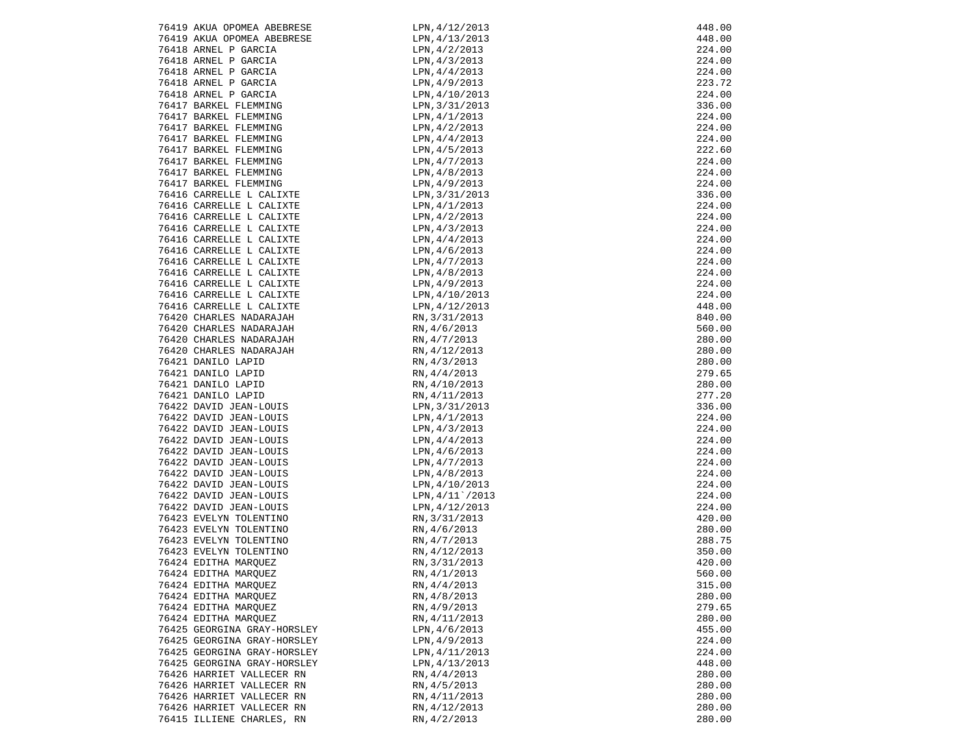|                                                      | LPN, 4/12/2013                                                                     |        |
|------------------------------------------------------|------------------------------------------------------------------------------------|--------|
| 76419 AKUA OPOMEA ABEBRESE                           |                                                                                    | 448.00 |
| 76419 AKUA OPOMEA ABEBRESE                           | LPN, 4/13/2013                                                                     | 448.00 |
| 76418 ARNEL P GARCIA                                 |                                                                                    | 224.00 |
| 76418 ARNEL P GARCIA                                 |                                                                                    | 224.00 |
| 76418 ARNEL P GARCIA<br>76418 ARNEL P GARCIA         | LPN, 4/2/2013<br>LPN, 4/3/2013<br>LPN, 4/4/2013<br>LPN, 4/9/2013<br>LPN, 4/10/2013 | 224.00 |
|                                                      |                                                                                    | 223.72 |
| 76418 ARNEL P GARCIA<br>76417 BARKEL FLEMMING        |                                                                                    | 224.00 |
|                                                      | LPN, 3/31/2013                                                                     | 336.00 |
| 76417 BARKEL FLEMMING                                | LPN, 4/1/2013                                                                      | 224.00 |
| 76417 BARKEL FLEMMING                                | LPN, 4/2/2013                                                                      | 224.00 |
| 76417 BARKEL FLEMMING                                | LPN, 4/4/2013                                                                      | 224.00 |
| 76417 BARKEL FLEMMING                                | LPN, 4/5/2013                                                                      | 222.60 |
| 76417 BARKEL FLEMMING                                | LPN,4/7/2013                                                                       | 224.00 |
|                                                      | LPN, 4/8/2013                                                                      |        |
| 76417 BARKEL FLEMMING                                |                                                                                    | 224.00 |
| 76417 BARKEL FLEMMING                                | LPN,4/9/2013<br>LPN,3/31/2013                                                      | 224.00 |
| 76416 CARRELLE L CALIXTE                             |                                                                                    | 336.00 |
| 76416 CARRELLE L CALIXTE                             | LPN,4/1/2013                                                                       | 224.00 |
| 76416 CARRELLE L CALIXTE                             | LPN,4/2/2013                                                                       | 224.00 |
| 76416 CARRELLE L CALIXTE<br>76416 CARRELLE L CALIXTE | LPN,4/3/2013                                                                       | 224.00 |
|                                                      | LPN, 4/4/2013                                                                      | 224.00 |
| 76416 CARRELLE L CALIXTE                             | LPN,4/6/2013                                                                       | 224.00 |
| 76416 CARRELLE L CALIXTE<br>76416 CARRELLE L CALIXTE | LPN, 4/7/2013                                                                      | 224.00 |
|                                                      | LPN, 4/8/2013                                                                      | 224.00 |
| 76416 CARRELLE L CALIXTE<br>76416 CARRELLE L CALIXTE | LPN, 4/9/2013                                                                      | 224.00 |
| 76416 CARRELLE L CALIXTE                             | LPN, 4/10/2013                                                                     | 224.00 |
| 76416 CARRELLE L CALIXTE                             | LPN, 4/12/2013                                                                     | 448.00 |
| 76420 CHARLES NADARAJAH                              | RN, 3/31/2013                                                                      | 840.00 |
|                                                      |                                                                                    |        |
| 76420 CHARLES NADARAJAH                              | RN, 4/6/2013                                                                       | 560.00 |
| 76420 CHARLES NADARAJAH                              | RN,4/7/2013                                                                        | 280.00 |
| 76420 CHARLES NADARAJAH                              | RN,4/12/2013                                                                       | 280.00 |
| 76421 DANILO LAPID<br>76421 DANILO LAPID             | RN, 4/3/2013                                                                       | 280.00 |
|                                                      | RN, 4/4/2013                                                                       | 279.65 |
| 76421 DANILO LAPID                                   | RN, 4/10/2013                                                                      | 280.00 |
| 76421 DANILO LAPID                                   | RN,4/10/2013<br>RN,4/11/2013                                                       | 277.20 |
| 76422 DAVID JEAN-LOUIS                               | LPN, 3/31/2013<br>LPN, 4/1/2013                                                    | 336.00 |
| 76422 DAVID JEAN-LOUIS                               |                                                                                    | 224.00 |
| 76422 DAVID JEAN-LOUIS                               |                                                                                    | 224.00 |
| 76422 DAVID JEAN-LOUIS                               | LPN,4/3/2013<br>LPN,4/4/2013                                                       | 224.00 |
| 76422 DAVID JEAN-LOUIS                               |                                                                                    | 224.00 |
| 76422 DAVID JEAN-LOUIS                               | LPN,4/6/2013<br>LPN,4/7/2013                                                       | 224.00 |
| 76422 DAVID JEAN-LOUIS                               |                                                                                    | 224.00 |
| 76422 DAVID JEAN-LOUIS                               | LPN,4/8/2013<br>LPN,4/10/2013                                                      | 224.00 |
|                                                      |                                                                                    |        |
| 76422 DAVID JEAN-LOUIS                               | LPN,4/11`/2013                                                                     | 224.00 |
| 76422 DAVID JEAN-LOUIS                               | LPN, 4/12/2013                                                                     | 224.00 |
| 76423 EVELYN TOLENTINO                               | RN, 3/31/2013                                                                      | 420.00 |
| 76423 EVELYN TOLENTINO                               | RN, 4/6/2013                                                                       | 280.00 |
| 76423 EVELYN TOLENTINO                               | RN, 4/7/2013                                                                       | 288.75 |
| 76423 EVELYN TOLENTINO                               | RN, 4/12/2013                                                                      | 350.00 |
| 76424 EDITHA MARQUEZ                                 | RN, 3/31/2013                                                                      | 420.00 |
| 76424 EDITHA MARQUEZ                                 | RN, 4/1/2013                                                                       | 560.00 |
| 76424 EDITHA MARQUEZ                                 | RN, 4/4/2013                                                                       | 315.00 |
| 76424 EDITHA MAROUEZ                                 | RN, 4/8/2013                                                                       | 280.00 |
| 76424 EDITHA MARQUEZ                                 | RN, 4/9/2013                                                                       | 279.65 |
| 76424 EDITHA MARQUEZ                                 | RN, 4/11/2013                                                                      | 280.00 |
| 76425 GEORGINA GRAY-HORSLEY                          | LPN, 4/6/2013                                                                      | 455.00 |
| 76425 GEORGINA GRAY-HORSLEY                          | LPN, 4/9/2013                                                                      | 224.00 |
|                                                      |                                                                                    | 224.00 |
| 76425 GEORGINA GRAY-HORSLEY                          | LPN, 4/11/2013                                                                     |        |
| 76425 GEORGINA GRAY-HORSLEY                          | LPN, 4/13/2013                                                                     | 448.00 |
| 76426 HARRIET VALLECER RN                            | RN, 4/4/2013                                                                       | 280.00 |
| 76426 HARRIET VALLECER RN                            | RN, 4/5/2013                                                                       | 280.00 |
| 76426 HARRIET VALLECER RN                            | RN, 4/11/2013                                                                      | 280.00 |
| 76426 HARRIET VALLECER RN                            | RN, 4/12/2013                                                                      | 280.00 |
| 76415 ILLIENE CHARLES, RN                            | RN, 4/2/2013                                                                       | 280.00 |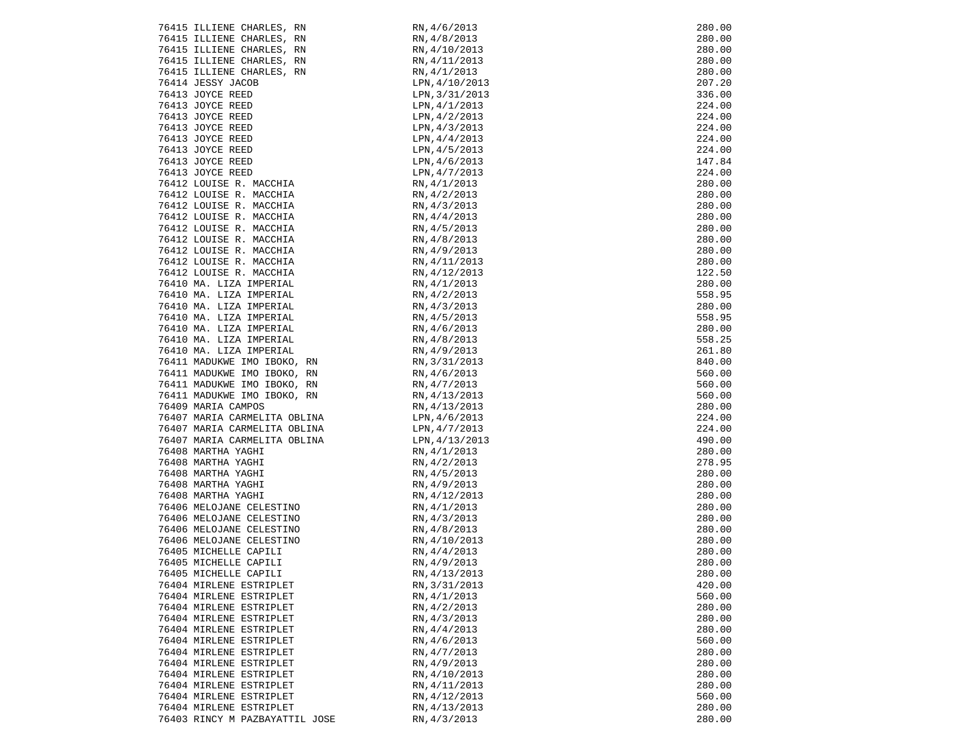| 76415 ILLIENE CHARLES, RN                                       | RN, 4/6/2013                     | 280.00 |
|-----------------------------------------------------------------|----------------------------------|--------|
| 76415 ILLIENE CHARLES, RN                                       | RN, 4/8/2013                     | 280.00 |
| 76415 ILLIENE CHARLES, RN                                       | RN, 4/10/2013                    | 280.00 |
| 76415 ILLIENE CHARLES, RN                                       | RN,4/11/2013<br>RN,4/1/2013      | 280.00 |
| 76415 ILLIENE CHARLES, RN                                       | RN, 4/1/2013                     | 280.00 |
| 76414 JESSY JACOB                                               | LPN, 4/10/2013                   | 207.20 |
| 76413 JOYCE REED                                                | LPN, 3/31/2013                   | 336.00 |
| 76413 JOYCE REED                                                | LPN, 4/1/2013                    | 224.00 |
| 76413 JOYCE REED                                                | LPN, 4/2/2013                    | 224.00 |
| 76413 JOYCE REED                                                | LPN, 4/3/2013                    | 224.00 |
| 76413 JOYCE REED                                                | LPN, 4/4/2013                    | 224.00 |
| 76413 JOYCE REED                                                | LPN, 4/5/2013                    | 224.00 |
|                                                                 | LPN, 4/6/2013                    | 147.84 |
| 76413 JOYCE REED<br>76413 JOYCE REED<br>76412 LOUISE R. MACCHIA | LPN, 4/7/2013                    | 224.00 |
|                                                                 | RN, 4/1/2013                     | 280.00 |
| 76412 LOUISE R. MACCHIA                                         | RN, 4/2/2013                     | 280.00 |
| 76412 LOUISE R. MACCHIA                                         | RN, 4/3/2013                     | 280.00 |
| 76412 LOUISE R. MACCHIA                                         | RN,4/4/2013                      | 280.00 |
| 76412 LOUISE R. MACCHIA                                         | RN, 4/5/2013                     | 280.00 |
| 76412 LOUISE R. MACCHIA                                         | RN, 4/8/2013                     | 280.00 |
| 76412 LOUISE R. MACCHIA                                         | RN,4/9/2013                      | 280.00 |
| 76412 LOUISE R. MACCHIA                                         | RN, 4/11/2013                    | 280.00 |
| 76412 LOUISE R. MACCHIA                                         | RN,4/12/2013                     | 122.50 |
| 76410 MA. LIZA IMPERIAL                                         | RN, 4/1/2013                     | 280.00 |
| 76410 MA. LIZA IMPERIAL                                         | RN,4/2/2013                      | 558.95 |
| 76410 MA. LIZA IMPERIAL                                         | RN, 4/3/2013                     | 280.00 |
| 76410 MA. LIZA IMPERIAL                                         | RN,4/5/2013                      | 558.95 |
| 76410 MA. LIZA IMPERIAL                                         | 2013 8 10, 2013<br>RN , 4/6/2013 | 280.00 |
| 76410 MA. LIZA IMPERIAL                                         |                                  | 558.25 |
| 76410 MA. LIZA IMPERIAL                                         | RN, 4/8/2013<br>RN, 4/9/2013     | 261.80 |
| 76411 MADUKWE IMO IBOKO, RN                                     |                                  | 840.00 |
| 76411 MADUKWE IMO IBOKO, RN                                     | RN,3/31/2013<br>RN,4/6/2013      | 560.00 |
| 76411 MADUKWE IMO IBOKO, RN                                     |                                  | 560.00 |
| 76411 MADUKWE IMO IBOKO, RN                                     | RN,4/7/2013<br>RN,4/13/2013      | 560.00 |
| 76409 MARIA CAMPOS                                              | RN,4/13/2013                     | 280.00 |
| 76407 MARIA CARMELITA OBLINA                                    | EDN, 4/13/2013<br>LPN, 4/6/2013  | 224.00 |
| 76407 MARIA CARMELITA OBLINA                                    |                                  | 224.00 |
| 76407 MARIA CARMELITA OBLINA                                    | LPN,4/7/2013<br>LPN,4/13/2013    | 490.00 |
| 76408 MARTHA YAGHI                                              | RN,4/1/2013                      | 280.00 |
|                                                                 |                                  | 278.95 |
| 76408 MARTHA YAGHI<br>איז<br>קידואי                             | RN, 4/2/2013                     |        |
| 76408 MARTHA YAGHI                                              | RN, 4/5/2013                     | 280.00 |
| 76408 MARTHA YAGHI                                              | RN, 4/9/2013<br>RN, 4/12/2013    | 280.00 |
| 76408 MARTHA YAGHI                                              |                                  | 280.00 |
| 76406 MELOJANE CELESTINO                                        | RN, 4/1/2013                     | 280.00 |
| 76406 MELOJANE CELESTINO                                        | RN, 4/3/2013                     | 280.00 |
| 76406 MELOJANE CELESTINO                                        | RN, 4/8/2013                     | 280.00 |
| 76406 MELOJANE CELESTINO                                        | RN, 4/10/2013                    | 280.00 |
| 76405 MICHELLE CAPILI                                           | RN, 4/4/2013                     | 280.00 |
| 76405 MICHELLE CAPILI                                           | RN, 4/9/2013                     | 280.00 |
| 76405 MICHELLE CAPILI                                           | RN, 4/13/2013                    | 280.00 |
| 76404 MIRLENE ESTRIPLET                                         | RN, 3/31/2013                    | 420.00 |
| 76404 MIRLENE ESTRIPLET                                         | RN, 4/1/2013                     | 560.00 |
| 76404 MIRLENE ESTRIPLET                                         | RN, 4/2/2013                     | 280.00 |
| 76404 MIRLENE ESTRIPLET                                         | RN, 4/3/2013                     | 280.00 |
| 76404 MIRLENE ESTRIPLET                                         | RN, 4/4/2013                     | 280.00 |
| 76404 MIRLENE ESTRIPLET                                         | RN, 4/6/2013                     | 560.00 |
| 76404 MIRLENE ESTRIPLET                                         | RN, 4/7/2013                     | 280.00 |
| 76404 MIRLENE ESTRIPLET                                         | RN, 4/9/2013                     | 280.00 |
| 76404 MIRLENE ESTRIPLET                                         | RN, 4/10/2013                    | 280.00 |
| 76404 MIRLENE ESTRIPLET                                         | RN, 4/11/2013                    | 280.00 |
| 76404 MIRLENE ESTRIPLET                                         | RN, 4/12/2013                    | 560.00 |
| 76404 MIRLENE ESTRIPLET                                         | RN, 4/13/2013                    | 280.00 |
| 76403 RINCY M PAZBAYATTIL JOSE                                  | RN, 4/3/2013                     | 280.00 |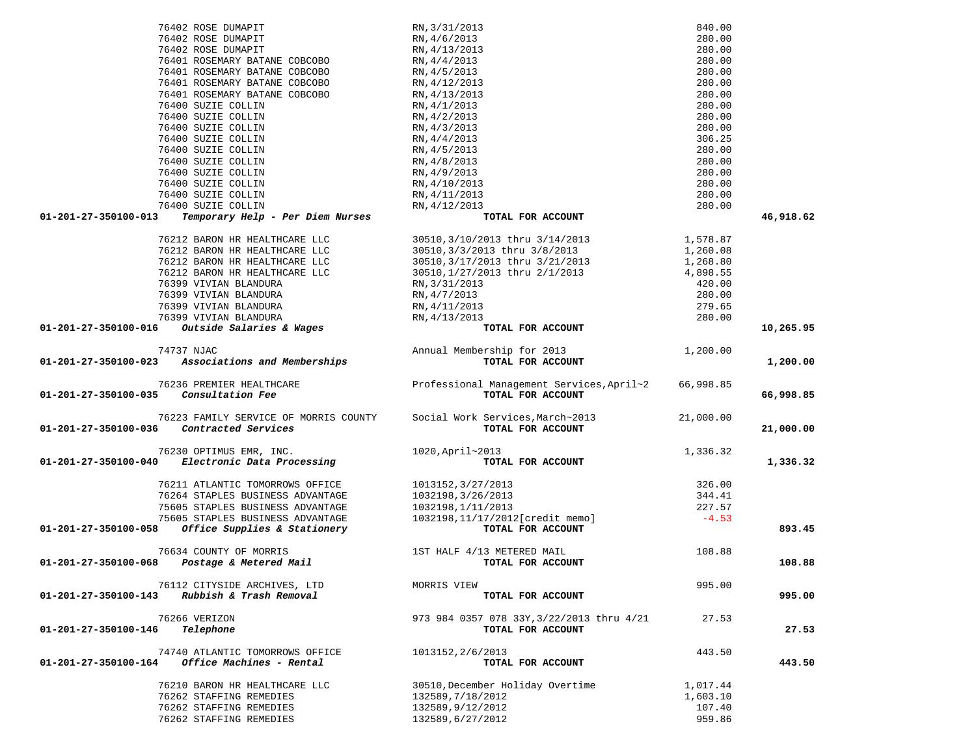|                      | 76402 ROSE DUMAPIT                          | RN, 4/13/2013                                                          | 280.00    |           |
|----------------------|---------------------------------------------|------------------------------------------------------------------------|-----------|-----------|
|                      | 76401 ROSEMARY BATANE COBCOBO               | RN, 4/4/2013                                                           | 280.00    |           |
|                      | 76401 ROSEMARY BATANE COBCOBO               | RN, 4/5/2013                                                           | 280.00    |           |
|                      | 76401 ROSEMARY BATANE COBCOBO               | RN, 4/12/2013                                                          | 280.00    |           |
|                      | 76401 ROSEMARY BATANE COBCOBO               | RN, 4/13/2013                                                          | 280.00    |           |
|                      | 76400 SUZIE COLLIN                          | RN, 4/1/2013                                                           | 280.00    |           |
|                      | 76400 SUZIE COLLIN                          | RN, 4/2/2013                                                           | 280.00    |           |
|                      | 76400 SUZIE COLLIN                          | RN, 4/3/2013                                                           | 280.00    |           |
|                      | 76400 SUZIE COLLIN                          | RN, 4/4/2013                                                           | 306.25    |           |
|                      | 76400 SUZIE COLLIN                          | RN, 4/5/2013                                                           | 280.00    |           |
|                      | 76400 SUZIE COLLIN                          | RN, 4/8/2013                                                           | 280.00    |           |
|                      | 76400 SUZIE COLLIN                          | RN, 4/9/2013                                                           | 280.00    |           |
|                      | 76400 SUZIE COLLIN                          | RN, 4/10/2013                                                          | 280.00    |           |
|                      | 76400 SUZIE COLLIN                          | RN, 4/11/2013                                                          | 280.00    |           |
|                      | 76400 SUZIE COLLIN                          | RN, 4/12/2013                                                          | 280.00    |           |
| 01-201-27-350100-013 | Temporary Help - Per Diem Nurses            | TOTAL FOR ACCOUNT                                                      |           | 46,918.62 |
|                      | 76212 BARON HR HEALTHCARE LLC               | 30510,3/10/2013 thru 3/14/2013                                         | 1,578.87  |           |
|                      | 76212 BARON HR HEALTHCARE LLC               | 30510,3/3/2013 thru 3/8/2013                                           | 1,260.08  |           |
|                      | 76212 BARON HR HEALTHCARE LLC               | 30510, 3/17/2013 thru 3/21/2013                                        | 1,268.80  |           |
|                      | 76212 BARON HR HEALTHCARE LLC               | 30510,1/27/2013 thru 2/1/2013                                          | 4,898.55  |           |
|                      | 76399 VIVIAN BLANDURA                       | RN, 3/31/2013                                                          | 420.00    |           |
|                      | 76399 VIVIAN BLANDURA                       | RN, 4/7/2013                                                           | 280.00    |           |
|                      | 76399 VIVIAN BLANDURA                       | RN, 4/11/2013                                                          | 279.65    |           |
|                      | 76399 VIVIAN BLANDURA                       | RN, 4/13/2013                                                          | 280.00    |           |
| 01-201-27-350100-016 | Outside Salaries & Wages                    | TOTAL FOR ACCOUNT                                                      |           | 10,265.95 |
|                      | 74737 NJAC                                  | Annual Membership for 2013                                             | 1,200.00  |           |
| 01-201-27-350100-023 | Associations and Memberships                | TOTAL FOR ACCOUNT                                                      |           | 1,200.00  |
|                      | 76236 PREMIER HEALTHCARE                    | Professional Management Services, April~2                              | 66,998.85 |           |
| 01-201-27-350100-035 | Consultation Fee                            | TOTAL FOR ACCOUNT                                                      |           | 66,998.85 |
|                      |                                             | 76223 FAMILY SERVICE OF MORRIS COUNTY Social Work Services, March~2013 | 21,000.00 |           |
|                      | 01-201-27-350100-036 Contracted Services    | TOTAL FOR ACCOUNT                                                      |           | 21,000.00 |
|                      | 76230 OPTIMUS EMR, INC.                     | 1020, April~2013                                                       | 1,336.32  |           |
| 01-201-27-350100-040 | Electronic Data Processing                  | TOTAL FOR ACCOUNT                                                      |           | 1,336.32  |
|                      | 76211 ATLANTIC TOMORROWS OFFICE             | 1013152, 3/27/2013                                                     | 326.00    |           |
|                      | 76264 STAPLES BUSINESS ADVANTAGE            | 1032198, 3/26/2013                                                     | 344.41    |           |
|                      | 75605 STAPLES BUSINESS ADVANTAGE            | 1032198,1/11/2013                                                      | 227.57    |           |
|                      | 75605 STAPLES BUSINESS ADVANTAGE            | 1032198,11/17/2012[credit memo]                                        | $-4.53$   |           |
| 01-201-27-350100-058 | Office Supplies & Stationery                | TOTAL FOR ACCOUNT                                                      |           | 893.45    |
|                      | 76634 COUNTY OF MORRIS                      | 1ST HALF 4/13 METERED MAIL                                             | 108.88    |           |
|                      | 01-201-27-350100-068 Postage & Metered Mail | TOTAL FOR ACCOUNT                                                      |           | 108.88    |
|                      | 76112 CITYSIDE ARCHIVES, LTD                | MORRIS VIEW                                                            | 995.00    |           |
| 01-201-27-350100-143 | Rubbish & Trash Removal                     | TOTAL FOR ACCOUNT                                                      |           | 995.00    |
|                      | 76266 VERIZON                               | 973 984 0357 078 33Y, 3/22/2013 thru 4/21                              | 27.53     |           |
| 01-201-27-350100-146 | Telephone                                   | TOTAL FOR ACCOUNT                                                      |           | 27.53     |
|                      | 74740 ATLANTIC TOMORROWS OFFICE             | 1013152, 2/6/2013                                                      | 443.50    |           |
| 01-201-27-350100-164 | Office Machines - Rental                    | TOTAL FOR ACCOUNT                                                      |           | 443.50    |
|                      | 76210 BARON HR HEALTHCARE LLC               | 30510, December Holiday Overtime                                       | 1,017.44  |           |
|                      | 76262 STAFFING REMEDIES                     | 132589, 7/18/2012                                                      | 1,603.10  |           |
|                      | 76262 STAFFING REMEDIES                     | 132589,9/12/2012                                                       | 107.40    |           |
|                      | 76262 STAFFING REMEDIES                     | 132589,6/27/2012                                                       | 959.86    |           |

 76402 ROSE DUMAPIT RN,3/31/2013 840.00 76402 ROSE DUMAPIT RN,4/6/2013 280.00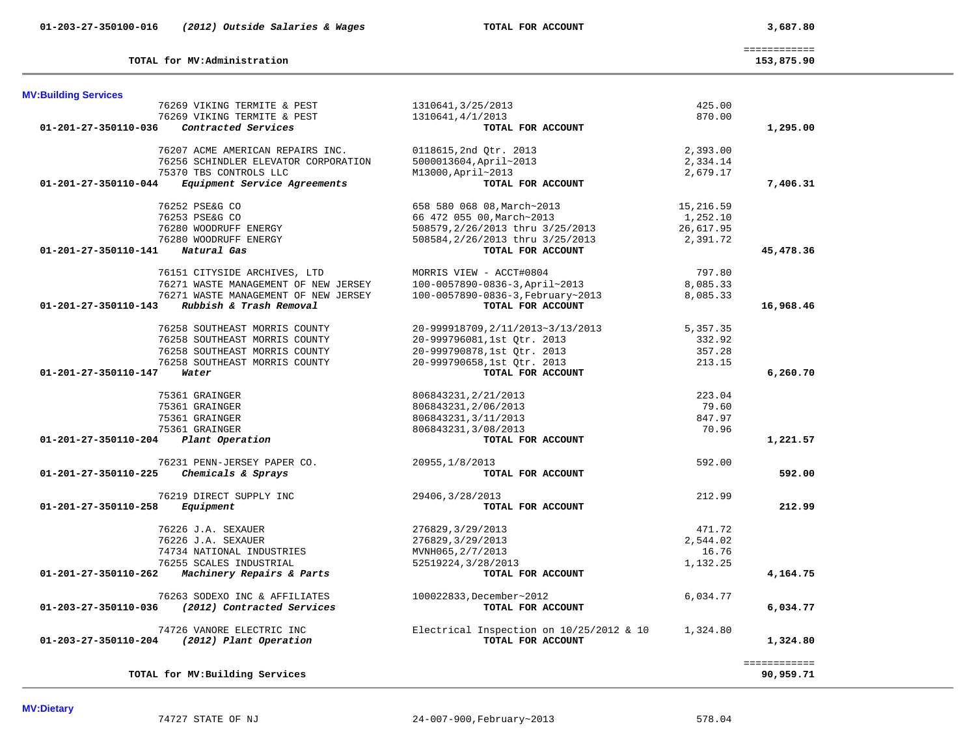**TOTAL for MV:Administration 153,875.90**

============

153,875.90

| 76258 SOUTHEAST MORRIS COUNTY<br>76258 SOUTHEAST MORRIS COUNTY<br>76258 SOUTHEAST MORRIS COUNTY | 20-999918709, 2/11/2013~3/13/2013<br>20-999796081,1st Qtr. 2013<br>20-999790878,1st Qtr. 2013 | 5,357.35<br>332.92<br>357.28 |              |
|-------------------------------------------------------------------------------------------------|-----------------------------------------------------------------------------------------------|------------------------------|--------------|
| 76258 SOUTHEAST MORRIS COUNTY<br>01-201-27-350110-147<br>Water                                  | 20-999790658,1st Qtr. 2013<br>TOTAL FOR ACCOUNT                                               | 213.15                       | 6,260.70     |
| 75361 GRAINGER                                                                                  | 806843231, 2/21/2013                                                                          | 223.04                       |              |
| 75361 GRAINGER                                                                                  | 806843231, 2/06/2013                                                                          | 79.60                        |              |
| 75361 GRAINGER<br>75361 GRAINGER                                                                | 806843231, 3/11/2013<br>806843231, 3/08/2013                                                  | 847.97<br>70.96              |              |
| 01-201-27-350110-204<br>Plant Operation                                                         | TOTAL FOR ACCOUNT                                                                             |                              | 1,221.57     |
| 76231 PENN-JERSEY PAPER CO.                                                                     | 20955, 1/8/2013                                                                               | 592.00                       |              |
| 01-201-27-350110-225<br>Chemicals & Sprays                                                      | TOTAL FOR ACCOUNT                                                                             |                              | 592.00       |
| 76219 DIRECT SUPPLY INC                                                                         | 29406, 3/28/2013                                                                              | 212.99                       |              |
| $01 - 201 - 27 - 350110 - 258$<br>Equipment                                                     | TOTAL FOR ACCOUNT                                                                             |                              | 212.99       |
| 76226 J.A. SEXAUER                                                                              | 276829, 3/29/2013                                                                             | 471.72                       |              |
| 76226 J.A. SEXAUER                                                                              | 276829, 3/29/2013                                                                             | 2,544.02                     |              |
| 74734 NATIONAL INDUSTRIES                                                                       | MVNH065, 2/7/2013                                                                             | 16.76                        |              |
| 76255 SCALES INDUSTRIAL                                                                         | 52519224, 3/28/2013                                                                           | 1,132.25                     |              |
| 01-201-27-350110-262 Machinery Repairs & Parts                                                  | TOTAL FOR ACCOUNT                                                                             |                              | 4,164.75     |
|                                                                                                 |                                                                                               |                              |              |
| 76263 SODEXO INC & AFFILIATES<br>(2012) Contracted Services<br>01-203-27-350110-036             | 100022833, December~2012<br>TOTAL FOR ACCOUNT                                                 | 6,034.77                     | 6,034.77     |
| 74726 VANORE ELECTRIC INC                                                                       | Electrical Inspection on $10/25/2012$ & 10                                                    | 1,324.80                     |              |
| $01 - 203 - 27 - 350110 - 204$<br>(2012) Plant Operation                                        | TOTAL FOR ACCOUNT                                                                             |                              | 1,324.80     |
|                                                                                                 |                                                                                               |                              | ============ |
| TOTAL for MV: Building Services                                                                 |                                                                                               |                              | 90,959.71    |

**MV:Dietary**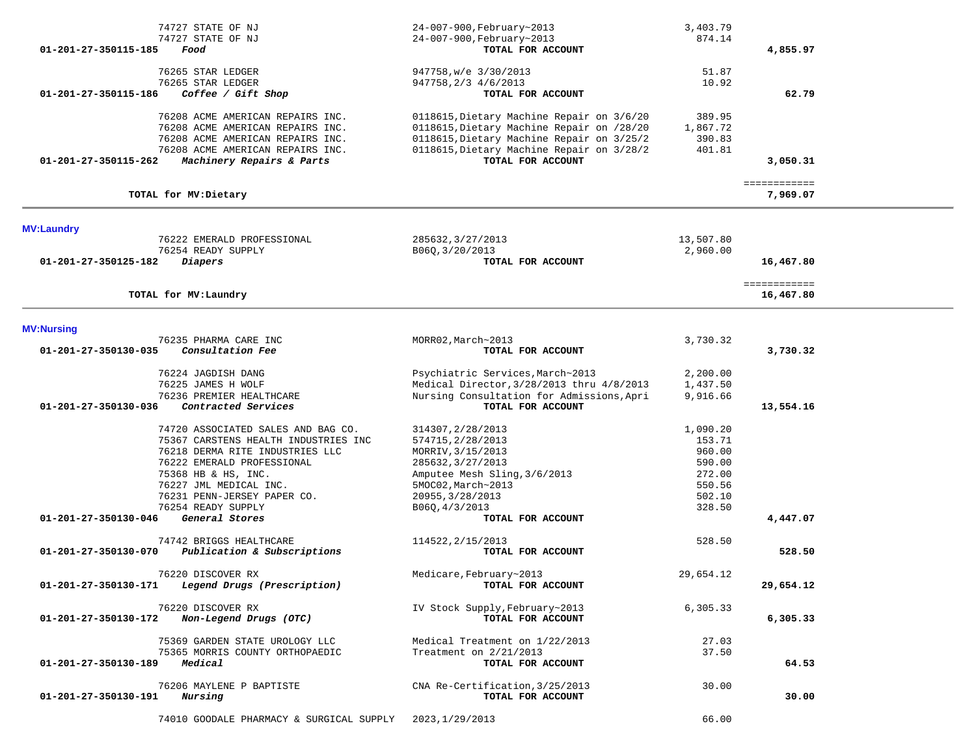| 01-201-27-350115-185 | 74727 STATE OF NJ<br>74727 STATE OF NJ<br>Food                                                                                                                            | 24-007-900, February~2013<br>24-007-900, February~2013<br>TOTAL FOR ACCOUNT                                                                                                                           | 3,403.79<br>874.14                     | 4,855.97                  |  |
|----------------------|---------------------------------------------------------------------------------------------------------------------------------------------------------------------------|-------------------------------------------------------------------------------------------------------------------------------------------------------------------------------------------------------|----------------------------------------|---------------------------|--|
|                      | 76265 STAR LEDGER<br>76265 STAR LEDGER                                                                                                                                    | 947758, w/e 3/30/2013                                                                                                                                                                                 | 51.87<br>10.92                         |                           |  |
| 01-201-27-350115-186 | Coffee / Gift Shop                                                                                                                                                        | 947758, 2/3 4/6/2013<br>TOTAL FOR ACCOUNT                                                                                                                                                             |                                        | 62.79                     |  |
| 01-201-27-350115-262 | 76208 ACME AMERICAN REPAIRS INC.<br>76208 ACME AMERICAN REPAIRS INC.<br>76208 ACME AMERICAN REPAIRS INC.<br>76208 ACME AMERICAN REPAIRS INC.<br>Machinery Repairs & Parts | 0118615, Dietary Machine Repair on 3/6/20<br>0118615, Dietary Machine Repair on /28/20<br>0118615, Dietary Machine Repair on 3/25/2<br>0118615, Dietary Machine Repair on 3/28/2<br>TOTAL FOR ACCOUNT | 389.95<br>1,867.72<br>390.83<br>401.81 | 3,050.31                  |  |
|                      | TOTAL for MV: Dietary                                                                                                                                                     |                                                                                                                                                                                                       |                                        | ============<br>7,969.07  |  |
| <b>MV:Laundry</b>    |                                                                                                                                                                           |                                                                                                                                                                                                       |                                        |                           |  |
|                      | 76222 EMERALD PROFESSIONAL                                                                                                                                                | 285632, 3/27/2013                                                                                                                                                                                     | 13,507.80                              |                           |  |
| 01-201-27-350125-182 | 76254 READY SUPPLY<br>Diapers                                                                                                                                             | B06Q, 3/20/2013<br>TOTAL FOR ACCOUNT                                                                                                                                                                  | 2,960.00                               | 16,467.80                 |  |
|                      | TOTAL for MV: Laundry                                                                                                                                                     |                                                                                                                                                                                                       |                                        | ============<br>16,467.80 |  |
| <b>MV:Nursing</b>    |                                                                                                                                                                           |                                                                                                                                                                                                       |                                        |                           |  |
| 01-201-27-350130-035 | 76235 PHARMA CARE INC<br>Consultation Fee                                                                                                                                 | MORR02, March~2013<br>TOTAL FOR ACCOUNT                                                                                                                                                               | 3,730.32                               | 3,730.32                  |  |
|                      | 76224 JAGDISH DANG                                                                                                                                                        | Psychiatric Services, March~2013                                                                                                                                                                      | 2,200.00                               |                           |  |
|                      | 76225 JAMES H WOLF<br>76236 PREMIER HEALTHCARE                                                                                                                            | Medical Director, 3/28/2013 thru 4/8/2013<br>Nursing Consultation for Admissions, Apri                                                                                                                | 1,437.50<br>9,916.66                   |                           |  |
| 01-201-27-350130-036 | Contracted Services                                                                                                                                                       | TOTAL FOR ACCOUNT                                                                                                                                                                                     |                                        | 13,554.16                 |  |
|                      | 74720 ASSOCIATED SALES AND BAG CO.                                                                                                                                        | 314307, 2/28/2013                                                                                                                                                                                     | 1,090.20                               |                           |  |
|                      | 75367 CARSTENS HEALTH INDUSTRIES INC                                                                                                                                      | 574715, 2/28/2013                                                                                                                                                                                     | 153.71                                 |                           |  |
|                      | 76218 DERMA RITE INDUSTRIES LLC                                                                                                                                           | MORRIV, 3/15/2013                                                                                                                                                                                     | 960.00                                 |                           |  |
|                      | 76222 EMERALD PROFESSIONAL<br>75368 HB & HS, INC.                                                                                                                         | 285632, 3/27/2013<br>Amputee Mesh Sling, 3/6/2013                                                                                                                                                     | 590.00<br>272.00                       |                           |  |
|                      | 76227 JML MEDICAL INC.                                                                                                                                                    | 5MOC02, March~2013                                                                                                                                                                                    | 550.56                                 |                           |  |
|                      | 76231 PENN-JERSEY PAPER CO.                                                                                                                                               | 20955, 3/28/2013                                                                                                                                                                                      | 502.10                                 |                           |  |
|                      | 76254 READY SUPPLY                                                                                                                                                        | B060, 4/3/2013                                                                                                                                                                                        | 328.50                                 |                           |  |
| 01-201-27-350130-046 | General Stores                                                                                                                                                            | TOTAL FOR ACCOUNT                                                                                                                                                                                     |                                        | 4,447.07                  |  |
|                      | 74742 BRIGGS HEALTHCARE                                                                                                                                                   | 114522, 2/15/2013                                                                                                                                                                                     | 528.50                                 |                           |  |
| 01-201-27-350130-070 | Publication & Subscriptions                                                                                                                                               | TOTAL FOR ACCOUNT                                                                                                                                                                                     |                                        | 528.50                    |  |
|                      | 76220 DISCOVER RX                                                                                                                                                         | Medicare, February~2013                                                                                                                                                                               | 29,654.12                              |                           |  |
| 01-201-27-350130-171 | Legend Drugs (Prescription)                                                                                                                                               | TOTAL FOR ACCOUNT                                                                                                                                                                                     |                                        | 29,654.12                 |  |
| 01-201-27-350130-172 | 76220 DISCOVER RX<br>Non-Legend Drugs (OTC)                                                                                                                               | IV Stock Supply, February~2013<br>TOTAL FOR ACCOUNT                                                                                                                                                   | 6,305.33                               | 6,305.33                  |  |
|                      | 75369 GARDEN STATE UROLOGY LLC                                                                                                                                            | Medical Treatment on 1/22/2013                                                                                                                                                                        | 27.03                                  |                           |  |
| 01-201-27-350130-189 | 75365 MORRIS COUNTY ORTHOPAEDIC<br>Medical                                                                                                                                | Treatment on 2/21/2013<br>TOTAL FOR ACCOUNT                                                                                                                                                           | 37.50                                  | 64.53                     |  |
| 01-201-27-350130-191 | 76206 MAYLENE P BAPTISTE<br>Nursing                                                                                                                                       | CNA Re-Certification, 3/25/2013<br>TOTAL FOR ACCOUNT                                                                                                                                                  | 30.00                                  | 30.00                     |  |
|                      | 74010 GOODALE PHARMACY & SURGICAL SUPPLY                                                                                                                                  | 2023, 1/29/2013                                                                                                                                                                                       | 66.00                                  |                           |  |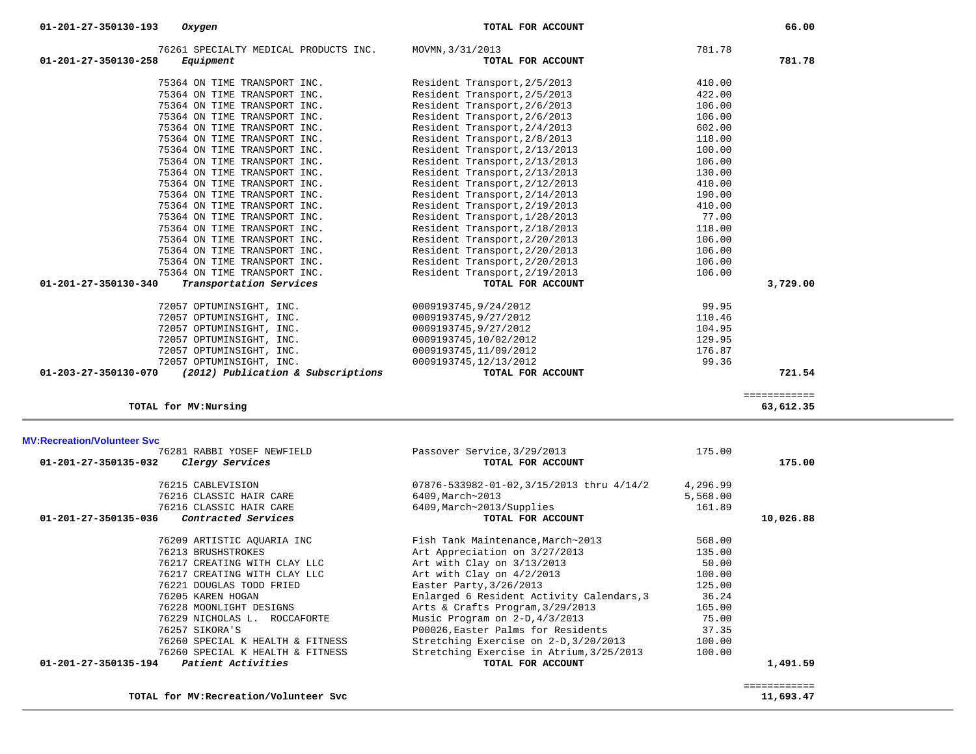| 76261 SPECIALTY MEDICAL PRODUCTS INC.                      | MOVMN, 3/31/2013              | 781.78 |          |
|------------------------------------------------------------|-------------------------------|--------|----------|
| 01-201-27-350130-258<br>Equipment                          | TOTAL FOR ACCOUNT             |        | 781.78   |
| 75364 ON TIME TRANSPORT INC.                               | Resident Transport, 2/5/2013  | 410.00 |          |
| 75364 ON TIME TRANSPORT INC.                               | Resident Transport, 2/5/2013  | 422.00 |          |
| 75364 ON TIME TRANSPORT INC.                               | Resident Transport, 2/6/2013  | 106.00 |          |
| 75364 ON TIME TRANSPORT INC.                               | Resident Transport, 2/6/2013  | 106.00 |          |
| 75364 ON TIME TRANSPORT INC.                               | Resident Transport, 2/4/2013  | 602.00 |          |
| 75364 ON TIME TRANSPORT INC.                               | Resident Transport, 2/8/2013  | 118.00 |          |
| 75364 ON TIME TRANSPORT INC.                               | Resident Transport, 2/13/2013 | 100.00 |          |
| 75364 ON TIME TRANSPORT INC.                               | Resident Transport, 2/13/2013 | 106.00 |          |
| 75364 ON TIME TRANSPORT INC.                               | Resident Transport, 2/13/2013 | 130.00 |          |
| 75364 ON TIME TRANSPORT INC.                               | Resident Transport, 2/12/2013 | 410.00 |          |
| 75364 ON TIME TRANSPORT INC.                               | Resident Transport, 2/14/2013 | 190.00 |          |
| 75364 ON TIME TRANSPORT INC.                               | Resident Transport, 2/19/2013 | 410.00 |          |
| 75364 ON TIME TRANSPORT INC.                               | Resident Transport, 1/28/2013 | 77.00  |          |
| 75364 ON TIME TRANSPORT INC.                               | Resident Transport, 2/18/2013 | 118.00 |          |
| 75364 ON TIME TRANSPORT INC.                               | Resident Transport, 2/20/2013 | 106.00 |          |
| 75364 ON TIME TRANSPORT INC.                               | Resident Transport, 2/20/2013 | 106.00 |          |
| 75364 ON TIME TRANSPORT INC.                               | Resident Transport, 2/20/2013 | 106.00 |          |
| 75364 ON TIME TRANSPORT INC.                               | Resident Transport, 2/19/2013 | 106.00 |          |
| 01-201-27-350130-340<br>Transportation Services            | TOTAL FOR ACCOUNT             |        | 3,729.00 |
| 72057 OPTUMINSIGHT, INC.                                   | 0009193745,9/24/2012          | 99.95  |          |
| 72057 OPTUMINSIGHT, INC.                                   | 0009193745,9/27/2012          | 110.46 |          |
| 72057 OPTUMINSIGHT, INC.                                   | 0009193745,9/27/2012          | 104.95 |          |
| 72057 OPTUMINSIGHT, INC.                                   | 0009193745,10/02/2012         | 129.95 |          |
| 72057 OPTUMINSIGHT, INC.                                   | 0009193745,11/09/2012         | 176.87 |          |
| 72057 OPTUMINSIGHT, INC.                                   | 0009193745,12/13/2012         | 99.36  |          |
| (2012) Publication & Subscriptions<br>01-203-27-350130-070 | TOTAL FOR ACCOUNT             |        | 721.54   |

**TOTAL for MV:Nursing 63,612.35**

#### **MV:Recreation/Volunteer Svc**

|                      | 76281 RABBI YOSEF NEWFIELD       | Passover Service, 3/29/2013               | 175.00   |           |
|----------------------|----------------------------------|-------------------------------------------|----------|-----------|
| 01-201-27-350135-032 | Clergy Services                  | TOTAL FOR ACCOUNT                         |          | 175.00    |
|                      | 76215 CABLEVISION                | 07876-533982-01-02,3/15/2013 thru 4/14/2  | 4,296.99 |           |
|                      | 76216 CLASSIC HAIR CARE          | 6409, March~2013                          | 5,568.00 |           |
|                      | 76216 CLASSIC HAIR CARE          | 6409.March~2013/Supplies                  | 161.89   |           |
| 01-201-27-350135-036 | Contracted Services              | TOTAL FOR ACCOUNT                         |          | 10,026.88 |
|                      | 76209 ARTISTIC AQUARIA INC       | Fish Tank Maintenance, March~2013         | 568.00   |           |
|                      | 76213 BRUSHSTROKES               | Art Appreciation on 3/27/2013             | 135.00   |           |
|                      | 76217 CREATING WITH CLAY LLC     | Art with Clay on $3/13/2013$              | 50.00    |           |
|                      | 76217 CREATING WITH CLAY LLC     | Art with Clay on 4/2/2013                 | 100.00   |           |
|                      | 76221 DOUGLAS TODD FRIED         | Easter Party, 3/26/2013                   | 125.00   |           |
|                      | 76205 KAREN HOGAN                | Enlarged 6 Resident Activity Calendars, 3 | 36.24    |           |
|                      | 76228 MOONLIGHT DESIGNS          | Arts & Crafts Program, 3/29/2013          | 165.00   |           |
|                      | 76229 NICHOLAS L. ROCCAFORTE     | Music Program on 2-D, 4/3/2013            | 75.00    |           |
|                      | 76257 SIKORA'S                   | P00026, Easter Palms for Residents        | 37.35    |           |
|                      | 76260 SPECIAL K HEALTH & FITNESS | Stretching Exercise on 2-D, 3/20/2013     | 100.00   |           |
|                      | 76260 SPECIAL K HEALTH & FITNESS | Stretching Exercise in Atrium, 3/25/2013  | 100.00   |           |
| 01-201-27-350135-194 | Patient Activities               | TOTAL FOR ACCOUNT                         |          | 1,491.59  |
|                      |                                  |                                           |          |           |

============

============

============

11,693.47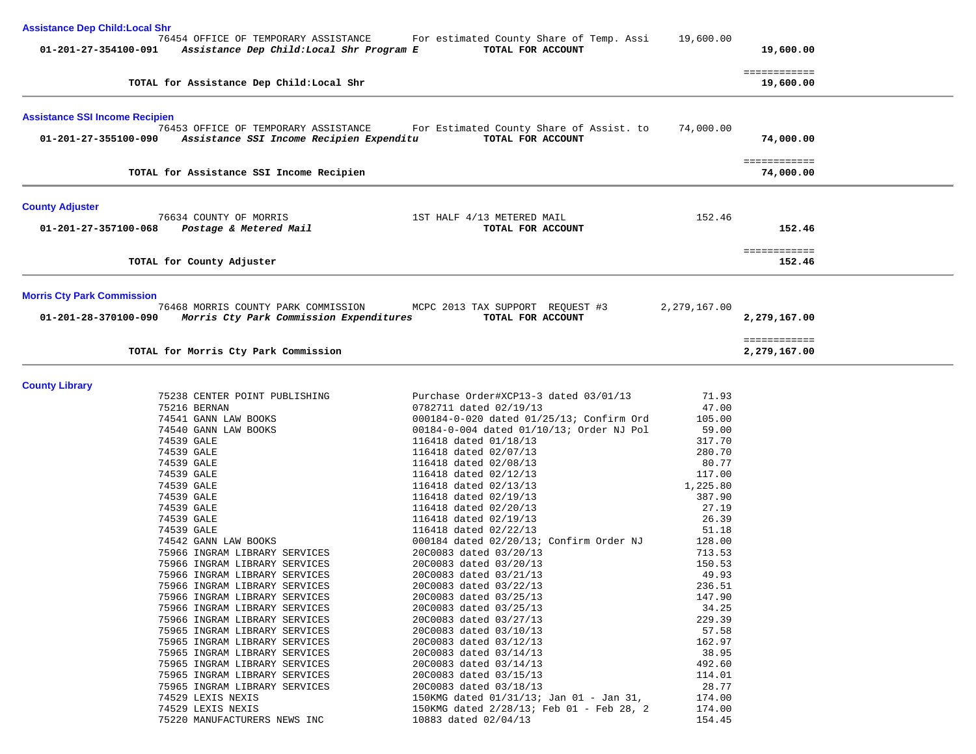| <b>Assistance Dep Child: Local Shr</b> |                                                                                                        |                                                               |                  |              |  |
|----------------------------------------|--------------------------------------------------------------------------------------------------------|---------------------------------------------------------------|------------------|--------------|--|
|                                        | 76454 OFFICE OF TEMPORARY ASSISTANCE<br>01-201-27-354100-091 Assistance Dep Child: Local Shr Program E | For estimated County Share of Temp. Assi<br>TOTAL FOR ACCOUNT | 19,600.00        | 19,600.00    |  |
|                                        |                                                                                                        |                                                               |                  | ============ |  |
|                                        | TOTAL for Assistance Dep Child:Local Shr                                                               |                                                               |                  | 19,600.00    |  |
| <b>Assistance SSI Income Recipien</b>  |                                                                                                        |                                                               |                  |              |  |
| 01-201-27-355100-090                   | 76453 OFFICE OF TEMPORARY ASSISTANCE<br>Assistance SSI Income Recipien Expenditu                       | For Estimated County Share of Assist. to<br>TOTAL FOR ACCOUNT | 74,000.00        | 74,000.00    |  |
|                                        |                                                                                                        |                                                               |                  | ============ |  |
|                                        | TOTAL for Assistance SSI Income Recipien                                                               |                                                               |                  | 74,000.00    |  |
| <b>County Adjuster</b>                 |                                                                                                        |                                                               |                  |              |  |
| 01-201-27-357100-068                   | 76634 COUNTY OF MORRIS<br>Postage & Metered Mail                                                       | 1ST HALF 4/13 METERED MAIL<br>TOTAL FOR ACCOUNT               | 152.46           | 152.46       |  |
|                                        |                                                                                                        |                                                               |                  | ============ |  |
|                                        | TOTAL for County Adjuster                                                                              |                                                               |                  | 152.46       |  |
| <b>Morris Cty Park Commission</b>      |                                                                                                        |                                                               |                  |              |  |
| 01-201-28-370100-090                   | 76468 MORRIS COUNTY PARK COMMISSION<br>Morris Cty Park Commission Expenditures                         | MCPC 2013 TAX SUPPORT REQUEST #3<br>TOTAL FOR ACCOUNT         | 2,279,167.00     | 2,279,167.00 |  |
|                                        |                                                                                                        |                                                               |                  | ============ |  |
|                                        | TOTAL for Morris Cty Park Commission                                                                   |                                                               |                  | 2,279,167.00 |  |
| <b>County Library</b>                  |                                                                                                        |                                                               |                  |              |  |
|                                        | 75238 CENTER POINT PUBLISHING                                                                          | Purchase Order#XCP13-3 dated 03/01/13                         | 71.93            |              |  |
|                                        | 75216 BERNAN                                                                                           | 0782711 dated 02/19/13                                        | 47.00            |              |  |
|                                        | 74541 GANN LAW BOOKS                                                                                   | 000184-0-020 dated 01/25/13; Confirm Ord                      | 105.00           |              |  |
|                                        | 74540 GANN LAW BOOKS                                                                                   | 00184-0-004 dated 01/10/13; Order NJ Pol                      | 59.00            |              |  |
|                                        | 74539 GALE                                                                                             | 116418 dated 01/18/13                                         | 317.70           |              |  |
|                                        | 74539 GALE                                                                                             | 116418 dated 02/07/13                                         | 280.70           |              |  |
|                                        | 74539 GALE                                                                                             | 116418 dated 02/08/13                                         | 80.77            |              |  |
|                                        | 74539 GALE                                                                                             | 116418 dated 02/12/13                                         | 117.00           |              |  |
|                                        | 74539 GALE                                                                                             | 116418 dated 02/13/13                                         | 1,225.80         |              |  |
|                                        | 74539 GALE                                                                                             | 116418 dated 02/19/13                                         | 387.90           |              |  |
|                                        | 74539 GALE                                                                                             | 116418 dated 02/20/13                                         | 27.19            |              |  |
|                                        | 74539 GALE                                                                                             | 116418 dated 02/19/13                                         | 26.39            |              |  |
|                                        | 74539 GALE                                                                                             | 116418 dated 02/22/13                                         | 51.18            |              |  |
|                                        | 74542 GANN LAW BOOKS                                                                                   | 000184 dated 02/20/13; Confirm Order NJ                       | 128.00           |              |  |
|                                        | 75966 INGRAM LIBRARY SERVICES                                                                          | 20C0083 dated 03/20/13<br>20C0083 dated 03/20/13              | 713.53<br>150.53 |              |  |
|                                        | 75966 INGRAM LIBRARY SERVICES<br>75966 INGRAM LIBRARY SERVICES                                         | 20C0083 dated 03/21/13                                        | 49.93            |              |  |
|                                        | 75966 INGRAM LIBRARY SERVICES                                                                          | 20C0083 dated 03/22/13                                        | 236.51           |              |  |
|                                        | 75966 INGRAM LIBRARY SERVICES                                                                          | 20C0083 dated 03/25/13                                        | 147.90           |              |  |
|                                        | 75966 INGRAM LIBRARY SERVICES                                                                          | 20C0083 dated 03/25/13                                        | 34.25            |              |  |
|                                        | 75966 INGRAM LIBRARY SERVICES                                                                          | 20C0083 dated 03/27/13                                        | 229.39           |              |  |
|                                        | 75965 INGRAM LIBRARY SERVICES                                                                          | 20C0083 dated 03/10/13                                        | 57.58            |              |  |
|                                        | 75965 INGRAM LIBRARY SERVICES                                                                          | 20C0083 dated 03/12/13                                        | 162.97           |              |  |
|                                        | 75965 INGRAM LIBRARY SERVICES                                                                          | 20C0083 dated 03/14/13                                        | 38.95            |              |  |
|                                        | 75965 INGRAM LIBRARY SERVICES                                                                          | 20C0083 dated 03/14/13                                        | 492.60           |              |  |
|                                        | 75965 INGRAM LIBRARY SERVICES                                                                          | 20C0083 dated 03/15/13                                        | 114.01           |              |  |
|                                        | 75965 INGRAM LIBRARY SERVICES                                                                          | 20C0083 dated 03/18/13                                        | 28.77            |              |  |
|                                        | 74529 LEXIS NEXIS                                                                                      | 150KMG dated 01/31/13; Jan 01 - Jan 31,                       | 174.00           |              |  |
|                                        | 74529 LEXIS NEXIS                                                                                      | 150KMG dated 2/28/13; Feb 01 - Feb 28, 2                      | 174.00           |              |  |
|                                        | 75220 MANUFACTURERS NEWS INC                                                                           | 10883 dated 02/04/13                                          | 154.45           |              |  |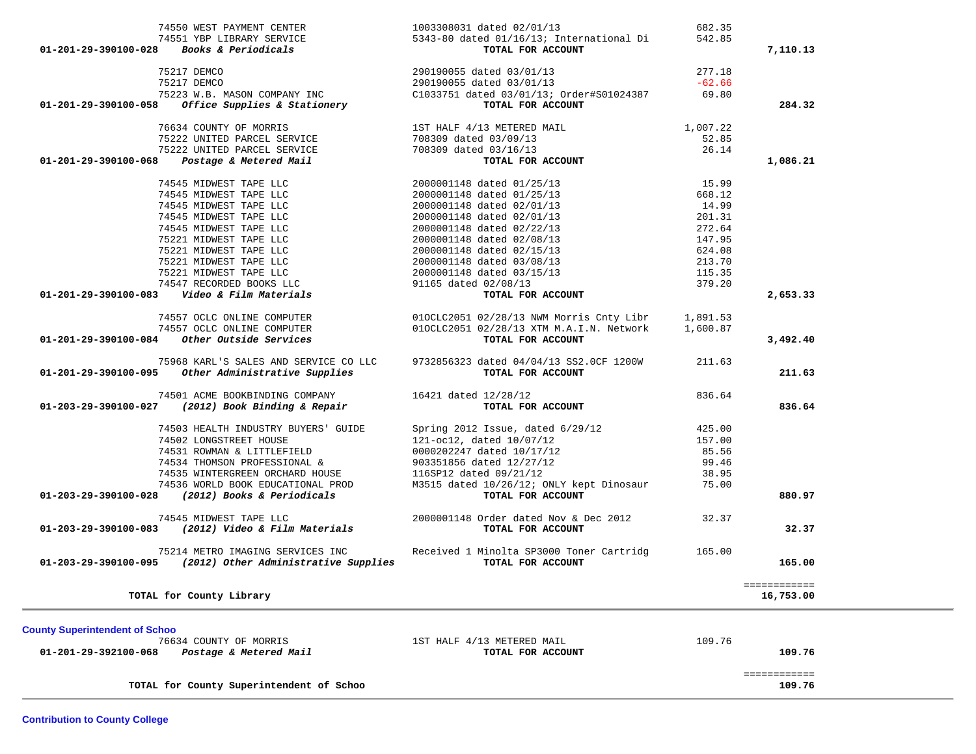| $1,007.22$ $75222 \t{UNITED PARCEL SERVICE} \t{75222 \t{UNITED PARCEL SERVICE} } \t{75222 \t{MITED PARCEL SERVICE} } \t{75222 \t{MITED PARCEL SERVICE} } \t{708309 \t{dated 03/09/13} } \t{708309 \t{dated 03/16/13} } \t{708309 \t{dated 03/16/13} } \t{708309 \t{dated 03/16/13} } \t{708309 \t{dated 03/16/13} }$<br>01-201-29-390100-068 Postage & Metered mail<br>74545 MIDWEST TAPE LLC<br>74545 MIDWEST TAPE LLC<br>74545 MIDWEST TAPE LLC<br>74545 MIDWEST TAPE LLC<br>74545 MIDWEST TAPE LLC<br>74545 MIDWEST TAPE LLC<br>74545 MIDWEST TAPE LLC<br>75221 MI<br>101AL FOR ACCOUNT<br>74557 OCLC ONLINE COMPUTER<br>74557 OCLC ONLINE COMPUTER<br>74557 OCLC ONLINE COMPUTER<br>74557 OCLC ONLINE COMPUTER<br>74557 OCLC ONLINE COMPUTER<br>74557 OCLC ONLINE COMPUTER<br>74557 OCLC ONLINE COMPUTER<br>74557 O<br>-----<br>75968 KARL'S SALES AND SERVICE CO LLC 9732856323 dated 04/04/13 SS2.0CF 1200W 211.63<br>TOTAL FOR ACCOUNT TOP ACCOUNT TO TREE OF ACCOUNT<br>74501 ACME BOOKBINDING COMPANY 16421 dated $12/28/12$<br>01-203-29-390100-027 (2012) Book Binding & Repair TOTAL FOR | 15.99<br>668.12<br>14.99<br>201.31<br>272.64<br>147.95<br>624.08<br>213.70<br>115.35<br>379.20                                                                                                     | 7,110.13<br>284.32<br>1,086.21<br>2,653.33<br>3,492.40                                                                                                                                                                                                                                                                                                                                                                                                                                                                                          |
|------------------------------------------------------------------------------------------------------------------------------------------------------------------------------------------------------------------------------------------------------------------------------------------------------------------------------------------------------------------------------------------------------------------------------------------------------------------------------------------------------------------------------------------------------------------------------------------------------------------------------------------------------------------------------------------------------------------------------------------------------------------------------------------------------------------------------------------------------------------------------------------------------------------------------------------------------------------------------------------------------------------------------------------------------------------------------------------------------|----------------------------------------------------------------------------------------------------------------------------------------------------------------------------------------------------|-------------------------------------------------------------------------------------------------------------------------------------------------------------------------------------------------------------------------------------------------------------------------------------------------------------------------------------------------------------------------------------------------------------------------------------------------------------------------------------------------------------------------------------------------|
|                                                                                                                                                                                                                                                                                                                                                                                                                                                                                                                                                                                                                                                                                                                                                                                                                                                                                                                                                                                                                                                                                                      |                                                                                                                                                                                                    |                                                                                                                                                                                                                                                                                                                                                                                                                                                                                                                                                 |
|                                                                                                                                                                                                                                                                                                                                                                                                                                                                                                                                                                                                                                                                                                                                                                                                                                                                                                                                                                                                                                                                                                      |                                                                                                                                                                                                    |                                                                                                                                                                                                                                                                                                                                                                                                                                                                                                                                                 |
|                                                                                                                                                                                                                                                                                                                                                                                                                                                                                                                                                                                                                                                                                                                                                                                                                                                                                                                                                                                                                                                                                                      |                                                                                                                                                                                                    |                                                                                                                                                                                                                                                                                                                                                                                                                                                                                                                                                 |
|                                                                                                                                                                                                                                                                                                                                                                                                                                                                                                                                                                                                                                                                                                                                                                                                                                                                                                                                                                                                                                                                                                      |                                                                                                                                                                                                    |                                                                                                                                                                                                                                                                                                                                                                                                                                                                                                                                                 |
|                                                                                                                                                                                                                                                                                                                                                                                                                                                                                                                                                                                                                                                                                                                                                                                                                                                                                                                                                                                                                                                                                                      |                                                                                                                                                                                                    |                                                                                                                                                                                                                                                                                                                                                                                                                                                                                                                                                 |
|                                                                                                                                                                                                                                                                                                                                                                                                                                                                                                                                                                                                                                                                                                                                                                                                                                                                                                                                                                                                                                                                                                      |                                                                                                                                                                                                    |                                                                                                                                                                                                                                                                                                                                                                                                                                                                                                                                                 |
|                                                                                                                                                                                                                                                                                                                                                                                                                                                                                                                                                                                                                                                                                                                                                                                                                                                                                                                                                                                                                                                                                                      |                                                                                                                                                                                                    |                                                                                                                                                                                                                                                                                                                                                                                                                                                                                                                                                 |
|                                                                                                                                                                                                                                                                                                                                                                                                                                                                                                                                                                                                                                                                                                                                                                                                                                                                                                                                                                                                                                                                                                      |                                                                                                                                                                                                    |                                                                                                                                                                                                                                                                                                                                                                                                                                                                                                                                                 |
|                                                                                                                                                                                                                                                                                                                                                                                                                                                                                                                                                                                                                                                                                                                                                                                                                                                                                                                                                                                                                                                                                                      |                                                                                                                                                                                                    |                                                                                                                                                                                                                                                                                                                                                                                                                                                                                                                                                 |
|                                                                                                                                                                                                                                                                                                                                                                                                                                                                                                                                                                                                                                                                                                                                                                                                                                                                                                                                                                                                                                                                                                      |                                                                                                                                                                                                    |                                                                                                                                                                                                                                                                                                                                                                                                                                                                                                                                                 |
|                                                                                                                                                                                                                                                                                                                                                                                                                                                                                                                                                                                                                                                                                                                                                                                                                                                                                                                                                                                                                                                                                                      |                                                                                                                                                                                                    |                                                                                                                                                                                                                                                                                                                                                                                                                                                                                                                                                 |
|                                                                                                                                                                                                                                                                                                                                                                                                                                                                                                                                                                                                                                                                                                                                                                                                                                                                                                                                                                                                                                                                                                      |                                                                                                                                                                                                    |                                                                                                                                                                                                                                                                                                                                                                                                                                                                                                                                                 |
|                                                                                                                                                                                                                                                                                                                                                                                                                                                                                                                                                                                                                                                                                                                                                                                                                                                                                                                                                                                                                                                                                                      |                                                                                                                                                                                                    |                                                                                                                                                                                                                                                                                                                                                                                                                                                                                                                                                 |
|                                                                                                                                                                                                                                                                                                                                                                                                                                                                                                                                                                                                                                                                                                                                                                                                                                                                                                                                                                                                                                                                                                      |                                                                                                                                                                                                    |                                                                                                                                                                                                                                                                                                                                                                                                                                                                                                                                                 |
|                                                                                                                                                                                                                                                                                                                                                                                                                                                                                                                                                                                                                                                                                                                                                                                                                                                                                                                                                                                                                                                                                                      |                                                                                                                                                                                                    |                                                                                                                                                                                                                                                                                                                                                                                                                                                                                                                                                 |
|                                                                                                                                                                                                                                                                                                                                                                                                                                                                                                                                                                                                                                                                                                                                                                                                                                                                                                                                                                                                                                                                                                      |                                                                                                                                                                                                    |                                                                                                                                                                                                                                                                                                                                                                                                                                                                                                                                                 |
|                                                                                                                                                                                                                                                                                                                                                                                                                                                                                                                                                                                                                                                                                                                                                                                                                                                                                                                                                                                                                                                                                                      |                                                                                                                                                                                                    |                                                                                                                                                                                                                                                                                                                                                                                                                                                                                                                                                 |
|                                                                                                                                                                                                                                                                                                                                                                                                                                                                                                                                                                                                                                                                                                                                                                                                                                                                                                                                                                                                                                                                                                      |                                                                                                                                                                                                    |                                                                                                                                                                                                                                                                                                                                                                                                                                                                                                                                                 |
|                                                                                                                                                                                                                                                                                                                                                                                                                                                                                                                                                                                                                                                                                                                                                                                                                                                                                                                                                                                                                                                                                                      |                                                                                                                                                                                                    |                                                                                                                                                                                                                                                                                                                                                                                                                                                                                                                                                 |
|                                                                                                                                                                                                                                                                                                                                                                                                                                                                                                                                                                                                                                                                                                                                                                                                                                                                                                                                                                                                                                                                                                      |                                                                                                                                                                                                    |                                                                                                                                                                                                                                                                                                                                                                                                                                                                                                                                                 |
|                                                                                                                                                                                                                                                                                                                                                                                                                                                                                                                                                                                                                                                                                                                                                                                                                                                                                                                                                                                                                                                                                                      |                                                                                                                                                                                                    |                                                                                                                                                                                                                                                                                                                                                                                                                                                                                                                                                 |
|                                                                                                                                                                                                                                                                                                                                                                                                                                                                                                                                                                                                                                                                                                                                                                                                                                                                                                                                                                                                                                                                                                      |                                                                                                                                                                                                    |                                                                                                                                                                                                                                                                                                                                                                                                                                                                                                                                                 |
|                                                                                                                                                                                                                                                                                                                                                                                                                                                                                                                                                                                                                                                                                                                                                                                                                                                                                                                                                                                                                                                                                                      |                                                                                                                                                                                                    |                                                                                                                                                                                                                                                                                                                                                                                                                                                                                                                                                 |
|                                                                                                                                                                                                                                                                                                                                                                                                                                                                                                                                                                                                                                                                                                                                                                                                                                                                                                                                                                                                                                                                                                      |                                                                                                                                                                                                    |                                                                                                                                                                                                                                                                                                                                                                                                                                                                                                                                                 |
|                                                                                                                                                                                                                                                                                                                                                                                                                                                                                                                                                                                                                                                                                                                                                                                                                                                                                                                                                                                                                                                                                                      |                                                                                                                                                                                                    |                                                                                                                                                                                                                                                                                                                                                                                                                                                                                                                                                 |
|                                                                                                                                                                                                                                                                                                                                                                                                                                                                                                                                                                                                                                                                                                                                                                                                                                                                                                                                                                                                                                                                                                      |                                                                                                                                                                                                    |                                                                                                                                                                                                                                                                                                                                                                                                                                                                                                                                                 |
|                                                                                                                                                                                                                                                                                                                                                                                                                                                                                                                                                                                                                                                                                                                                                                                                                                                                                                                                                                                                                                                                                                      |                                                                                                                                                                                                    |                                                                                                                                                                                                                                                                                                                                                                                                                                                                                                                                                 |
|                                                                                                                                                                                                                                                                                                                                                                                                                                                                                                                                                                                                                                                                                                                                                                                                                                                                                                                                                                                                                                                                                                      |                                                                                                                                                                                                    |                                                                                                                                                                                                                                                                                                                                                                                                                                                                                                                                                 |
|                                                                                                                                                                                                                                                                                                                                                                                                                                                                                                                                                                                                                                                                                                                                                                                                                                                                                                                                                                                                                                                                                                      |                                                                                                                                                                                                    | 211.63                                                                                                                                                                                                                                                                                                                                                                                                                                                                                                                                          |
|                                                                                                                                                                                                                                                                                                                                                                                                                                                                                                                                                                                                                                                                                                                                                                                                                                                                                                                                                                                                                                                                                                      |                                                                                                                                                                                                    |                                                                                                                                                                                                                                                                                                                                                                                                                                                                                                                                                 |
|                                                                                                                                                                                                                                                                                                                                                                                                                                                                                                                                                                                                                                                                                                                                                                                                                                                                                                                                                                                                                                                                                                      | 836.64                                                                                                                                                                                             |                                                                                                                                                                                                                                                                                                                                                                                                                                                                                                                                                 |
| $\frac{12}{28}/\frac{12}{12}$ TOTAL FOR ACCOUNT                                                                                                                                                                                                                                                                                                                                                                                                                                                                                                                                                                                                                                                                                                                                                                                                                                                                                                                                                                                                                                                      |                                                                                                                                                                                                    | 836.64                                                                                                                                                                                                                                                                                                                                                                                                                                                                                                                                          |
|                                                                                                                                                                                                                                                                                                                                                                                                                                                                                                                                                                                                                                                                                                                                                                                                                                                                                                                                                                                                                                                                                                      |                                                                                                                                                                                                    |                                                                                                                                                                                                                                                                                                                                                                                                                                                                                                                                                 |
|                                                                                                                                                                                                                                                                                                                                                                                                                                                                                                                                                                                                                                                                                                                                                                                                                                                                                                                                                                                                                                                                                                      |                                                                                                                                                                                                    |                                                                                                                                                                                                                                                                                                                                                                                                                                                                                                                                                 |
|                                                                                                                                                                                                                                                                                                                                                                                                                                                                                                                                                                                                                                                                                                                                                                                                                                                                                                                                                                                                                                                                                                      |                                                                                                                                                                                                    |                                                                                                                                                                                                                                                                                                                                                                                                                                                                                                                                                 |
|                                                                                                                                                                                                                                                                                                                                                                                                                                                                                                                                                                                                                                                                                                                                                                                                                                                                                                                                                                                                                                                                                                      |                                                                                                                                                                                                    |                                                                                                                                                                                                                                                                                                                                                                                                                                                                                                                                                 |
|                                                                                                                                                                                                                                                                                                                                                                                                                                                                                                                                                                                                                                                                                                                                                                                                                                                                                                                                                                                                                                                                                                      |                                                                                                                                                                                                    |                                                                                                                                                                                                                                                                                                                                                                                                                                                                                                                                                 |
|                                                                                                                                                                                                                                                                                                                                                                                                                                                                                                                                                                                                                                                                                                                                                                                                                                                                                                                                                                                                                                                                                                      |                                                                                                                                                                                                    |                                                                                                                                                                                                                                                                                                                                                                                                                                                                                                                                                 |
|                                                                                                                                                                                                                                                                                                                                                                                                                                                                                                                                                                                                                                                                                                                                                                                                                                                                                                                                                                                                                                                                                                      |                                                                                                                                                                                                    |                                                                                                                                                                                                                                                                                                                                                                                                                                                                                                                                                 |
|                                                                                                                                                                                                                                                                                                                                                                                                                                                                                                                                                                                                                                                                                                                                                                                                                                                                                                                                                                                                                                                                                                      |                                                                                                                                                                                                    | 880.97                                                                                                                                                                                                                                                                                                                                                                                                                                                                                                                                          |
|                                                                                                                                                                                                                                                                                                                                                                                                                                                                                                                                                                                                                                                                                                                                                                                                                                                                                                                                                                                                                                                                                                      |                                                                                                                                                                                                    |                                                                                                                                                                                                                                                                                                                                                                                                                                                                                                                                                 |
| TOTAL FOR ACCOUNT                                                                                                                                                                                                                                                                                                                                                                                                                                                                                                                                                                                                                                                                                                                                                                                                                                                                                                                                                                                                                                                                                    |                                                                                                                                                                                                    | 32.37                                                                                                                                                                                                                                                                                                                                                                                                                                                                                                                                           |
|                                                                                                                                                                                                                                                                                                                                                                                                                                                                                                                                                                                                                                                                                                                                                                                                                                                                                                                                                                                                                                                                                                      |                                                                                                                                                                                                    |                                                                                                                                                                                                                                                                                                                                                                                                                                                                                                                                                 |
|                                                                                                                                                                                                                                                                                                                                                                                                                                                                                                                                                                                                                                                                                                                                                                                                                                                                                                                                                                                                                                                                                                      |                                                                                                                                                                                                    |                                                                                                                                                                                                                                                                                                                                                                                                                                                                                                                                                 |
|                                                                                                                                                                                                                                                                                                                                                                                                                                                                                                                                                                                                                                                                                                                                                                                                                                                                                                                                                                                                                                                                                                      |                                                                                                                                                                                                    | 165.00                                                                                                                                                                                                                                                                                                                                                                                                                                                                                                                                          |
|                                                                                                                                                                                                                                                                                                                                                                                                                                                                                                                                                                                                                                                                                                                                                                                                                                                                                                                                                                                                                                                                                                      |                                                                                                                                                                                                    | ============                                                                                                                                                                                                                                                                                                                                                                                                                                                                                                                                    |
|                                                                                                                                                                                                                                                                                                                                                                                                                                                                                                                                                                                                                                                                                                                                                                                                                                                                                                                                                                                                                                                                                                      |                                                                                                                                                                                                    | 16,753.00                                                                                                                                                                                                                                                                                                                                                                                                                                                                                                                                       |
|                                                                                                                                                                                                                                                                                                                                                                                                                                                                                                                                                                                                                                                                                                                                                                                                                                                                                                                                                                                                                                                                                                      | 74545 MIDWEST TAPE LLC 20000011<br>01-203-29-390100-083 (2012) Video & Film Materials<br>01-203-29-390100-095 (2012) Other Administrative Supplies TOTAL FOR ACCOUNT<br>1ST HALF 4/13 METERED MAIL | $\begin{tabular}{lllllllllllllllllllll} \hline & 74503 \text{ HEALTH INDUSTRY BUYERS'} \text{ GUIDE} & \text{Spring 2012 Issue, dated 6/29/12} & 425.00 \\ 74502 \text{ LONGSTREF HOUSE} & 121-oc12, dated 10/07/12 & 157.00 \\ 74531 \text{ ROWMAN & LITTLEFIED} & 0000202247 \text{ dated } 10/17/12 & 85.56 \\ 74534 \text{ THOMSON PROFESSIONAL & & & & & & & & & \\ 74535 \text{ WINTERGREEN$<br>2000001148 Order dated Nov & Dec 2012 32.37<br>75214 METRO IMAGING SERVICES INC Received 1 Minolta SP3000 Toner Cartridg 165.00<br>109.76 |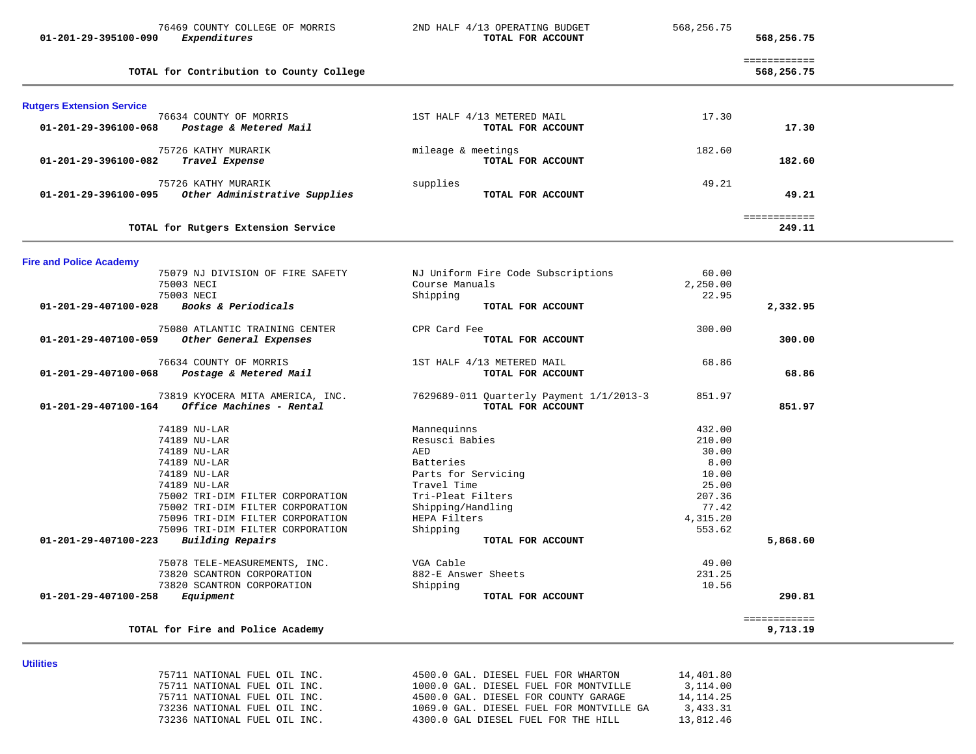|                                  | 76469 COUNTY COLLEGE OF MORRIS                   | 2ND HALF 4/13 OPERATING BUDGET                  | 568,256.75 |                            |  |
|----------------------------------|--------------------------------------------------|-------------------------------------------------|------------|----------------------------|--|
| 01-201-29-395100-090             | Expenditures                                     | TOTAL FOR ACCOUNT                               |            | 568,256.75                 |  |
|                                  | TOTAL for Contribution to County College         |                                                 |            | ============<br>568,256.75 |  |
| <b>Rutgers Extension Service</b> |                                                  |                                                 |            |                            |  |
| 01-201-29-396100-068             | 76634 COUNTY OF MORRIS<br>Postage & Metered Mail | 1ST HALF 4/13 METERED MAIL<br>TOTAL FOR ACCOUNT | 17.30      | 17.30                      |  |
| 01-201-29-396100-082             | 75726 KATHY MURARIK<br>Travel Expense            | mileage & meetings<br>TOTAL FOR ACCOUNT         | 182.60     | 182.60                     |  |
|                                  | 75726 KATHY MURARIK                              | supplies                                        | 49.21      |                            |  |
| 01-201-29-396100-095             | Other Administrative Supplies                    | TOTAL FOR ACCOUNT                               |            | 49.21                      |  |
|                                  | TOTAL for Rutgers Extension Service              |                                                 |            | ============<br>249.11     |  |
| <b>Fire and Police Academy</b>   |                                                  |                                                 |            |                            |  |
|                                  | 75079 NJ DIVISION OF FIRE SAFETY                 | NJ Uniform Fire Code Subscriptions              | 60.00      |                            |  |
|                                  | 75003 NECI                                       | Course Manuals                                  | 2,250.00   |                            |  |
|                                  | 75003 NECI                                       | Shipping                                        | 22.95      |                            |  |
| 01-201-29-407100-028             | Books & Periodicals                              | TOTAL FOR ACCOUNT                               |            | 2,332.95                   |  |
|                                  | 75080 ATLANTIC TRAINING CENTER                   | CPR Card Fee                                    | 300.00     |                            |  |
| 01-201-29-407100-059             | Other General Expenses                           | TOTAL FOR ACCOUNT                               |            | 300.00                     |  |
|                                  | 76634 COUNTY OF MORRIS                           | 1ST HALF 4/13 METERED MAIL                      | 68.86      |                            |  |
| 01-201-29-407100-068             | Postage & Metered Mail                           | TOTAL FOR ACCOUNT                               |            | 68.86                      |  |
|                                  | 73819 KYOCERA MITA AMERICA, INC.                 | 7629689-011 Quarterly Payment 1/1/2013-3        | 851.97     |                            |  |
| 01-201-29-407100-164             | Office Machines - Rental                         | TOTAL FOR ACCOUNT                               |            | 851.97                     |  |
|                                  | 74189 NU-LAR                                     | Mannequinns                                     | 432.00     |                            |  |
|                                  | 74189 NU-LAR                                     | Resusci Babies                                  | 210.00     |                            |  |
|                                  | 74189 NU-LAR                                     | AED                                             | 30.00      |                            |  |
|                                  | 74189 NU-LAR                                     | Batteries                                       | 8.00       |                            |  |
|                                  | 74189 NU-LAR                                     | Parts for Servicing                             | 10.00      |                            |  |
|                                  | 74189 NU-LAR                                     | Travel Time                                     | 25.00      |                            |  |
|                                  | 75002 TRI-DIM FILTER CORPORATION                 | Tri-Pleat Filters                               | 207.36     |                            |  |
|                                  | 75002 TRI-DIM FILTER CORPORATION                 | Shipping/Handling                               | 77.42      |                            |  |
|                                  | 75096 TRI-DIM FILTER CORPORATION                 | HEPA Filters                                    | 4,315.20   |                            |  |
|                                  | 75096 TRI-DIM FILTER CORPORATION                 | Shipping                                        | 553.62     |                            |  |
| 01-201-29-407100-223             | <b>Building Repairs</b>                          | TOTAL FOR ACCOUNT                               |            | 5,868.60                   |  |
|                                  | 75078 TELE-MEASUREMENTS, INC.                    | VGA Cable                                       | 49.00      |                            |  |
|                                  | 73820 SCANTRON CORPORATION                       | 882-E Answer Sheets                             | 231.25     |                            |  |
|                                  | 73820 SCANTRON CORPORATION                       | Shipping                                        | 10.56      |                            |  |
| 01-201-29-407100-258             | Equipment                                        | TOTAL FOR ACCOUNT                               |            | 290.81                     |  |
|                                  | TOTAL for Fire and Police Academy                |                                                 |            | ============<br>9,713.19   |  |
|                                  |                                                  |                                                 |            |                            |  |
| <b>Utilities</b>                 |                                                  |                                                 |            |                            |  |
|                                  | 75711 NATIONAL FUEL OIL INC.                     | 4500.0 GAL. DIESEL FUEL FOR WHARTON             | 14,401.80  |                            |  |
|                                  | 75711 NATIONAL FUEL OIL INC.                     | 1000.0 GAL. DIESEL FUEL FOR MONTVILLE           | 3,114.00   |                            |  |

| 75711 NATIONAL FUEL OIL INC. |  | 4500.0 GAL. DIESEL FOR COUNTY GARAGE     | 14, 114, 25 |
|------------------------------|--|------------------------------------------|-------------|
| 73236 NATIONAL FUEL OIL INC. |  | 1069.0 GAL. DIESEL FUEL FOR MONTVILLE GA | 3,433.31    |
| 73236 NATIONAL FUEL OIL INC. |  | 4300.0 GAL DIESEL FUEL FOR THE HILL      | 13,812.46   |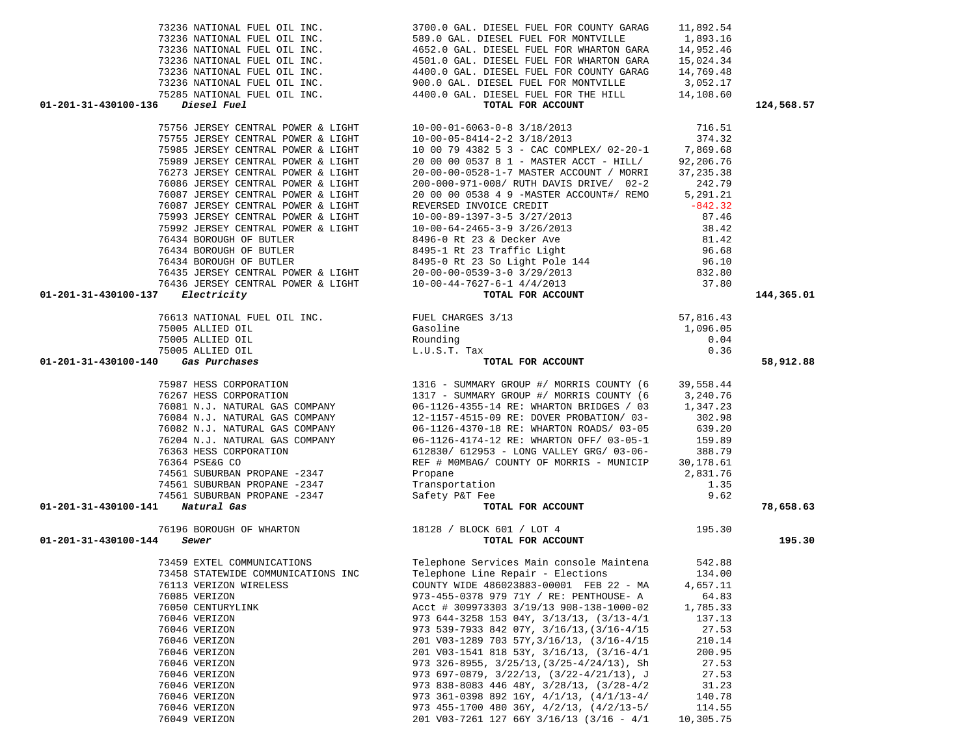| 73236 NATIONAL FUEL OIL INC.                                                                                                                                                                         | 589.0 GAL. DIESEL FUEL FOR MONTVILLE 1,893.16                                                                                                                                                                                                                                                                                                                                                                                                               |            |            |
|------------------------------------------------------------------------------------------------------------------------------------------------------------------------------------------------------|-------------------------------------------------------------------------------------------------------------------------------------------------------------------------------------------------------------------------------------------------------------------------------------------------------------------------------------------------------------------------------------------------------------------------------------------------------------|------------|------------|
|                                                                                                                                                                                                      | 1993.<br>1993. NATIONAL FUEL OIL INC.<br>1993. ANN INC.<br>1992. A GES ANN INC.<br>1992. A GES ANN INC.<br>1992. A GES ANN INC.<br>1992. A GES ANN INC.<br>1990. O GAL. DIESEL FUEL FOR WHARTON GARA<br>1992. A GES ANN INC.<br>1990. O GAL. DIE                                                                                                                                                                                                            |            |            |
|                                                                                                                                                                                                      |                                                                                                                                                                                                                                                                                                                                                                                                                                                             |            |            |
|                                                                                                                                                                                                      |                                                                                                                                                                                                                                                                                                                                                                                                                                                             |            |            |
|                                                                                                                                                                                                      |                                                                                                                                                                                                                                                                                                                                                                                                                                                             |            |            |
|                                                                                                                                                                                                      |                                                                                                                                                                                                                                                                                                                                                                                                                                                             |            |            |
|                                                                                                                                                                                                      |                                                                                                                                                                                                                                                                                                                                                                                                                                                             |            |            |
| 01-201-31-430100-136                                                                                                                                                                                 | TOTAL FOR ACCOUNT<br>TOTAL FOR ACCOUNT<br>75755 JERSEY CENTRAL POWER & LIGHT<br>75985 JERSEY CENTRAL POWER & LIGHT<br>75985 JERSEY CENTRAL POWER & LIGHT<br>75989 JERSEY CENTRAL POWER & LIGHT<br>75989 JERSEY CENTRAL POWER & LIGHT<br>7598                                                                                                                                                                                                                |            | 124,568.57 |
|                                                                                                                                                                                                      |                                                                                                                                                                                                                                                                                                                                                                                                                                                             | 716.51     |            |
|                                                                                                                                                                                                      |                                                                                                                                                                                                                                                                                                                                                                                                                                                             |            |            |
|                                                                                                                                                                                                      | 10 00 79 4382 5 3 - CAC COMPLEX/ 02-20-1                                                                                                                                                                                                                                                                                                                                                                                                                    | 374.32     |            |
|                                                                                                                                                                                                      |                                                                                                                                                                                                                                                                                                                                                                                                                                                             | 7,869.68   |            |
| 75989 JERSEY CENTRAL POWER & LIGHT                                                                                                                                                                   | 20 00 00 0537 8 1 - MASTER ACCT - HILL/                                                                                                                                                                                                                                                                                                                                                                                                                     | 92,206.76  |            |
| 76273 JERSEY CENTRAL POWER & LIGHT                                                                                                                                                                   | 20-00-00-0528-1-7 MASTER ACCOUNT / MORRI                                                                                                                                                                                                                                                                                                                                                                                                                    | 37, 235.38 |            |
| 76086 JERSEY CENTRAL POWER & LIGHT                                                                                                                                                                   | 200-000-971-008/ RUTH DAVIS DRIVE/ 02-2                                                                                                                                                                                                                                                                                                                                                                                                                     | 242.79     |            |
| 76087 JERSEY CENTRAL POWER & LIGHT                                                                                                                                                                   | 20 00 00 0538 4 9 - MASTER ACCOUNT#/ REMO 5,291.21                                                                                                                                                                                                                                                                                                                                                                                                          |            |            |
| 76087 JERSEY CENTRAL POWER & LIGHT                                                                                                                                                                   |                                                                                                                                                                                                                                                                                                                                                                                                                                                             |            |            |
|                                                                                                                                                                                                      |                                                                                                                                                                                                                                                                                                                                                                                                                                                             |            |            |
|                                                                                                                                                                                                      |                                                                                                                                                                                                                                                                                                                                                                                                                                                             |            |            |
|                                                                                                                                                                                                      |                                                                                                                                                                                                                                                                                                                                                                                                                                                             |            |            |
|                                                                                                                                                                                                      |                                                                                                                                                                                                                                                                                                                                                                                                                                                             |            |            |
|                                                                                                                                                                                                      |                                                                                                                                                                                                                                                                                                                                                                                                                                                             |            |            |
|                                                                                                                                                                                                      |                                                                                                                                                                                                                                                                                                                                                                                                                                                             |            |            |
|                                                                                                                                                                                                      |                                                                                                                                                                                                                                                                                                                                                                                                                                                             |            |            |
|                                                                                                                                                                                                      | 76087 JERSEY CENTRAL POWER & LIGHT<br>75993 JERSEY CENTRAL POWER & LIGHT<br>75992 JERSEY CENTRAL POWER & LIGHT<br>76434 BOROUGH OF BUTLER<br>76434 BOROUGH OF BUTLER<br>76434 BOROUGH OF BUTLER<br>76434 BOROUGH OF BUTLER<br>76434 BOROUGH                                                                                                                                                                                                                 |            |            |
| Electricity<br>01-201-31-430100-137                                                                                                                                                                  | $\begin{array}{r} \text{} \\ \text{} \\ \text{1} \\ \text{1} \\ \text{1} \\ \text{2} \\ \text{1} \\ \text{3} \\ \text{1} \\ \text{3} \\ \text{1} \\ \text{3} \\ \text{1} \\ \text{2} \\ \text{1} \\ \text{1} \\ \text{1} \\ \text{2} \\ \text{2} \\ \text{2} \\ \text{3} \\ \text{2} \\ \text{1} \\ \text{2} \\ \text{2} \\ \text{3} \\ \text{2} \\ \text{3} \\ \text{4} \\ \text{5} \\ \text{5} \\ \text{4} \\ \text{5} \\ \text{5} \\ \text{5} \\ \text{$ |            | 144,365.01 |
| 76613 NATIONAL FUEL OIL INC. FUEL CHARGES 3/13<br>75005 ALLIED OIL Gasoline<br>75005 ALLIED OIL Rounding<br>75005 ALLIED OIL Rounding<br>75005 ALLIED OIL L.U.S.T. Tax<br><b>Gas Purchases</b> TOTAL |                                                                                                                                                                                                                                                                                                                                                                                                                                                             |            |            |
|                                                                                                                                                                                                      |                                                                                                                                                                                                                                                                                                                                                                                                                                                             |            |            |
|                                                                                                                                                                                                      |                                                                                                                                                                                                                                                                                                                                                                                                                                                             |            |            |
|                                                                                                                                                                                                      |                                                                                                                                                                                                                                                                                                                                                                                                                                                             | 0.36       |            |
|                                                                                                                                                                                                      | TOTAL FOR ACCOUNT                                                                                                                                                                                                                                                                                                                                                                                                                                           |            |            |
| 01-201-31-430100-140                                                                                                                                                                                 |                                                                                                                                                                                                                                                                                                                                                                                                                                                             |            | 58,912.88  |
|                                                                                                                                                                                                      | 1316 - SUMMARY GROUP #/ MORRIS COUNTY (6 39,558.44 76267 HESS CORPORATION 1317 - SUMMARY GROUP #/ MORRIS COUNTY (6 3,240.76<br>1317 - SUMMARY GROUP #/ MORRIS COUNTY (6 3,240.76<br>1317 - SUMMARY GROUP #/ MORRIS COUNTY (6 3,240.7                                                                                                                                                                                                                        |            |            |
|                                                                                                                                                                                                      |                                                                                                                                                                                                                                                                                                                                                                                                                                                             |            |            |
|                                                                                                                                                                                                      |                                                                                                                                                                                                                                                                                                                                                                                                                                                             |            |            |
|                                                                                                                                                                                                      |                                                                                                                                                                                                                                                                                                                                                                                                                                                             |            |            |
|                                                                                                                                                                                                      |                                                                                                                                                                                                                                                                                                                                                                                                                                                             |            |            |
|                                                                                                                                                                                                      |                                                                                                                                                                                                                                                                                                                                                                                                                                                             |            |            |
| 76204 N.J. NATURAL GAS COMPANY                                                                                                                                                                       | 06-1126-4174-12 RE: WHARTON OFF/ 03-05-1 159.89<br>612830/ 612953 - LONG VALLEY GRG/ 03-06- 388.79                                                                                                                                                                                                                                                                                                                                                          |            |            |
| 76363 HESS CORPORATION                                                                                                                                                                               |                                                                                                                                                                                                                                                                                                                                                                                                                                                             |            |            |
| 76364 PSE&G CO                                                                                                                                                                                       | REF # MOMBAG/ COUNTY OF MORRIS - MUNICIP 30,178.61                                                                                                                                                                                                                                                                                                                                                                                                          |            |            |
| 74561 SUBURBAN PROPANE -2347                                                                                                                                                                         | Propane                                                                                                                                                                                                                                                                                                                                                                                                                                                     | 2,831.76   |            |
|                                                                                                                                                                                                      |                                                                                                                                                                                                                                                                                                                                                                                                                                                             | 1.35       |            |
|                                                                                                                                                                                                      |                                                                                                                                                                                                                                                                                                                                                                                                                                                             | 9.62       |            |
| 74561 SUBURBAN PROPANE -2347 Transportation<br>74561 SUBURBAN PROPANE -2347 Safety P&T Fee<br>101 Natural Gas<br>01-201-31-430100-141 Natural Gas                                                    | THE SECTION OF THE SECTION OF THE SECTION OF THE SECTION OF THE SECTION OF THE SECTION OF THE SECTION OF THE SECTION OF THE SECTION OF THE SECTION OF THE SECTION OF THE SECTION OF THE SECTION OF THE SECTION OF THE SECTION                                                                                                                                                                                                                               |            | 78,658.63  |
|                                                                                                                                                                                                      | יינו ני בער בער 195.30 $195.30$                                                                                                                                                                                                                                                                                                                                                                                                                             |            |            |
| 76196 BOROUGH OF WHARTON 18128 / BLOCK 601 / LOT 4                                                                                                                                                   |                                                                                                                                                                                                                                                                                                                                                                                                                                                             |            |            |
| 01-201-31-430100-144<br>Sewer                                                                                                                                                                        | TOTAL FOR ACCOUNT                                                                                                                                                                                                                                                                                                                                                                                                                                           |            | 195.30     |
| 73459 EXTEL COMMUNICATIONS                                                                                                                                                                           | Telephone Services Main console Maintena 542.88                                                                                                                                                                                                                                                                                                                                                                                                             |            |            |
|                                                                                                                                                                                                      |                                                                                                                                                                                                                                                                                                                                                                                                                                                             | 134.00     |            |
|                                                                                                                                                                                                      | 73458 STATEWIDE COMMUNICATIONS INC Telephone Line Repair - Elections                                                                                                                                                                                                                                                                                                                                                                                        |            |            |
| 76113 VERIZON WIRELESS                                                                                                                                                                               | COUNTY WIDE 486023883-00001 FEB 22 - MA 4,657.11                                                                                                                                                                                                                                                                                                                                                                                                            |            |            |
| 76085 VERIZON                                                                                                                                                                                        | 973-455-0378 979 71Y / RE: PENTHOUSE- A                                                                                                                                                                                                                                                                                                                                                                                                                     | 64.83      |            |
| 76050 CENTURYLINK                                                                                                                                                                                    | Acct # 309973303 3/19/13 908-138-1000-02                                                                                                                                                                                                                                                                                                                                                                                                                    | 1,785.33   |            |
| 76046 VERIZON                                                                                                                                                                                        | 973 644-3258 153 04Y, $3/13/13$ , $(3/13-4/1)$                                                                                                                                                                                                                                                                                                                                                                                                              | 137.13     |            |
| 76046 VERIZON                                                                                                                                                                                        | 973 539-7933 842 07Y, 3/16/13, (3/16-4/15                                                                                                                                                                                                                                                                                                                                                                                                                   | 27.53      |            |
| 76046 VERIZON                                                                                                                                                                                        | 201 V03-1289 703 57Y, 3/16/13, (3/16-4/15                                                                                                                                                                                                                                                                                                                                                                                                                   | 210.14     |            |
| 76046 VERIZON                                                                                                                                                                                        | 201 V03-1541 818 53Y, 3/16/13, (3/16-4/1                                                                                                                                                                                                                                                                                                                                                                                                                    | 200.95     |            |
| 76046 VERIZON                                                                                                                                                                                        | 973 326-8955, $3/25/13$ , $(3/25-4/24/13)$ , Sh                                                                                                                                                                                                                                                                                                                                                                                                             | 27.53      |            |
| 76046 VERIZON                                                                                                                                                                                        | 973 697-0879, $3/22/13$ , $(3/22-4/21/13)$ , J                                                                                                                                                                                                                                                                                                                                                                                                              | 27.53      |            |
| 76046 VERIZON                                                                                                                                                                                        | 973 838-8083 446 48Y, 3/28/13, (3/28-4/2                                                                                                                                                                                                                                                                                                                                                                                                                    | 31.23      |            |
| 76046 VERIZON                                                                                                                                                                                        | 973 361-0398 892 16Y, 4/1/13, (4/1/13-4/                                                                                                                                                                                                                                                                                                                                                                                                                    | 140.78     |            |
| 76046 VERIZON                                                                                                                                                                                        | 973 455-1700 480 36Y, 4/2/13, (4/2/13-5/                                                                                                                                                                                                                                                                                                                                                                                                                    | 114.55     |            |
| 76049 VERIZON                                                                                                                                                                                        | 201 V03-7261 127 66Y 3/16/13 (3/16 - 4/1                                                                                                                                                                                                                                                                                                                                                                                                                    | 10,305.75  |            |

73236 NATIONAL FUEL OIL INC. 3700.0 GAL. DIESEL FUEL FOR COUNTY GARAG 11,892.54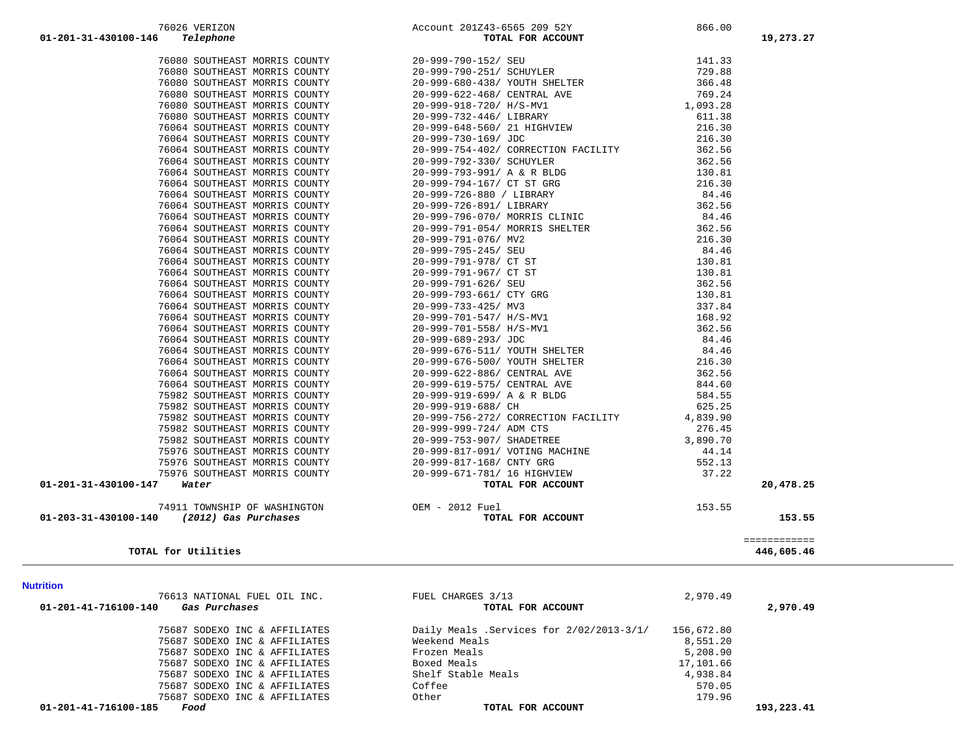|                      |      |  | 75687 SODEXO INC & AFFILIATES |
|----------------------|------|--|-------------------------------|
| 01-201-41-716100-185 | Food |  |                               |

| TOTAL FOR ACCOUNT                        |            | 2,970.49   |
|------------------------------------------|------------|------------|
| Daily Meals .Services for 2/02/2013-3/1/ | 156,672.80 |            |
| Weekend Meals                            | 8,551.20   |            |
| Frozen Meals                             | 5,208.90   |            |
| Boxed Meals                              | 17,101.66  |            |
| Shelf Stable Meals                       | 4,938.84   |            |
| Coffee                                   | 570.05     |            |
| Other                                    | 179.96     |            |
| TOTAL FOR ACCOUNT                        |            | 193,223.41 |

| rition                                |                                          |            |          |
|---------------------------------------|------------------------------------------|------------|----------|
| 76613 NATIONAL FUEL OIL INC.          | FUEL CHARGES 3/13                        | 2,970.49   |          |
| 01-201-41-716100-140<br>Gas Purchases | TOTAL FOR ACCOUNT                        |            | 2,970.49 |
| 75687 SODEXO INC & AFFILIATES         | Daily Meals .Services for 2/02/2013-3/1/ | 156,672.80 |          |
| 75687 SODEXO INC & AFFILIATES         | Weekend Meals                            | 8,551.20   |          |
| 75687 SODEXO INC & AFFILIATES         | Frozen Meals                             | 5,208.90   |          |
| 75687 SODEXO INC & AFFILIATES         | Boxed Meals                              | 17,101.66  |          |
| 75687 SODEXO INC & AFFILIATES         | Shelf Stable Meals                       | 4,938.84   |          |
|                                       | $\alpha$ . $\alpha$ $\alpha$             | FRA AF     |          |

**Nutrition** 76613 NATIONAL FUEL OIL INC.

75687 SODEXO INC & AFFILIATES

| FUEL CHARGES 3/13<br>TOTAL FOR ACCOUNT                                                   | 2,970.49                                        | 2,970.4 |
|------------------------------------------------------------------------------------------|-------------------------------------------------|---------|
| Daily Meals .Services for 2/02/2013-3/1/<br>Weekend Meals<br>Frozen Meals<br>Boxed Meals | 156,672.80<br>8,551.20<br>5,208.90<br>17,101.66 |         |
| Shelf Stable Meals<br>$C = C - C$                                                        | 4,938.84<br>ERA AF                              |         |

 ============ **TOTAL for Utilities 446,605.46**

| 01-203-31-430100-140 |  |  | (2012) Gas Purchases        |
|----------------------|--|--|-----------------------------|
|                      |  |  | 74911 TOWNSHIP OF WASHINGTO |
|                      |  |  |                             |

|                   |  |  | 74911 TOWNSHIP OF WASHINGTON |
|-------------------|--|--|------------------------------|
| 203-31-430100-140 |  |  | (2012) Gas Purchases         |

| 01-201-31-430100-147                         | 76868 SOTTIERAT MOREIS COURTY 1970–999-622-4687 CERTRAL AVE 198, 24<br>76888 SOTTIERAT MOREIS COURTY 1970–999-978-4787 (AUSAMI) 1,093, 28<br>76868 SOUTHEAST MOREIS COURTY 1970–999-978-4607 (AUSAMI) 1,093, 28<br>76866 SOUTHEAST | 20,478.25 |
|----------------------------------------------|------------------------------------------------------------------------------------------------------------------------------------------------------------------------------------------------------------------------------------|-----------|
| 74911 TOWNSHIP OF WASHINGTON OEM - 2012 Fuel |                                                                                                                                                                                                                                    |           |
| 01-203-31-430100-140<br>(2012) Gas Purchases |                                                                                                                                                                                                                                    | 153.55    |

 76080 SOUTHEAST MORRIS COUNTY 20-999-790-152/ SEU 141.33 76080 SOUTHEAST MORRIS COUNTY 20-999-790-251/ SCHUYLER 729.88 76080 SOUTHEAST MORRIS COUNTY 20-999-680-438/ YOUTH SHELTER 366.48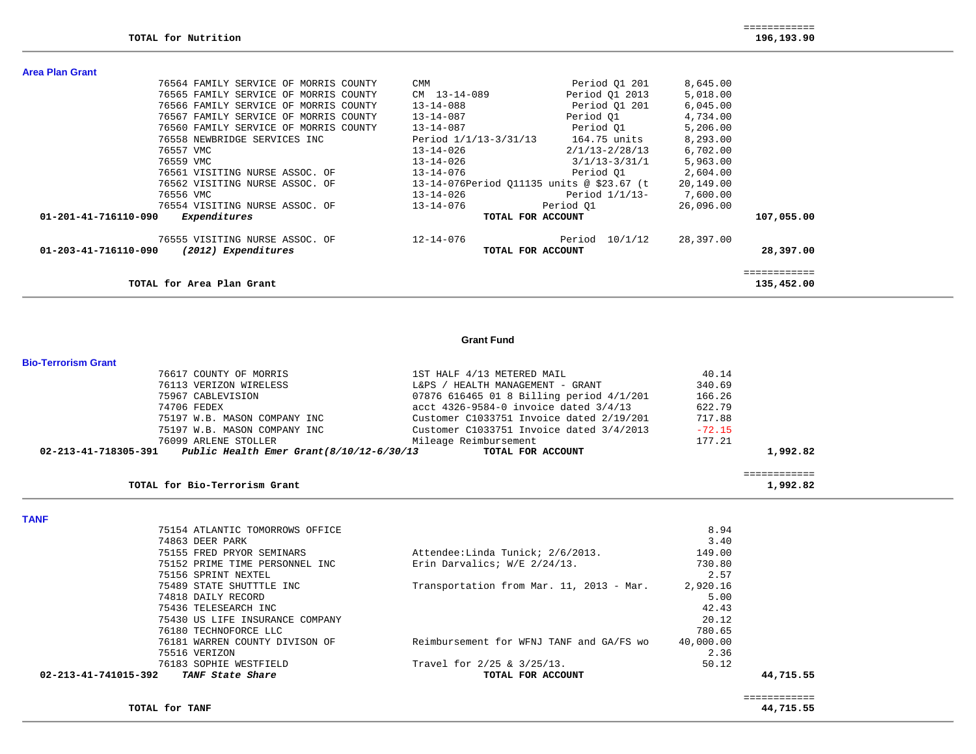| TOTAL for Area Plan Grant                   |                                            |                    |           | 135,452.00 |
|---------------------------------------------|--------------------------------------------|--------------------|-----------|------------|
| 01-203-41-716110-090<br>(2012) Expenditures | TOTAL FOR ACCOUNT                          |                    |           | 28,397.00  |
| 76555 VISITING NURSE ASSOC. OF              | $12 - 14 - 076$                            | 10/1/12<br>Period  | 28,397.00 |            |
| 01-201-41-716110-090<br>Expenditures        | TOTAL FOR ACCOUNT                          |                    |           | 107,055.00 |
| 76554 VISITING NURSE ASSOC. OF              | $13 - 14 - 076$                            | Period 01          | 26,096.00 |            |
| 76556 VMC                                   | $13 - 14 - 026$                            | Period $1/1/13$ -  | 7,600.00  |            |
| 76562 VISITING NURSE ASSOC. OF              | 13-14-076 Period 011135 units @ \$23.67 (t |                    | 20,149.00 |            |
| 76561 VISITING NURSE ASSOC. OF              | $13 - 14 - 076$                            | Period 01          | 2,604.00  |            |
| 76559 VMC                                   | $13 - 14 - 026$                            | $3/1/13 - 3/31/1$  | 5,963.00  |            |
| 76557 VMC                                   | $13 - 14 - 026$                            | $2/1/13 - 2/28/13$ | 6,702.00  |            |
| 76558 NEWBRIDGE SERVICES INC                | Period $1/1/13-3/31/13$                    | 164.75 units       | 8,293.00  |            |
| 76560 FAMILY SERVICE OF MORRIS COUNTY       | $13 - 14 - 087$                            | Period 01          | 5,206.00  |            |
| 76567 FAMILY SERVICE OF MORRIS COUNTY       | 13-14-087                                  | Period 01          | 4,734.00  |            |
| 76566 FAMILY SERVICE OF MORRIS COUNTY       | $13 - 14 - 088$                            | Period 01 201      | 6,045.00  |            |
| 76565 FAMILY SERVICE OF MORRIS COUNTY       | CM 13-14-089                               | Period 01 2013     | 5,018.00  |            |
| 76564 FAMILY SERVICE OF MORRIS COUNTY       | <b>CMM</b>                                 | Period 01 201      | 8,645.00  |            |
| Area Plan Grant                             |                                            |                    |           |            |
|                                             |                                            |                    |           |            |

#### **Grant Fund**

#### **Bio-Terrorism Grant**

|                      | 76617 COUNTY OF MORRIS                   | 1ST HALF 4/13 METERED MAIL               | 40.14    |          |
|----------------------|------------------------------------------|------------------------------------------|----------|----------|
|                      | 76113 VERIZON WIRELESS                   | L&PS / HEALTH MANAGEMENT - GRANT         | 340.69   |          |
|                      | 75967 CABLEVISION                        | 07876 616465 01 8 Billing period 4/1/201 | 166.26   |          |
|                      | 74706 FEDEX                              | acct 4326-9584-0 invoice dated 3/4/13    | 622.79   |          |
|                      | 75197 W.B. MASON COMPANY INC             | Customer C1033751 Invoice dated 2/19/201 | 717.88   |          |
|                      | 75197 W.B. MASON COMPANY INC             | Customer C1033751 Invoice dated 3/4/2013 | $-72.15$ |          |
|                      | 76099 ARLENE STOLLER                     | Mileage Reimbursement                    | 177.21   |          |
| 02-213-41-718305-391 | Public Health Emer Grant(8/10/12-6/30/13 | TOTAL FOR ACCOUNT                        |          | 1,992.82 |
|                      |                                          |                                          |          |          |

|                               | _____________<br>------------ |
|-------------------------------|-------------------------------|
| TOTAL for Bio-Terrorism Grant | .992.82                       |

**TANF** 

| 76183 SOPHIE WESTFIELD          | Travel for 2/25 & 3/25/13.               | 50.12     |  |
|---------------------------------|------------------------------------------|-----------|--|
| 75516 VERIZON                   |                                          | 2.36      |  |
| 76181 WARREN COUNTY DIVISON OF  | Reimbursement for WFNJ TANF and GA/FS wo | 40,000.00 |  |
| 76180 TECHNOFORCE LLC           |                                          | 780.65    |  |
| 75430 US LIFE INSURANCE COMPANY |                                          | 20.12     |  |
| 75436 TELESEARCH INC            |                                          | 42.43     |  |
| 74818 DAILY RECORD              |                                          | 5.00      |  |
| 75489 STATE SHUTTTLE INC        | Transportation from Mar. 11, 2013 - Mar. | 2,920.16  |  |
| 75156 SPRINT NEXTEL             |                                          | 2.57      |  |
| 75152 PRIME TIME PERSONNEL INC  | Erin Darvalics; W/E 2/24/13.             | 730.80    |  |
| 75155 FRED PRYOR SEMINARS       | Attendee: Linda Tunick; 2/6/2013.        | 149.00    |  |
| 74863 DEER PARK                 |                                          | 3.40      |  |
| 75154 ATLANTIC TOMORROWS OFFICE |                                          | 8.94      |  |

 ============  $\begin{array}{r} \texttt{-----} \texttt{-----} \texttt{-----} \\ \texttt{44,715.55} \end{array}$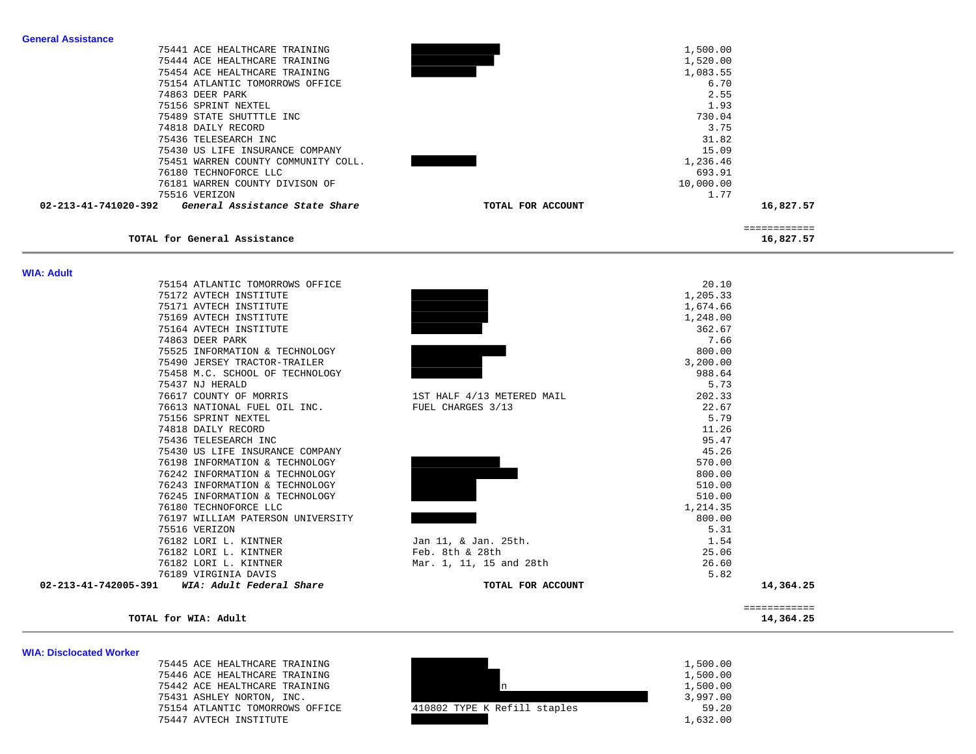| <b>General Assistance</b> |                                     |                            |           |              |
|---------------------------|-------------------------------------|----------------------------|-----------|--------------|
|                           | 75441 ACE HEALTHCARE TRAINING       |                            | 1,500.00  |              |
|                           | 75444 ACE HEALTHCARE TRAINING       |                            | 1,520.00  |              |
|                           | 75454 ACE HEALTHCARE TRAINING       |                            | 1,083.55  |              |
|                           | 75154 ATLANTIC TOMORROWS OFFICE     |                            | 6.70      |              |
|                           |                                     |                            |           |              |
|                           | 74863 DEER PARK                     |                            | 2.55      |              |
|                           | 75156 SPRINT NEXTEL                 |                            | 1.93      |              |
|                           | 75489 STATE SHUTTTLE INC            |                            | 730.04    |              |
|                           | 74818 DAILY RECORD                  |                            | 3.75      |              |
|                           | 75436 TELESEARCH INC                |                            | 31.82     |              |
|                           | 75430 US LIFE INSURANCE COMPANY     |                            | 15.09     |              |
|                           | 75451 WARREN COUNTY COMMUNITY COLL. |                            | 1,236.46  |              |
|                           | 76180 TECHNOFORCE LLC               |                            | 693.91    |              |
|                           | 76181 WARREN COUNTY DIVISON OF      |                            | 10,000.00 |              |
|                           | 75516 VERIZON                       |                            | 1.77      |              |
| 02-213-41-741020-392      | General Assistance State Share      | TOTAL FOR ACCOUNT          |           | 16,827.57    |
|                           |                                     |                            |           |              |
|                           |                                     |                            |           | ============ |
|                           | TOTAL for General Assistance        |                            |           | 16,827.57    |
|                           |                                     |                            |           |              |
|                           |                                     |                            |           |              |
| <b>WIA: Adult</b>         |                                     |                            |           |              |
|                           | 75154 ATLANTIC TOMORROWS OFFICE     |                            | 20.10     |              |
|                           | 75172 AVTECH INSTITUTE              |                            | 1,205.33  |              |
|                           | 75171 AVTECH INSTITUTE              |                            | 1,674.66  |              |
|                           | 75169 AVTECH INSTITUTE              |                            | 1,248.00  |              |
|                           | 75164 AVTECH INSTITUTE              |                            | 362.67    |              |
|                           | 74863 DEER PARK                     |                            | 7.66      |              |
|                           | 75525 INFORMATION & TECHNOLOGY      |                            | 800.00    |              |
|                           |                                     |                            |           |              |
|                           | 75490 JERSEY TRACTOR-TRAILER        |                            | 3,200.00  |              |
|                           | 75458 M.C. SCHOOL OF TECHNOLOGY     |                            | 988.64    |              |
|                           | 75437 NJ HERALD                     |                            | 5.73      |              |
|                           | 76617 COUNTY OF MORRIS              | 1ST HALF 4/13 METERED MAIL | 202.33    |              |
|                           | 76613 NATIONAL FUEL OIL INC.        | FUEL CHARGES 3/13          | 22.67     |              |
|                           | 75156 SPRINT NEXTEL                 |                            | 5.79      |              |
|                           | 74818 DAILY RECORD                  |                            | 11.26     |              |
|                           | 75436 TELESEARCH INC                |                            | 95.47     |              |
|                           | 75430 US LIFE INSURANCE COMPANY     |                            | 45.26     |              |
|                           | 76198 INFORMATION & TECHNOLOGY      |                            | 570.00    |              |
|                           | 76242 INFORMATION & TECHNOLOGY      |                            | 800.00    |              |
|                           | 76243 INFORMATION & TECHNOLOGY      |                            | 510.00    |              |
|                           | 76245 INFORMATION & TECHNOLOGY      |                            | 510.00    |              |
|                           | 76180 TECHNOFORCE LLC               |                            | 1,214.35  |              |
|                           |                                     |                            | 800.00    |              |
|                           | 76197 WILLIAM PATERSON UNIVERSITY   |                            |           |              |
|                           | 75516 VERIZON                       |                            | 5.31      |              |
|                           | 76182 LORI L. KINTNER               | Jan 11, & Jan. 25th.       | 1.54      |              |
|                           | 76182 LORI L. KINTNER               | Feb. 8th & 28th            | 25.06     |              |
|                           | 76182 LORI L. KINTNER               | Mar. 1, 11, 15 and 28th    | 26.60     |              |
|                           | 76189 VIRGINIA DAVIS                |                            | 5.82      |              |
| 02-213-41-742005-391      | WIA: Adult Federal Share            | TOTAL FOR ACCOUNT          |           | 14,364.25    |
|                           |                                     |                            |           |              |
|                           |                                     |                            |           | ============ |

### **TOTAL for WIA: Adult 14,364.25**

#### **WIA: Disclocated Worker**

| 75445 ACE HEALTHCARE TRAINING   |                              | 1,500.00 |
|---------------------------------|------------------------------|----------|
| 75446 ACE HEALTHCARE TRAINING   |                              | 1,500.00 |
| 75442 ACE HEALTHCARE TRAINING   |                              | 1,500.00 |
| 75431 ASHLEY NORTON, INC.       |                              | 3,997.00 |
| 75154 ATLANTIC TOMORROWS OFFICE | 410802 TYPE K Refill staples | 59.20    |
| 75447 AVTECH INSTITUTE          |                              | 1,632.00 |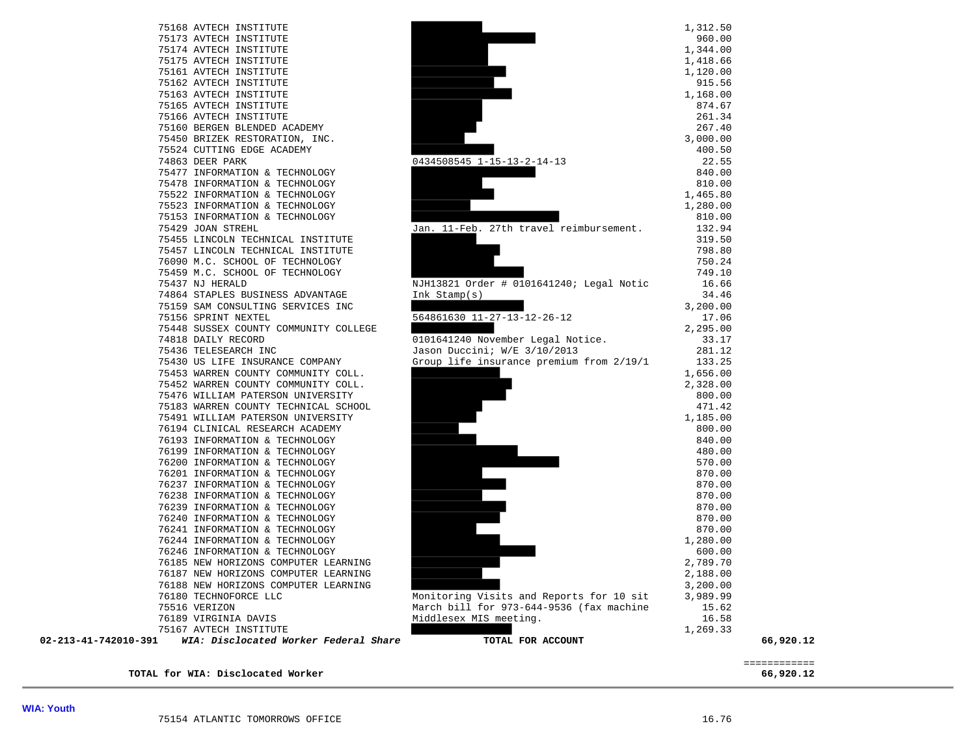76238 INFORMATION & TECHNOLOGY



**TOTAL for WIA: Disclocated Worker 66,920.12**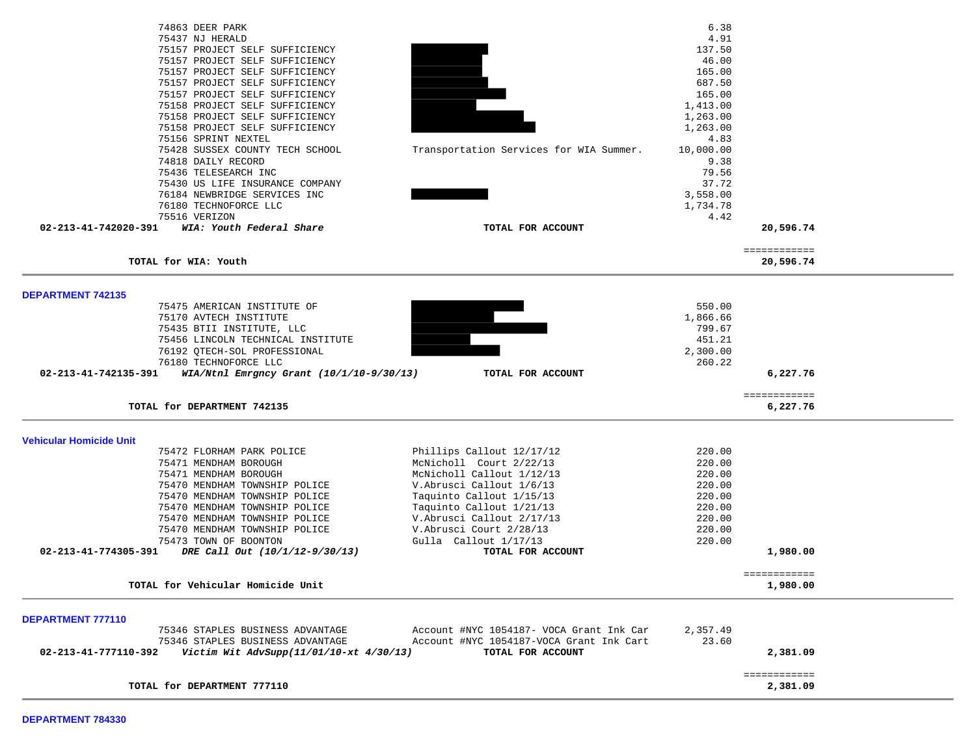| 74863 DEER PARK                                                  |                                          | 6.38      |              |  |
|------------------------------------------------------------------|------------------------------------------|-----------|--------------|--|
| 75437 NJ HERALD                                                  |                                          | 4.91      |              |  |
| 75157 PROJECT SELF SUFFICIENCY                                   |                                          | 137.50    |              |  |
| 75157 PROJECT SELF SUFFICIENCY                                   |                                          | 46.00     |              |  |
| 75157 PROJECT SELF SUFFICIENCY                                   | 165.00                                   |           |              |  |
| 75157 PROJECT SELF SUFFICIENCY                                   |                                          | 687.50    |              |  |
| 75157 PROJECT SELF SUFFICIENCY                                   |                                          | 165.00    |              |  |
| 75158 PROJECT SELF SUFFICIENCY                                   |                                          |           |              |  |
|                                                                  |                                          | 1,413.00  |              |  |
| 75158 PROJECT SELF SUFFICIENCY                                   |                                          | 1,263.00  |              |  |
| 75158 PROJECT SELF SUFFICIENCY                                   |                                          | 1,263.00  |              |  |
| 75156 SPRINT NEXTEL                                              |                                          | 4.83      |              |  |
| 75428 SUSSEX COUNTY TECH SCHOOL                                  | Transportation Services for WIA Summer.  | 10,000.00 |              |  |
| 74818 DAILY RECORD                                               |                                          | 9.38      |              |  |
| 75436 TELESEARCH INC                                             |                                          | 79.56     |              |  |
| 75430 US LIFE INSURANCE COMPANY                                  |                                          | 37.72     |              |  |
| 76184 NEWBRIDGE SERVICES INC                                     |                                          | 3,558.00  |              |  |
| 76180 TECHNOFORCE LLC                                            |                                          | 1,734.78  |              |  |
| 75516 VERIZON                                                    |                                          | 4.42      |              |  |
| 02-213-41-742020-391<br>WIA: Youth Federal Share                 | TOTAL FOR ACCOUNT                        |           | 20,596.74    |  |
|                                                                  |                                          |           |              |  |
|                                                                  |                                          |           | ============ |  |
| TOTAL for WIA: Youth                                             |                                          |           | 20,596.74    |  |
|                                                                  |                                          |           |              |  |
| <b>DEPARTMENT 742135</b>                                         |                                          |           |              |  |
| 75475 AMERICAN INSTITUTE OF                                      |                                          | 550.00    |              |  |
| 75170 AVTECH INSTITUTE                                           |                                          | 1,866.66  |              |  |
| 75435 BTII INSTITUTE, LLC                                        |                                          | 799.67    |              |  |
| 75456 LINCOLN TECHNICAL INSTITUTE                                |                                          | 451.21    |              |  |
| 76192 QTECH-SOL PROFESSIONAL                                     |                                          | 2,300.00  |              |  |
| 76180 TECHNOFORCE LLC                                            |                                          | 260.22    |              |  |
| 02-213-41-742135-391<br>WIA/Ntnl Emrgncy Grant (10/1/10-9/30/13) | TOTAL FOR ACCOUNT                        |           | 6,227.76     |  |
|                                                                  |                                          |           | ============ |  |
| TOTAL for DEPARTMENT 742135                                      |                                          |           | 6,227.76     |  |
|                                                                  |                                          |           |              |  |
| <b>Vehicular Homicide Unit</b>                                   |                                          |           |              |  |
| 75472 FLORHAM PARK POLICE                                        | Phillips Callout 12/17/12                | 220.00    |              |  |
| 75471 MENDHAM BOROUGH                                            | McNicholl Court 2/22/13                  | 220.00    |              |  |
| 75471 MENDHAM BOROUGH                                            | McNicholl Callout 1/12/13                | 220.00    |              |  |
| 75470 MENDHAM TOWNSHIP POLICE                                    | V.Abrusci Callout 1/6/13                 | 220.00    |              |  |
| 75470 MENDHAM TOWNSHIP POLICE                                    | Taquinto Callout 1/15/13                 | 220.00    |              |  |
| 75470 MENDHAM TOWNSHIP POLICE                                    | Taquinto Callout 1/21/13                 | 220.00    |              |  |
| 75470 MENDHAM TOWNSHIP POLICE                                    | V. Abrusci Callout 2/17/13               | 220.00    |              |  |
| 75470 MENDHAM TOWNSHIP POLICE                                    | V.Abrusci Court 2/28/13                  | 220.00    |              |  |
| 75473 TOWN OF BOONTON                                            | Gulla Callout 1/17/13                    | 220.00    |              |  |
| 02-213-41-774305-391<br>DRE Call Out (10/1/12-9/30/13)           | TOTAL FOR ACCOUNT                        |           | 1,980.00     |  |
|                                                                  |                                          |           |              |  |
| TOTAL for Vehicular Homicide Unit                                |                                          |           | ============ |  |
|                                                                  |                                          |           | 1,980.00     |  |
|                                                                  |                                          |           |              |  |
| <b>DEPARTMENT 777110</b>                                         |                                          |           |              |  |
| 75346 STAPLES BUSINESS ADVANTAGE                                 | Account #NYC 1054187- VOCA Grant Ink Car | 2,357.49  |              |  |
| 75346 STAPLES BUSINESS ADVANTAGE                                 | Account #NYC 1054187-VOCA Grant Ink Cart | 23.60     |              |  |
| 02-213-41-777110-392<br>Victim Wit AdvSupp(11/01/10-xt 4/30/13)  | TOTAL FOR ACCOUNT                        |           | 2,381.09     |  |
|                                                                  |                                          |           | ============ |  |
| TOTAL for DEPARTMENT 777110                                      |                                          |           | 2,381.09     |  |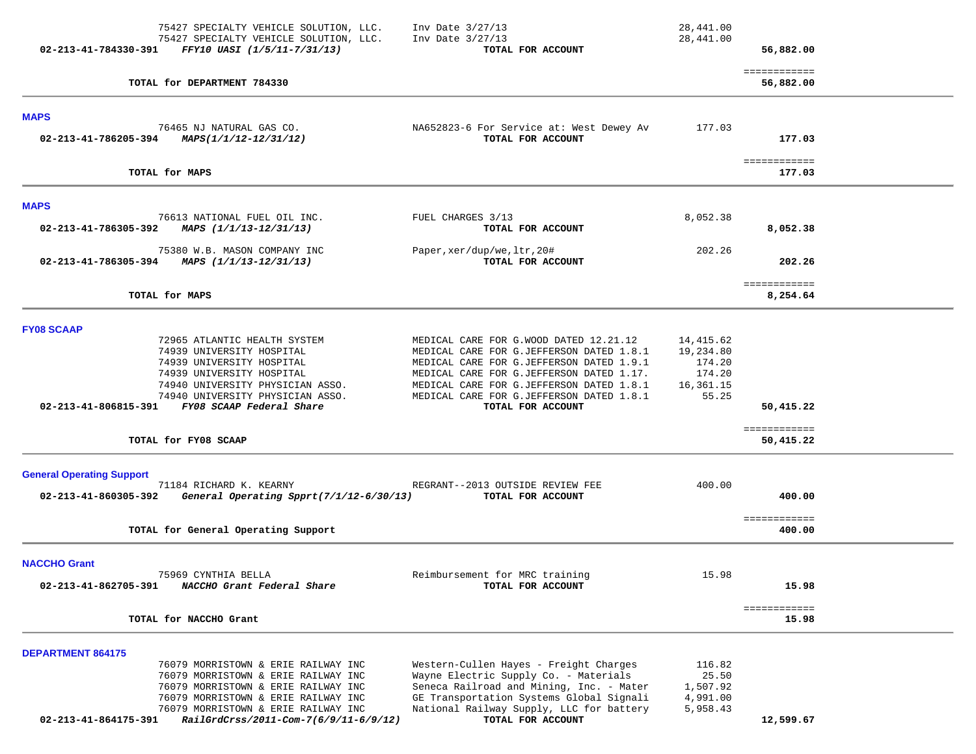| 75427 SPECIALTY VEHICLE SOLUTION, LLC.                               | Inv Date $3/27/13$                                                                   | 28,441.00          |                           |  |
|----------------------------------------------------------------------|--------------------------------------------------------------------------------------|--------------------|---------------------------|--|
| 75427 SPECIALTY VEHICLE SOLUTION, LLC.                               | Inv Date 3/27/13                                                                     | 28,441.00          |                           |  |
| 02-213-41-784330-391<br>FFY10 UASI (1/5/11-7/31/13)                  | TOTAL FOR ACCOUNT                                                                    |                    | 56,882.00                 |  |
| TOTAL for DEPARTMENT 784330                                          |                                                                                      |                    | ============<br>56,882.00 |  |
| <b>MAPS</b>                                                          |                                                                                      |                    |                           |  |
| 76465 NJ NATURAL GAS CO.                                             | NA652823-6 For Service at: West Dewey Av                                             | 177.03             |                           |  |
| 02-213-41-786205-394 MAPS( $1/1/12$ -12/31/12)                       | TOTAL FOR ACCOUNT                                                                    |                    | 177.03                    |  |
| TOTAL for MAPS                                                       |                                                                                      |                    | ============<br>177.03    |  |
|                                                                      |                                                                                      |                    |                           |  |
| <b>MAPS</b><br>76613 NATIONAL FUEL OIL INC.                          | FUEL CHARGES 3/13                                                                    | 8,052.38           |                           |  |
| 02-213-41-786305-392<br>MAPS (1/1/13-12/31/13)                       | TOTAL FOR ACCOUNT                                                                    |                    | 8,052.38                  |  |
| 75380 W.B. MASON COMPANY INC                                         | Paper, xer/dup/we, ltr, 20#                                                          | 202.26             |                           |  |
| 02-213-41-786305-394 MAPS $(1/1/13-12/31/13)$                        | TOTAL FOR ACCOUNT                                                                    |                    | 202.26                    |  |
| TOTAL for MAPS                                                       |                                                                                      |                    | ============<br>8,254.64  |  |
|                                                                      |                                                                                      |                    |                           |  |
| <b>FY08 SCAAP</b>                                                    |                                                                                      |                    |                           |  |
| 72965 ATLANTIC HEALTH SYSTEM                                         | MEDICAL CARE FOR G.WOOD DATED 12.21.12                                               | 14,415.62          |                           |  |
| 74939 UNIVERSITY HOSPITAL                                            | MEDICAL CARE FOR G.JEFFERSON DATED 1.8.1                                             | 19,234.80          |                           |  |
| 74939 UNIVERSITY HOSPITAL                                            | MEDICAL CARE FOR G.JEFFERSON DATED 1.9.1                                             | 174.20             |                           |  |
| 74939 UNIVERSITY HOSPITAL                                            | MEDICAL CARE FOR G.JEFFERSON DATED 1.17.                                             | 174.20             |                           |  |
| 74940 UNIVERSITY PHYSICIAN ASSO.<br>74940 UNIVERSITY PHYSICIAN ASSO. | MEDICAL CARE FOR G.JEFFERSON DATED 1.8.1<br>MEDICAL CARE FOR G.JEFFERSON DATED 1.8.1 | 16,361.15<br>55.25 |                           |  |
| 02-213-41-806815-391 FY08 SCAAP Federal Share                        | TOTAL FOR ACCOUNT                                                                    |                    | 50,415.22                 |  |
|                                                                      |                                                                                      |                    | ============              |  |
| TOTAL for FY08 SCAAP                                                 |                                                                                      |                    | 50,415.22                 |  |
|                                                                      |                                                                                      |                    |                           |  |
| <b>General Operating Support</b><br>71184 RICHARD K. KEARNY          | REGRANT--2013 OUTSIDE REVIEW FEE                                                     | 400.00             |                           |  |
| 02-213-41-860305-392<br>General Operating Spprt(7/1/12-6/30/13)      | TOTAL FOR ACCOUNT                                                                    |                    | 400.00                    |  |
|                                                                      |                                                                                      |                    | ============              |  |
| TOTAL for General Operating Support                                  |                                                                                      |                    | 400.00                    |  |
| <b>NACCHO Grant</b>                                                  |                                                                                      |                    |                           |  |
| 75969 CYNTHIA BELLA                                                  | Reimbursement for MRC training                                                       | 15.98              |                           |  |
| 02-213-41-862705-391<br>NACCHO Grant Federal Share                   | TOTAL FOR ACCOUNT                                                                    |                    | 15.98                     |  |
|                                                                      |                                                                                      |                    | ============              |  |
| TOTAL for NACCHO Grant                                               |                                                                                      |                    | 15.98                     |  |
| <b>DEPARTMENT 864175</b>                                             |                                                                                      |                    |                           |  |
| 76079 MORRISTOWN & ERIE RAILWAY INC                                  | Western-Cullen Hayes - Freight Charges                                               | 116.82             |                           |  |
| 76079 MORRISTOWN & ERIE RAILWAY INC                                  | Wayne Electric Supply Co. - Materials                                                | 25.50              |                           |  |
| 76079 MORRISTOWN & ERIE RAILWAY INC                                  | Seneca Railroad and Mining, Inc. - Mater                                             | 1,507.92           |                           |  |
| 76079 MORRISTOWN & ERIE RAILWAY INC                                  | GE Transportation Systems Global Signali                                             | 4,991.00           |                           |  |
| 76079 MORRISTOWN & ERIE RAILWAY INC                                  | National Railway Supply, LLC for battery                                             | 5,958.43           |                           |  |
| RailGrdCrss/2011-Com-7(6/9/11-6/9/12)<br>02-213-41-864175-391        | TOTAL FOR ACCOUNT                                                                    |                    | 12,599.67                 |  |
|                                                                      |                                                                                      |                    |                           |  |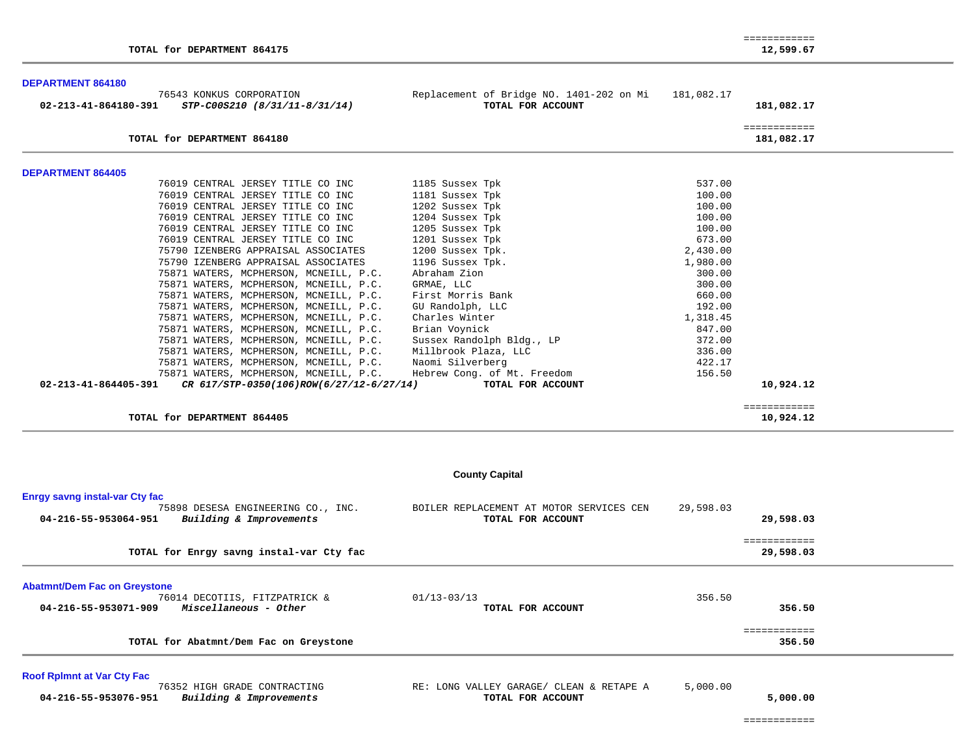| TOTAL for DEPARTMENT 864175                                                           |                                          |                      |                                                               |            | 12,599.67                  |  |
|---------------------------------------------------------------------------------------|------------------------------------------|----------------------|---------------------------------------------------------------|------------|----------------------------|--|
| <b>DEPARTMENT 864180</b>                                                              |                                          |                      |                                                               |            |                            |  |
| 76543 KONKUS CORPORATION<br>STP-C00S210 (8/31/11-8/31/14)<br>02-213-41-864180-391     |                                          |                      | Replacement of Bridge NO. 1401-202 on Mi<br>TOTAL FOR ACCOUNT | 181,082.17 | 181,082.17                 |  |
| TOTAL for DEPARTMENT 864180                                                           |                                          |                      |                                                               |            | ============<br>181,082.17 |  |
|                                                                                       |                                          |                      |                                                               |            |                            |  |
| <b>DEPARTMENT 864405</b>                                                              |                                          |                      |                                                               |            |                            |  |
| 76019 CENTRAL JERSEY TITLE CO INC                                                     |                                          | 1185 Sussex Tpk      |                                                               | 537.00     |                            |  |
| 76019 CENTRAL JERSEY TITLE CO INC                                                     |                                          | 1181 Sussex Tpk      |                                                               | 100.00     |                            |  |
| 76019 CENTRAL JERSEY TITLE CO INC                                                     |                                          | 1202 Sussex Tpk      |                                                               | 100.00     |                            |  |
| 76019 CENTRAL JERSEY TITLE CO INC                                                     |                                          | 1204 Sussex Tpk      |                                                               | 100.00     |                            |  |
| 76019 CENTRAL JERSEY TITLE CO INC                                                     |                                          | 1205 Sussex Tpk      |                                                               | 100.00     |                            |  |
| 76019 CENTRAL JERSEY TITLE CO INC                                                     |                                          | 1201 Sussex Tpk      |                                                               | 673.00     |                            |  |
| 75790 IZENBERG APPRAISAL ASSOCIATES                                                   |                                          | 1200 Sussex Tpk.     |                                                               | 2,430.00   |                            |  |
| 75790 IZENBERG APPRAISAL ASSOCIATES                                                   |                                          | 1196 Sussex Tpk.     |                                                               | 1,980.00   |                            |  |
|                                                                                       | 75871 WATERS, MCPHERSON, MCNEILL, P.C.   | Abraham Zion         |                                                               | 300.00     |                            |  |
|                                                                                       | 75871 WATERS, MCPHERSON, MCNEILL, P.C.   | GRMAE, LLC           |                                                               | 300.00     |                            |  |
|                                                                                       | 75871 WATERS, MCPHERSON, MCNEILL, P.C.   | First Morris Bank    |                                                               | 660.00     |                            |  |
|                                                                                       | 75871 WATERS, MCPHERSON, MCNEILL, P.C.   | GU Randolph, LLC     |                                                               | 192.00     |                            |  |
|                                                                                       | 75871 WATERS, MCPHERSON, MCNEILL, P.C.   | Charles Winter       |                                                               | 1,318.45   |                            |  |
|                                                                                       | 75871 WATERS, MCPHERSON, MCNEILL, P.C.   | Brian Voynick        |                                                               | 847.00     |                            |  |
|                                                                                       | 75871 WATERS, MCPHERSON, MCNEILL, P.C.   |                      | Sussex Randolph Bldg., LP                                     | 372.00     |                            |  |
|                                                                                       | 75871 WATERS, MCPHERSON, MCNEILL, P.C.   | Millbrook Plaza, LLC |                                                               | 336.00     |                            |  |
|                                                                                       | 75871 WATERS, MCPHERSON, MCNEILL, P.C.   | Naomi Silverberg     |                                                               | 422.17     |                            |  |
|                                                                                       | 75871 WATERS, MCPHERSON, MCNEILL, P.C.   |                      | Hebrew Cong. of Mt. Freedom                                   | 156.50     |                            |  |
| 02-213-41-864405-391                                                                  | CR 617/STP-0350(106)ROW(6/27/12-6/27/14) |                      | TOTAL FOR ACCOUNT                                             |            | 10,924.12                  |  |
| TOTAL for DEPARTMENT 864405                                                           |                                          |                      |                                                               |            | ============<br>10,924.12  |  |
|                                                                                       |                                          |                      |                                                               |            |                            |  |
|                                                                                       |                                          |                      | <b>County Capital</b>                                         |            |                            |  |
| <b>Enrgy savng instal-var Cty fac</b>                                                 |                                          |                      |                                                               |            |                            |  |
| 75898 DESESA ENGINEERING CO., INC.<br>Building & Improvements<br>04-216-55-953064-951 |                                          |                      | BOILER REPLACEMENT AT MOTOR SERVICES CEN<br>TOTAL FOR ACCOUNT | 29,598.03  | 29,598.03                  |  |
|                                                                                       |                                          |                      |                                                               |            |                            |  |
| TOTAL for Enrgy savng instal-var Cty fac                                              |                                          |                      |                                                               |            | ============<br>29,598.03  |  |
|                                                                                       |                                          |                      |                                                               |            |                            |  |
| <b>Abatmnt/Dem Fac on Greystone</b>                                                   |                                          |                      |                                                               |            |                            |  |
| 76014 DECOTIIS, FITZPATRICK &                                                         |                                          | $01/13 - 03/13$      |                                                               | 356.50     |                            |  |
| Miscellaneous - Other<br>04-216-55-953071-909                                         |                                          |                      | TOTAL FOR ACCOUNT                                             |            | 356.50                     |  |
|                                                                                       |                                          |                      |                                                               |            | ============               |  |
| TOTAL for Abatmnt/Dem Fac on Greystone                                                |                                          |                      |                                                               |            | 356.50                     |  |
| <b>Roof Rplmnt at Var Cty Fac</b>                                                     |                                          |                      |                                                               |            |                            |  |
| 76352 HIGH GRADE CONTRACTING                                                          |                                          |                      | RE: LONG VALLEY GARAGE/ CLEAN & RETAPE A                      | 5,000.00   |                            |  |
| Building & Improvements<br>04-216-55-953076-951                                       |                                          |                      | TOTAL FOR ACCOUNT                                             |            | 5,000.00                   |  |

============

============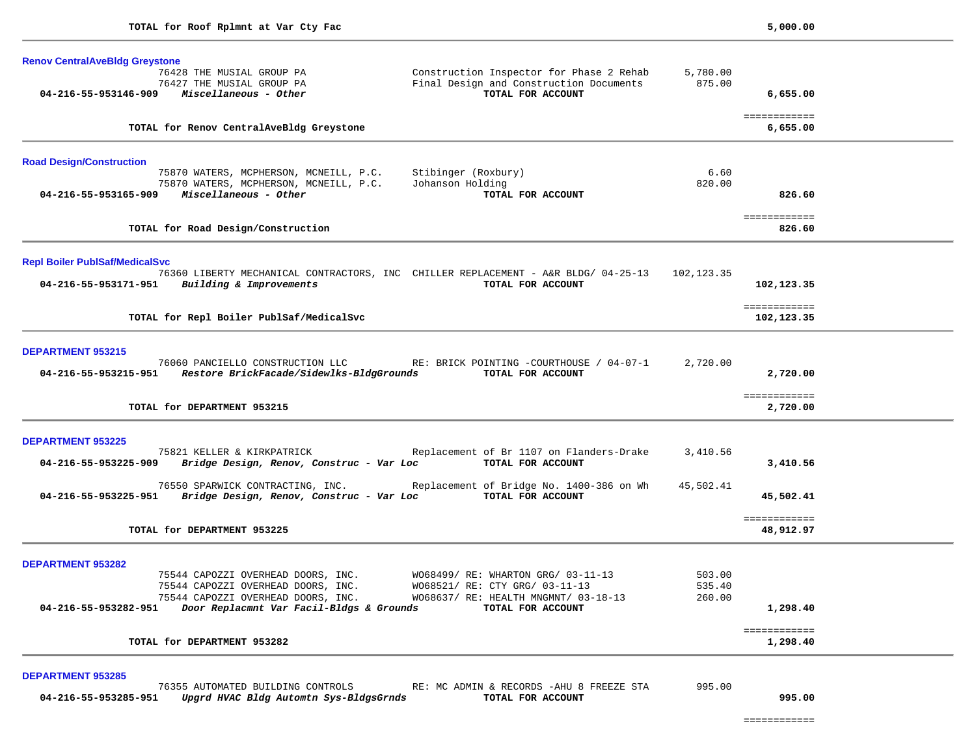| <b>Renov CentralAveBldg Greystone</b>                                                   |                                                                                     |                    |                           |  |
|-----------------------------------------------------------------------------------------|-------------------------------------------------------------------------------------|--------------------|---------------------------|--|
| 76428 THE MUSIAL GROUP PA<br>76427 THE MUSIAL GROUP PA                                  | Construction Inspector for Phase 2 Rehab<br>Final Design and Construction Documents | 5,780.00<br>875.00 |                           |  |
| $04 - 216 - 55 - 953146 - 909$ Miscellaneous - Other                                    | TOTAL FOR ACCOUNT                                                                   |                    | 6,655.00                  |  |
| TOTAL for Renov CentralAveBldg Greystone                                                |                                                                                     |                    | ============<br>6,655.00  |  |
| <b>Road Design/Construction</b>                                                         |                                                                                     |                    |                           |  |
| 75870 WATERS, MCPHERSON, MCNEILL, P.C.                                                  | Stibinger (Roxbury)<br>Johanson Holding                                             | 6.60<br>820.00     |                           |  |
| 75870 WATERS, MCPHERSON, MCNEILL, P.C.<br>Miscellaneous - Other<br>04-216-55-953165-909 | TOTAL FOR ACCOUNT                                                                   |                    | 826.60                    |  |
|                                                                                         |                                                                                     |                    | ============              |  |
| TOTAL for Road Design/Construction                                                      |                                                                                     |                    | 826.60                    |  |
| <b>Repl Boiler PublSaf/MedicalSvc</b>                                                   |                                                                                     |                    |                           |  |
|                                                                                         | 76360 LIBERTY MECHANICAL CONTRACTORS, INC CHILLER REPLACEMENT - A&R BLDG/ 04-25-13  | 102,123.35         |                           |  |
| 04-216-55-953171-951 Building & Improvements                                            | TOTAL FOR ACCOUNT                                                                   |                    | 102,123.35                |  |
|                                                                                         |                                                                                     |                    | ============              |  |
| TOTAL for Repl Boiler PublSaf/MedicalSvc                                                |                                                                                     |                    | 102,123.35                |  |
| <b>DEPARTMENT 953215</b>                                                                |                                                                                     |                    |                           |  |
|                                                                                         | 76060 PANCIELLO CONSTRUCTION LLC RE: BRICK POINTING -COURTHOUSE / 04-07-1           | 2,720.00           |                           |  |
| 04-216-55-953215-951    Restore BrickFacade/Sidewlks-BldgGrounds                        | TOTAL FOR ACCOUNT                                                                   |                    | 2,720.00                  |  |
|                                                                                         |                                                                                     |                    | ============              |  |
| TOTAL for DEPARTMENT 953215                                                             |                                                                                     |                    | 2,720.00                  |  |
| <b>DEPARTMENT 953225</b>                                                                |                                                                                     |                    |                           |  |
| 75821 KELLER & KIRKPATRICK                                                              | Replacement of Br 1107 on Flanders-Drake                                            | 3,410.56           |                           |  |
| 04-216-55-953225-909<br>Bridge Design, Renov, Construc - Var Loc                        | TOTAL FOR ACCOUNT                                                                   |                    | 3,410.56                  |  |
| 76550 SPARWICK CONTRACTING, INC.                                                        | Replacement of Bridge No. 1400-386 on Wh                                            | 45,502.41          |                           |  |
| 04-216-55-953225-951 Bridge Design, Renov, Construc - Var Loc TOTAL FOR ACCOUNT         |                                                                                     |                    | 45,502.41                 |  |
| TOTAL for DEPARTMENT 953225                                                             |                                                                                     |                    | ============<br>48,912.97 |  |
|                                                                                         |                                                                                     |                    |                           |  |
| <b>DEPARTMENT 953282</b>                                                                |                                                                                     |                    |                           |  |
| 75544 CAPOZZI OVERHEAD DOORS, INC.<br>75544 CAPOZZI OVERHEAD DOORS, INC.                | WO68499/ RE: WHARTON GRG/ 03-11-13<br>W068521/ RE: CTY GRG/ 03-11-13                | 503.00<br>535.40   |                           |  |
| 75544 CAPOZZI OVERHEAD DOORS, INC.                                                      | WO68637/ RE: HEALTH MNGMNT/ 03-18-13                                                | 260.00             |                           |  |
| 04-216-55-953282-951<br>Door Replacmnt Var Facil-Bldgs & Grounds                        | TOTAL FOR ACCOUNT                                                                   |                    | 1,298.40                  |  |
| TOTAL for DEPARTMENT 953282                                                             |                                                                                     |                    | ============<br>1,298.40  |  |
|                                                                                         |                                                                                     |                    |                           |  |
| <b>DEPARTMENT 953285</b><br>76355 AUTOMATED BUILDING CONTROLS                           | RE: MC ADMIN & RECORDS - AHU 8 FREEZE STA                                           | 995.00             |                           |  |
| 04-216-55-953285-951<br>Upgrd HVAC Bldg Automtn Sys-BldgsGrnds                          | TOTAL FOR ACCOUNT                                                                   |                    | 995.00                    |  |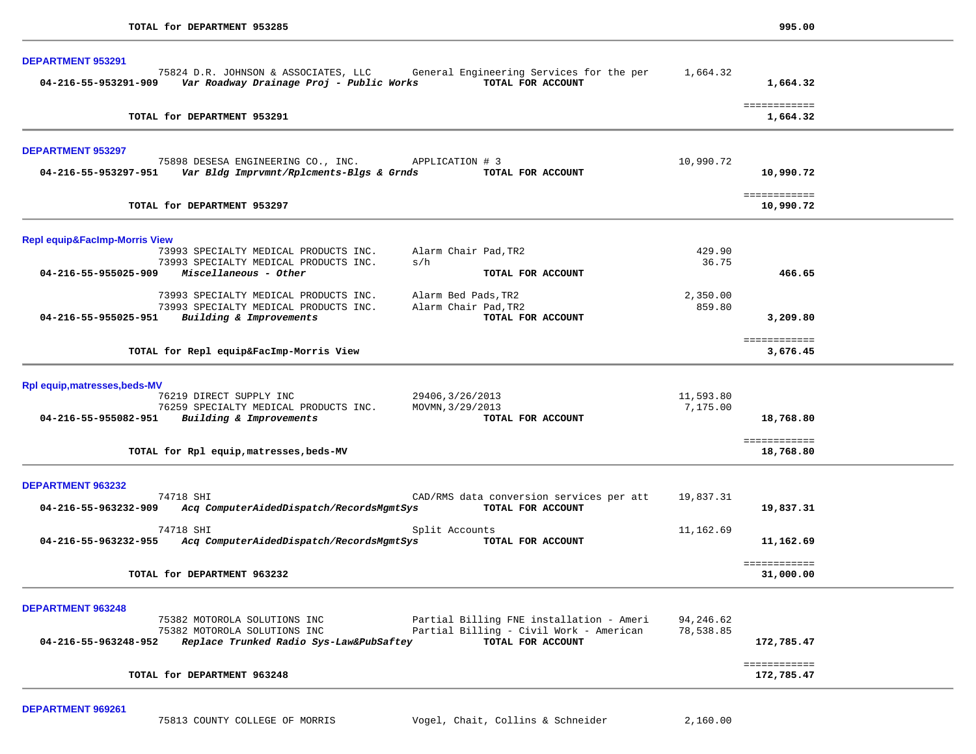| <b>DEPARTMENT 953291</b><br>75824 D.R. JOHNSON & ASSOCIATES, LLC<br>General Engineering Services for the per<br>04-216-55-953291-909 Var Roadway Drainage Proj - Public Works<br>TOTAL FOR ACCOUNT                                                                      | 1,664.32               | 1,664.32                   |  |
|-------------------------------------------------------------------------------------------------------------------------------------------------------------------------------------------------------------------------------------------------------------------------|------------------------|----------------------------|--|
| TOTAL for DEPARTMENT 953291                                                                                                                                                                                                                                             |                        | ============<br>1,664.32   |  |
| <b>DEPARTMENT 953297</b><br>75898 DESESA ENGINEERING CO., INC.<br>APPLICATION # 3<br>04-216-55-953297-951<br>Var Bldg Imprvmnt/Rplcments-Blgs & Grnds<br>TOTAL FOR ACCOUNT                                                                                              | 10,990.72              | 10,990.72                  |  |
| TOTAL for DEPARTMENT 953297                                                                                                                                                                                                                                             |                        | ============<br>10,990.72  |  |
| <b>Repl equip&amp;FacImp-Morris View</b><br>Alarm Chair Pad, TR2<br>73993 SPECIALTY MEDICAL PRODUCTS INC.<br>73993 SPECIALTY MEDICAL PRODUCTS INC.<br>s/h<br>Miscellaneous - Other<br>04-216-55-955025-909<br>TOTAL FOR ACCOUNT                                         | 429.90<br>36.75        | 466.65                     |  |
| 73993 SPECIALTY MEDICAL PRODUCTS INC.<br>Alarm Bed Pads, TR2<br>73993 SPECIALTY MEDICAL PRODUCTS INC.<br>Alarm Chair Pad, TR2<br>Building & Improvements<br>04-216-55-955025-951<br>TOTAL FOR ACCOUNT                                                                   | 2,350.00<br>859.80     | 3,209.80                   |  |
| TOTAL for Repl equip&FacImp-Morris View                                                                                                                                                                                                                                 |                        | ============<br>3,676.45   |  |
| Rpl equip, matresses, beds-MV<br>29406, 3/26/2013<br>76219 DIRECT SUPPLY INC<br>MOVMN, 3/29/2013<br>76259 SPECIALTY MEDICAL PRODUCTS INC.<br>Building & Improvements<br>04-216-55-955082-951<br>TOTAL FOR ACCOUNT                                                       | 11,593.80<br>7,175.00  | 18,768.80<br>============  |  |
| TOTAL for Rpl equip, matresses, beds-MV                                                                                                                                                                                                                                 |                        | 18,768.80                  |  |
| <b>DEPARTMENT 963232</b><br>CAD/RMS data conversion services per att<br>74718 SHI<br>TOTAL FOR ACCOUNT<br>Acq ComputerAidedDispatch/RecordsMgmtSys<br>04-216-55-963232-909                                                                                              | 19,837.31              | 19,837.31                  |  |
| 74718 SHI<br>Split Accounts<br>Acq ComputerAidedDispatch/RecordsMgmtSys<br>04-216-55-963232-955<br>TOTAL FOR ACCOUNT                                                                                                                                                    | 11,162.69              | 11,162.69                  |  |
| TOTAL for DEPARTMENT 963232                                                                                                                                                                                                                                             |                        | ============<br>31,000.00  |  |
| <b>DEPARTMENT 963248</b><br>Partial Billing FNE installation - Ameri<br>75382 MOTOROLA SOLUTIONS INC<br>Partial Billing - Civil Work - American<br>75382 MOTOROLA SOLUTIONS INC<br>04-216-55-963248-952<br>Replace Trunked Radio Sys-Law&PubSaftey<br>TOTAL FOR ACCOUNT | 94,246.62<br>78,538.85 | 172,785.47                 |  |
| TOTAL for DEPARTMENT 963248                                                                                                                                                                                                                                             |                        | ============<br>172,785.47 |  |

**DEPARTMENT 969261**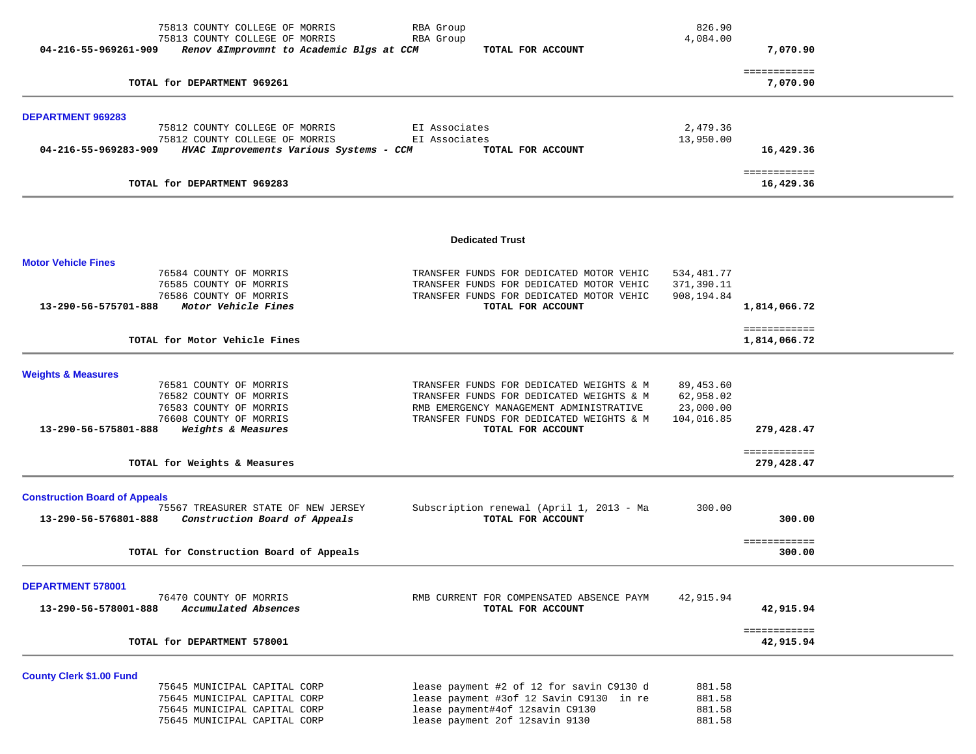| 04-216-55-969261-909                                         | 75813 COUNTY COLLEGE OF MORRIS<br>75813 COUNTY COLLEGE OF MORRIS<br>Renov & Improvmnt to Academic Blgs at CCM                | RBA Group<br>RBA Group<br>TOTAL FOR ACCOUNT                                                                                                                                                      | 826.90<br>4,084.00                                | 7,070.90                               |  |
|--------------------------------------------------------------|------------------------------------------------------------------------------------------------------------------------------|--------------------------------------------------------------------------------------------------------------------------------------------------------------------------------------------------|---------------------------------------------------|----------------------------------------|--|
|                                                              | TOTAL for DEPARTMENT 969261                                                                                                  |                                                                                                                                                                                                  |                                                   | ============<br>7,070.90               |  |
| <b>DEPARTMENT 969283</b>                                     |                                                                                                                              |                                                                                                                                                                                                  |                                                   |                                        |  |
| 04-216-55-969283-909                                         | 75812 COUNTY COLLEGE OF MORRIS<br>75812 COUNTY COLLEGE OF MORRIS<br>HVAC Improvements Various Systems - CCM                  | EI Associates<br>EI Associates<br>TOTAL FOR ACCOUNT                                                                                                                                              | 2,479.36<br>13,950.00                             | 16,429.36                              |  |
|                                                              | TOTAL for DEPARTMENT 969283                                                                                                  |                                                                                                                                                                                                  |                                                   | ============<br>16,429.36              |  |
|                                                              |                                                                                                                              | <b>Dedicated Trust</b>                                                                                                                                                                           |                                                   |                                        |  |
| <b>Motor Vehicle Fines</b><br>13-290-56-575701-888           | 76584 COUNTY OF MORRIS<br>76585 COUNTY OF MORRIS<br>76586 COUNTY OF MORRIS<br>Motor Vehicle Fines                            | TRANSFER FUNDS FOR DEDICATED MOTOR VEHIC<br>TRANSFER FUNDS FOR DEDICATED MOTOR VEHIC<br>TRANSFER FUNDS FOR DEDICATED MOTOR VEHIC<br>TOTAL FOR ACCOUNT                                            | 534,481.77<br>371,390.11<br>908,194.84            | 1,814,066.72                           |  |
|                                                              | TOTAL for Motor Vehicle Fines                                                                                                |                                                                                                                                                                                                  |                                                   | ============<br>1,814,066.72           |  |
| <b>Weights &amp; Measures</b><br>13-290-56-575801-888        | 76581 COUNTY OF MORRIS<br>76582 COUNTY OF MORRIS<br>76583 COUNTY OF MORRIS<br>76608 COUNTY OF MORRIS<br>Weights & Measures   | TRANSFER FUNDS FOR DEDICATED WEIGHTS & M<br>TRANSFER FUNDS FOR DEDICATED WEIGHTS & M<br>RMB EMERGENCY MANAGEMENT ADMINISTRATIVE<br>TRANSFER FUNDS FOR DEDICATED WEIGHTS & M<br>TOTAL FOR ACCOUNT | 89,453.60<br>62,958.02<br>23,000.00<br>104,016.85 | 279,428.47                             |  |
|                                                              | TOTAL for Weights & Measures                                                                                                 |                                                                                                                                                                                                  |                                                   | ============<br>279,428.47             |  |
| <b>Construction Board of Appeals</b><br>13-290-56-576801-888 | 75567 TREASURER STATE OF NEW JERSEY<br>Construction Board of Appeals                                                         | Subscription renewal (April 1, 2013 - Ma<br>TOTAL FOR ACCOUNT                                                                                                                                    | 300.00                                            | 300.00                                 |  |
|                                                              | TOTAL for Construction Board of Appeals                                                                                      |                                                                                                                                                                                                  |                                                   | ============<br>300.00                 |  |
| <b>DEPARTMENT 578001</b><br>13-290-56-578001-888             | 76470 COUNTY OF MORRIS<br>Accumulated Absences<br>TOTAL for DEPARTMENT 578001                                                | RMB CURRENT FOR COMPENSATED ABSENCE PAYM<br>TOTAL FOR ACCOUNT                                                                                                                                    | 42,915.94                                         | 42,915.94<br>============<br>42,915.94 |  |
| <b>County Clerk \$1.00 Fund</b>                              | 75645 MUNICIPAL CAPITAL CORP<br>75645 MUNICIPAL CAPITAL CORP<br>75645 MUNICIPAL CAPITAL CORP<br>75645 MUNICIPAL CAPITAL CORP | lease payment #2 of 12 for savin C9130 d<br>lease payment #3of 12 Savin C9130 in re<br>lease payment#4of 12savin C9130<br>lease payment 2of 12savin 9130                                         | 881.58<br>881.58<br>881.58<br>881.58              |                                        |  |